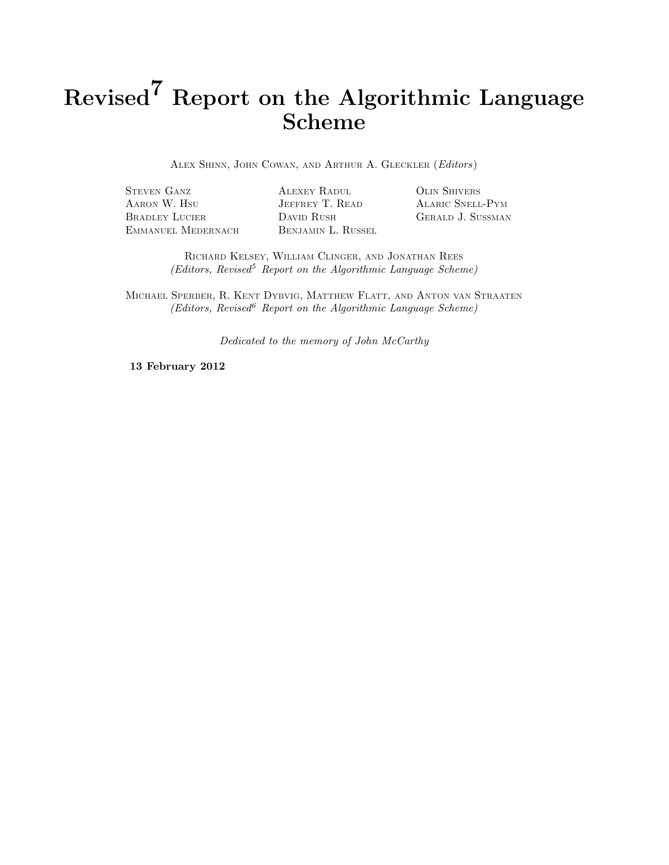# Revised<sup>7</sup> Report on the Algorithmic Language Scheme

ALEX SHINN, JOHN COWAN, AND ARTHUR A. GLECKLER (Editors)

STEVEN GANZ ALEXEY RADUL OLIN SHIVERS AARON W. HSU JEFFREY T. READ ALARIC SNELL-PYM BRADLEY LUCIER DAVID RUSH GERALD J. SUSSMAN EMMANUEL MEDERNACH BENJAMIN L. RUSSEL

RICHARD KELSEY, WILLIAM CLINGER, AND JONATHAN REES  $(Editors, Revised<sup>5</sup> Report on the Algorithmic Language Scheme)$ 

MICHAEL SPERBER, R. KENT DYBVIG, MATTHEW FLATT, AND ANTON VAN STRAATEN  $(Editors, Revised<sup>6</sup>$  Report on the Algorithmic Language Scheme)

Dedicated to the memory of John McCarthy

13 February 2012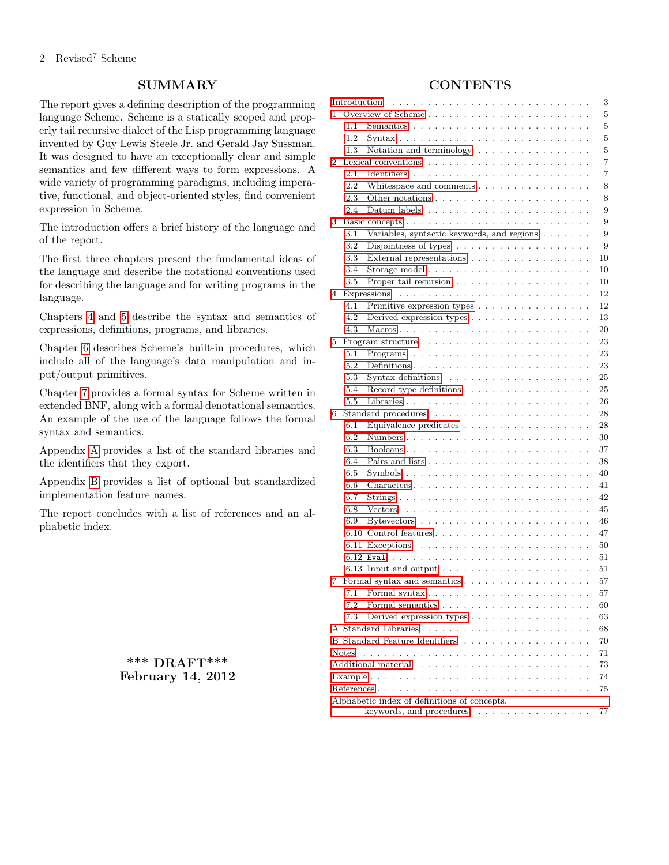# **SUMMARY**

The report gives a defining description of the programming language Scheme. Scheme is a statically scoped and properly tail recursive dialect of the Lisp programming language invented by Guy Lewis Steele Jr. and Gerald Jay Sussman. It was designed to have an exceptionally clear and simple semantics and few different ways to form expressions. A wide variety of programming paradigms, including imperative, functional, and object-oriented styles, find convenient expression in Scheme.

The introduction offers a brief history of the language and of the report.

The first three chapters present the fundamental ideas of the language and describe the notational conventions used for describing the language and for writing programs in the language.

Chapters [4](#page-11-0) and [5](#page-22-0) describe the syntax and semantics of expressions, definitions, programs, and libraries.

Chapter [6](#page-27-0) describes Scheme's built-in procedures, which include all of the language's data manipulation and input/output primitives.

Chapter [7](#page-56-0) provides a formal syntax for Scheme written in extended BNF, along with a formal denotational semantics. An example of the use of the language follows the formal syntax and semantics.

Appendix [A](#page-67-0) provides a list of the standard libraries and the identifiers that they export.

Appendix [B](#page-69-0) provides a list of optional but standardized implementation feature names.

The report concludes with a list of references and an alphabetic index.

> \*\*\* DRAFT\*\*\* February 14, 2012

# **CONTENTS**

<span id="page-1-0"></span>

|    | Introduction                                 | 3                                                                                                                                                                                                                                                                                                |  |  |  |
|----|----------------------------------------------|--------------------------------------------------------------------------------------------------------------------------------------------------------------------------------------------------------------------------------------------------------------------------------------------------|--|--|--|
| 1  |                                              | 5                                                                                                                                                                                                                                                                                                |  |  |  |
|    | 1.1                                          | 5<br>Semantics $\ldots \ldots \ldots \ldots \ldots \ldots \ldots \ldots \ldots$                                                                                                                                                                                                                  |  |  |  |
|    | 1.2                                          | 5<br>Syntax $\ldots$                                                                                                                                                                                                                                                                             |  |  |  |
|    | 1.3                                          | 5<br>Notation and terminology $\dots \dots$                                                                                                                                                                                                                                                      |  |  |  |
| 2  |                                              | 7<br>Lexical conventions<br>$\sim$                                                                                                                                                                                                                                                               |  |  |  |
|    | 2.1                                          | Identifiers<br>7<br>de la caractería de la caractería de la caractería                                                                                                                                                                                                                           |  |  |  |
|    | 2.2                                          | 8<br>White space and comments $\dots \dots \dots \dots \dots$                                                                                                                                                                                                                                    |  |  |  |
|    | 2.3                                          | 8                                                                                                                                                                                                                                                                                                |  |  |  |
|    | 2.4                                          | 9<br>Datum labels                                                                                                                                                                                                                                                                                |  |  |  |
| 3  |                                              | 9                                                                                                                                                                                                                                                                                                |  |  |  |
|    | 3.1                                          | 9<br>Variables, syntactic keywords, and regions.<br>$\sim$ $\sim$ $\sim$                                                                                                                                                                                                                         |  |  |  |
|    | 3.2                                          | 9<br>Disjointness of types $\ldots \ldots \ldots \ldots$                                                                                                                                                                                                                                         |  |  |  |
|    | 3.3                                          | External representations $\ldots \ldots \ldots \ldots$<br>10                                                                                                                                                                                                                                     |  |  |  |
|    | 3.4                                          | 10<br><b>Contractor</b>                                                                                                                                                                                                                                                                          |  |  |  |
|    | 3.5                                          | Proper tail recursion<br>10<br>$\ddot{\phantom{a}}$                                                                                                                                                                                                                                              |  |  |  |
| 4  |                                              | 12<br>Expressions<br>$\sim$                                                                                                                                                                                                                                                                      |  |  |  |
|    | 4.1                                          | 12<br>Primitive expression types                                                                                                                                                                                                                                                                 |  |  |  |
|    | 4.2                                          | 13<br>Derived expression types $\ldots \ldots \ldots \ldots$                                                                                                                                                                                                                                     |  |  |  |
|    | 4.3                                          | 20                                                                                                                                                                                                                                                                                               |  |  |  |
| 5  |                                              | 23<br>Program structure $\ldots \ldots \ldots \ldots \ldots$                                                                                                                                                                                                                                     |  |  |  |
|    | 5.1                                          | 23<br>Programs<br>the second contract of the second contract of the second second contract of the second second second second second second second second second second second second second second second second second second second second se<br>$\ddot{\phantom{a}}$<br>$\ddot{\phantom{a}}$ |  |  |  |
|    | 5.2                                          | 23<br>Definitions.<br>$\overline{\phantom{a}}$<br>$\ddot{\phantom{a}}$<br>$\overline{a}$                                                                                                                                                                                                         |  |  |  |
|    | 5.3                                          | 25<br>Syntax definitions<br>and a straightful contract of the                                                                                                                                                                                                                                    |  |  |  |
|    | 5.4                                          | 25<br>Record type definitions $\ldots$                                                                                                                                                                                                                                                           |  |  |  |
|    | 5.5                                          | 26                                                                                                                                                                                                                                                                                               |  |  |  |
| 6  |                                              | 28<br>Standard procedures<br>.                                                                                                                                                                                                                                                                   |  |  |  |
|    | 6.1                                          | Equivalence predicates<br>28                                                                                                                                                                                                                                                                     |  |  |  |
|    | 6.2                                          | Numbers<br>30<br>$\ddot{\phantom{a}}$<br>$\ddot{\phantom{a}}$ .<br>and a state<br>$\sim$                                                                                                                                                                                                         |  |  |  |
|    | 6.3                                          | 37                                                                                                                                                                                                                                                                                               |  |  |  |
|    | 6.4                                          | 38                                                                                                                                                                                                                                                                                               |  |  |  |
|    | 6.5                                          | 40<br>Symbols $\ldots \ldots \ldots \ldots \ldots \ldots \ldots \ldots \ldots$                                                                                                                                                                                                                   |  |  |  |
|    | 6.6                                          | 41<br>$Characters \ldots \ldots$<br>$\mathcal{L}$ , and $\mathcal{L}$ , and $\mathcal{L}$<br>$\sim$ $\sim$ $\sim$<br>$\sim$                                                                                                                                                                      |  |  |  |
|    | 6.7                                          | 42<br>$Strings \dots$                                                                                                                                                                                                                                                                            |  |  |  |
|    | 6.8                                          | 45<br>Vectors<br>designed and contract and con-<br>$\ddot{\phantom{a}}$<br>$\mathcal{L}_{\bullet}$<br>$\cdot$<br>$\overline{\phantom{a}}$                                                                                                                                                        |  |  |  |
|    | 6.9                                          | 46<br><b>Bytevectors</b><br>de la caractería de la caractería de la caractería                                                                                                                                                                                                                   |  |  |  |
|    |                                              | 47                                                                                                                                                                                                                                                                                               |  |  |  |
|    |                                              | 50<br>6.11 Exceptions<br>.<br>$\ddot{\phantom{a}}$                                                                                                                                                                                                                                               |  |  |  |
|    |                                              | 51<br>$6.12$ Eval<br>and a series of the control of<br>$\sim 100$ $\mu$<br>$\ddot{\phantom{a}}$<br>$\cdot$<br>$\ddot{\phantom{a}}$                                                                                                                                                               |  |  |  |
|    |                                              | 6.13 Input and output $\ldots \ldots \ldots \ldots$<br>51                                                                                                                                                                                                                                        |  |  |  |
| 7  |                                              | 57<br>Formal syntax and semantics                                                                                                                                                                                                                                                                |  |  |  |
|    | 7.1                                          | 57                                                                                                                                                                                                                                                                                               |  |  |  |
|    | 7.2                                          | 60                                                                                                                                                                                                                                                                                               |  |  |  |
|    | 7.3                                          | Derived expression types<br>63                                                                                                                                                                                                                                                                   |  |  |  |
|    |                                              | A Standard Libraries<br>68                                                                                                                                                                                                                                                                       |  |  |  |
|    |                                              | 70                                                                                                                                                                                                                                                                                               |  |  |  |
|    | Notes                                        | 71                                                                                                                                                                                                                                                                                               |  |  |  |
| 73 |                                              |                                                                                                                                                                                                                                                                                                  |  |  |  |
|    | 74                                           |                                                                                                                                                                                                                                                                                                  |  |  |  |
| 75 |                                              |                                                                                                                                                                                                                                                                                                  |  |  |  |
|    | Alphabetic index of definitions of concepts, |                                                                                                                                                                                                                                                                                                  |  |  |  |
|    |                                              | keywords, and procedures<br>77                                                                                                                                                                                                                                                                   |  |  |  |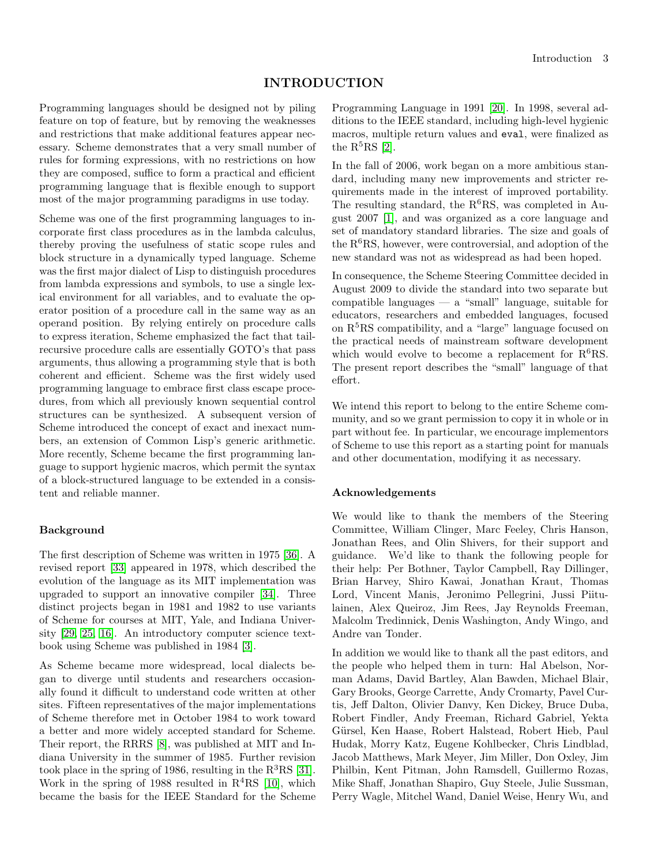## INTRODUCTION

Programming languages should be designed not by piling feature on top of feature, but by removing the weaknesses and restrictions that make additional features appear necessary. Scheme demonstrates that a very small number of rules for forming expressions, with no restrictions on how they are composed, suffice to form a practical and efficient programming language that is flexible enough to support most of the major programming paradigms in use today.

Scheme was one of the first programming languages to incorporate first class procedures as in the lambda calculus, thereby proving the usefulness of static scope rules and block structure in a dynamically typed language. Scheme was the first major dialect of Lisp to distinguish procedures from lambda expressions and symbols, to use a single lexical environment for all variables, and to evaluate the operator position of a procedure call in the same way as an operand position. By relying entirely on procedure calls to express iteration, Scheme emphasized the fact that tailrecursive procedure calls are essentially GOTO's that pass arguments, thus allowing a programming style that is both coherent and efficient. Scheme was the first widely used programming language to embrace first class escape procedures, from which all previously known sequential control structures can be synthesized. A subsequent version of Scheme introduced the concept of exact and inexact numbers, an extension of Common Lisp's generic arithmetic. More recently, Scheme became the first programming language to support hygienic macros, which permit the syntax of a block-structured language to be extended in a consistent and reliable manner.

#### Background

The first description of Scheme was written in 1975 [\[36\]](#page-75-0). A revised report [\[33\]](#page-75-1) appeared in 1978, which described the evolution of the language as its MIT implementation was upgraded to support an innovative compiler [\[34\]](#page-75-2). Three distinct projects began in 1981 and 1982 to use variants of Scheme for courses at MIT, Yale, and Indiana University [\[29,](#page-75-3) [25,](#page-75-4) [16\]](#page-75-5). An introductory computer science textbook using Scheme was published in 1984 [\[3\]](#page-74-1).

As Scheme became more widespread, local dialects began to diverge until students and researchers occasionally found it difficult to understand code written at other sites. Fifteen representatives of the major implementations of Scheme therefore met in October 1984 to work toward a better and more widely accepted standard for Scheme. Their report, the RRRS [\[8\]](#page-74-2), was published at MIT and Indiana University in the summer of 1985. Further revision took place in the spring of 1986, resulting in the  $R^{3}RS$  [\[31\]](#page-75-6). Work in the spring of 1988 resulted in  $R<sup>4</sup>RS$  [\[10\]](#page-74-3), which became the basis for the IEEE Standard for the Scheme Programming Language in 1991 [\[20\]](#page-75-7). In 1998, several additions to the IEEE standard, including high-level hygienic macros, multiple return values and eval, were finalized as the  $R^5RS$  [\[2\]](#page-74-4).

In the fall of 2006, work began on a more ambitious standard, including many new improvements and stricter requirements made in the interest of improved portability. The resulting standard, the  $R^6RS$ , was completed in August 2007 [\[1\]](#page-74-5), and was organized as a core language and set of mandatory standard libraries. The size and goals of the  $R^6RS$ , however, were controversial, and adoption of the new standard was not as widespread as had been hoped.

In consequence, the Scheme Steering Committee decided in August 2009 to divide the standard into two separate but compatible languages — a "small" language, suitable for educators, researchers and embedded languages, focused on  $R<sup>5</sup>RS$  compatibility, and a "large" language focused on the practical needs of mainstream software development which would evolve to become a replacement for  $R^6RS$ . The present report describes the "small" language of that effort.

We intend this report to belong to the entire Scheme community, and so we grant permission to copy it in whole or in part without fee. In particular, we encourage implementors of Scheme to use this report as a starting point for manuals and other documentation, modifying it as necessary.

#### Acknowledgements

We would like to thank the members of the Steering Committee, William Clinger, Marc Feeley, Chris Hanson, Jonathan Rees, and Olin Shivers, for their support and guidance. We'd like to thank the following people for their help: Per Bothner, Taylor Campbell, Ray Dillinger, Brian Harvey, Shiro Kawai, Jonathan Kraut, Thomas Lord, Vincent Manis, Jeronimo Pellegrini, Jussi Piitulainen, Alex Queiroz, Jim Rees, Jay Reynolds Freeman, Malcolm Tredinnick, Denis Washington, Andy Wingo, and Andre van Tonder.

In addition we would like to thank all the past editors, and the people who helped them in turn: Hal Abelson, Norman Adams, David Bartley, Alan Bawden, Michael Blair, Gary Brooks, George Carrette, Andy Cromarty, Pavel Curtis, Jeff Dalton, Olivier Danvy, Ken Dickey, Bruce Duba, Robert Findler, Andy Freeman, Richard Gabriel, Yekta Gürsel, Ken Haase, Robert Halstead, Robert Hieb, Paul Hudak, Morry Katz, Eugene Kohlbecker, Chris Lindblad, Jacob Matthews, Mark Meyer, Jim Miller, Don Oxley, Jim Philbin, Kent Pitman, John Ramsdell, Guillermo Rozas, Mike Shaff, Jonathan Shapiro, Guy Steele, Julie Sussman, Perry Wagle, Mitchel Wand, Daniel Weise, Henry Wu, and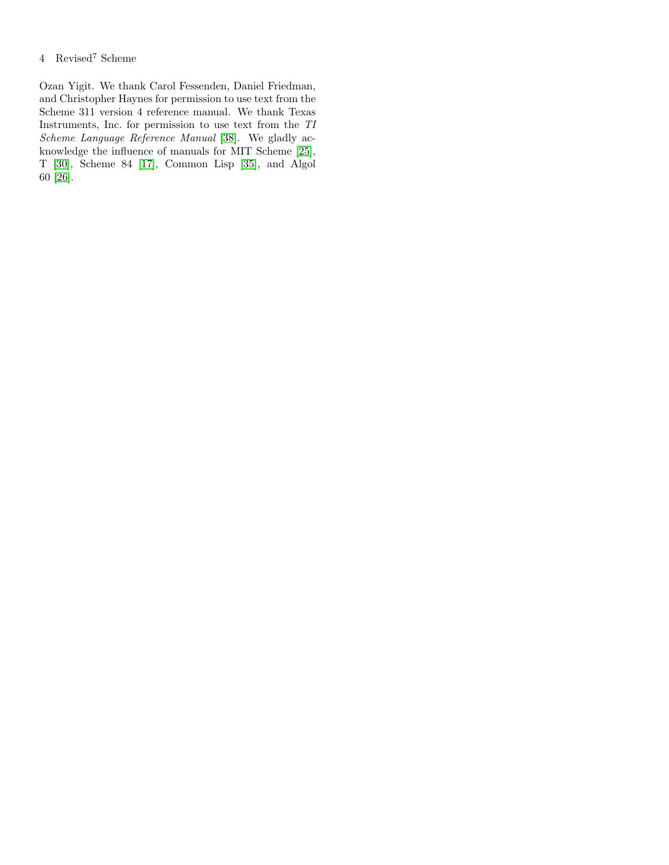## 4 Revised<sup>7</sup> Scheme

Ozan Yigit. We thank Carol Fessenden, Daniel Friedman, and Christopher Haynes for permission to use text from the Scheme 311 version 4 reference manual. We thank Texas Instruments, Inc. for permission to use text from the TI Scheme Language Reference Manual [\[38\]](#page-75-8). We gladly acknowledge the influence of manuals for MIT Scheme [\[25\]](#page-75-4), T [\[30\]](#page-75-9), Scheme 84 [\[17\]](#page-75-10), Common Lisp [\[35\]](#page-75-11), and Algol 60 [\[26\]](#page-75-12).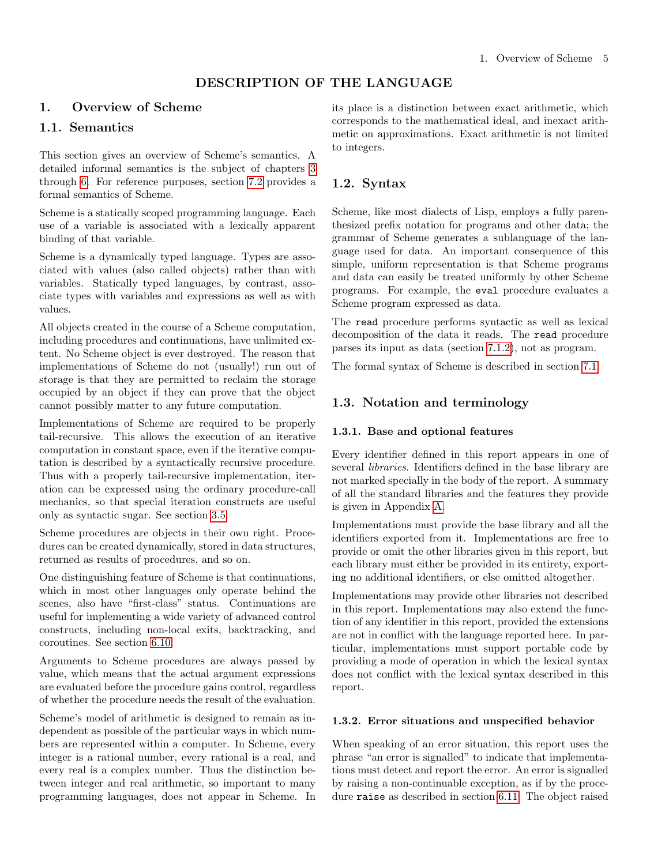# DESCRIPTION OF THE LANGUAGE

# <span id="page-4-1"></span><span id="page-4-0"></span>1. Overview of Scheme

# 1.1. Semantics

This section gives an overview of Scheme's semantics. A detailed informal semantics is the subject of chapters [3](#page-8-1) through [6.](#page-27-0) For reference purposes, section [7.2](#page-59-0) provides a formal semantics of Scheme.

Scheme is a statically scoped programming language. Each use of a variable is associated with a lexically apparent binding of that variable.

Scheme is a dynamically typed language. Types are associated with values (also called objects) rather than with variables. Statically typed languages, by contrast, associate types with variables and expressions as well as with values.

All objects created in the course of a Scheme computation, including procedures and continuations, have unlimited extent. No Scheme object is ever destroyed. The reason that implementations of Scheme do not (usually!) run out of storage is that they are permitted to reclaim the storage occupied by an object if they can prove that the object cannot possibly matter to any future computation.

Implementations of Scheme are required to be properly tail-recursive. This allows the execution of an iterative computation in constant space, even if the iterative computation is described by a syntactically recursive procedure. Thus with a properly tail-recursive implementation, iteration can be expressed using the ordinary procedure-call mechanics, so that special iteration constructs are useful only as syntactic sugar. See section [3.5.](#page-9-2)

Scheme procedures are objects in their own right. Procedures can be created dynamically, stored in data structures, returned as results of procedures, and so on.

One distinguishing feature of Scheme is that continuations, which in most other languages only operate behind the scenes, also have "first-class" status. Continuations are useful for implementing a wide variety of advanced control constructs, including non-local exits, backtracking, and coroutines. See section [6.10.](#page-46-0)

Arguments to Scheme procedures are always passed by value, which means that the actual argument expressions are evaluated before the procedure gains control, regardless of whether the procedure needs the result of the evaluation.

Scheme's model of arithmetic is designed to remain as independent as possible of the particular ways in which numbers are represented within a computer. In Scheme, every integer is a rational number, every rational is a real, and every real is a complex number. Thus the distinction between integer and real arithmetic, so important to many programming languages, does not appear in Scheme. In its place is a distinction between exact arithmetic, which corresponds to the mathematical ideal, and inexact arithmetic on approximations. Exact arithmetic is not limited to integers.

# <span id="page-4-2"></span>1.2. Syntax

Scheme, like most dialects of Lisp, employs a fully parenthesized prefix notation for programs and other data; the grammar of Scheme generates a sublanguage of the language used for data. An important consequence of this simple, uniform representation is that Scheme programs and data can easily be treated uniformly by other Scheme programs. For example, the eval procedure evaluates a Scheme program expressed as data.

The read procedure performs syntactic as well as lexical decomposition of the data it reads. The read procedure parses its input as data (section [7.1.2\)](#page-57-0), not as program.

The formal syntax of Scheme is described in section [7.1.](#page-56-1)

# <span id="page-4-3"></span>1.3. Notation and terminology

## 1.3.1. Base and optional features

Every identifier defined in this report appears in one of several libraries. Identifiers defined in the base library are not marked specially in the body of the report. A summary of all the standard libraries and the features they provide is given in Appendix [A.](#page-67-0)

Implementations must provide the base library and all the identifiers exported from it. Implementations are free to provide or omit the other libraries given in this report, but each library must either be provided in its entirety, exporting no additional identifiers, or else omitted altogether.

Implementations may provide other libraries not described in this report. Implementations may also extend the function of any identifier in this report, provided the extensions are not in conflict with the language reported here. In particular, implementations must support portable code by providing a mode of operation in which the lexical syntax does not conflict with the lexical syntax described in this report.

#### 1.3.2. Error situations and unspecified behavior

When speaking of an error situation, this report uses the phrase "an error is signalled" to indicate that implementations must detect and report the error. An error is signalled by raising a non-continuable exception, as if by the procedure raise as described in section [6.11.](#page-49-0) The object raised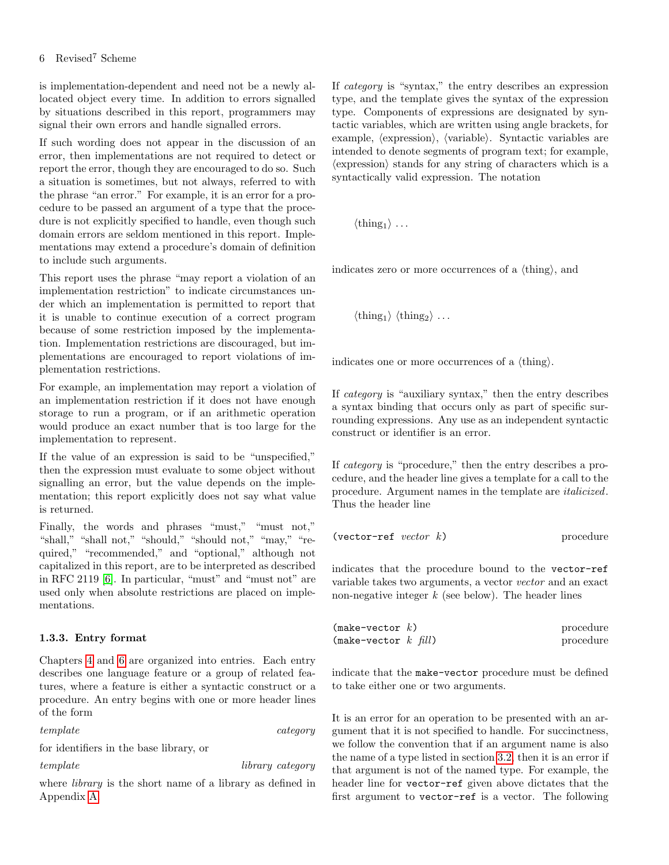## 6 Revised<sup>7</sup> Scheme

is implementation-dependent and need not be a newly allocated object every time. In addition to errors signalled by situations described in this report, programmers may signal their own errors and handle signalled errors.

If such wording does not appear in the discussion of an error, then implementations are not required to detect or report the error, though they are encouraged to do so. Such a situation is sometimes, but not always, referred to with the phrase "an error." For example, it is an error for a procedure to be passed an argument of a type that the procedure is not explicitly specified to handle, even though such domain errors are seldom mentioned in this report. Implementations may extend a procedure's domain of definition to include such arguments.

This report uses the phrase "may report a violation of an implementation restriction" to indicate circumstances under which an implementation is permitted to report that it is unable to continue execution of a correct program because of some restriction imposed by the implementation. Implementation restrictions are discouraged, but implementations are encouraged to report violations of implementation restrictions.

For example, an implementation may report a violation of an implementation restriction if it does not have enough storage to run a program, or if an arithmetic operation would produce an exact number that is too large for the implementation to represent.

If the value of an expression is said to be "unspecified," then the expression must evaluate to some object without signalling an error, but the value depends on the implementation; this report explicitly does not say what value is returned.

Finally, the words and phrases "must," "must not," "shall," "shall not," "should," "should not," "may," "required," "recommended," and "optional," although not capitalized in this report, are to be interpreted as described in RFC 2119 [\[6\]](#page-74-6). In particular, "must" and "must not" are used only when absolute restrictions are placed on implementations.

## <span id="page-5-0"></span>1.3.3. Entry format

Chapters [4](#page-11-0) and [6](#page-27-0) are organized into entries. Each entry describes one language feature or a group of related features, where a feature is either a syntactic construct or a procedure. An entry begins with one or more header lines of the form

template category

for identifiers in the base library, or

template library category

where *library* is the short name of a library as defined in Appendix [A.](#page-67-0)

If category is "syntax," the entry describes an expression type, and the template gives the syntax of the expression type. Components of expressions are designated by syntactic variables, which are written using angle brackets, for example,  $\langle$  expression $\rangle$ ,  $\langle$  variable $\rangle$ . Syntactic variables are intended to denote segments of program text; for example,  $\langle$  expression $\rangle$  stands for any string of characters which is a syntactically valid expression. The notation

 $\langle \text{thing}_1 \rangle \dots$ 

indicates zero or more occurrences of a  $\{\text{thing}\},$  and

 $\langle \text{thing}_1 \rangle$   $\langle \text{thing}_2 \rangle$  ...

indicates one or more occurrences of a  $\{\text{thing}\}.$ 

If category is "auxiliary syntax," then the entry describes a syntax binding that occurs only as part of specific surrounding expressions. Any use as an independent syntactic construct or identifier is an error.

If category is "procedure," then the entry describes a procedure, and the header line gives a template for a call to the procedure. Argument names in the template are italicized. Thus the header line

 $(\text{vector-ref } vector k)$  procedure

indicates that the procedure bound to the vector-ref variable takes two arguments, a vector vector and an exact non-negative integer  $k$  (see below). The header lines

| $(make-vector k)$      | procedure |
|------------------------|-----------|
| (make-vector $k$ fill) | procedure |

indicate that the make-vector procedure must be defined to take either one or two arguments.

It is an error for an operation to be presented with an argument that it is not specified to handle. For succinctness, we follow the convention that if an argument name is also the name of a type listed in section [3.2,](#page-8-3) then it is an error if that argument is not of the named type. For example, the header line for vector-ref given above dictates that the first argument to vector-ref is a vector. The following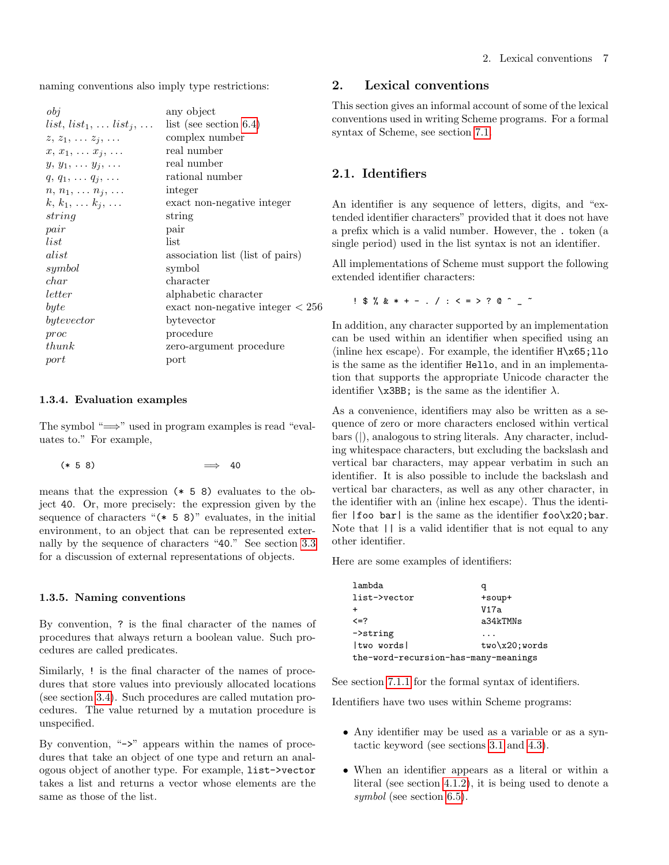naming conventions also imply type restrictions:

| $\partial_{\theta}$                   | any object                         |
|---------------------------------------|------------------------------------|
| $list, list_1, \ldots list_j, \ldots$ | list (see section $6.4$ )          |
| $z, z_1, \ldots z_j, \ldots$          | complex number                     |
| $x, x_1, \ldots x_j, \ldots$          | real number                        |
| $y, y_1, \ldots y_i, \ldots$          | real number                        |
| $q, q_1, \ldots q_i, \ldots$          | rational number                    |
| $n, n_1, \ldots n_j, \ldots$          | integer                            |
| $k, k_1, \ldots k_j, \ldots$          | exact non-negative integer         |
| string                                | string                             |
| pair                                  | pair                               |
| list                                  | list                               |
| alist                                 | association list (list of pairs)   |
| symbol                                | symbol                             |
| char                                  | character                          |
| letter                                | alphabetic character               |
| byte                                  | exact non-negative integer $< 256$ |
| bytevector                            | bytevector                         |
| proc                                  | procedure                          |
| thunk                                 | zero-argument procedure            |
| port                                  | port                               |
|                                       |                                    |

#### 1.3.4. Evaluation examples

The symbol " $\implies$ " used in program examples is read "evaluates to." For example,

$$
(* 5 8) \qquad \qquad \Longrightarrow \qquad 40
$$

means that the expression (\* 5 8) evaluates to the object 40. Or, more precisely: the expression given by the sequence of characters " $(* 5 8)$ " evaluates, in the initial environment, to an object that can be represented externally by the sequence of characters "40." See section [3.3](#page-9-0) for a discussion of external representations of objects.

#### 1.3.5. Naming conventions

By convention, ? is the final character of the names of procedures that always return a boolean value. Such procedures are called predicates.

Similarly, ! is the final character of the names of procedures that store values into previously allocated locations (see section [3.4\)](#page-9-1). Such procedures are called mutation procedures. The value returned by a mutation procedure is unspecified.

<span id="page-6-0"></span>By convention, "->" appears within the names of procedures that take an object of one type and return an analogous object of another type. For example, list->vector takes a list and returns a vector whose elements are the same as those of the list.

## 2. Lexical conventions

This section gives an informal account of some of the lexical conventions used in writing Scheme programs. For a formal syntax of Scheme, see section [7.1.](#page-56-1)

# <span id="page-6-1"></span>2.1. Identifiers

An identifier is any sequence of letters, digits, and "extended identifier characters" provided that it does not have a prefix which is a valid number. However, the . token (a single period) used in the list syntax is not an identifier.

All implementations of Scheme must support the following extended identifier characters:

 $!$  \$ % & \* + - . / : < = > ? @ ^  $-$ 

In addition, any character supported by an implementation can be used within an identifier when specified using an  $\{in\}$  hex escape). For example, the identifier  $H\x05;110$ is the same as the identifier Hello, and in an implementation that supports the appropriate Unicode character the identifier  $\x$ 3BB; is the same as the identifier  $\lambda$ .

As a convenience, identifiers may also be written as a sequence of zero or more characters enclosed within vertical bars (|), analogous to string literals. Any character, including whitespace characters, but excluding the backslash and vertical bar characters, may appear verbatim in such an identifier. It is also possible to include the backslash and vertical bar characters, as well as any other character, in the identifier with an  $\langle$  inline hex escape $\rangle$ . Thus the identifier  $|$  foo bar  $|$  is the same as the identifier foo $x20$ ; bar. Note that  $|| \cdot ||$  is a valid identifier that is not equal to any other identifier.

Here are some examples of identifiers:

| lambda                               |                  |
|--------------------------------------|------------------|
| list->vector                         | +soup+           |
| $\div$                               | V17a             |
| $\leq$ =?                            | a34kTMNs         |
| $\rightarrow$ string                 |                  |
| two words                            | $two\x20; words$ |
| the-word-recursion-has-many-meanings |                  |

See section [7.1.1](#page-56-2) for the formal syntax of identifiers.

Identifiers have two uses within Scheme programs:

- Any identifier may be used as a variable or as a syntactic keyword (see sections [3.1](#page-8-2) and [4.3\)](#page-19-0).
- When an identifier appears as a literal or within a literal (see section [4.1.2\)](#page-11-2), it is being used to denote a symbol (see section [6.5\)](#page-39-0).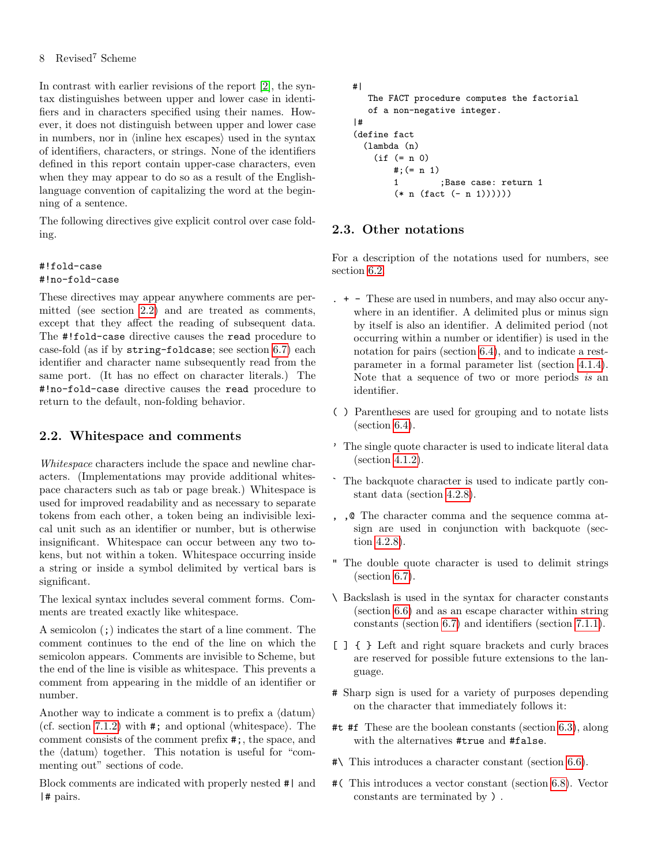## 8 Revised<sup>7</sup> Scheme

In contrast with earlier revisions of the report [\[2\]](#page-74-4), the syntax distinguishes between upper and lower case in identifiers and in characters specified using their names. However, it does not distinguish between upper and lower case in numbers, nor in  $\langle$  indine hex escapes $\rangle$  used in the syntax of identifiers, characters, or strings. None of the identifiers defined in this report contain upper-case characters, even when they may appear to do so as a result of the Englishlanguage convention of capitalizing the word at the beginning of a sentence.

The following directives give explicit control over case folding.

## #!fold-case #!no-fold-case

These directives may appear anywhere comments are permitted (see section [2.2\)](#page-7-0) and are treated as comments, except that they affect the reading of subsequent data. The #!fold-case directive causes the read procedure to case-fold (as if by string-foldcase; see section [6.7\)](#page-41-0) each identifier and character name subsequently read from the same port. (It has no effect on character literals.) The #!no-fold-case directive causes the read procedure to return to the default, non-folding behavior.

# <span id="page-7-0"></span>2.2. Whitespace and comments

Whitespace characters include the space and newline characters. (Implementations may provide additional whitespace characters such as tab or page break.) Whitespace is used for improved readability and as necessary to separate tokens from each other, a token being an indivisible lexical unit such as an identifier or number, but is otherwise insignificant. Whitespace can occur between any two tokens, but not within a token. Whitespace occurring inside a string or inside a symbol delimited by vertical bars is significant.

The lexical syntax includes several comment forms. Comments are treated exactly like whitespace.

A semicolon (;) indicates the start of a line comment. The comment continues to the end of the line on which the semicolon appears. Comments are invisible to Scheme, but the end of the line is visible as whitespace. This prevents a comment from appearing in the middle of an identifier or number.

Another way to indicate a comment is to prefix a  $\langle \text{datum} \rangle$ (cf. section [7.1.2\)](#page-57-0) with  $\#$ ; and optional  $\langle$  whitespace $\rangle$ . The comment consists of the comment prefix #;, the space, and the  $\langle \text{datum} \rangle$  together. This notation is useful for "commenting out" sections of code.

Block comments are indicated with properly nested #| and |# pairs.

```
#|
   The FACT procedure computes the factorial
  of a non-negative integer.
|#
(define fact
  (lambda (n)
    (if (= n 0)
       \#; (= n 1)
       1 ;Base case: return 1
        (* n (fact (- n 1))))))
```
# <span id="page-7-1"></span>2.3. Other notations

For a description of the notations used for numbers, see section [6.2.](#page-29-0)

- . + These are used in numbers, and may also occur anywhere in an identifier. A delimited plus or minus sign by itself is also an identifier. A delimited period (not occurring within a number or identifier) is used in the notation for pairs (section [6.4\)](#page-37-0), and to indicate a restparameter in a formal parameter list (section [4.1.4\)](#page-11-3). Note that a sequence of two or more periods is an identifier.
- ( ) Parentheses are used for grouping and to notate lists (section [6.4\)](#page-37-0).
- ' The single quote character is used to indicate literal data (section [4.1.2\)](#page-11-2).
- ` The backquote character is used to indicate partly constant data (section [4.2.8\)](#page-18-0).
- , ,@ The character comma and the sequence comma atsign are used in conjunction with backquote (section [4.2.8\)](#page-18-0).
- " The double quote character is used to delimit strings (section [6.7\)](#page-41-0).
- \ Backslash is used in the syntax for character constants (section [6.6\)](#page-40-0) and as an escape character within string constants (section [6.7\)](#page-41-0) and identifiers (section [7.1.1\)](#page-56-2).
- [ ] { } Left and right square brackets and curly braces are reserved for possible future extensions to the language.
- # Sharp sign is used for a variety of purposes depending on the character that immediately follows it:
- #t #f These are the boolean constants (section [6.3\)](#page-36-0), along with the alternatives #true and #false.
- #\ This introduces a character constant (section [6.6\)](#page-40-0).
- #( This introduces a vector constant (section [6.8\)](#page-44-0). Vector constants are terminated by ) .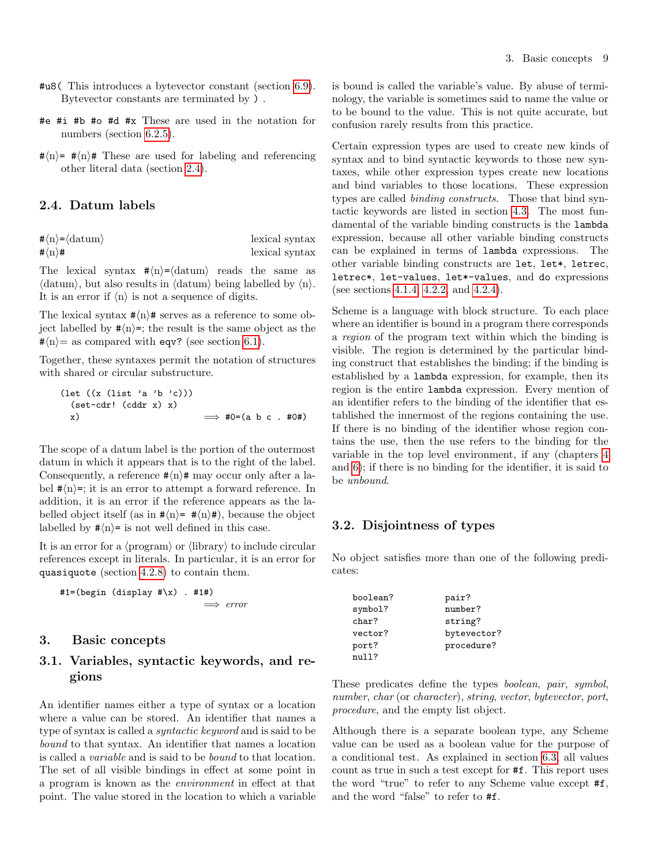- #u8( This introduces a bytevector constant (section [6.9\)](#page-45-0). Bytevector constants are terminated by ) .
- #e #i #b #o #d #x These are used in the notation for numbers (section [6.2.5\)](#page-31-0).
- $\#(n)$  =  $\#(n)\#$  These are used for labeling and referencing other literal data (section [2.4\)](#page-8-0).

# <span id="page-8-0"></span>2.4. Datum labels

| $\#\langle n\rangle = \langle \text{datum}\rangle$ | lexical syntax |
|----------------------------------------------------|----------------|
| # $\langle n \rangle$ #                            | lexical syntax |

The lexical syntax  $\#\langle n\rangle = \langle \text{datum} \rangle$  reads the same as  $\langle \text{datum} \rangle$ , but also results in  $\langle \text{datum} \rangle$  being labelled by  $\langle n \rangle$ . It is an error if  $\langle n \rangle$  is not a sequence of digits.

The lexical syntax  $\#(n)\#$  serves as a reference to some object labelled by  $\#(n)$ =; the result is the same object as the  $\sharp\langle n \rangle$  = as compared with eqv? (see section [6.1\)](#page-27-1).

Together, these syntaxes permit the notation of structures with shared or circular substructure.

(let ((x (list 'a 'b 'c))) (set-cdr! (cddr x) x) x) =⇒ #0=(a b c . #0#)

The scope of a datum label is the portion of the outermost datum in which it appears that is to the right of the label. Consequently, a reference  $\# \langle n \rangle \#$  may occur only after a label  $\sharp\langle n\rangle$ =; it is an error to attempt a forward reference. In addition, it is an error if the reference appears as the labelled object itself (as in  $\# \langle n \rangle = \# \langle n \rangle$ ), because the object labelled by  $\# \langle n \rangle = i$  is not well defined in this case.

It is an error for a  $\langle$ program $\rangle$  or  $\langle$ library $\rangle$  to include circular references except in literals. In particular, it is an error for quasiquote (section [4.2.8\)](#page-18-0) to contain them.

 $#1=(begin (display  $#\x$ ) . #1#)$  $\implies$  error

## <span id="page-8-1"></span>3. Basic concepts

# <span id="page-8-2"></span>3.1. Variables, syntactic keywords, and regions

An identifier names either a type of syntax or a location where a value can be stored. An identifier that names a type of syntax is called a syntactic keyword and is said to be bound to that syntax. An identifier that names a location is called a variable and is said to be bound to that location. The set of all visible bindings in effect at some point in a program is known as the environment in effect at that point. The value stored in the location to which a variable is bound is called the variable's value. By abuse of terminology, the variable is sometimes said to name the value or to be bound to the value. This is not quite accurate, but confusion rarely results from this practice.

Certain expression types are used to create new kinds of syntax and to bind syntactic keywords to those new syntaxes, while other expression types create new locations and bind variables to those locations. These expression types are called binding constructs. Those that bind syntactic keywords are listed in section [4.3.](#page-19-0) The most fundamental of the variable binding constructs is the lambda expression, because all other variable binding constructs can be explained in terms of lambda expressions. The other variable binding constructs are let, let\*, letrec, letrec\*, let-values, let\*-values, and do expressions (see sections [4.1.4,](#page-11-3) [4.2.2,](#page-14-0) and [4.2.4\)](#page-16-0).

Scheme is a language with block structure. To each place where an identifier is bound in a program there corresponds a region of the program text within which the binding is visible. The region is determined by the particular binding construct that establishes the binding; if the binding is established by a lambda expression, for example, then its region is the entire lambda expression. Every mention of an identifier refers to the binding of the identifier that established the innermost of the regions containing the use. If there is no binding of the identifier whose region contains the use, then the use refers to the binding for the variable in the top level environment, if any (chapters [4](#page-11-0) and [6\)](#page-27-0); if there is no binding for the identifier, it is said to be unbound.

## <span id="page-8-3"></span>3.2. Disjointness of types

No object satisfies more than one of the following predicates:

| boolean? | pair?       |
|----------|-------------|
| symbol?  | number?     |
| char?    | string?     |
| vector?  | bytevector? |
| port?    | procedure?  |
| n111?    |             |

These predicates define the types boolean, pair, symbol, number, char (or character), string, vector, bytevector, port, procedure, and the empty list object.

Although there is a separate boolean type, any Scheme value can be used as a boolean value for the purpose of a conditional test. As explained in section [6.3,](#page-36-0) all values count as true in such a test except for #f. This report uses the word "true" to refer to any Scheme value except #f, and the word "false" to refer to #f.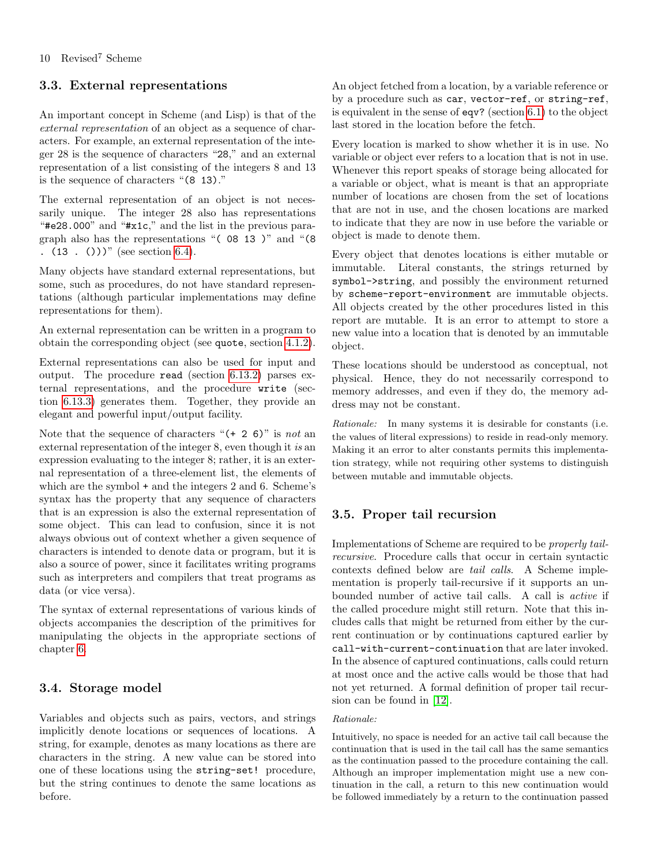# <span id="page-9-0"></span>3.3. External representations

An important concept in Scheme (and Lisp) is that of the external representation of an object as a sequence of characters. For example, an external representation of the integer 28 is the sequence of characters "28," and an external representation of a list consisting of the integers 8 and 13 is the sequence of characters "(8 13)."

The external representation of an object is not necessarily unique. The integer 28 also has representations "#e28.000" and "#x1c," and the list in the previous paragraph also has the representations "( 08 13 )" and "(8 .  $(13 \cdot ())\$  (see section [6.4\)](#page-37-0).

Many objects have standard external representations, but some, such as procedures, do not have standard representations (although particular implementations may define representations for them).

An external representation can be written in a program to obtain the corresponding object (see quote, section [4.1.2\)](#page-11-2).

External representations can also be used for input and output. The procedure read (section [6.13.2\)](#page-52-0) parses external representations, and the procedure write (section [6.13.3\)](#page-53-0) generates them. Together, they provide an elegant and powerful input/output facility.

Note that the sequence of characters " $(+ 2 6)$ " is not an external representation of the integer 8, even though it is an expression evaluating to the integer 8; rather, it is an external representation of a three-element list, the elements of which are the symbol + and the integers 2 and 6. Scheme's syntax has the property that any sequence of characters that is an expression is also the external representation of some object. This can lead to confusion, since it is not always obvious out of context whether a given sequence of characters is intended to denote data or program, but it is also a source of power, since it facilitates writing programs such as interpreters and compilers that treat programs as data (or vice versa).

The syntax of external representations of various kinds of objects accompanies the description of the primitives for manipulating the objects in the appropriate sections of chapter [6.](#page-27-0)

# <span id="page-9-1"></span>3.4. Storage model

Variables and objects such as pairs, vectors, and strings implicitly denote locations or sequences of locations. A string, for example, denotes as many locations as there are characters in the string. A new value can be stored into one of these locations using the string-set! procedure, but the string continues to denote the same locations as before.

An object fetched from a location, by a variable reference or by a procedure such as car, vector-ref, or string-ref, is equivalent in the sense of eqv? (section [6.1\)](#page-27-1) to the object last stored in the location before the fetch.

Every location is marked to show whether it is in use. No variable or object ever refers to a location that is not in use. Whenever this report speaks of storage being allocated for a variable or object, what is meant is that an appropriate number of locations are chosen from the set of locations that are not in use, and the chosen locations are marked to indicate that they are now in use before the variable or object is made to denote them.

Every object that denotes locations is either mutable or immutable. Literal constants, the strings returned by symbol->string, and possibly the environment returned by scheme-report-environment are immutable objects. All objects created by the other procedures listed in this report are mutable. It is an error to attempt to store a new value into a location that is denoted by an immutable object.

These locations should be understood as conceptual, not physical. Hence, they do not necessarily correspond to memory addresses, and even if they do, the memory address may not be constant.

Rationale: In many systems it is desirable for constants (i.e. the values of literal expressions) to reside in read-only memory. Making it an error to alter constants permits this implementation strategy, while not requiring other systems to distinguish between mutable and immutable objects.

# <span id="page-9-2"></span>3.5. Proper tail recursion

Implementations of Scheme are required to be properly tailrecursive. Procedure calls that occur in certain syntactic contexts defined below are tail calls. A Scheme implementation is properly tail-recursive if it supports an unbounded number of active tail calls. A call is active if the called procedure might still return. Note that this includes calls that might be returned from either by the current continuation or by continuations captured earlier by call-with-current-continuation that are later invoked. In the absence of captured continuations, calls could return at most once and the active calls would be those that had not yet returned. A formal definition of proper tail recursion can be found in [\[12\]](#page-74-7).

# Rationale:

Intuitively, no space is needed for an active tail call because the continuation that is used in the tail call has the same semantics as the continuation passed to the procedure containing the call. Although an improper implementation might use a new continuation in the call, a return to this new continuation would be followed immediately by a return to the continuation passed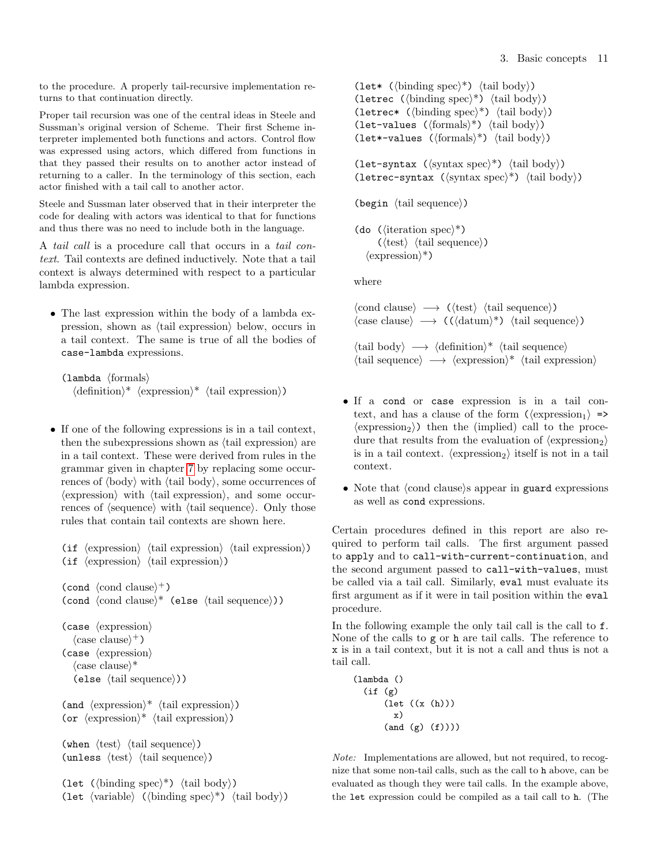to the procedure. A properly tail-recursive implementation returns to that continuation directly.

Proper tail recursion was one of the central ideas in Steele and Sussman's original version of Scheme. Their first Scheme interpreter implemented both functions and actors. Control flow was expressed using actors, which differed from functions in that they passed their results on to another actor instead of returning to a caller. In the terminology of this section, each actor finished with a tail call to another actor.

Steele and Sussman later observed that in their interpreter the code for dealing with actors was identical to that for functions and thus there was no need to include both in the language.

A tail call is a procedure call that occurs in a tail context. Tail contexts are defined inductively. Note that a tail context is always determined with respect to a particular lambda expression.

• The last expression within the body of a lambda expression, shown as  $\langle \text{tail expression} \rangle$  below, occurs in a tail context. The same is true of all the bodies of case-lambda expressions.

```
\langlelambda \langleformals\rangle\langle definition \rangle^* \langle expression \rangle^* \langle tail \, expression \rangle
```
• If one of the following expressions is in a tail context, then the subexpressions shown as  $\langle \text{tail expression} \rangle$  are in a tail context. These were derived from rules in the grammar given in chapter [7](#page-56-0) by replacing some occurrences of  $\langle \text{body} \rangle$  with  $\langle \text{tail body} \rangle$ , some occurrences of  $\langle$  expression $\rangle$  with  $\langle$  tail expression $\rangle$ , and some occurrences of  $\langle$  sequence $\rangle$  with  $\langle$  tail sequence $\rangle$ . Only those rules that contain tail contexts are shown here.

(if  $\langle$  expression $\rangle$   $\langle$  tail expression $\rangle$ ) (if  $\langle$  expression $\rangle$   $\langle$  tail expression $\rangle$ )

```
(\text{cond } \langle \text{cond } \text{clause} \rangle^+)(cond \; \langle cond \; clause \rangle^* \; (else \; \langle tail \; sequence \rangle))
```

```
(case \langle expression\rangle\langle \text{case clause} \rangle^+)
(case \langle expression)
    \langle \text{case clause} \rangle^*(else \langle \text{tail sequence} \rangle))
```

```
(and \langle expression\rangle^* \langle tail expression\rangle)
(or \langle expression)<sup>*</sup> \langle tail expression))
```

```
(when \langle \text{test} \rangle \langle \text{tail sequence} \rangle)
(unless \langle test \rangle \langle tail \ranglesequence\rangle)
```

```
(let (\langle \text{binding spec} \rangle^*) \langle \text{tail body} \rangle)
(let \langle \text{variable} \rangle (\langle \text{binding spec} \rangle^*) \langle \text{tail body} \rangle)
```
(let\* ( $\langle$ binding spec $\rangle^*$ )  $\langle$ tail body $\rangle$ ) (letrec ( $\langle$ binding spec $\rangle^*$ )  $\langle$ tail body $\rangle$ ) (letrec\* ( $\langle \text{binding spec} \rangle^*$ )  $\langle \text{tail body} \rangle$ ) (let-values  $(\{formals\}^*) \{tail\}$ ) (let\*-values ( $\langle$ formals $\rangle^*$ )  $\langle$ tail body $\rangle$ )

(let-syntax ( $\langle$ syntax spec $\rangle^*$ )  $\langle$ tail body $\rangle$ ) (letrec-syntax  $(\langle \text{syntax spec} \rangle^*) \langle \text{tail body} \rangle$ )

```
(begin \langle \text{tail sequence} \rangle)
```
(do ( $\langle$ iteration spec $\rangle^*$ )  $(\langle test \rangle \langle tail \rangle)$  $\langle$  expression $\rangle^*$ )

where

 $\langle \text{cond clause} \rangle \longrightarrow (\langle \text{test} \rangle \langle \text{tail sequence} \rangle)$  $\langle \text{case clause} \rangle \longrightarrow (\langle \text{datum} \rangle^*) \langle \text{tail sequence} \rangle$ 

 $\langle \text{tail body} \rangle \longrightarrow \langle \text{definition} \rangle^*$   $\langle \text{tail sequence} \rangle$  $\langle \text{tail sequence} \rangle \longrightarrow \langle \text{expression} \rangle^*$   $\langle \text{tail expression} \rangle$ 

- If a cond or case expression is in a tail context, and has a clause of the form  $(\langle$ expression<sub>1</sub> $\rangle$  =>  $\langle$  expression<sub>2</sub> $\rangle$ ) then the (implied) call to the procedure that results from the evaluation of  $\langle$  expression<sub>2</sub> $\rangle$ is in a tail context.  $\langle$  expression<sub>2</sub> $\rangle$  itself is not in a tail context.
- Note that  $\langle$ cond clause $\rangle$ s appear in guard expressions as well as cond expressions.

Certain procedures defined in this report are also required to perform tail calls. The first argument passed to apply and to call-with-current-continuation, and the second argument passed to call-with-values, must be called via a tail call. Similarly, eval must evaluate its first argument as if it were in tail position within the eval procedure.

In the following example the only tail call is the call to f. None of the calls to g or h are tail calls. The reference to x is in a tail context, but it is not a call and thus is not a tail call.

```
(lambda ()
  (if (g)
      (let ((x (h)))
        x)
      (and (g) (f))))
```
Note: Implementations are allowed, but not required, to recognize that some non-tail calls, such as the call to h above, can be evaluated as though they were tail calls. In the example above, the let expression could be compiled as a tail call to h. (The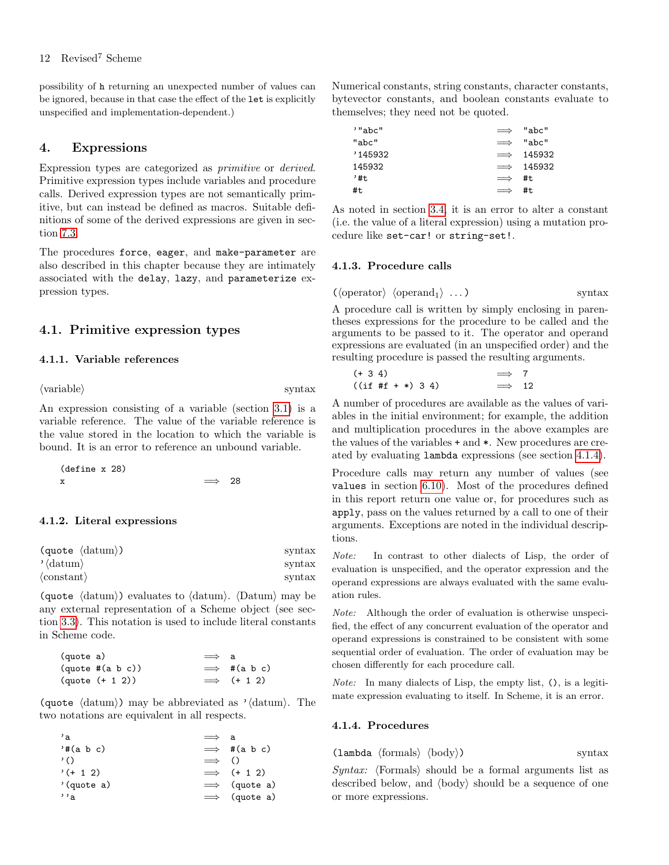possibility of h returning an unexpected number of values can be ignored, because in that case the effect of the let is explicitly unspecified and implementation-dependent.)

## <span id="page-11-0"></span>4. Expressions

Expression types are categorized as primitive or derived. Primitive expression types include variables and procedure calls. Derived expression types are not semantically primitive, but can instead be defined as macros. Suitable definitions of some of the derived expressions are given in section [7.3.](#page-62-0)

The procedures force, eager, and make-parameter are also described in this chapter because they are intimately associated with the delay, lazy, and parameterize expression types.

## <span id="page-11-1"></span>4.1. Primitive expression types

## 4.1.1. Variable references

 $\langle \text{variable} \rangle$  syntax

An expression consisting of a variable (section [3.1\)](#page-8-2) is a variable reference. The value of the variable reference is the value stored in the location to which the variable is bound. It is an error to reference an unbound variable.

(define x 28) x  $\implies$  28

#### <span id="page-11-2"></span>4.1.2. Literal expressions

| $\langle \text{quote} \rangle$ | syntax |
|--------------------------------|--------|
| $\langle \text{datum} \rangle$ | syntax |
| $\langle constant \rangle$     | syntax |

(quote  $\langle \text{datum} \rangle$ ) evaluates to  $\langle \text{datum} \rangle$ .  $\langle \text{Datum} \rangle$  may be any external representation of a Scheme object (see section [3.3\)](#page-9-0). This notation is used to include literal constants in Scheme code.

| (quote a) |                         | $\implies$ a |                     |
|-----------|-------------------------|--------------|---------------------|
|           | $(quote \#(a \ b \ c))$ |              | $\implies$ #(a b c) |
|           | $(quote (+ 1 2))$       |              | $\implies$ (+ 1 2)  |

(quote  $\langle \text{datum} \rangle$ ) may be abbreviated as ' $\langle \text{datum} \rangle$ . The two notations are equivalent in all respects.

| $^{\prime}$ a   | $\implies$ a  |                      |
|-----------------|---------------|----------------------|
| $'$ # $(a b c)$ |               | $\implies$ #(a b c)  |
| $\prime$ ()     | $\implies$ () |                      |
| $'(+ 1 2)$      |               | $\implies$ (+ 1 2)   |
| '(quote a)      |               | $\implies$ (quote a) |
| $, \, \cdot$ a  |               | $\implies$ (quote a) |

Numerical constants, string constants, character constants, bytevector constants, and boolean constants evaluate to themselves; they need not be quoted.

| '"abc" | $\implies$ | "abc"             |
|--------|------------|-------------------|
| "abc"  | $\implies$ | "abc"             |
| 145932 | $\implies$ | 145932            |
| 145932 |            | $\implies$ 145932 |
| , #t   | $\implies$ | #t                |
| #t     | $\implies$ | #t.               |

As noted in section [3.4,](#page-9-1) it is an error to alter a constant (i.e. the value of a literal expression) using a mutation procedure like set-car! or string-set!.

## 4.1.3. Procedure calls

$$
(\langle operator \rangle \langle operator, \rangle \ldots) \qquad \qquad \text{syntax}
$$

A procedure call is written by simply enclosing in parentheses expressions for the procedure to be called and the arguments to be passed to it. The operator and operand expressions are evaluated (in an unspecified order) and the resulting procedure is passed the resulting arguments.

$$
\begin{array}{rcl}\n (+ 3 4) & \Rightarrow & 7 \\
 \text{(if } #f + *) & 3 4) & \Rightarrow & 12\n \end{array}
$$

A number of procedures are available as the values of variables in the initial environment; for example, the addition and multiplication procedures in the above examples are the values of the variables + and \*. New procedures are created by evaluating lambda expressions (see section [4.1.4\)](#page-11-3).

Procedure calls may return any number of values (see values in section [6.10\)](#page-46-0). Most of the procedures defined in this report return one value or, for procedures such as apply, pass on the values returned by a call to one of their arguments. Exceptions are noted in the individual descriptions.

Note: In contrast to other dialects of Lisp, the order of evaluation is unspecified, and the operator expression and the operand expressions are always evaluated with the same evaluation rules.

Note: Although the order of evaluation is otherwise unspecified, the effect of any concurrent evaluation of the operator and operand expressions is constrained to be consistent with some sequential order of evaluation. The order of evaluation may be chosen differently for each procedure call.

Note: In many dialects of Lisp, the empty list, (), is a legitimate expression evaluating to itself. In Scheme, it is an error.

#### <span id="page-11-3"></span>4.1.4. Procedures

 $\langle$ lambda  $\langle$ formals $\rangle$   $\langle$ body $\rangle$ ) syntax

 $Syntax:$   $\langle$  Formals $\rangle$  should be a formal arguments list as described below, and  $\langle$ body $\rangle$  should be a sequence of one or more expressions.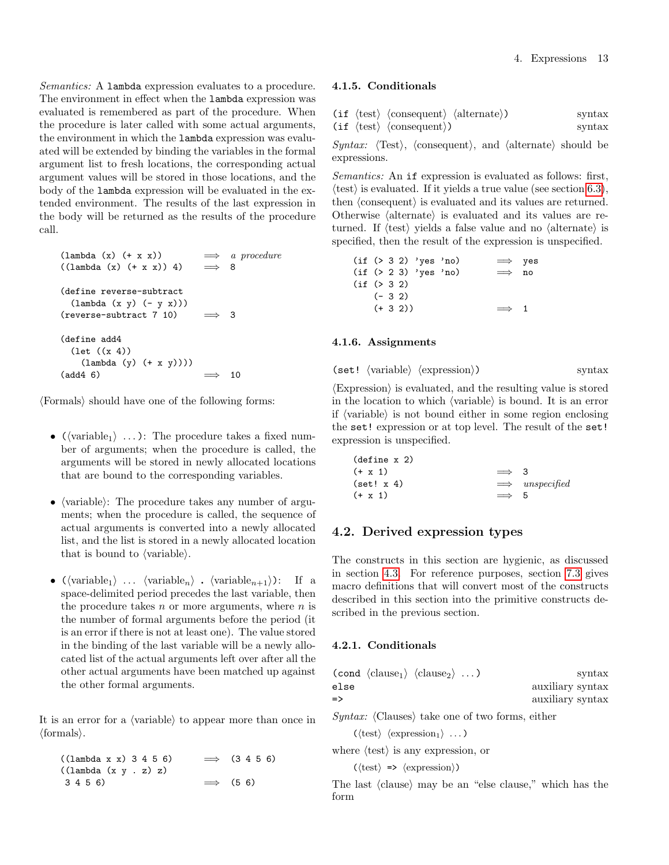Semantics: A lambda expression evaluates to a procedure. The environment in effect when the lambda expression was evaluated is remembered as part of the procedure. When the procedure is later called with some actual arguments, the environment in which the lambda expression was evaluated will be extended by binding the variables in the formal argument list to fresh locations, the corresponding actual argument values will be stored in those locations, and the body of the lambda expression will be evaluated in the extended environment. The results of the last expression in the body will be returned as the results of the procedure call.

| $(\text{lambda } (x) (+ x x))$<br>$((\text{lambda } (x) (+ x x)) 4)$                      |              | $\implies$ a procedure<br>- 8 |
|-------------------------------------------------------------------------------------------|--------------|-------------------------------|
| (define reverse-subtract)<br>$(\text{lambda } (x y) (- y x)))$<br>(reverse-subtract 7 10) | $\implies$ 3 |                               |
| (define add4<br>$(\text{let } ((x 4)))$<br>$(\text{lambda } (y) (+ x y)))$<br>(add4 6)    |              | 10                            |

 $\langle$ Formals $\rangle$  should have one of the following forms:

- ( $\langle \text{variable}_1 \rangle$  ...): The procedure takes a fixed number of arguments; when the procedure is called, the arguments will be stored in newly allocated locations that are bound to the corresponding variables.
- $\langle \text{variable} \rangle$ : The procedure takes any number of arguments; when the procedure is called, the sequence of actual arguments is converted into a newly allocated list, and the list is stored in a newly allocated location that is bound to  $\langle \text{variable} \rangle$ .
- ( $\langle \text{variable}_1 \rangle$  ...  $\langle \text{variable}_n \rangle$  .  $\langle \text{variable}_{n+1} \rangle$ ): If a space-delimited period precedes the last variable, then the procedure takes  $n$  or more arguments, where  $n$  is the number of formal arguments before the period (it is an error if there is not at least one). The value stored in the binding of the last variable will be a newly allocated list of the actual arguments left over after all the other actual arguments have been matched up against the other formal arguments.

It is an error for a  $\langle$  variable $\rangle$  to appear more than once in  $\langle$ formals $\rangle$ .

 $((\text{lambda } x x) 3 4 5 6) \implies (3 4 5 6)$ ((lambda (x y . z) z)  $3\ 4\ 5\ 6)$   $\implies$  (5 6)

#### 4.1.5. Conditionals

|  | $(if \langle test \rangle \langle consequent \rangle \langle alternate \rangle)$ | $\sqrt{\frac{1}{2}}$ |
|--|----------------------------------------------------------------------------------|----------------------|
|  | $(if \langle test \rangle \langle consequent \rangle)$                           | $\sqrt{\frac{1}{2}}$ |

Syntax:  $\langle Test \rangle$ ,  $\langle consequent \rangle$ , and  $\langle alternate \rangle$  should be expressions.

Semantics: An if expression is evaluated as follows: first,  $\langle \text{test} \rangle$  is evaluated. If it yields a true value (see section [6.3\)](#page-36-0), then  $\langle$  consequent $\rangle$  is evaluated and its values are returned. Otherwise  $\langle$  alternate $\rangle$  is evaluated and its values are returned. If  $\langle \text{test} \rangle$  yields a false value and no  $\langle \text{alternate} \rangle$  is specified, then the result of the expression is unspecified.

|              |         |            | $(if ( > 3 2)$ 'yes 'no) |  | $\implies$ yes |  |
|--------------|---------|------------|--------------------------|--|----------------|--|
|              |         |            | $(if ( > 2 3)$ 'yes 'no) |  | $\implies$ no  |  |
| (if ( > 3 2) |         |            |                          |  |                |  |
|              | $(-32)$ |            |                          |  |                |  |
|              |         | $(+ 3 2))$ |                          |  | $\implies$ 1   |  |

## <span id="page-12-1"></span>4.1.6. Assignments

```
(set! \langle variable \rangle \langle expression \rangle) syntax
```
 $\langle$ Expression $\rangle$  is evaluated, and the resulting value is stored in the location to which  $\langle$  variable $\rangle$  is bound. It is an error if  $\langle$  variable $\rangle$  is not bound either in some region enclosing the set! expression or at top level. The result of the set! expression is unspecified.

| $(\text{define } x 2)$ |              |                        |
|------------------------|--------------|------------------------|
| $(+ x 1)$              | $\implies$ 3 |                        |
| (set! x 4)             |              | $\implies$ unspecified |
| $(+ x 1)$              | $\implies$   | $\mathbf{h}$           |
|                        |              |                        |

## <span id="page-12-0"></span>4.2. Derived expression types

The constructs in this section are hygienic, as discussed in section [4.3.](#page-19-0) For reference purposes, section [7.3](#page-62-0) gives macro definitions that will convert most of the constructs described in this section into the primitive constructs described in the previous section.

#### 4.2.1. Conditionals

| $\frac{1}{2}$    |
|------------------|
| auxiliary syntax |
| auxiliary syntax |
|                  |

Syntax:  $\langle$ Clauses $\rangle$  take one of two forms, either

 $(\langle test \rangle \langle expression_1 \rangle \dots)$ 

where  $\langle \text{test} \rangle$  is any expression, or

 $(\langle test \rangle \Rightarrow \langle expression \rangle)$ 

The last  $\langle$  clause $\rangle$  may be an "else clause," which has the form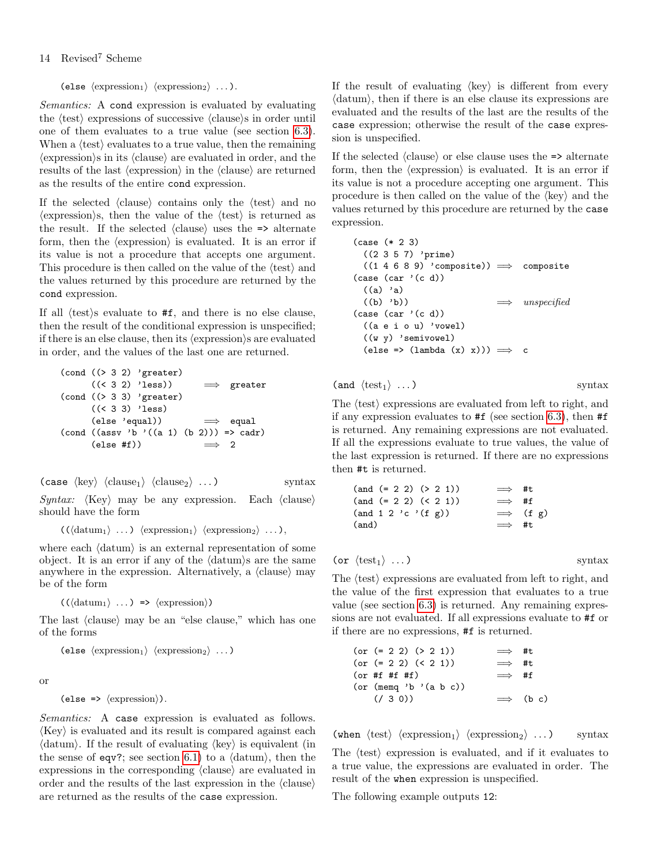(else  $\langle$  expression<sub>1</sub> $\rangle$   $\langle$  expression<sub>2</sub> $\rangle$  ...).

Semantics: A cond expression is evaluated by evaluating the  $\langle test \rangle$  expressions of successive  $\langle clause \rangle$ s in order until one of them evaluates to a true value (see section [6.3\)](#page-36-0). When a  $\langle test \rangle$  evaluates to a true value, then the remaining  $\langle$  expression $\rangle$ s in its  $\langle$  clause $\rangle$  are evaluated in order, and the results of the last (expression) in the (clause) are returned as the results of the entire cond expression.

If the selected  $\langle$ clause $\rangle$  contains only the  $\langle$ test $\rangle$  and no  $\langle$  expression $\rangle$ s, then the value of the  $\langle$  test $\rangle$  is returned as the result. If the selected  $\langle$ clause $\rangle$  uses the  $\Rightarrow$  alternate form, then the  $\langle$  expression $\rangle$  is evaluated. It is an error if its value is not a procedure that accepts one argument. This procedure is then called on the value of the  $\langle \text{test} \rangle$  and the values returned by this procedure are returned by the cond expression.

If all  $\langle \text{test} \rangle$ s evaluate to #f, and there is no else clause, then the result of the conditional expression is unspecified; if there is an else clause, then its  $\langle$  expression $\rangle$ s are evaluated in order, and the values of the last one are returned.

$$
(\text{cond } (\text{> 3 2) 'greater})
$$
\n
$$
((\text{> 3 2) 'less})
$$
\n
$$
\implies \text{greater}
$$
\n
$$
(\text{cond } (\text{> 3 3) 'greater})
$$
\n
$$
((\text{> 3 3) 'less})
$$
\n
$$
(\text{else 'equal}))
$$
\n
$$
\implies \text{equal}
$$
\n
$$
(\text{cond } (\text{assv 'b '((a 1) (b 2))}) \implies \text{cadr})
$$
\n
$$
(\text{else #f}))
$$
\n
$$
\implies 2
$$

 $(\text{case } \langle \text{key} \rangle \langle \text{clause}_1 \rangle \langle \text{clause}_2 \rangle ...)$  syntax Syntax:  $\langle \text{Key} \rangle$  may be any expression. Each  $\langle \text{clause} \rangle$ should have the form

 $((\langle \text{datum}_1 \rangle \dots) \langle \text{expression}_1 \rangle \langle \text{expression}_2 \rangle \dots),$ 

where each  $\langle \text{datum} \rangle$  is an external representation of some object. It is an error if any of the  $\langle \text{datum} \rangle$ s are the same anywhere in the expression. Alternatively, a  $\langle$ clause $\rangle$  may be of the form

 $((\langle \text{datum}_1 \rangle ... ) \Rightarrow \langle \text{expression} \rangle)$ 

The last (clause) may be an "else clause," which has one of the forms

(else  $\langle$  expression<sub>1</sub>)  $\langle$  expression<sub>2</sub> $\rangle$  ...)

or

```
(\text{else} \Rightarrow \langle \text{expression} \rangle).
```
Semantics: A case expression is evaluated as follows.  $\langle \text{Key} \rangle$  is evaluated and its result is compared against each  $\langle \text{datum} \rangle$ . If the result of evaluating  $\langle \text{key} \rangle$  is equivalent (in the sense of eqv?; see section [6.1\)](#page-27-1) to a  $\langle \text{datum} \rangle$ , then the expressions in the corresponding  $\langle$ clause $\rangle$  are evaluated in order and the results of the last expression in the  $\langle$ clause $\rangle$ are returned as the results of the case expression.

If the result of evaluating  $\langle \text{key} \rangle$  is different from every  $\langle \text{datum} \rangle$ , then if there is an else clause its expressions are evaluated and the results of the last are the results of the case expression; otherwise the result of the case expression is unspecified.

If the selected  $\langle$ clause $\rangle$  or else clause uses the  $\Rightarrow$  alternate form, then the  $\langle$  expression $\rangle$  is evaluated. It is an error if its value is not a procedure accepting one argument. This procedure is then called on the value of the  $\langle \text{key} \rangle$  and the values returned by this procedure are returned by the case expression.

```
(case (* 2 3)
  ((2 3 5 7) 'prime)
  ((1 4 6 8 9) 'composite) \implies composite(\text{case } (\text{car } '(c d)))((a) 'a)
  ((b) 'b)) \implies unspecified
(\text{case } (\text{car } '(c d)))((a e i o u) 'vowel)
  ((w y) 'semivowel)
  (\text{else} \Rightarrow (\text{lambda } (x) x))) \implies c
```

```
(and \langle \text{test}_1 \rangle ...) syntax
```
The  $\langle \text{test} \rangle$  expressions are evaluated from left to right, and if any expression evaluates to #f (see section [6.3\)](#page-36-0), then #f is returned. Any remaining expressions are not evaluated. If all the expressions evaluate to true values, the value of the last expression is returned. If there are no expressions then #t is returned.

| $(and (= 2 2) (> 2 1))$                                                    | $\implies$ #t    |
|----------------------------------------------------------------------------|------------------|
| $(and (= 2 2) (< 2 1))$                                                    | $\implies$ #f    |
| $(\text{and } 1 \ 2 \ ^{\prime} \text{c } ^{\prime} (\text{f } \text{g}))$ | $\implies$ (f g) |
| (and)                                                                      | $\implies$ #t    |
|                                                                            |                  |

(or  $\langle \text{test}_1 \rangle$  ...) syntax

The  $\langle test \rangle$  expressions are evaluated from left to right, and the value of the first expression that evaluates to a true value (see section [6.3\)](#page-36-0) is returned. Any remaining expressions are not evaluated. If all expressions evaluate to #f or if there are no expressions, #f is returned.

$$
(or (= 2 2) (> 2 1)) \implies #t
$$
  
\n
$$
(or (= 2 2) (< 2 1)) \implies #t
$$
  
\n
$$
(or #f #f #f) \implies #f
$$
  
\n
$$
(or (meng 'b ' (a b c)) \implies (b c)
$$
  
\n
$$
(\angle 3 0)) \implies (b c)
$$

(when  $\langle \text{test} \rangle$   $\langle \text{expression}_1 \rangle$   $\langle \text{expression}_2 \rangle$  ...) syntax The  $\langle \text{test} \rangle$  expression is evaluated, and if it evaluates to a true value, the expressions are evaluated in order. The result of the when expression is unspecified.

The following example outputs 12: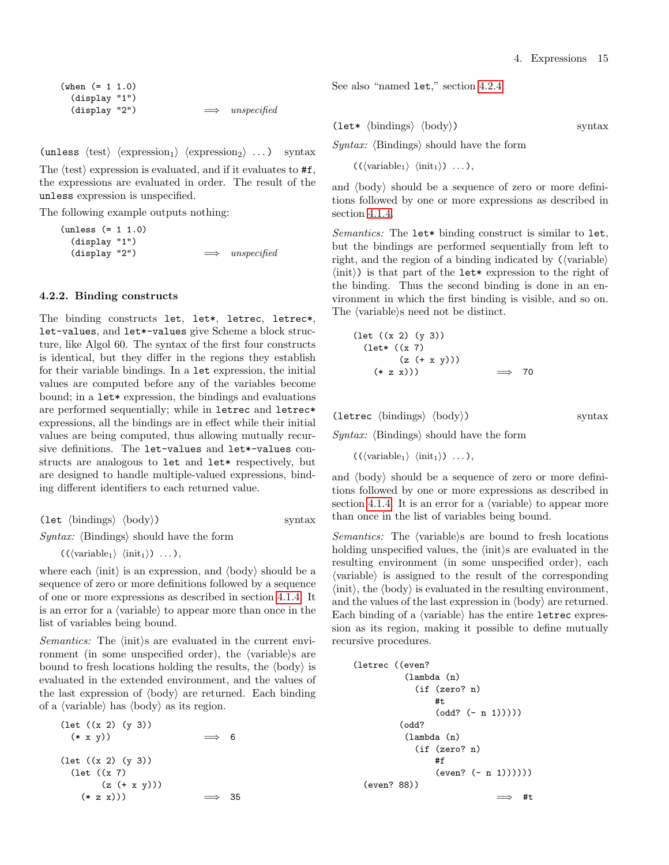(when (= 1 1.0) (display "1") (display "2")  $\implies$  unspecified

(unless  $\langle \text{test} \rangle$   $\langle \text{expression}_1 \rangle$   $\langle \text{expression}_2 \rangle$  ...) syntax

The  $\langle \text{test} \rangle$  expression is evaluated, and if it evaluates to  $\#f$ , the expressions are evaluated in order. The result of the unless expression is unspecified.

The following example outputs nothing:

(unless (= 1 1.0) (display "1") (display "2")  $\implies$  unspecified

#### <span id="page-14-0"></span>4.2.2. Binding constructs

The binding constructs let, let\*, letrec, letrec\*, let-values, and let\*-values give Scheme a block structure, like Algol 60. The syntax of the first four constructs is identical, but they differ in the regions they establish for their variable bindings. In a let expression, the initial values are computed before any of the variables become bound; in a let\* expression, the bindings and evaluations are performed sequentially; while in letrec and letrec\* expressions, all the bindings are in effect while their initial values are being computed, thus allowing mutually recursive definitions. The let-values and let\*-values constructs are analogous to let and let\* respectively, but are designed to handle multiple-valued expressions, binding different identifiers to each returned value.

$$
(let \langle bindings\rangle \langle body\rangle) \qquad \qquad syntax
$$

Syntax:  $\langle$ Bindings $\rangle$  should have the form

 $((\langle variable_1 \rangle \langle init_1 \rangle) \dots),$ 

where each  $\langle \text{init} \rangle$  is an expression, and  $\langle \text{body} \rangle$  should be a sequence of zero or more definitions followed by a sequence of one or more expressions as described in section [4.1.4.](#page-11-3) It is an error for a  $\langle$  variable $\rangle$  to appear more than once in the list of variables being bound.

Semantics: The  $\langle \text{init} \rangle$ s are evaluated in the current environment (in some unspecified order), the  $\langle$  variable $\rangle$ s are bound to fresh locations holding the results, the  $\langle \text{body} \rangle$  is evaluated in the extended environment, and the values of the last expression of  $\langle body \rangle$  are returned. Each binding of a  $\langle \text{variable} \rangle$  has  $\langle \text{body} \rangle$  as its region.

$$
(let ((x 2) (y 3))
$$
  
\n
$$
(* x y)) \Rightarrow 6
$$
  
\n
$$
(let ((x 2) (y 3))
$$
  
\n
$$
(let ((x 7)
$$
  
\n
$$
(z (+ x y)))
$$
  
\n
$$
(* z x))) \Rightarrow 35
$$

See also "named let," section [4.2.4.](#page-16-0)

$$
(let* \langle bindings\rangle \langle body\rangle) \qquad \qquad syntax
$$

Syntax:  $\langle$ Bindings $\rangle$  should have the form

 $((\langle variable_1 \rangle \langle init_1 \rangle) \dots),$ 

and  $\langle$ body $\rangle$  should be a sequence of zero or more definitions followed by one or more expressions as described in section [4.1.4.](#page-11-3)

Semantics: The let\* binding construct is similar to let, but the bindings are performed sequentially from left to right, and the region of a binding indicated by  $(\langle \text{variable} \rangle)$  $\langle \text{init} \rangle$ ) is that part of the let\* expression to the right of the binding. Thus the second binding is done in an environment in which the first binding is visible, and so on. The  $\langle variable \rangle$ s need not be distinct.

$$
(let ((x 2) (y 3))
$$
  
\n $(let* ((x 7)$   
\n $(z (+ x y)))$   
\n $(* z x))) \implies 70$ 

 $(\text{letrec } \langle \text{bindings} \rangle \langle \text{body} \rangle)$  syntax

Syntax:  $\langle$ Bindings $\rangle$  should have the form

 $((\langle \text{variable}_1 \rangle \langle \text{init}_1 \rangle) \dots),$ 

and  $\langle$ body $\rangle$  should be a sequence of zero or more definitions followed by one or more expressions as described in section [4.1.4.](#page-11-3) It is an error for a  $\langle$  variable $\rangle$  to appear more than once in the list of variables being bound.

Semantics: The  $\langle$  variable $\rangle$ s are bound to fresh locations holding unspecified values, the  $\langle \text{init} \rangle$ s are evaluated in the resulting environment (in some unspecified order), each  $\langle$ variable $\rangle$  is assigned to the result of the corresponding  $\langle \text{init} \rangle$ , the  $\langle \text{body} \rangle$  is evaluated in the resulting environment, and the values of the last expression in  $\langle \text{body} \rangle$  are returned. Each binding of a  $\langle$  variable $\rangle$  has the entire letrec expression as its region, making it possible to define mutually recursive procedures.

```
(letrec ((even?
          (lambda (n)
            (if (zero? n)
                #t
                 (odd? (- n 1))))(odd?
          (lambda (n)
            (if (zero? n)
                #f
                 (even? (- n 1)))))(even? 88))
                              \implies #t
```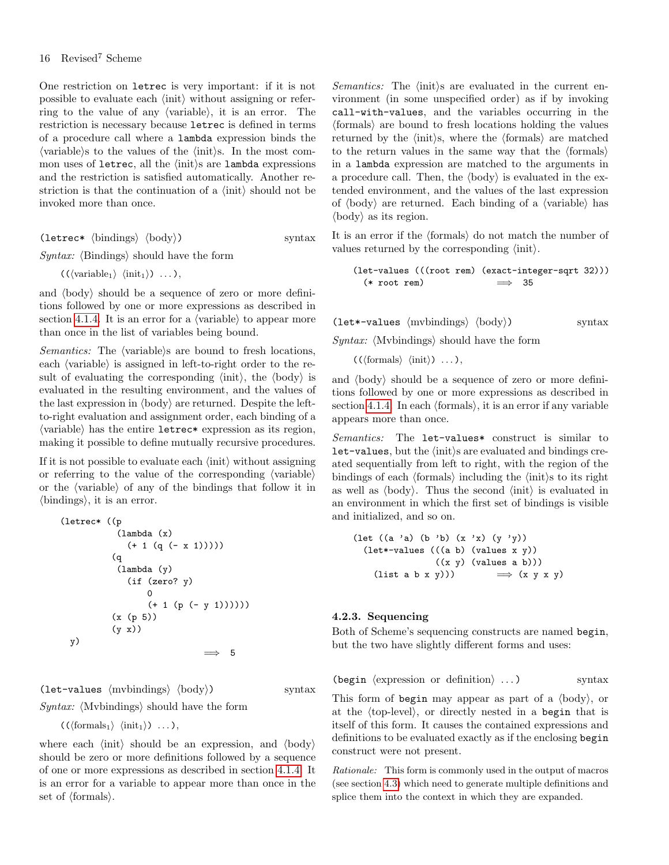One restriction on letrec is very important: if it is not possible to evaluate each  $\langle \text{init} \rangle$  without assigning or referring to the value of any  $\langle$  variable $\rangle$ , it is an error. The restriction is necessary because letrec is defined in terms of a procedure call where a lambda expression binds the  $\langle \text{variable} \rangle$  to the values of the  $\langle \text{init} \rangle$ s. In the most common uses of letrec, all the  $\langle \text{init} \rangle$ s are lambda expressions and the restriction is satisfied automatically. Another restriction is that the continuation of a  $\langle \text{init} \rangle$  should not be invoked more than once.

(letrec\*  $\langle$ bindings $\rangle$   $\langle$ body $\rangle$ ) syntax

Syntax:  $\langle$ Bindings $\rangle$  should have the form

 $(\langle \text{variable}_1 \rangle \langle \text{init}_1 \rangle) \dots$ ,

and  $\langle body \rangle$  should be a sequence of zero or more definitions followed by one or more expressions as described in section [4.1.4.](#page-11-3) It is an error for a  $\langle$  variable $\rangle$  to appear more than once in the list of variables being bound.

*Semantics:* The  $\langle \text{variable} \rangle$ s are bound to fresh locations, each  $\langle$  variable $\rangle$  is assigned in left-to-right order to the result of evaluating the corresponding  $\langle \text{init} \rangle$ , the  $\langle \text{body} \rangle$  is evaluated in the resulting environment, and the values of the last expression in  $\langle \text{body} \rangle$  are returned. Despite the leftto-right evaluation and assignment order, each binding of a  $\langle$  variable $\rangle$  has the entire letrec\* expression as its region, making it possible to define mutually recursive procedures.

If it is not possible to evaluate each  $\langle \text{init} \rangle$  without assigning or referring to the value of the corresponding  $\langle \text{variable} \rangle$ or the  $\langle$ variable $\rangle$  of any of the bindings that follow it in  $\{\text{bindings}\},$  it is an error.

(letrec\* ((p (lambda (x) (+ 1 (q (- x 1))))) (q (lambda (y) (if (zero? y) 0 (+ 1 (p (- y 1)))))) (x (p 5)) (y x)) y) =⇒ 5

(let-values  $\langle$ mvbindings $\rangle$   $\langle$ body $\rangle$ ) syntax

Syntax:  $\langle$ Mvbindings $\rangle$  should have the form

 $((\langle \text{formals}_1 \rangle \langle \text{init}_1 \rangle) \dots),$ 

where each  $\langle \text{init} \rangle$  should be an expression, and  $\langle \text{body} \rangle$ should be zero or more definitions followed by a sequence of one or more expressions as described in section [4.1.4.](#page-11-3) It is an error for a variable to appear more than once in the set of  $\langle$  formals $\rangle$ .

Semantics: The  $\langle \text{init} \rangle$ s are evaluated in the current environment (in some unspecified order) as if by invoking call-with-values, and the variables occurring in the  $\langle$  formals $\rangle$  are bound to fresh locations holding the values returned by the  $\langle \text{init} \rangle$ s, where the  $\langle \text{formals} \rangle$  are matched to the return values in the same way that the  $\langle$  formals $\rangle$ in a lambda expression are matched to the arguments in a procedure call. Then, the  $\langle \text{body} \rangle$  is evaluated in the extended environment, and the values of the last expression of  $\langle \text{body} \rangle$  are returned. Each binding of a  $\langle \text{variable} \rangle$  has  $\langle \text{body} \rangle$  as its region.

It is an error if the  $\langle$  formals $\rangle$  do not match the number of values returned by the corresponding  $\langle \text{init} \rangle$ .

```
(let-values (((root rem) (exact-integer-sqrt 32)))\n(* root rem)  
$$
\implies
$$
 35
```

$$
(\texttt{let*}\texttt{-values} \langle \text{mvbindings} \rangle \langle \text{body} \rangle) \qquad \qquad \text{syntax}
$$

 $Syntax:$   $\langle$ Mvbindings $\rangle$  should have the form

 $(\langle \text{formals} \rangle \langle \text{init} \rangle) \dots),$ 

and  $\langle \text{body} \rangle$  should be a sequence of zero or more definitions followed by one or more expressions as described in section [4.1.4.](#page-11-3) In each  $\langle$  formals $\rangle$ , it is an error if any variable appears more than once.

Semantics: The let-values\* construct is similar to  $let-values, but the \langle init \rangle s are evaluated and bindings cre$ ated sequentially from left to right, with the region of the bindings of each  $\langle$  formals $\rangle$  including the  $\langle$  init $\rangle$ s to its right as well as  $\langle \text{body} \rangle$ . Thus the second  $\langle \text{init} \rangle$  is evaluated in an environment in which the first set of bindings is visible and initialized, and so on.

```
\n(let ((a 'a) (b 'b) (x 'x) (y 'y))\n   (let*-values (((a b) (values x y))\n       ((x y) (values a b)))\n   (list a b x y)))\n   
$$
\implies
$$
 (x y x y)\n
```

### 4.2.3. Sequencing

Both of Scheme's sequencing constructs are named begin, but the two have slightly different forms and uses:

(begin  $\langle$  expression or definition $\rangle$  ...) syntax

This form of begin may appear as part of a  $\langle \text{body} \rangle$ , or at the  $\langle$ top-level $\rangle$ , or directly nested in a begin that is itself of this form. It causes the contained expressions and definitions to be evaluated exactly as if the enclosing begin construct were not present.

Rationale: This form is commonly used in the output of macros (see section [4.3\)](#page-19-0) which need to generate multiple definitions and splice them into the context in which they are expanded.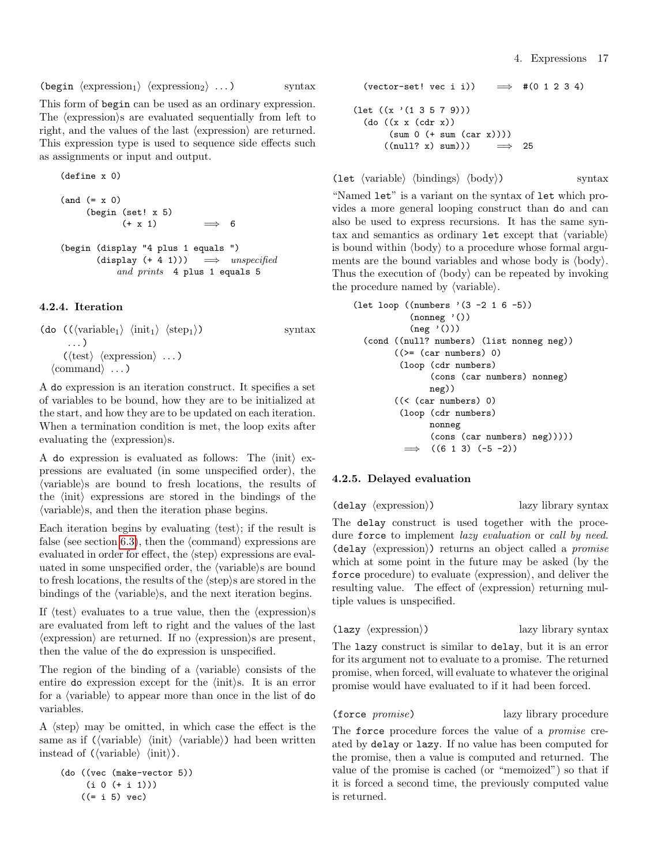(begin  $\langle$  expression<sub>1</sub></sub>)  $\langle$  expression<sub>2</sub> $\rangle$  ... ) syntax

This form of begin can be used as an ordinary expression. The *(expression)s* are evaluated sequentially from left to right, and the values of the last  $\langle$  expression $\rangle$  are returned. This expression type is used to sequence side effects such as assignments or input and output.

(define x 0) (and (= x 0) (begin (set! x 5) (+ x 1) =⇒ 6 (begin (display "4 plus 1 equals ") (display (+ 4 1))) =⇒ unspecified and prints 4 plus 1 equals 5

## <span id="page-16-0"></span>4.2.4. Iteration

```
(do (\langle \text{variable}_1 \rangle \langle \text{init}_1 \rangle \langle \text{step}_1 \rangle) syntax
           . . . )
         (\langle test \rangle \langle expression \rangle \dots)\langle \text{command} \rangle \dots \rangle
```
A do expression is an iteration construct. It specifies a set of variables to be bound, how they are to be initialized at the start, and how they are to be updated on each iteration. When a termination condition is met, the loop exits after evaluating the  $\langle$  expression $\rangle$ s.

A do expression is evaluated as follows: The  $\langle \text{init} \rangle$  expressions are evaluated (in some unspecified order), the  $\langle \text{variable} \rangle$  are bound to fresh locations, the results of the  $\langle \text{init} \rangle$  expressions are stored in the bindings of the  $\langle$  variable $\rangle$ s, and then the iteration phase begins.

Each iteration begins by evaluating  $\langle \text{test} \rangle$ ; if the result is false (see section [6.3\)](#page-36-0), then the  $\langle$ command $\rangle$  expressions are evaluated in order for effect, the  $\langle$ step $\rangle$  expressions are evaluated in some unspecified order, the  $\langle$  variable $\rangle$ s are bound to fresh locations, the results of the  $\langle \text{step} \rangle$ s are stored in the bindings of the  $\langle$  variable $\rangle$ s, and the next iteration begins.

If  $\langle \text{test} \rangle$  evaluates to a true value, then the  $\langle \text{expression} \rangle$ s are evaluated from left to right and the values of the last  $\langle$  expression $\rangle$  are returned. If no  $\langle$  expression $\rangle$ s are present, then the value of the do expression is unspecified.

The region of the binding of a  $\langle$  variable $\rangle$  consists of the entire do expression except for the  $\langle \text{init} \rangle$ s. It is an error for a  $\langle$  variable $\rangle$  to appear more than once in the list of do variables.

A  $\langle$ step $\rangle$  may be omitted, in which case the effect is the same as if  $(\langle variable \rangle \langle init \rangle \langle variable \rangle)$  had been written instead of  $(\langle \text{variable} \rangle \langle \text{init} \rangle)$ .

```
(do ((vec (make-vector 5))
    (i 0 (+ i 1)))((= i 5) vec)
```

```
(vector-set! vec i i)) \implies #(0 1 2 3 4)
(\text{let } ((x')(1 3 5 7 9)))(do ((x x (cdr x))
       (sum 0 (+ sum (car x))))
      ((null? x) sum)) \implies 25
```
(let  $\langle \text{variable} \rangle$   $\langle \text{binding} \rangle$   $\langle \text{body} \rangle$ ) syntax

"Named let" is a variant on the syntax of let which provides a more general looping construct than do and can also be used to express recursions. It has the same syntax and semantics as ordinary  $let$  except that  $\langle variable \rangle$ is bound within  $\langle \text{body} \rangle$  to a procedure whose formal arguments are the bound variables and whose body is  $\langle \text{body} \rangle$ . Thus the execution of  $\langle \text{body} \rangle$  can be repeated by invoking the procedure named by  $\langle \text{variable} \rangle$ .

```
(let loop ((numbers '(3 -2 1 6 -5))
           (nonneg'()(neg'()))(cond ((null? numbers) (list nonneg neg))
        ((>= (car numbers) 0)
         (loop (cdr numbers)
               (cons (car numbers) nonneg)
               neg))
        ((< (car numbers) 0)
         (loop (cdr numbers)
              nonneg
               (cons (car numbers) neg)))))
          \implies ((6 1 3) (-5 -2))
```
## <span id="page-16-1"></span>4.2.5. Delayed evaluation

 $(\text{delay} \langle \text{expression} \rangle)$  lazy library syntax

The delay construct is used together with the procedure force to implement *lazy evaluation* or *call by need.*  $(delay \langle expression \rangle)$  returns an object called a *promise* which at some point in the future may be asked (by the force procedure) to evaluate  $\langle$  expression $\rangle$ , and deliver the resulting value. The effect of  $\langle$  expression $\rangle$  returning multiple values is unspecified.

 $\langle \text{lazy (expression)} \rangle$  lazy library syntax

The lazy construct is similar to delay, but it is an error for its argument not to evaluate to a promise. The returned promise, when forced, will evaluate to whatever the original promise would have evaluated to if it had been forced.

(force promise) lazy library procedure

The force procedure forces the value of a promise created by delay or lazy. If no value has been computed for the promise, then a value is computed and returned. The value of the promise is cached (or "memoized") so that if it is forced a second time, the previously computed value is returned.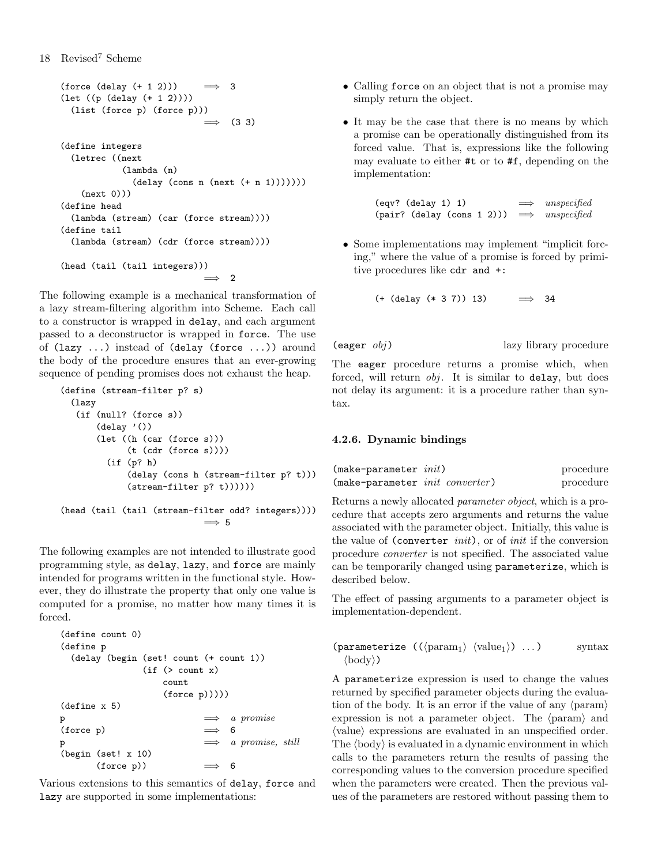```
(force (delay (+ 1 2))) \implies 3(let ((p (delay (+ 1 2))))
  (list (force p) (force p)))
                            \implies (3 3)
(define integers
  (letrec ((next
            (lambda (n)
              (delay (cons n (next (+ n 1))))))(new(0)))(define head
  (lambda (stream) (car (force stream))))
(define tail
  (lambda (stream) (cdr (force stream))))
(head (tail (tail integers)))
                            =⇒ 2
```
The following example is a mechanical transformation of a lazy stream-filtering algorithm into Scheme. Each call to a constructor is wrapped in delay, and each argument passed to a deconstructor is wrapped in force. The use of (lazy ...) instead of (delay (force ...)) around the body of the procedure ensures that an ever-growing sequence of pending promises does not exhaust the heap.

```
(define (stream-filter p? s)
  (lazy
   (if (null? (force s))
       (delay'()(let ((h (car (force s)))
             (t (cdr (force s))))
         (if (p? h)
             (delay (cons h (stream-filter p? t)))
             (stream-filter p? t))))))
(head (tail (tail (stream-filter odd? integers))))
                             \implies 5
```
The following examples are not intended to illustrate good programming style, as delay, lazy, and force are mainly intended for programs written in the functional style. However, they do illustrate the property that only one value is computed for a promise, no matter how many times it is forced.

```
(define count 0)
(define p
 (delay (begin (set! count (+ count 1))
               (if ( > count x)count
                  (force p)))))
(define x 5)
p \implies a promise
(force p) \implies 6
\mathbf{p} \longrightarrow a \; \text{ promise}, \; \text{still}(begin (set! x 10)
      (force p)) \implies 6
```
Various extensions to this semantics of delay, force and lazy are supported in some implementations:

- Calling force on an object that is not a promise may simply return the object.
- It may be the case that there is no means by which a promise can be operationally distinguished from its forced value. That is, expressions like the following may evaluate to either #t or to #f, depending on the implementation:

(eqv? (delay 1) 1)  $\implies$  unspecified (pair? (delay (cons 1 2)))  $\implies$  unspecified

• Some implementations may implement "implicit forcing," where the value of a promise is forced by primitive procedures like cdr and +:

 $(+$  (delay  $(* 3 7)$ ) 13)  $\implies$  34

 $\langle \text{eager } obj \rangle$  lazy library procedure

The eager procedure returns a promise which, when forced, will return  $obj$ . It is similar to delay, but does not delay its argument: it is a procedure rather than syntax.

## <span id="page-17-0"></span>4.2.6. Dynamic bindings

| $(make-parameter\ init)$                | procedure |
|-----------------------------------------|-----------|
| (make-parameter <i>init converter</i> ) | procedure |

Returns a newly allocated parameter object, which is a procedure that accepts zero arguments and returns the value associated with the parameter object. Initially, this value is the value of (converter *init*), or of *init* if the conversion procedure converter is not specified. The associated value can be temporarily changed using parameterize, which is described below.

The effect of passing arguments to a parameter object is implementation-dependent.

```
(parameterize (\langle \text{param}_1 \rangle \langle \text{value}_1 \rangle) \dots) syntax
    \langle \text{body} \rangle)
```
A parameterize expression is used to change the values returned by specified parameter objects during the evaluation of the body. It is an error if the value of any  $\langle$  param $\rangle$ expression is not a parameter object. The  $\langle$  param $\rangle$  and  $\langle$  value $\rangle$  expressions are evaluated in an unspecified order. The  $\langle \text{body} \rangle$  is evaluated in a dynamic environment in which calls to the parameters return the results of passing the corresponding values to the conversion procedure specified when the parameters were created. Then the previous values of the parameters are restored without passing them to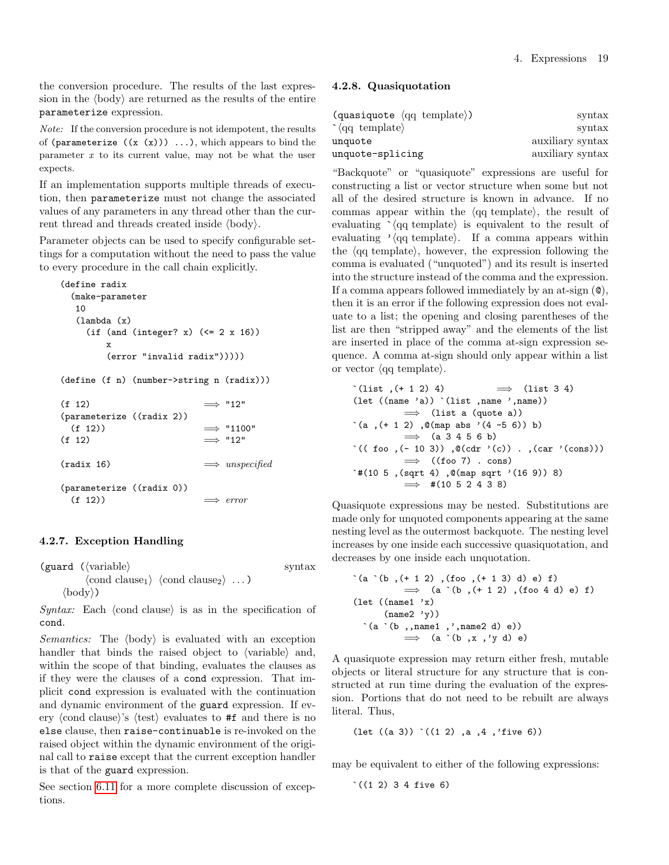the conversion procedure. The results of the last expression in the  $\langle \text{body} \rangle$  are returned as the results of the entire parameterize expression.

Note: If the conversion procedure is not idempotent, the results of (parameterize  $((x (x))) ...$ ), which appears to bind the parameter  $x$  to its current value, may not be what the user expects.

If an implementation supports multiple threads of execution, then parameterize must not change the associated values of any parameters in any thread other than the current thread and threads created inside  $\langle \text{body} \rangle$ .

Parameter objects can be used to specify configurable settings for a computation without the need to pass the value to every procedure in the call chain explicitly.

```
(define radix
 (make-parameter
  10
  (lambda (x)
    (if (and (integer? x) (<= 2 x 16))
       x
       (error "invalid radix")))))
(define (f n) (number->string n (radix)))
(f 12) \implies "12"
(parameterize ((radix 2))
 (f 12) \implies "1100"
(f 12) \implies "12"
(radix 16) \implies unspecified
(parameterize ((radix 0))
 (f 12) \implies error
```
## 4.2.7. Exception Handling

 $(guard (variable)$  syntax  $\langle \text{cond clause}_1 \rangle$   $\langle \text{cond clause}_2 \rangle$  ...)  $\langle \text{body} \rangle$ )

Syntax: Each  $\langle$  cond clause) is as in the specification of cond.

*Semantics:* The  $\langle body \rangle$  is evaluated with an exception handler that binds the raised object to  $\langle$  variable $\rangle$  and, within the scope of that binding, evaluates the clauses as if they were the clauses of a cond expression. That implicit cond expression is evaluated with the continuation and dynamic environment of the guard expression. If every (cond clause)'s (test) evaluates to  $#f$  and there is no else clause, then raise-continuable is re-invoked on the raised object within the dynamic environment of the original call to raise except that the current exception handler is that of the guard expression.

See section [6.11](#page-49-0) for a more complete discussion of exceptions.

#### <span id="page-18-0"></span>4.2.8. Quasiquotation

| $\text{(quasiquote (q q template))}$ | syntax           |
|--------------------------------------|------------------|
| $\cdot$ (qq template)                | syntax           |
| unquote                              | auxiliary syntax |
| unquote-splicing                     | auxiliary syntax |

"Backquote" or "quasiquote" expressions are useful for constructing a list or vector structure when some but not all of the desired structure is known in advance. If no commas appear within the  $\langle q\mathbf{q} \rangle$  template), the result of evaluating  $\langle qq \text{ template} \rangle$  is equivalent to the result of evaluating  $\sqrt{\text{qq}}$  template. If a comma appears within the  $\langle q\bar{q}$  template), however, the expression following the comma is evaluated ("unquoted") and its result is inserted into the structure instead of the comma and the expression. If a comma appears followed immediately by an at-sign (@), then it is an error if the following expression does not evaluate to a list; the opening and closing parentheses of the list are then "stripped away" and the elements of the list are inserted in place of the comma at-sign expression sequence. A comma at-sign should only appear within a list or vector  $\langle q\mathbf{q} \t{ template} \rangle$ .

`(list ,(+ 1 2) 4) =⇒ (list 3 4) (let ((name 'a)) `(list ,name ',name)) =⇒ (list a (quote a)) `(a ,(+ 1 2) ,@(map abs '(4 -5 6)) b) =⇒ (a 3 4 5 6 b) `(( foo ,(- 10 3)) ,@(cdr '(c)) . ,(car '(cons))) =⇒ ((foo 7) . cons) `#(10 5 ,(sqrt 4) ,@(map sqrt '(16 9)) 8) =⇒ #(10 5 2 4 3 8)

Quasiquote expressions may be nested. Substitutions are made only for unquoted components appearing at the same nesting level as the outermost backquote. The nesting level increases by one inside each successive quasiquotation, and decreases by one inside each unquotation.

```
`(a `(b ,(+ 1 2) ,(foo ,(+ 1 3) d) e) f)
           \implies (a (b, (+ 1 2), (foo 4 d) e) f)(let (\text{name1 } 'x)(name2 'y))\hat{a} (a \hat{b}, name1, ', name2 d) e))
           \implies (a `(b ,x ,'y d) e)
```
A quasiquote expression may return either fresh, mutable objects or literal structure for any structure that is constructed at run time during the evaluation of the expression. Portions that do not need to be rebuilt are always literal. Thus,

```
(let ((a 3)) `((1 2) ,a ,4 ,'five 6))
```
may be equivalent to either of the following expressions:

 $^{\circ}$  ((1 2) 3 4 five 6)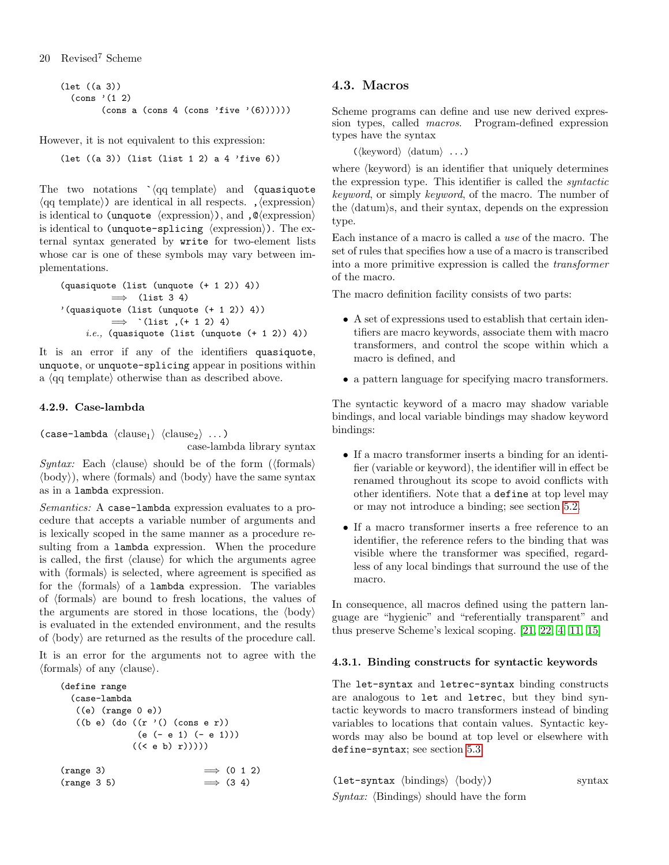```
(let ((a 3))
  \text{(cons } (1 2)(\text{cons } a \text{ (cons } 4 \text{ (cons 'five '}(6))))))
```
However, it is not equivalent to this expression:

(let ((a 3)) (list (list 1 2) a 4 'five 6))

The two notations  $\langle qq \text{ template} \rangle$  and (quasiquote  $\langle q\bar{q} \rangle$  are identical in all respects. ,  $\langle \text{expression} \rangle$ is identical to (unquote  $\langle$  expression $\rangle$ ), and , $\mathcal{Q}$ (expression) is identical to (unquote-splicing  $\langle$  expression $\rangle$ ). The external syntax generated by write for two-element lists whose car is one of these symbols may vary between implementations.

```
(quasiquote (list (unquote (+ 1 2)) 4))
          \implies (list 3 4)
'(quasiquote (list (unquote (+ 1 2)) 4))
          \implies `(list, (+ 1 2) 4)
     i.e., (quasiquote (list (unquote (+ 1 2)) 4))
```
It is an error if any of the identifiers quasiquote, unquote, or unquote-splicing appear in positions within a  $\langle$ qq template $\rangle$  otherwise than as described above.

## 4.2.9. Case-lambda

(case-lambda  $\langle \text{clause}_1 \rangle$   $\langle \text{clause}_2 \rangle$  ...) case-lambda library syntax

Syntax: Each  $\langle$  clause $\rangle$  should be of the form  $(\langle$  formals $\rangle$  $\langle \text{body} \rangle$ , where  $\langle \text{formals} \rangle$  and  $\langle \text{body} \rangle$  have the same syntax as in a lambda expression.

Semantics: A case-lambda expression evaluates to a procedure that accepts a variable number of arguments and is lexically scoped in the same manner as a procedure resulting from a lambda expression. When the procedure is called, the first  $\langle$ clause $\rangle$  for which the arguments agree with  $\langle$  formals $\rangle$  is selected, where agreement is specified as for the  $\langle$  formals $\rangle$  of a lambda expression. The variables of  $\langle$  formals $\rangle$  are bound to fresh locations, the values of the arguments are stored in those locations, the  $\langle$ body $\rangle$ is evaluated in the extended environment, and the results of  $\langle \text{body} \rangle$  are returned as the results of the procedure call.

It is an error for the arguments not to agree with the  $\langle$  formals $\rangle$  of any  $\langle$  clause $\rangle$ .

```
(define range
 (case-lambda
  ((e) (range 0 e))
  ((b e) (do ((r '()) (cons e r)))(e (- e 1) (- e 1)))
            ((< e b) r)))))
(range 3) \longrightarrow (0 1 2)(range 3 5) \implies (3 4)
```
# <span id="page-19-0"></span>4.3. Macros

Scheme programs can define and use new derived expression types, called macros. Program-defined expression types have the syntax

 $(\langle \text{keyword} \rangle \langle \text{datum} \rangle \dots)$ 

where  $\langle$ keyword $\rangle$  is an identifier that uniquely determines the expression type. This identifier is called the syntactic keyword, or simply keyword, of the macro. The number of the  $\langle \text{datum} \rangle$ s, and their syntax, depends on the expression type.

Each instance of a macro is called a use of the macro. The set of rules that specifies how a use of a macro is transcribed into a more primitive expression is called the transformer of the macro.

The macro definition facility consists of two parts:

- A set of expressions used to establish that certain identifiers are macro keywords, associate them with macro transformers, and control the scope within which a macro is defined, and
- a pattern language for specifying macro transformers.

The syntactic keyword of a macro may shadow variable bindings, and local variable bindings may shadow keyword bindings:

- If a macro transformer inserts a binding for an identifier (variable or keyword), the identifier will in effect be renamed throughout its scope to avoid conflicts with other identifiers. Note that a define at top level may or may not introduce a binding; see section [5.2.](#page-22-2)
- If a macro transformer inserts a free reference to an identifier, the reference refers to the binding that was visible where the transformer was specified, regardless of any local bindings that surround the use of the macro.

In consequence, all macros defined using the pattern language are "hygienic" and "referentially transparent" and thus preserve Scheme's lexical scoping. [\[21,](#page-75-13) [22,](#page-75-14) [4,](#page-74-8) [11,](#page-74-9) [15\]](#page-75-15)

## 4.3.1. Binding constructs for syntactic keywords

The let-syntax and letrec-syntax binding constructs are analogous to let and letrec, but they bind syntactic keywords to macro transformers instead of binding variables to locations that contain values. Syntactic keywords may also be bound at top level or elsewhere with define-syntax; see section [5.3.](#page-24-0)

```
(let-syntax \langlebindings\rangle \langlebody\rangle) syntax
Syntax: \langleBindings\rangle should have the form
```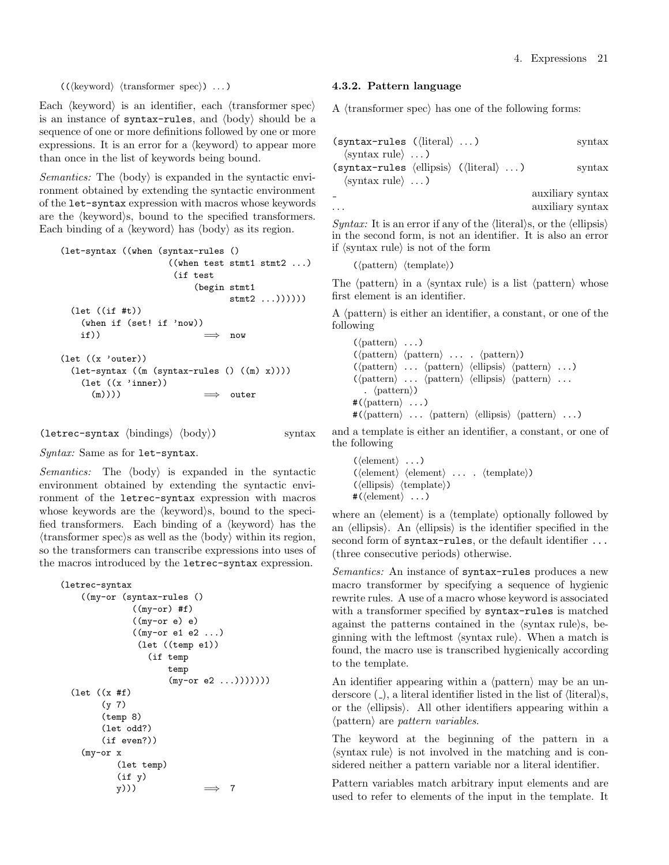$((\langle keyword \rangle \langle transformer spec \rangle) \dots)$ 

Each  $\langle$ keyword $\rangle$  is an identifier, each  $\langle$ transformer spec $\rangle$ is an instance of syntax-rules, and  $\langle body \rangle$  should be a sequence of one or more definitions followed by one or more expressions. It is an error for a  $\langle$ keyword $\rangle$  to appear more than once in the list of keywords being bound.

Semantics: The  $\langle \text{body} \rangle$  is expanded in the syntactic environment obtained by extending the syntactic environment of the let-syntax expression with macros whose keywords are the  $\langle$ keyword $\rangle$ s, bound to the specified transformers. Each binding of a  $\langle$ keyword $\rangle$  has  $\langle$ body $\rangle$  as its region.

```
(let-syntax ((when (syntax-rules ()
                   ((when test stmt1 stmt2 ...)
                    (if test
                        (begin stmt1
                              stmt2 ...))))))(let ((if #t))
   (when if (set! if 'now))
   if)) \implies now
(let ((x 'outer))
 (let-syntax ((m (syntax-rules () ((m) x))))
   (let ((x 'inner))
     (m)))) \implies outer
```
(letrec-syntax  $\langle$ bindings $\rangle$   $\langle$ body $\rangle$ ) syntax

 $Syntax:$  Same as for let-syntax.

Semantics: The  $\langle body \rangle$  is expanded in the syntactic environment obtained by extending the syntactic environment of the letrec-syntax expression with macros whose keywords are the  $\langle$ keyword $\rangle$ s, bound to the specified transformers. Each binding of a  $\langle$ keyword $\rangle$  has the  $\langle$ transformer spec $\rangle$ s as well as the  $\langle$ body $\rangle$  within its region, so the transformers can transcribe expressions into uses of the macros introduced by the letrec-syntax expression.

```
(letrec-syntax
    ((my-or (syntax-rules ()
               ((my-or)#f)
               ((my-or e) e)
               ((my-or e1 e2 ...)
                (let ((temp e1))
                   (if temp
                       temp
                       (my-or e2 ...)))))))
  (let ((x #f)
        (y 7)
        (temp 8)
        (let odd?)
        (if even?))
    (my-or x
            (let temp)
           (f y)<br>(y)))
                               \implies 7
```
#### 4.3.2. Pattern language

A  $\langle$ transformer spec $\rangle$  has one of the following forms:

| $(syntax-rules (\langle literal \rangle \dots)$                          |  | $\sqrt{\frac{1}{2}}$ |
|--------------------------------------------------------------------------|--|----------------------|
| $\langle$ syntax rule $\rangle \dots$                                    |  |                      |
| $(syntax-rules \langle ellipsis \rangle \langle (literal \rangle \dots)$ |  | $\frac{1}{2}$        |
| $\langle$ syntax rule $\rangle \dots$                                    |  |                      |
|                                                                          |  | auxiliary syntax     |
|                                                                          |  | auxiliary syntax     |

*Syntax:* It is an error if any of the  $\langle$  literal $\rangle$ s, or the  $\langle$  ellipsis $\rangle$ in the second form, is not an identifier. It is also an error if  $\langle$  syntax rule $\rangle$  is not of the form

 $(\langle$ pattern $\rangle$   $\langle$ template $\rangle$ )

The  $\langle$  pattern $\rangle$  in a  $\langle$  syntax rule $\rangle$  is a list  $\langle$  pattern $\rangle$  whose first element is an identifier.

A  $\langle$  pattern $\rangle$  is either an identifier, a constant, or one of the following

```
(\langle \text{pattern} \rangle \dots)(\mathsf{pattern}\rangle \langle \mathsf{pattern}\rangle \dots \langle \mathsf{pattern}\rangle)(\mathsf{pattern}\rangle \ldots \mathsf{pattern}\rangle \langle \mathsf{ellipsis}\rangle \langle \mathsf{pattern}\rangle \ldots)\langle \langle \text{pattern} \rangle \dots \langle \text{pattern} \rangle \langle \text{ellipsis} \rangle \langle \text{pattern} \rangle \dots. \langle pattern\rangle)
\#(\langle \text{pattern} \rangle \dots)\sharp(\langlepattern\rangle ... \langlepattern\rangle \langleellipsis\rangle \langlepattern\rangle ...)
```
and a template is either an identifier, a constant, or one of the following

```
(\langle element \rangle \dots)(\langle element \rangle \langle element \rangle \dots \langle template \rangle)(\langleellipsis\rangle \langletemplate\rangle)
\#(\langleelement\rangle \dots)
```
where an  $\langle$  element $\rangle$  is a  $\langle$  template $\rangle$  optionally followed by an  $\langle$  ellipsis</sub>). An  $\langle$  ellipsis $\rangle$  is the identifier specified in the second form of syntax-rules, or the default identifier ... (three consecutive periods) otherwise.

Semantics: An instance of syntax-rules produces a new macro transformer by specifying a sequence of hygienic rewrite rules. A use of a macro whose keyword is associated with a transformer specified by syntax-rules is matched against the patterns contained in the  $\langle$ syntax rule $\rangle$ s, beginning with the leftmost  $\langle$  syntax rule $\rangle$ . When a match is found, the macro use is transcribed hygienically according to the template.

An identifier appearing within a  $\langle$  pattern $\rangle$  may be an underscore  $(\_)$ , a literal identifier listed in the list of  $\langle$  literal $\rangle$ s, or the  $\langle$ ellipsis $\rangle$ . All other identifiers appearing within a  $\langle$  pattern $\rangle$  are *pattern variables*.

The keyword at the beginning of the pattern in a  $\langle$ syntax rule $\rangle$  is not involved in the matching and is considered neither a pattern variable nor a literal identifier.

Pattern variables match arbitrary input elements and are used to refer to elements of the input in the template. It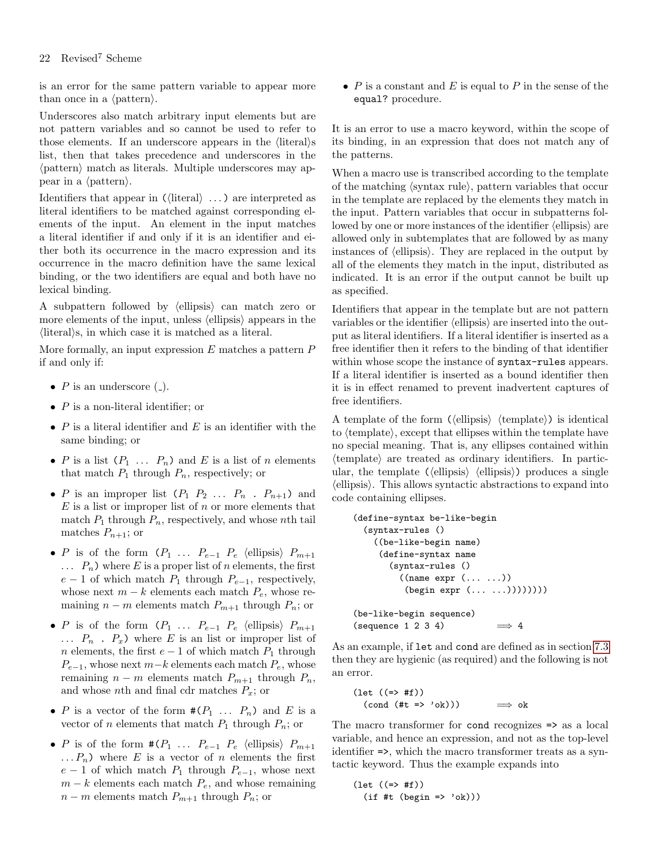## 22 Revised<sup>7</sup> Scheme

is an error for the same pattern variable to appear more than once in a  $\langle$  pattern $\rangle$ .

Underscores also match arbitrary input elements but are not pattern variables and so cannot be used to refer to those elements. If an underscore appears in the  $\langle$ literal $\rangle$ s list, then that takes precedence and underscores in the  $\langle$  pattern $\rangle$  match as literals. Multiple underscores may appear in a  $\langle$  pattern $\rangle$ .

Identifiers that appear in  $(\langle$  literal $\rangle \dots)$  are interpreted as literal identifiers to be matched against corresponding elements of the input. An element in the input matches a literal identifier if and only if it is an identifier and either both its occurrence in the macro expression and its occurrence in the macro definition have the same lexical binding, or the two identifiers are equal and both have no lexical binding.

A subpattern followed by  $\langle$  ellipsis $\rangle$  can match zero or more elements of the input, unless  $\langle$  ellipsis $\rangle$  appears in the  $\langle$ literal $\rangle$ s, in which case it is matched as a literal.

More formally, an input expression  $E$  matches a pattern  $P$ if and only if:

- $P$  is an underscore  $($ .).
- $P$  is a non-literal identifier; or
- $P$  is a literal identifier and  $E$  is an identifier with the same binding; or
- P is a list  $(P_1 \ldots P_n)$  and E is a list of n elements that match  $P_1$  through  $P_n$ , respectively; or
- P is an improper list  $(P_1 \ P_2 \ \ldots \ P_n \ P_{n+1})$  and  $E$  is a list or improper list of  $n$  or more elements that match  $P_1$  through  $P_n$ , respectively, and whose nth tail matches  $P_{n+1}$ ; or
- P is of the form  $(P_1 \ldots P_{e-1} P_e$  (ellipsis)  $P_{m+1}$  $\ldots$   $P_n$ ) where E is a proper list of n elements, the first  $e-1$  of which match  $P_1$  through  $P_{e-1}$ , respectively, whose next  $m - k$  elements each match  $P_e$ , whose remaining  $n - m$  elements match  $P_{m+1}$  through  $P_n$ ; or
- P is of the form  $(P_1 \ldots P_{e-1} P_e \text{ (ellipsis)} P_{m+1}$  $\ldots$   $P_n$   $\ldots$   $P_x$ ) where E is an list or improper list of  $n$  elements, the first  $e-1$  of which match  $P_1$  through  $P_{e-1}$ , whose next  $m-k$  elements each match  $P_e$ , whose remaining  $n - m$  elements match  $P_{m+1}$  through  $P_n$ , and whose nth and final cdr matches  $P_x$ ; or
- P is a vector of the form  $\#(P_1 \ldots P_n)$  and E is a vector of *n* elements that match  $P_1$  through  $P_n$ ; or
- P is of the form  $\#(P_1 \ldots P_{e-1} P_e \text{ (ellipsis)} P_{m+1})$  $\ldots P_n$ ) where E is a vector of n elements the first  $e-1$  of which match  $P_1$  through  $P_{e-1}$ , whose next  $m - k$  elements each match  $P_e$ , and whose remaining  $n - m$  elements match  $P_{m+1}$  through  $P_n$ ; or

•  $P$  is a constant and  $E$  is equal to  $P$  in the sense of the equal? procedure.

It is an error to use a macro keyword, within the scope of its binding, in an expression that does not match any of the patterns.

When a macro use is transcribed according to the template of the matching  $\langle$  syntax rule $\rangle$ , pattern variables that occur in the template are replaced by the elements they match in the input. Pattern variables that occur in subpatterns followed by one or more instances of the identifier  $\langle$  ellipsis $\rangle$  are allowed only in subtemplates that are followed by as many instances of  $\langle$  ellipsis $\rangle$ . They are replaced in the output by all of the elements they match in the input, distributed as indicated. It is an error if the output cannot be built up as specified.

Identifiers that appear in the template but are not pattern variables or the identifier  $\langle$  ellipsis $\rangle$  are inserted into the output as literal identifiers. If a literal identifier is inserted as a free identifier then it refers to the binding of that identifier within whose scope the instance of syntax-rules appears. If a literal identifier is inserted as a bound identifier then it is in effect renamed to prevent inadvertent captures of free identifiers.

A template of the form  $(\ell\ell)$  (template) is identical to (template), except that ellipses within the template have no special meaning. That is, any ellipses contained within  $\langle$ template $\rangle$  are treated as ordinary identifiers. In particular, the template ( $\langle$ ellipsis $\rangle$  dellipsis $\rangle$ ) produces a single  $\langle$ ellipsis $\rangle$ . This allows syntactic abstractions to expand into code containing ellipses.

```
(define-syntax be-like-begin
 (syntax-rules ()
    ((be-like-begin name)
     (define-syntax name
       (syntax-rules ()
         ((name expr (... ... )))(begin expr (... ...))))))))
(be-like-begin sequence)
(sequence 1 2 3 4) \implies 4
```
As an example, if let and cond are defined as in section [7.3](#page-62-0) then they are hygienic (as required) and the following is not an error.

(let ((=> #f))  $(\text{cond } (\#t \implies 'ok))) \implies ok$ 

The macro transformer for cond recognizes => as a local variable, and hence an expression, and not as the top-level identifier =>, which the macro transformer treats as a syntactic keyword. Thus the example expands into

 $(\text{let } ((=&*)\#f))$  $(if #t (begin => 'ok)))$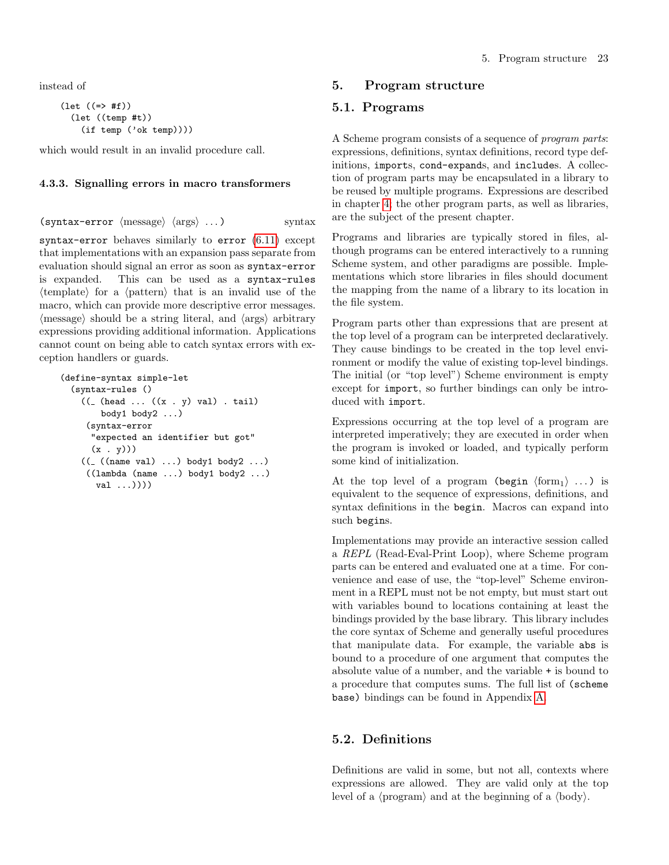instead of

```
(\text{let } ((=> #f))(let ((temp #t))
    (if temp ('ok temp))))
```
which would result in an invalid procedure call.

#### 4.3.3. Signalling errors in macro transformers

```
(syntax-error \langle \text{message} \rangle \langle \text{args} \rangle ...) syntax
```
syntax-error behaves similarly to error [\(6.11\)](#page-49-0) except that implementations with an expansion pass separate from evaluation should signal an error as soon as syntax-error is expanded. This can be used as a syntax-rules  $\langle$ template $\rangle$  for a  $\langle$  pattern $\rangle$  that is an invalid use of the macro, which can provide more descriptive error messages.  $\langle$  message) should be a string literal, and  $\langle$  args $\rangle$  arbitrary expressions providing additional information. Applications cannot count on being able to catch syntax errors with exception handlers or guards.

```
(define-syntax simple-let
  (syntax-rules ()
    ((\fbox{~head~}\dots~((x \ fbox{~y}) \ val)~\dots~ (x))body1 body2 ...)
     (syntax-error
      "expected an identifier but got"
      (x, y))(( _{-}((name val) ...) body1 body2 ...))((lambda (name ...) body1 body2 ...)
       val ...))))
```
# <span id="page-22-0"></span>5. Program structure

# <span id="page-22-1"></span>5.1. Programs

A Scheme program consists of a sequence of program parts: expressions, definitions, syntax definitions, record type definitions, imports, cond-expands, and includes. A collection of program parts may be encapsulated in a library to be reused by multiple programs. Expressions are described in chapter [4;](#page-11-0) the other program parts, as well as libraries, are the subject of the present chapter.

Programs and libraries are typically stored in files, although programs can be entered interactively to a running Scheme system, and other paradigms are possible. Implementations which store libraries in files should document the mapping from the name of a library to its location in the file system.

Program parts other than expressions that are present at the top level of a program can be interpreted declaratively. They cause bindings to be created in the top level environment or modify the value of existing top-level bindings. The initial (or "top level") Scheme environment is empty except for import, so further bindings can only be introduced with import.

Expressions occurring at the top level of a program are interpreted imperatively; they are executed in order when the program is invoked or loaded, and typically perform some kind of initialization.

At the top level of a program (begin  $\langle \text{form}_1 \rangle$  ...) is equivalent to the sequence of expressions, definitions, and syntax definitions in the begin. Macros can expand into such begins.

Implementations may provide an interactive session called a REPL (Read-Eval-Print Loop), where Scheme program parts can be entered and evaluated one at a time. For convenience and ease of use, the "top-level" Scheme environment in a REPL must not be not empty, but must start out with variables bound to locations containing at least the bindings provided by the base library. This library includes the core syntax of Scheme and generally useful procedures that manipulate data. For example, the variable abs is bound to a procedure of one argument that computes the absolute value of a number, and the variable + is bound to a procedure that computes sums. The full list of (scheme base) bindings can be found in Appendix [A.](#page-67-0)

# <span id="page-22-2"></span>5.2. Definitions

Definitions are valid in some, but not all, contexts where expressions are allowed. They are valid only at the top level of a  $\langle$ program $\rangle$  and at the beginning of a  $\langle$ body $\rangle$ .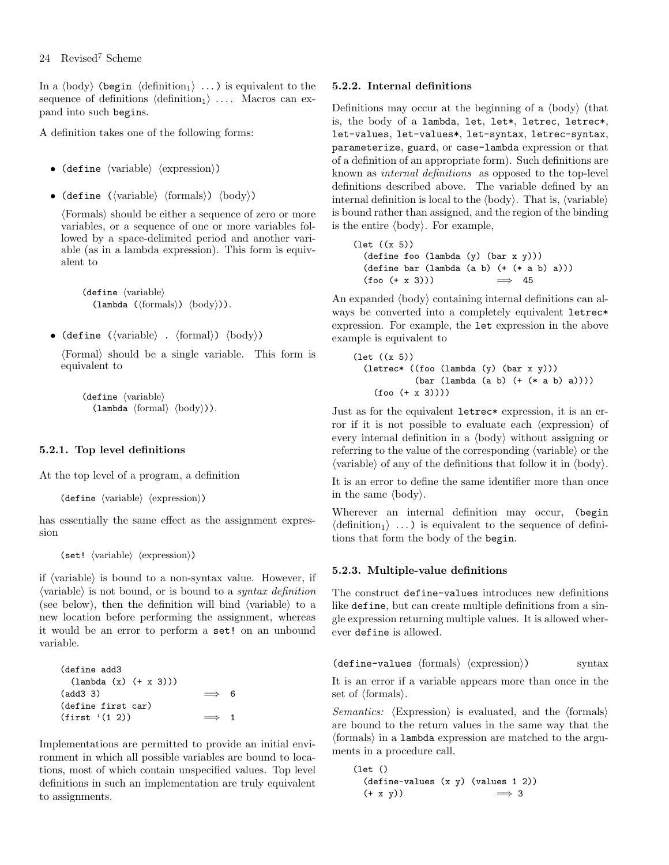In a  $\langle \text{body} \rangle$  (begin  $\langle \text{definition}_1 \rangle$  ...) is equivalent to the sequence of definitions  $\langle definition_1 \rangle$  .... Macros can expand into such begins.

A definition takes one of the following forms:

- (define  $\langle variable \rangle$   $\langle expression \rangle$ )
- (define ( $\langle \text{variable} \rangle$   $\langle \text{formals} \rangle$ )  $\langle \text{body} \rangle$ )

hFormalsi should be either a sequence of zero or more variables, or a sequence of one or more variables followed by a space-delimited period and another variable (as in a lambda expression). This form is equivalent to

 $\langle$ define  $\langle$ variable $\rangle$  $(\text{lambda } (\text{formals}) \setminus \text{body})).$ 

• (define  $(\langle variable \rangle$  .  $\langle formula \rangle)$   $\langle body \rangle$ )

hFormali should be a single variable. This form is equivalent to

 $\langle$ define  $\langle$ variable $\rangle$  $(\text{lambda } \langle \text{formal} \rangle \langle \text{body} \rangle).$ 

#### 5.2.1. Top level definitions

At the top level of a program, a definition

```
(define \langle variable \rangle \langle expression \rangle)
```
has essentially the same effect as the assignment expression

(set!  $\langle variable \rangle$   $\langle expression \rangle$ )

if  $\langle$ variable $\rangle$  is bound to a non-syntax value. However, if  $\langle$  variable) is not bound, or is bound to a *syntax definition* (see below), then the definition will bind  $\langle$  variable $\rangle$  to a new location before performing the assignment, whereas it would be an error to perform a set! on an unbound variable.

```
(define add3
 (lambda (x) (+ x 3)))
(\text{add3 3}) \implies 6
(define first car)
(first '(1 2)) \implies 1
```
Implementations are permitted to provide an initial environment in which all possible variables are bound to locations, most of which contain unspecified values. Top level definitions in such an implementation are truly equivalent to assignments.

#### 5.2.2. Internal definitions

Definitions may occur at the beginning of a  $\langle \text{body} \rangle$  (that is, the body of a lambda, let, let\*, letrec, letrec\*, let-values, let-values\*, let-syntax, letrec-syntax, parameterize, guard, or case-lambda expression or that of a definition of an appropriate form). Such definitions are known as internal definitions as opposed to the top-level definitions described above. The variable defined by an internal definition is local to the  $\langle \text{body} \rangle$ . That is,  $\langle \text{variable} \rangle$ is bound rather than assigned, and the region of the binding is the entire  $\langle body \rangle$ . For example,

(let ((x 5)) (define foo (lambda (y) (bar x y))) (define bar (lambda (a b) (+ (\* a b) a)))  $(foo (+ x 3)))$   $\implies$  45

An expanded  $\langle body \rangle$  containing internal definitions can always be converted into a completely equivalent letrec\* expression. For example, the let expression in the above example is equivalent to

```
(let ((x 5))
  (letrec* ((foo (lambda (y) (bar x y)))
            (bar (lambda (a b) (+ (* a b) a))))
    (foo (+ x 3))))
```
Just as for the equivalent letrec\* expression, it is an error if it is not possible to evaluate each  $\langle$  expression $\rangle$  of every internal definition in a  $\langle \text{body} \rangle$  without assigning or referring to the value of the corresponding  $\langle$  variable $\rangle$  or the  $\langle$  variable $\rangle$  of any of the definitions that follow it in  $\langle$  body $\rangle$ .

It is an error to define the same identifier more than once in the same  $\langle body \rangle$ .

Wherever an internal definition may occur, (begin  $\langle definition_1 \rangle \dots$  is equivalent to the sequence of definitions that form the body of the begin.

#### 5.2.3. Multiple-value definitions

The construct define-values introduces new definitions like define, but can create multiple definitions from a single expression returning multiple values. It is allowed wherever define is allowed.

 $(\text{define-values } \langle \text{formals} \rangle \langle \text{expression} \rangle)$  syntax

It is an error if a variable appears more than once in the set of  $\langle$  formals $\rangle$ .

Semantics:  $\langle$ Expression $\rangle$  is evaluated, and the  $\langle$  formals $\rangle$ are bound to the return values in the same way that the  $\langle$  formals $\rangle$  in a lambda expression are matched to the arguments in a procedure call.

```
(let ()
 (define-values (x y) (values 1 2))
 (+ x y) \implies 3
```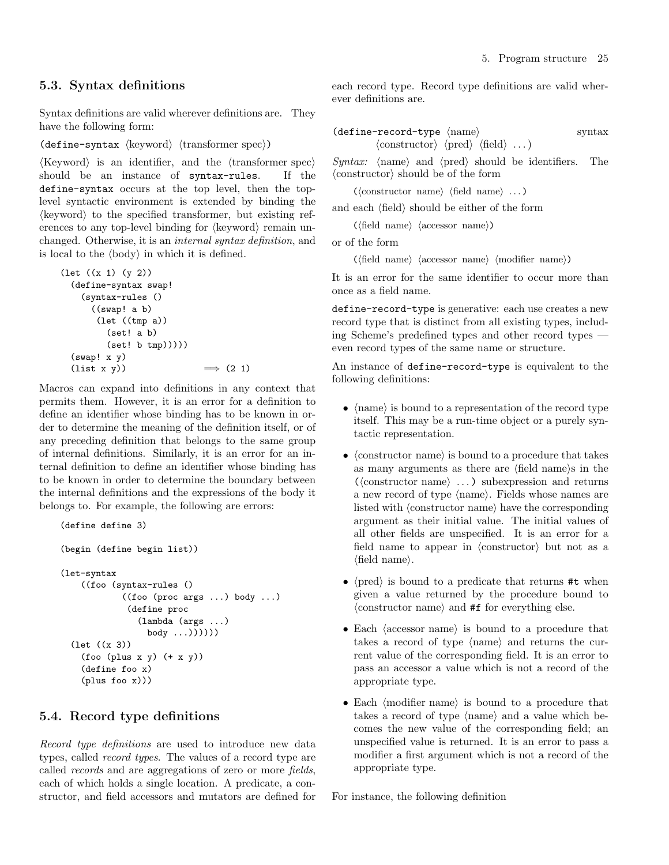## <span id="page-24-0"></span>5.3. Syntax definitions

Syntax definitions are valid wherever definitions are. They have the following form:

(define-syntax  $\langle$ keyword $\rangle$   $\langle$ transformer spec $\rangle$ )

 $\langle \text{Keyword} \rangle$  is an identifier, and the  $\langle \text{transformer spec} \rangle$ should be an instance of syntax-rules. If the define-syntax occurs at the top level, then the toplevel syntactic environment is extended by binding the  $\langle$ keyword $\rangle$  to the specified transformer, but existing references to any top-level binding for  $\langle$ keyword $\rangle$  remain unchanged. Otherwise, it is an internal syntax definition, and is local to the  $\langle \text{body} \rangle$  in which it is defined.

```
(let ((x 1) (y 2))
  (define-syntax swap!
    (syntax-rules ()
      ((swap! a b)
       (let ((tmp a))
         (set! a b)
         (set! b tmp))))(swap! x y)(\text{list } x \ y)) \implies (2 \ 1)
```
Macros can expand into definitions in any context that permits them. However, it is an error for a definition to define an identifier whose binding has to be known in order to determine the meaning of the definition itself, or of any preceding definition that belongs to the same group of internal definitions. Similarly, it is an error for an internal definition to define an identifier whose binding has to be known in order to determine the boundary between the internal definitions and the expressions of the body it belongs to. For example, the following are errors:

```
(define define 3)
(begin (define begin list))
(let-syntax
    ((foo (syntax-rules ()
            ((foo (proc args ...) body ...)
             (define proc
               (lambda (args ...)
                 body ...))))))
  (let ((x 3))
    (foo (plus x y) (+ x y))(define foo x)
    (plus foo x)))
```
## <span id="page-24-1"></span>5.4. Record type definitions

Record type definitions are used to introduce new data types, called record types. The values of a record type are called records and are aggregations of zero or more fields, each of which holds a single location. A predicate, a constructor, and field accessors and mutators are defined for each record type. Record type definitions are valid wherever definitions are.

(define-record-type hnamei syntax hconstructori hpredi hfieldi . . .)

Syntax:  $\langle$  hame $\rangle$  and  $\langle$  pred $\rangle$  should be identifiers. The  $\langle$ constructor $\rangle$  should be of the form

 $(\langle \text{constructor name} \rangle \langle \text{field name} \rangle ... )$ 

and each  $\langle \text{field} \rangle$  should be either of the form

 $(\langle \text{field name} \rangle \langle \text{accessor name} \rangle)$ 

or of the form

 $(\langle \text{field name} \rangle \langle \text{accessor name} \rangle \langle \text{model} \rangle)$ 

It is an error for the same identifier to occur more than once as a field name.

define-record-type is generative: each use creates a new record type that is distinct from all existing types, including Scheme's predefined types and other record types even record types of the same name or structure.

An instance of define-record-type is equivalent to the following definitions:

- $\langle$  hame $\rangle$  is bound to a representation of the record type itself. This may be a run-time object or a purely syntactic representation.
- (constructor name) is bound to a procedure that takes as many arguments as there are  $\langle$  field name $\rangle$ s in the  $(\langle \text{constructor name} \rangle \dots)$  subexpression and returns a new record of type  $\langle$  name $\rangle$ . Fields whose names are listed with  $\langle$  constructor name $\rangle$  have the corresponding argument as their initial value. The initial values of all other fields are unspecified. It is an error for a field name to appear in  $\langle$  constructor $\rangle$  but not as a  $\langle$ field name $\rangle$ .
- $\langle \text{pred} \rangle$  is bound to a predicate that returns #t when given a value returned by the procedure bound to  $\langle$  constructor name $\rangle$  and #f for everything else.
- Each  $\langle$  accessor name $\rangle$  is bound to a procedure that takes a record of type  $\langle$ name $\rangle$  and returns the current value of the corresponding field. It is an error to pass an accessor a value which is not a record of the appropriate type.
- Each  $\langle$  modifier name $\rangle$  is bound to a procedure that takes a record of type  $\langle$  name $\rangle$  and a value which becomes the new value of the corresponding field; an unspecified value is returned. It is an error to pass a modifier a first argument which is not a record of the appropriate type.

For instance, the following definition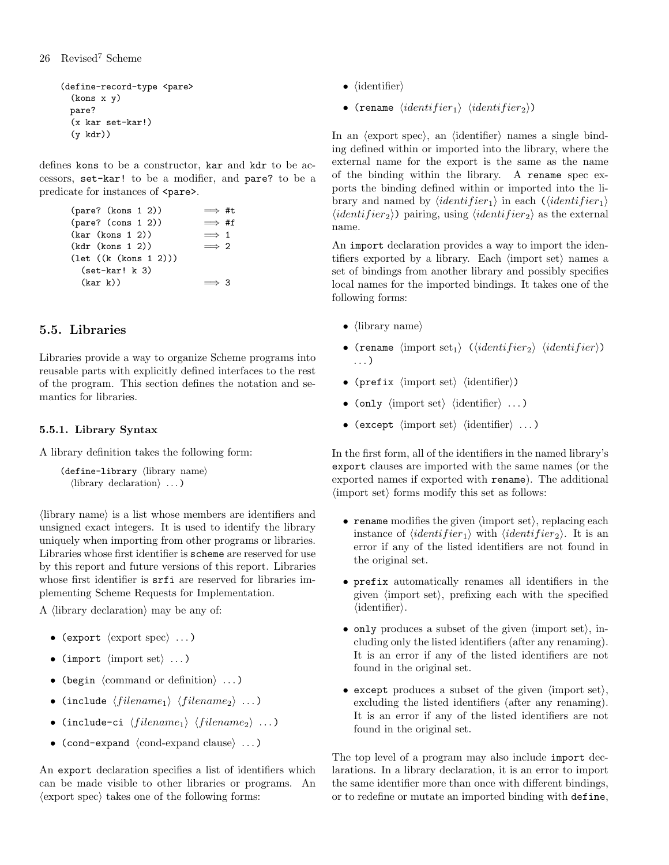(define-record-type <pare> (kons x y) pare? (x kar set-kar!) (y kdr))

defines kons to be a constructor, kar and kdr to be accessors, set-kar! to be a modifier, and pare? to be a predicate for instances of  $\epsilon$ pare>.

```
\frac{\text{(parse? (kons 1 2))}}{\text{(pare? (cons 1 2))}} \implies #t(pare? (cons 1 2))(kar (kons 1 2)) \implies 1
(kdr (kons 1 2)) \implies 2
(let ((k (kons 1 2)))
  (set-kar! k 3)
  (kar k) \implies 3
```
# <span id="page-25-0"></span>5.5. Libraries

Libraries provide a way to organize Scheme programs into reusable parts with explicitly defined interfaces to the rest of the program. This section defines the notation and semantics for libraries.

## 5.5.1. Library Syntax

A library definition takes the following form:

```
(detine-library (library name)
  \langlelibrary declaration\rangle \ldots
```
 $\langle$ library name $\rangle$  is a list whose members are identifiers and unsigned exact integers. It is used to identify the library uniquely when importing from other programs or libraries. Libraries whose first identifier is scheme are reserved for use by this report and future versions of this report. Libraries whose first identifier is  $\text{srfi}$  are reserved for libraries implementing Scheme Requests for Implementation.

A  $\langle$ library declaration $\rangle$  may be any of:

- (export  $\langle$  export spec $\rangle$  ...)
- (import  $\langle \text{import set} \rangle \dots$ )
- (begin  $\langle$  command or definition $\rangle$  ...)
- (include  $\langle filename_1 \rangle$   $\langle filename_2 \rangle$  ...)
- (include-ci  $\langle filename_1 \rangle \langle filename_2 \rangle \dots$ )
- (cond-expand  $\langle$ cond-expand clause $\rangle$  ...)

An export declaration specifies a list of identifiers which can be made visible to other libraries or programs. An  $\langle$  export spec $\rangle$  takes one of the following forms:

- $\bullet$  (identifier)
- (rename  $\langle identifier_1 \rangle$   $\langle identifier_2 \rangle$ )

In an  $\langle$  export spec $\rangle$ , an  $\langle$  identifier $\rangle$  names a single binding defined within or imported into the library, where the external name for the export is the same as the name of the binding within the library. A rename spec exports the binding defined within or imported into the library and named by  $\langle identifier_1 \rangle$  in each  $\langle (identifier_1 \rangle)$  $\langle identifier_2 \rangle$ ) pairing, using  $\langle identifier_2 \rangle$  as the external name.

An import declaration provides a way to import the identifiers exported by a library. Each  $\langle$  import set $\rangle$  names a set of bindings from another library and possibly specifies local names for the imported bindings. It takes one of the following forms:

- $\langle$ library name $\rangle$
- (rename  $\langle$ import set<sub>1</sub>)  $(\langle identifier_2 \rangle \langle identifier \rangle)$ . . . )
- (prefix  $\langle \text{import set} \rangle$   $\langle \text{identifier} \rangle$ )
- (only  $\langle \text{import set} \rangle$   $\langle \text{identifier} \rangle$  ...)
- (except  $\langle \text{import set} \rangle$   $\langle \text{identifier} \rangle$  ...)

In the first form, all of the identifiers in the named library's export clauses are imported with the same names (or the exported names if exported with rename). The additional  $\langle$ import set $\rangle$  forms modify this set as follows:

- rename modifies the given  $\langle$  import set $\rangle$ , replacing each instance of  $\langle identifier_1 \rangle$  with  $\langle identifier_2 \rangle$ . It is an error if any of the listed identifiers are not found in the original set.
- prefix automatically renames all identifiers in the given  $\langle$  import set $\rangle$ , prefixing each with the specified  $\langle$ identifier $\rangle$ .
- only produces a subset of the given  $\langle$  import set $\rangle$ , including only the listed identifiers (after any renaming). It is an error if any of the listed identifiers are not found in the original set.
- except produces a subset of the given  $\langle$  import set $\rangle$ , excluding the listed identifiers (after any renaming). It is an error if any of the listed identifiers are not found in the original set.

The top level of a program may also include import declarations. In a library declaration, it is an error to import the same identifier more than once with different bindings, or to redefine or mutate an imported binding with define,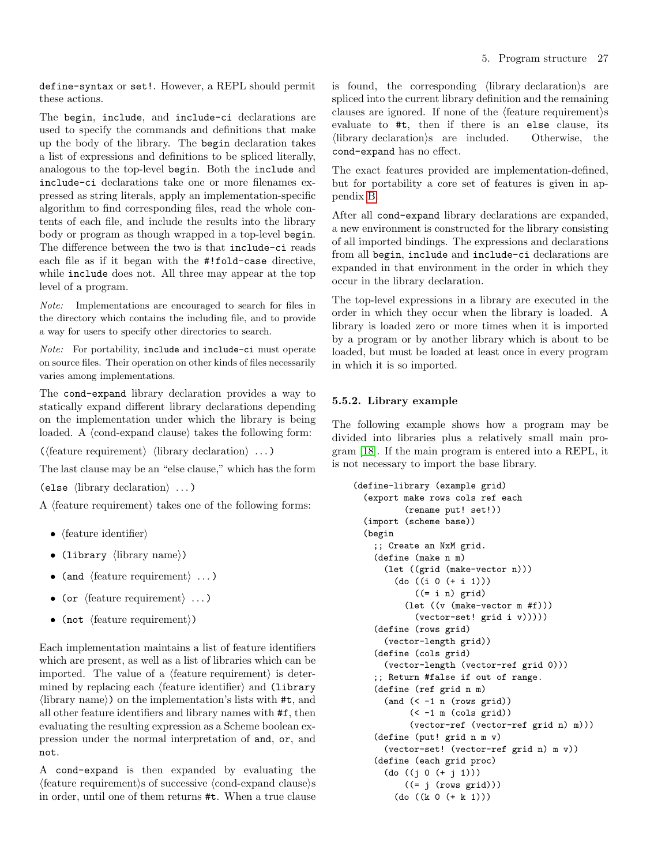define-syntax or set!. However, a REPL should permit these actions.

The begin, include, and include-ci declarations are used to specify the commands and definitions that make up the body of the library. The begin declaration takes a list of expressions and definitions to be spliced literally, analogous to the top-level begin. Both the include and include-ci declarations take one or more filenames expressed as string literals, apply an implementation-specific algorithm to find corresponding files, read the whole contents of each file, and include the results into the library body or program as though wrapped in a top-level begin. The difference between the two is that include-ci reads each file as if it began with the #!fold-case directive, while include does not. All three may appear at the top level of a program.

Note: Implementations are encouraged to search for files in the directory which contains the including file, and to provide a way for users to specify other directories to search.

Note: For portability, include and include-ci must operate on source files. Their operation on other kinds of files necessarily varies among implementations.

The cond-expand library declaration provides a way to statically expand different library declarations depending on the implementation under which the library is being loaded. A  $\langle$ cond-expand clause $\rangle$  takes the following form:

 $(\text{feature requirement}) \langle \text{library declaration} \rangle \dots)$ 

The last clause may be an "else clause," which has the form (else  $\langle$ library declaration $\rangle \ldots$ )

A  $\langle$  feature requirement $\rangle$  takes one of the following forms:

- $\langle$  feature identifier $\rangle$
- (library  $\langle$ library name $\rangle$ )
- (and  $\langle$  feature requirement $\rangle \ldots$ )
- (or  $\langle$  feature requirement $\rangle \ldots$ )
- (not  $\langle$  feature requirement $\rangle$ )

Each implementation maintains a list of feature identifiers which are present, as well as a list of libraries which can be imported. The value of a  $\langle$  feature requirement $\rangle$  is determined by replacing each  $\langle$  feature identifier $\rangle$  and  $\langle$  library  $\langle$ library name $\rangle$ ) on the implementation's lists with #t, and all other feature identifiers and library names with #f, then evaluating the resulting expression as a Scheme boolean expression under the normal interpretation of and, or, and not.

A cond-expand is then expanded by evaluating the  $\langle$ feature requirement $\rangle$ s of successive  $\langle$ cond-expand clause $\rangle$ s in order, until one of them returns #t. When a true clause is found, the corresponding  $\langle$  library declaration $\rangle$ s are spliced into the current library definition and the remaining clauses are ignored. If none of the  $\langle$  feature requirement $\rangle$ s evaluate to #t, then if there is an else clause, its  $\langle$ library declaration $\rangle$ s are included. Otherwise, the cond-expand has no effect.

The exact features provided are implementation-defined, but for portability a core set of features is given in appendix [B.](#page-69-0)

After all cond-expand library declarations are expanded, a new environment is constructed for the library consisting of all imported bindings. The expressions and declarations from all begin, include and include-ci declarations are expanded in that environment in the order in which they occur in the library declaration.

The top-level expressions in a library are executed in the order in which they occur when the library is loaded. A library is loaded zero or more times when it is imported by a program or by another library which is about to be loaded, but must be loaded at least once in every program in which it is so imported.

## 5.5.2. Library example

The following example shows how a program may be divided into libraries plus a relatively small main program [\[18\]](#page-75-16). If the main program is entered into a REPL, it is not necessary to import the base library.

```
(define-library (example grid)
  (export make rows cols ref each
          (rename put! set!))
  (import (scheme base))
  (begin
    ;; Create an NxM grid.
    (define (make n m)
      (let ((grid (make-vector n)))
        (do ((i 0 (+ i 1)))
            ((- i n) \text{ grid})(let ((v (make-vector m #f)))
            (vector-set! grid i v)))))
    (define (rows grid)
      (vector-length grid))
    (define (cols grid)
      (vector-length (vector-ref grid 0)))
    ;; Return #false if out of range.
    (define (ref grid n m)
      (and (< -1 n (rows grid))(<math>-1 \text{ m} (cols grid))
           (vector-ref (vector-ref grid n) m)))
    (define (put! grid n m v)
      (vector-set! (vector-ref grid n) m v))
    (define (each grid proc)
      (do ((j 0 (+ j 1)))
          ((= j (rows grid)))(do ((k 0 (+ k 1)))
```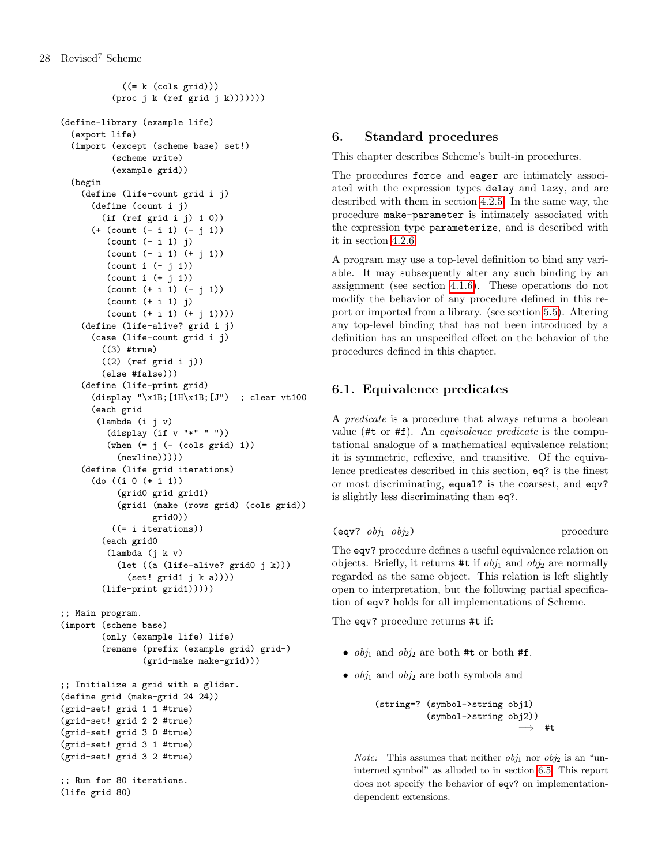```
((= k (cols grid)))(proc j k (ref grid j k)))))))
(define-library (example life)
  (export life)
  (import (except (scheme base) set!)
          (scheme write)
          (example grid))
  (begin
    (define (life-count grid i j)
      (define (count i j)
        (if (ref grid i j) 1 0))
      (+ (count (- i 1) (- j 1))
         (count (- i 1) j)
         (count (- i 1) (+ j 1))
         (count i (- j 1))
         (count i (+ j 1))
         (count (+ i 1) (- j 1))
         (count (+ i 1) j)
         (count (+ i 1) (+ i 1))))(define (life-alive? grid i j)
      (case (life-count grid i j)
        ((3) #true)
        ((2) (ref grid i j))
        (else #false)))
    (define (life-print grid)
      (display "\x1B;[1H\x1B;[J") ; clear vt100
      (each grid
       (lambda (i j v)
         (display (if v "*" " "))
         (\text{when } (= j (- (cols grid) 1)))(newline)))))(define (life grid iterations)
      (do ((i 0 (+ i 1))
           (grid0 grid grid1)
           (grid1 (make (rows grid) (cols grid))
                  grid0))
          ((= i iterations))
        (each grid0
         (lambda (j k v)
           (let ((a (life-alive? grid0 j k)))
             (set! grid1 j k a))))
        (life-print grid1)))))
;; Main program.
(import (scheme base)
        (only (example life) life)
        (rename (prefix (example grid) grid-)
                (grid-make make-grid)))
;; Initialize a grid with a glider.
(define grid (make-grid 24 24))
(grid-set! grid 1 1 #true)
(grid-set! grid 2 2 #true)
(grid-set! grid 3 0 #true)
(grid-set! grid 3 1 #true)
(grid-set! grid 3 2 #true)
;; Run for 80 iterations.
(life grid 80)
```
# <span id="page-27-0"></span>6. Standard procedures

This chapter describes Scheme's built-in procedures.

The procedures force and eager are intimately associated with the expression types delay and lazy, and are described with them in section [4.2.5.](#page-16-1) In the same way, the procedure make-parameter is intimately associated with the expression type parameterize, and is described with it in section [4.2.6.](#page-17-0)

A program may use a top-level definition to bind any variable. It may subsequently alter any such binding by an assignment (see section [4.1.6\)](#page-12-1). These operations do not modify the behavior of any procedure defined in this report or imported from a library. (see section [5.5\)](#page-25-0). Altering any top-level binding that has not been introduced by a definition has an unspecified effect on the behavior of the procedures defined in this chapter.

# <span id="page-27-1"></span>6.1. Equivalence predicates

A predicate is a procedure that always returns a boolean value  $(\texttt{#t} \text{ or } \texttt{#f})$ . An *equivalence predicate* is the computational analogue of a mathematical equivalence relation; it is symmetric, reflexive, and transitive. Of the equivalence predicates described in this section, eq? is the finest or most discriminating, equal? is the coarsest, and eqv? is slightly less discriminating than eq?.

```
\text{(eqv? } obj_1 \text{ obj}_2) procedure
```
The eqv? procedure defines a useful equivalence relation on objects. Briefly, it returns #t if  $obj_1$  and  $obj_2$  are normally regarded as the same object. This relation is left slightly open to interpretation, but the following partial specification of eqv? holds for all implementations of Scheme.

The eqv? procedure returns #t if:

- $obj_1$  and  $obj_2$  are both #t or both #f.
- $obj_1$  and  $obj_2$  are both symbols and

```
(string=? (symbol->string obj1)
          (symbol->string obj2))
                              \implies #t
```
*Note:* This assumes that neither  $obj_1$  nor  $obj_2$  is an "uninterned symbol" as alluded to in section [6.5.](#page-39-0) This report does not specify the behavior of eqv? on implementationdependent extensions.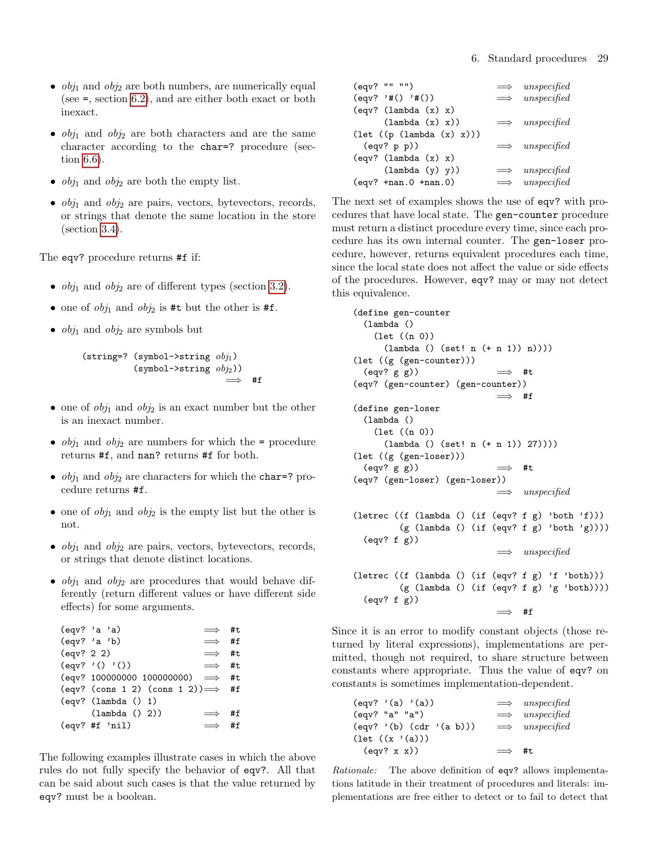- $obj_1$  and  $obj_2$  are both numbers, are numerically equal (see =, section [6.2\)](#page-29-0), and are either both exact or both inexact.
- $obj_1$  and  $obj_2$  are both characters and are the same character according to the char=? procedure (section [6.6\)](#page-40-0).
- $obj_1$  and  $obj_2$  are both the empty list.
- $obj_1$  and  $obj_2$  are pairs, vectors, bytevectors, records, or strings that denote the same location in the store (section [3.4\)](#page-9-1).

The eqv? procedure returns #f if:

- $obj_1$  and  $obj_2$  are of different types (section [3.2\)](#page-8-3).
- one of  $obj_1$  and  $obj_2$  is #t but the other is #f.
- $obj_1$  and  $obj_2$  are symbols but

(string=? (symbol->string  $obj_1$ )  $(symbol\rightarrow string \ obj_2))$ =⇒ #f

- one of  $obj_1$  and  $obj_2$  is an exact number but the other is an inexact number.
- $obj_1$  and  $obj_2$  are numbers for which the = procedure returns #f, and nan? returns #f for both.
- $obj_1$  and  $obj_2$  are characters for which the char=? procedure returns #f.
- one of  $obj_1$  and  $obj_2$  is the empty list but the other is not.
- $obj_1$  and  $obj_2$  are pairs, vectors, bytevectors, records, or strings that denote distinct locations.
- $obj_1$  and  $obj_2$  are procedures that would behave differently (return different values or have different side effects) for some arguments.

|                     | $\text{(eqv? 'a 'a)}$<br>$\implies$ #t            |    |
|---------------------|---------------------------------------------------|----|
|                     | $\text{(eqv? 'a 'b)}$<br>$\implies$ #f            |    |
| $\text{(eqv? 2 2)}$ | $\implies$ #t                                     |    |
|                     | $\text{(eqv? '() '())}$<br>$\implies$ #t          |    |
|                     | $\text{(eqv? } 100000000 1000000000) \implies #t$ |    |
|                     | $\text{(eqv? (cons 1 2) (cons 1 2))} \implies #f$ |    |
|                     | $\text{(eqv? (lambda () 1)}$                      |    |
|                     | (lambda() 2))                                     | #f |
|                     | $\text{(eqv? #f 'nil)}$<br>$\implies$             | #f |

The following examples illustrate cases in which the above rules do not fully specify the behavior of eqv?. All that can be said about such cases is that the value returned by eqv? must be a boolean.

| (eqv? "" "")                                | $\implies$ unspecified |
|---------------------------------------------|------------------------|
| $\text{(eqv? '#() '#())}$                   | $\implies$ unspecified |
| $\text{(eqv? (lambda (x) x)}$               |                        |
| $(\text{lambda } (x) x))$                   | $\implies$ unspecified |
| $(\text{let } ((p (\text{lambda } (x) x)))$ |                        |
| $\text{(eqv? p p)}$                         | $\implies$ unspecified |
| $\text{(eqv? (lambda (x) x)}$               |                        |
| (lambda (y) y))                             | $\implies$ unspecified |
| $(eqv? +nan.0 +nan.0)$                      | $\implies$ unspecified |

The next set of examples shows the use of eqv? with procedures that have local state. The gen-counter procedure must return a distinct procedure every time, since each procedure has its own internal counter. The gen-loser procedure, however, returns equivalent procedures each time, since the local state does not affect the value or side effects of the procedures. However, eqv? may or may not detect this equivalence.

```
(define gen-counter
 (lambda ()
    (let ((n 0))
      (lambda () (set! n (+ n 1)) n))))
(let ((g (gen-counter)))
 (eqv? g g)) \implies #t
(eqv? (gen-counter) (gen-counter))
                            =⇒ #f
(define gen-loser
 (lambda ()
    (let ((n 0))
      (lambda () (set! n (+ n 1)) 27))))
(let ((g (gen-loser)))
 (eqv? g g)) \implies #t
(eqv? (gen-loser) (gen-loser))
                            \implies unspecified
(letrec ((f (lambda () (if (eqv? f g) 'both 'f)))
         (g (lambda () (if (eqv? f g) 'both 'g))))
 (eqv? f g))
                            \implies unspecified
(letrec ((f (lambda () (if (eqv? f g) 'f 'both)))
         (g (lambda () (if (eqv? f g) 'g 'both))))
 (eqv? f g))
                                 #f
```
Since it is an error to modify constant objects (those returned by literal expressions), implementations are permitted, though not required, to share structure between constants where appropriate. Thus the value of eqv? on constants is sometimes implementation-dependent.

|               | $\implies$ unspecified |
|---------------|------------------------|
|               | $\implies$ unspecified |
|               | $\implies$ unspecified |
|               |                        |
| $\implies$ #t |                        |
|               |                        |

Rationale: The above definition of eqv? allows implementations latitude in their treatment of procedures and literals: implementations are free either to detect or to fail to detect that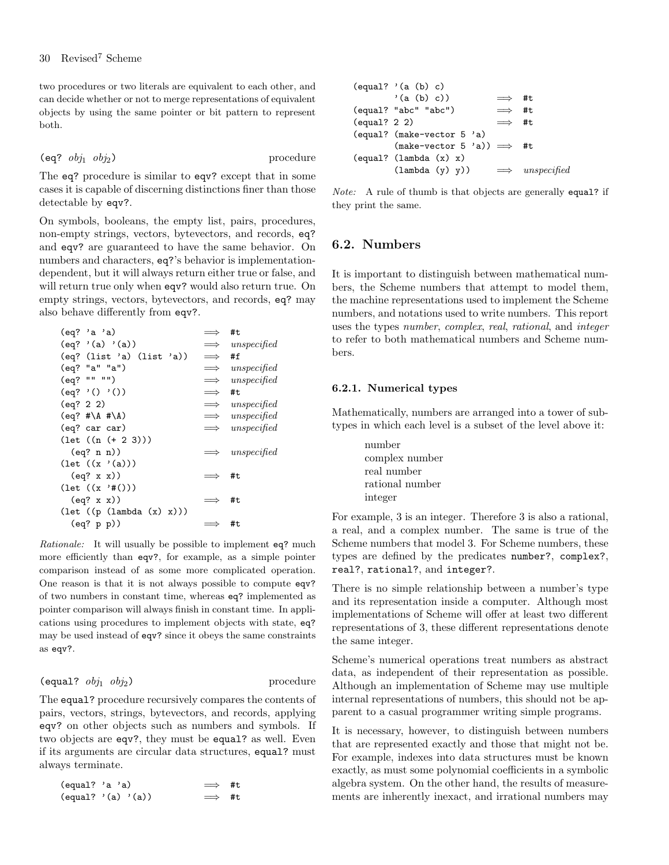two procedures or two literals are equivalent to each other, and can decide whether or not to merge representations of equivalent objects by using the same pointer or bit pattern to represent both.

 $(eq?$   $obj_1$   $obj_2)$  procedure

The eq? procedure is similar to eqv? except that in some cases it is capable of discerning distinctions finer than those detectable by eqv?.

On symbols, booleans, the empty list, pairs, procedures, non-empty strings, vectors, bytevectors, and records, eq? and eqv? are guaranteed to have the same behavior. On numbers and characters, eq?'s behavior is implementationdependent, but it will always return either true or false, and will return true only when eqv? would also return true. On empty strings, vectors, bytevectors, and records, eq? may also behave differently from eqv?.

| (eq? 'a 'a)                                 | $\implies$    | #t                     |
|---------------------------------------------|---------------|------------------------|
| (eq? ' (a) ' (a))                           |               | $\implies$ unspecified |
| (eq? (list 'a) (list 'a))                   | $\implies$    | #f                     |
| (eq? "a" "a")                               |               | $\implies$ unspecified |
| (eq? "" "")                                 |               | $\implies$ unspecified |
| (eq? '() '())                               | $\implies$    | #t                     |
| (eq? 2 2)                                   |               | $\implies$ unspecified |
| $(eq?$ #\A #\A)                             |               | $\implies$ unspecified |
| (eq? car car)                               |               | $\implies$ unspecified |
| $(\text{let } ((n (+ 2 3)))$                |               |                        |
| (eq? n n))                                  | $\implies$    | unspecified            |
| $(\text{let } ((x \cdot (a))))$             |               |                        |
| (eq? x x))                                  | $\implies$ #t |                        |
| $(\text{let } ((x, '#()) )$                 |               |                        |
| (eq? x x))                                  | $\implies$    | #t                     |
| $(\text{let } ((p (\text{lambda } (x) x)))$ |               |                        |
| (eq? p p))                                  |               | #t                     |

Rationale: It will usually be possible to implement eq? much more efficiently than eqv?, for example, as a simple pointer comparison instead of as some more complicated operation. One reason is that it is not always possible to compute eqv? of two numbers in constant time, whereas eq? implemented as pointer comparison will always finish in constant time. In applications using procedures to implement objects with state, eq? may be used instead of eqv? since it obeys the same constraints as eqv?.

#### (equal?  $obj_1$   $obj_2$ ) procedure

The equal? procedure recursively compares the contents of pairs, vectors, strings, bytevectors, and records, applying eqv? on other objects such as numbers and symbols. If two objects are eqv?, they must be equal? as well. Even if its arguments are circular data structures, equal? must always terminate.

| (equal? 'a 'a) |                                            | $\implies$ #t |  |
|----------------|--------------------------------------------|---------------|--|
|                | $\text{(equal? } \text{'}(a) \text{'}(a))$ | $\implies$ #t |  |

|                       | (equal? '(a (b) c)                 |               |             |
|-----------------------|------------------------------------|---------------|-------------|
|                       | '(a(b) c))                         | $\implies$ #t |             |
|                       | (equal? "abc" "abc")               | $\implies$ #t |             |
| $\text{(equal? 2 2)}$ |                                    | $\implies$ #t |             |
|                       | (equal? (make-vector 5 'a)         |               |             |
|                       | $(make-vector 5 'a)) \implies \#t$ |               |             |
|                       | $\text{(equal? (lambda (x) x)}$    |               |             |
|                       | $(\text{lambda}(y), y))$           | $\implies$    | unspecified |

 $\overline{a}$  (b) c) c) c)

Note: A rule of thumb is that objects are generally equal? if they print the same.

## <span id="page-29-0"></span>6.2. Numbers

It is important to distinguish between mathematical numbers, the Scheme numbers that attempt to model them, the machine representations used to implement the Scheme numbers, and notations used to write numbers. This report uses the types number, complex, real, rational, and integer to refer to both mathematical numbers and Scheme numbers.

#### <span id="page-29-1"></span>6.2.1. Numerical types

Mathematically, numbers are arranged into a tower of subtypes in which each level is a subset of the level above it:

> number complex number real number rational number integer

For example, 3 is an integer. Therefore 3 is also a rational, a real, and a complex number. The same is true of the Scheme numbers that model 3. For Scheme numbers, these types are defined by the predicates number?, complex?, real?, rational?, and integer?.

There is no simple relationship between a number's type and its representation inside a computer. Although most implementations of Scheme will offer at least two different representations of 3, these different representations denote the same integer.

Scheme's numerical operations treat numbers as abstract data, as independent of their representation as possible. Although an implementation of Scheme may use multiple internal representations of numbers, this should not be apparent to a casual programmer writing simple programs.

It is necessary, however, to distinguish between numbers that are represented exactly and those that might not be. For example, indexes into data structures must be known exactly, as must some polynomial coefficients in a symbolic algebra system. On the other hand, the results of measurements are inherently inexact, and irrational numbers may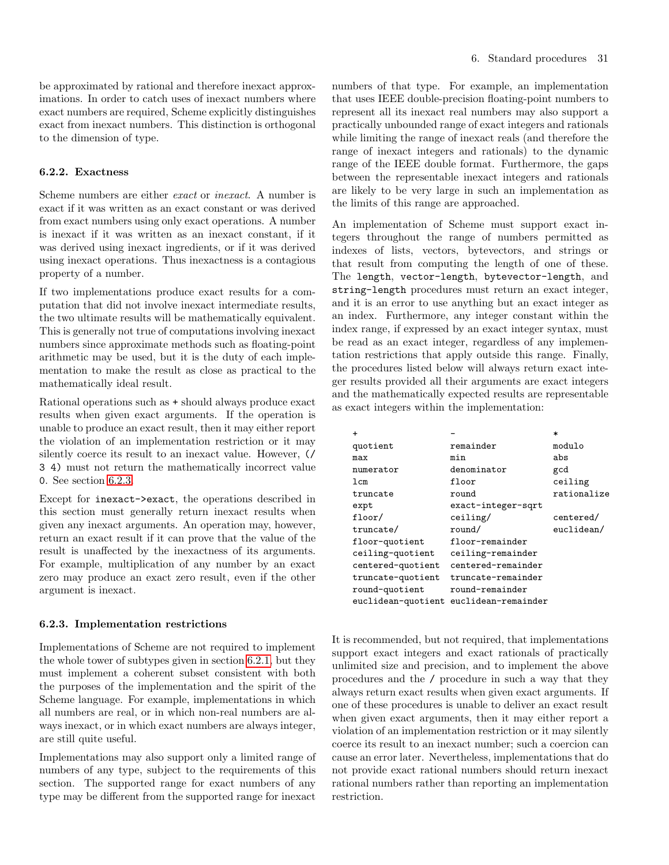be approximated by rational and therefore inexact approximations. In order to catch uses of inexact numbers where exact numbers are required, Scheme explicitly distinguishes exact from inexact numbers. This distinction is orthogonal to the dimension of type.

## 6.2.2. Exactness

Scheme numbers are either exact or inexact. A number is exact if it was written as an exact constant or was derived from exact numbers using only exact operations. A number is inexact if it was written as an inexact constant, if it was derived using inexact ingredients, or if it was derived using inexact operations. Thus inexactness is a contagious property of a number.

If two implementations produce exact results for a computation that did not involve inexact intermediate results, the two ultimate results will be mathematically equivalent. This is generally not true of computations involving inexact numbers since approximate methods such as floating-point arithmetic may be used, but it is the duty of each implementation to make the result as close as practical to the mathematically ideal result.

Rational operations such as + should always produce exact results when given exact arguments. If the operation is unable to produce an exact result, then it may either report the violation of an implementation restriction or it may silently coerce its result to an inexact value. However, (/ 3 4) must not return the mathematically incorrect value 0. See section [6.2.3.](#page-30-0)

Except for inexact->exact, the operations described in this section must generally return inexact results when given any inexact arguments. An operation may, however, return an exact result if it can prove that the value of the result is unaffected by the inexactness of its arguments. For example, multiplication of any number by an exact zero may produce an exact zero result, even if the other argument is inexact.

## <span id="page-30-0"></span>6.2.3. Implementation restrictions

Implementations of Scheme are not required to implement the whole tower of subtypes given in section [6.2.1,](#page-29-1) but they must implement a coherent subset consistent with both the purposes of the implementation and the spirit of the Scheme language. For example, implementations in which all numbers are real, or in which non-real numbers are always inexact, or in which exact numbers are always integer, are still quite useful.

Implementations may also support only a limited range of numbers of any type, subject to the requirements of this section. The supported range for exact numbers of any type may be different from the supported range for inexact numbers of that type. For example, an implementation that uses IEEE double-precision floating-point numbers to represent all its inexact real numbers may also support a practically unbounded range of exact integers and rationals while limiting the range of inexact reals (and therefore the range of inexact integers and rationals) to the dynamic range of the IEEE double format. Furthermore, the gaps between the representable inexact integers and rationals are likely to be very large in such an implementation as the limits of this range are approached.

An implementation of Scheme must support exact integers throughout the range of numbers permitted as indexes of lists, vectors, bytevectors, and strings or that result from computing the length of one of these. The length, vector-length, bytevector-length, and string-length procedures must return an exact integer, and it is an error to use anything but an exact integer as an index. Furthermore, any integer constant within the index range, if expressed by an exact integer syntax, must be read as an exact integer, regardless of any implementation restrictions that apply outside this range. Finally, the procedures listed below will always return exact integer results provided all their arguments are exact integers and the mathematically expected results are representable as exact integers within the implementation:

| $\ddot{}$         |                                        | $\ast$      |
|-------------------|----------------------------------------|-------------|
| quotient          | remainder                              | modulo      |
| max               | min                                    | abs         |
| numerator         | denominator                            | gcd         |
| 1cm               | floor                                  | ceiling     |
| truncate          | round                                  | rationalize |
| expt              | exact-integer-sqrt                     |             |
| floor/            | ceiling/                               | centered/   |
| truncate/         | round/                                 | euclidean/  |
| floor-quotient    | floor-remainder                        |             |
| ceiling-quotient  | ceiling-remainder                      |             |
| centered-quotient | centered-remainder                     |             |
| truncate-quotient | truncate-remainder                     |             |
| round-quotient    | round-remainder                        |             |
|                   | euclidean-quotient euclidean-remainder |             |

It is recommended, but not required, that implementations support exact integers and exact rationals of practically unlimited size and precision, and to implement the above procedures and the / procedure in such a way that they always return exact results when given exact arguments. If one of these procedures is unable to deliver an exact result when given exact arguments, then it may either report a violation of an implementation restriction or it may silently coerce its result to an inexact number; such a coercion can cause an error later. Nevertheless, implementations that do not provide exact rational numbers should return inexact rational numbers rather than reporting an implementation restriction.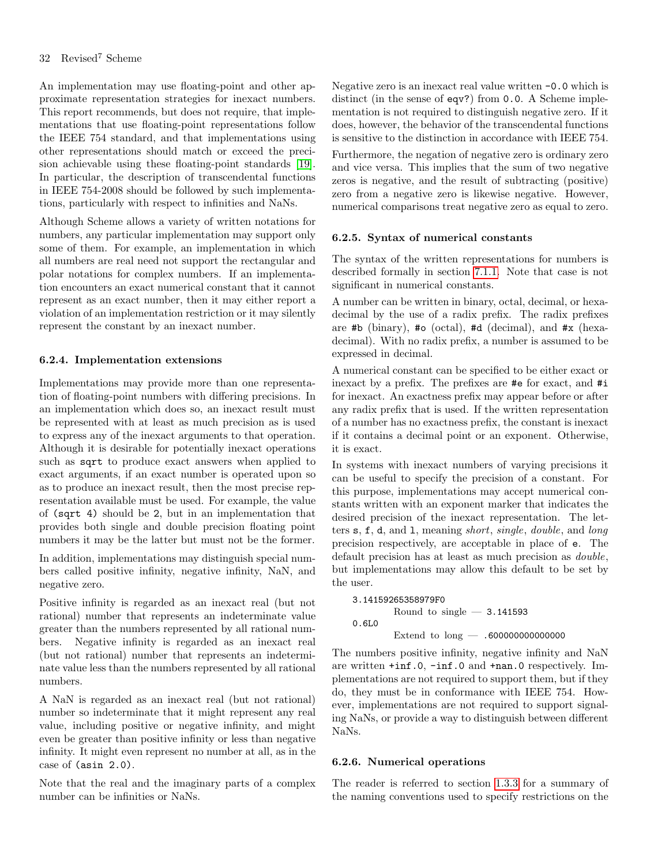An implementation may use floating-point and other approximate representation strategies for inexact numbers. This report recommends, but does not require, that implementations that use floating-point representations follow the IEEE 754 standard, and that implementations using other representations should match or exceed the precision achievable using these floating-point standards [\[19\]](#page-75-17). In particular, the description of transcendental functions in IEEE 754-2008 should be followed by such implementations, particularly with respect to infinities and NaNs.

Although Scheme allows a variety of written notations for numbers, any particular implementation may support only some of them. For example, an implementation in which all numbers are real need not support the rectangular and polar notations for complex numbers. If an implementation encounters an exact numerical constant that it cannot represent as an exact number, then it may either report a violation of an implementation restriction or it may silently represent the constant by an inexact number.

## 6.2.4. Implementation extensions

Implementations may provide more than one representation of floating-point numbers with differing precisions. In an implementation which does so, an inexact result must be represented with at least as much precision as is used to express any of the inexact arguments to that operation. Although it is desirable for potentially inexact operations such as sqrt to produce exact answers when applied to exact arguments, if an exact number is operated upon so as to produce an inexact result, then the most precise representation available must be used. For example, the value of (sqrt 4) should be 2, but in an implementation that provides both single and double precision floating point numbers it may be the latter but must not be the former.

In addition, implementations may distinguish special numbers called positive infinity, negative infinity, NaN, and negative zero.

Positive infinity is regarded as an inexact real (but not rational) number that represents an indeterminate value greater than the numbers represented by all rational numbers. Negative infinity is regarded as an inexact real (but not rational) number that represents an indeterminate value less than the numbers represented by all rational numbers.

A NaN is regarded as an inexact real (but not rational) number so indeterminate that it might represent any real value, including positive or negative infinity, and might even be greater than positive infinity or less than negative infinity. It might even represent no number at all, as in the case of (asin 2.0).

Note that the real and the imaginary parts of a complex number can be infinities or NaNs.

Negative zero is an inexact real value written -0.0 which is distinct (in the sense of eqv?) from 0.0. A Scheme implementation is not required to distinguish negative zero. If it does, however, the behavior of the transcendental functions is sensitive to the distinction in accordance with IEEE 754.

Furthermore, the negation of negative zero is ordinary zero and vice versa. This implies that the sum of two negative zeros is negative, and the result of subtracting (positive) zero from a negative zero is likewise negative. However, numerical comparisons treat negative zero as equal to zero.

## <span id="page-31-0"></span>6.2.5. Syntax of numerical constants

The syntax of the written representations for numbers is described formally in section [7.1.1.](#page-56-2) Note that case is not significant in numerical constants.

A number can be written in binary, octal, decimal, or hexadecimal by the use of a radix prefix. The radix prefixes are #b (binary), #o (octal), #d (decimal), and  $#x$  (hexadecimal). With no radix prefix, a number is assumed to be expressed in decimal.

A numerical constant can be specified to be either exact or inexact by a prefix. The prefixes are #e for exact, and #i for inexact. An exactness prefix may appear before or after any radix prefix that is used. If the written representation of a number has no exactness prefix, the constant is inexact if it contains a decimal point or an exponent. Otherwise, it is exact.

In systems with inexact numbers of varying precisions it can be useful to specify the precision of a constant. For this purpose, implementations may accept numerical constants written with an exponent marker that indicates the desired precision of the inexact representation. The letters s, f, d, and l, meaning short, single, double, and long precision respectively, are acceptable in place of e. The default precision has at least as much precision as double, but implementations may allow this default to be set by the user.

```
3.14159265358979F0
       Round to single -3.1415930.6L0
       Extend to long — .600000000000000
```
The numbers positive infinity, negative infinity and NaN are written +inf.0, -inf.0 and +nan.0 respectively. Implementations are not required to support them, but if they do, they must be in conformance with IEEE 754. However, implementations are not required to support signaling NaNs, or provide a way to distinguish between different NaNs.

## 6.2.6. Numerical operations

The reader is referred to section [1.3.3](#page-5-0) for a summary of the naming conventions used to specify restrictions on the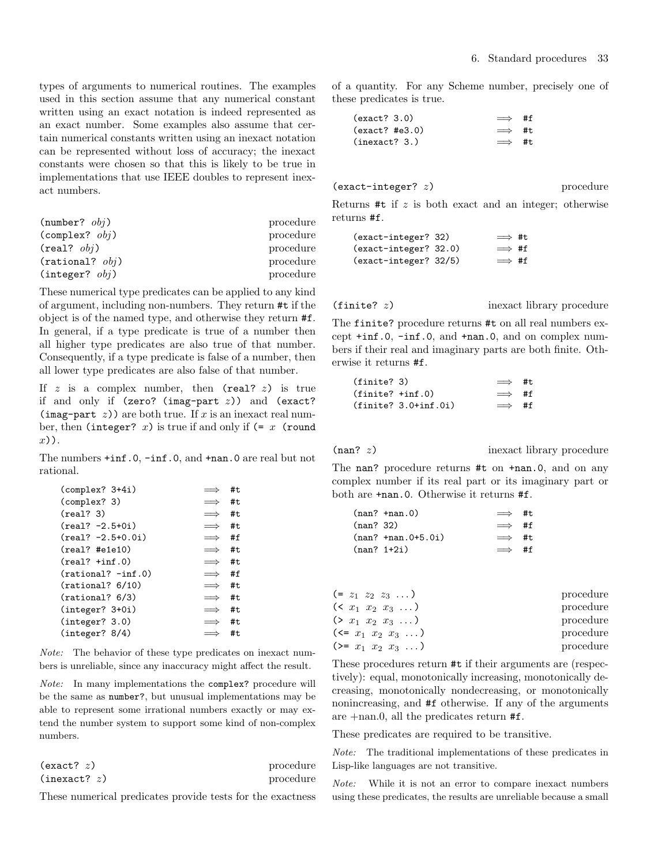types of arguments to numerical routines. The examples used in this section assume that any numerical constant written using an exact notation is indeed represented as an exact number. Some examples also assume that certain numerical constants written using an inexact notation can be represented without loss of accuracy; the inexact constants were chosen so that this is likely to be true in implementations that use IEEE doubles to represent inexact numbers.

| $(number?$ $obj)$        | procedure |
|--------------------------|-----------|
| $(\text{complex? } obj)$ | procedure |
| $(\text{real}?\ obi)$    | procedure |
| $(rational?$ $obj)$      | procedure |
| (integer? obj)           | procedure |

These numerical type predicates can be applied to any kind of argument, including non-numbers. They return #t if the object is of the named type, and otherwise they return #f. In general, if a type predicate is true of a number then all higher type predicates are also true of that number. Consequently, if a type predicate is false of a number, then all lower type predicates are also false of that number.

If  $z$  is a complex number, then (real?  $z$ ) is true if and only if (zero? (imag-part  $z$ )) and (exact? (imag-part  $z$ )) are both true. If x is an inexact real number, then (integer? x) is true if and only if  $(= x$  (round x)).

The numbers +inf.0, -inf.0, and +nan.0 are real but not rational.

| $\text{(complex? } 3+4i)$         |            | #t |
|-----------------------------------|------------|----|
| (complex? 3)                      | $\implies$ | #t |
| $(\text{real}$ ? 3)               | $\implies$ | #t |
| $(\text{real}$ ? -2.5+0i)         | $\implies$ | #t |
| $(\text{real}$ ? -2.5+0.0i)       | $\implies$ | #f |
| (real? #ele10)                    | $\implies$ | #t |
| $(\text{real? } + \text{inf. 0})$ | $\implies$ | #t |
| $(rational? - inf.0)$             | $\implies$ | #f |
| (rational? 6/10)                  | $\implies$ | #t |
| (rational? 6/3)                   | $\implies$ | #t |
| $(integer? 3+0i)$                 | $\implies$ | #t |
| (integer? 3.0)                    | $\implies$ | #t |
| (integer? 8/4)                    |            | #t |

Note: The behavior of these type predicates on inexact numbers is unreliable, since any inaccuracy might affect the result.

Note: In many implementations the complex? procedure will be the same as number?, but unusual implementations may be able to represent some irrational numbers exactly or may extend the number system to support some kind of non-complex numbers.

| (exact? z)   | procedure |
|--------------|-----------|
| (inexact? z) | procedure |

These numerical predicates provide tests for the exactness

of a quantity. For any Scheme number, precisely one of these predicates is true.

| (exact? 3.0)   | $\implies$ #f  |  |
|----------------|----------------|--|
| (exact? #e3.0) | $\implies$ #t. |  |
| (inexact? 3.)  | $\implies$ #t. |  |

```
(exact-integer? z) procedure
```
Returns  $#t$  if  $z$  is both exact and an integer; otherwise returns #f.

| (exact-integer? 32)     | $\implies$ #t |  |
|-------------------------|---------------|--|
| (exact-integer? 32.0)   | $\implies$ #f |  |
| $(exact-integer? 32/5)$ | $\implies$ #f |  |

 $(finite? z)$  inexact library procedure

The finite? procedure returns #t on all real numbers except +inf.0, -inf.0, and +nan.0, and on complex numbers if their real and imaginary parts are both finite. Otherwise it returns #f.

| (finite? 3)         |                        | $\implies$ #t |  |
|---------------------|------------------------|---------------|--|
| $(finite? + inf.0)$ |                        | $\implies$ #f |  |
|                     | $(finite? 3.0+inf.0i)$ | $\implies$ #f |  |

(nan? z) inexact library procedure

The nan? procedure returns #t on +nan.0, and on any complex number if its real part or its imaginary part or both are +nan.0. Otherwise it returns #f.

|               | $(nan? + nan.0)$        | $\implies$ #t. |  |
|---------------|-------------------------|----------------|--|
| (nan? 32)     |                         | $\implies$ #f  |  |
|               | $(nan? + nan.0 + 5.0i)$ | $\implies$ #t  |  |
| $(nan? 1+2i)$ |                         | $\implies$ #f  |  |

| $(= z_1 \ z_2 \ z_3 \ \ldots)$    | procedure |
|-----------------------------------|-----------|
| $( x_1 x_2 x_3 \ldots )$          | procedure |
| $(> x_1 x_2 x_3 \ldots)$          | procedure |
| $(\leq x_1 \ x_2 \ x_3 \ \ldots)$ | procedure |
| $(>= x_1 x_2 x_3  )$              | procedure |

These procedures return #t if their arguments are (respectively): equal, monotonically increasing, monotonically decreasing, monotonically nondecreasing, or monotonically nonincreasing, and #f otherwise. If any of the arguments are +nan.0, all the predicates return #f.

These predicates are required to be transitive.

Note: The traditional implementations of these predicates in Lisp-like languages are not transitive.

Note: While it is not an error to compare inexact numbers using these predicates, the results are unreliable because a small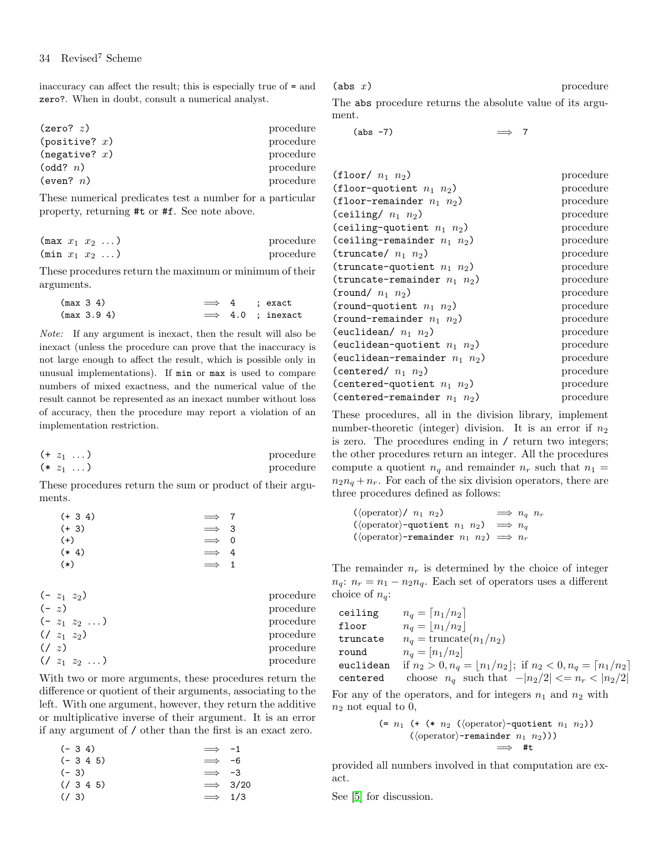inaccuracy can affect the result; this is especially true of = and zero?. When in doubt, consult a numerical analyst.

| (zero? z)        | procedure |
|------------------|-----------|
| (positive? $x$ ) | procedure |
| (negative? $x$ ) | procedure |
| (odd? n)         | procedure |
| (even? $n$ )     | procedure |

These numerical predicates test a number for a particular property, returning #t or #f. See note above.

| $(\max x_1 x_2 \dots)$ |  | procedure |
|------------------------|--|-----------|
| $(\min x_1 x_2 \dots)$ |  | procedure |

These procedures return the maximum or minimum of their arguments.

| (max 3 4)   |  | $\implies$ 4 ; exact     |
|-------------|--|--------------------------|
| (max 3.9 4) |  | $\implies$ 4.0 : inexact |

Note: If any argument is inexact, then the result will also be inexact (unless the procedure can prove that the inaccuracy is not large enough to affect the result, which is possible only in unusual implementations). If min or max is used to compare numbers of mixed exactness, and the numerical value of the result cannot be represented as an inexact number without loss of accuracy, then the procedure may report a violation of an implementation restriction.

$$
(+ z_1 \ldots)
$$
 procedure  

$$
(+ z_1 \ldots)
$$
procedure

These procedures return the sum or product of their arguments.

| $(+ 3 4)$ | $\implies$ 7 |  |
|-----------|--------------|--|
| $(+ 3)$   | $\implies$ 3 |  |
| $(+)$     | $\implies$ 0 |  |
| $(* 4)$   | $\implies$ 4 |  |
| $(*)$     | $\implies$ 1 |  |

|        | $(-z_1 z_2)$     | procedure |
|--------|------------------|-----------|
| $(-z)$ |                  | procedure |
|        | $(-z_1 z_2 )$    | procedure |
|        | $( / z_1 z_2 )$  | procedure |
| (1 z)  |                  | procedure |
|        | $( / z_1 z_2  )$ | procedure |

With two or more arguments, these procedures return the difference or quotient of their arguments, associating to the left. With one argument, however, they return the additive or multiplicative inverse of their argument. It is an error if any argument of / other than the first is an exact zero.

| $(-3\ 4)$      | $\Rightarrow$ -1   |
|----------------|--------------------|
| $(-3\ 4\ 5)$   | $\Rightarrow$ -6   |
| $(-3)$         | $\Rightarrow$ -3   |
| $(7\ 3\ 4\ 5)$ | $\Rightarrow$ 3/20 |
| $(7\ 3)$       | $\Rightarrow$ 1/3  |

 $(\text{abs } x)$  procedure

The abs procedure returns the absolute value of its argument.

 $(\text{abs} -7)$   $\implies$  7

| $(floor n_1 n_2)$                  | procedure |
|------------------------------------|-----------|
| (floor-quotient $n_1$ $n_2$ )      | procedure |
| (floor-remainder $n_1$ $n_2$ )     | procedure |
| (ceiling/ $n_1$ $n_2$ )            | procedure |
| (ceiling-quotient $n_1$ $n_2$ )    | procedure |
| (ceiling-remainder $n_1$ $n_2$ )   | procedure |
| (truncate/ $n_1$ $n_2$ )           | procedure |
| (truncate-quotient $n_1$ $n_2$ )   | procedure |
| (truncate-remainder $n_1$ $n_2$ )  | procedure |
| (round/ $n_1$ $n_2$ )              | procedure |
| (round-quotient $n_1$ $n_2$ )      | procedure |
| (round-remainder $n_1$ $n_2$ )     | procedure |
| (euclidean/ $n_1$ $n_2$ )          | procedure |
| (euclidean-quotient $n_1$ $n_2$ )  | procedure |
| (euclidean-remainder $n_1$ $n_2$ ) | procedure |
| (centered/ $n_1$ $n_2$ )           | procedure |
| (centered-quotient $n_1$ $n_2$ )   | procedure |
| (centered-remainder $n_1$ $n_2$ )  | procedure |

These procedures, all in the division library, implement number-theoretic (integer) division. It is an error if  $n_2$ is zero. The procedures ending in / return two integers; the other procedures return an integer. All the procedures compute a quotient  $n_q$  and remainder  $n_r$  such that  $n_1 =$  $n_2n_q + n_r$ . For each of the six division operators, there are three procedures defined as follows:

( $\langle \text{operator} \rangle / n_1 n_2$ )  $\implies n_q n_r$  $(\langle \text{operator} \rangle$ -quotient  $n_1$   $n_2) \Rightarrow n_q$ ( $\langle$ operator $\rangle$ -remainder  $n_1$   $n_2$ )  $\implies$   $n_r$ 

The remainder  $n_r$  is determined by the choice of integer  $n_q$ :  $n_r = n_1 - n_2 n_q$ . Each set of operators uses a different choice of  $n_q$ :

$$
\begin{array}{ll}\text{ceiling} & n_q = \lceil n_1/n_2 \rceil\\ \text{floor} & n_q = \lfloor n_1/n_2 \rfloor\\ \text{truncated} & n_q = \text{truncated}(n_1/n_2)\\ \text{round} & n_q = \lceil n_1/n_2 \rceil\\ \text{euclidean} & \text{if } n_2 > 0, n_q = \lfloor n_1/n_2 \rfloor; \text{ if } n_2 < 0, n_q = \lceil n_1/n_2 \rceil\\ \text{centered} & \text{choose } n_q \text{ such that } -\lceil n_2/2 \rceil < = n_r < \lceil n_2/2 \rceil\end{array}
$$

For any of the operators, and for integers  $n_1$  and  $n_2$  with  $n_2$  not equal to 0,

$$
(\text{= } n_1 \text{ (+ } (* n_2 \text{ (operator)-quotient } n_1 n_2))
$$
  

$$
(\text{operator)-remainder } n_1 n_2)))
$$
  

$$
\implies #t
$$

provided all numbers involved in that computation are exact.

See [\[5\]](#page-74-10) for discussion.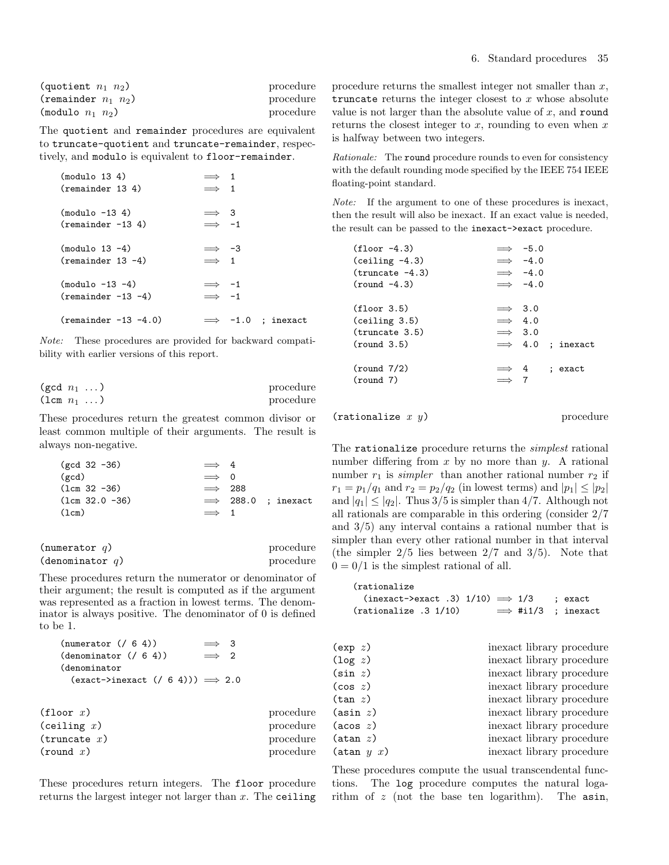| (quotient $n_1$ $n_2$ )  | procedure |
|--------------------------|-----------|
| (remainder $n_1$ $n_2$ ) | procedure |
| (modulo $n_1$ $n_2$ )    | procedure |

The quotient and remainder procedures are equivalent to truncate-quotient and truncate-remainder, respectively, and modulo is equivalent to floor-remainder.

| (modu1o 13 4)          | $\implies$ 1              |
|------------------------|---------------------------|
| (remainder 13 4)       | $\implies$ 1              |
| $(modu1o -13 4)$       | $\implies$ 3              |
| $(remainder -13 4)$    | $\implies$ -1             |
| $(modu1o 13 -4)$       | $\implies$ -3             |
| $(remainder 13 -4)$    | $\implies$ 1              |
| $(modu1o -13 -4)$      | $\implies$ -1             |
| $(remainder -13 -4)$   | $\implies$ -1             |
| $(remainder -13 -4.0)$ | $\implies$ -1.0 ; inexact |

Note: These procedures are provided for backward compatibility with earlier versions of this report.

| (gcd $n_1$ )              |  | procedure |
|---------------------------|--|-----------|
| $(\text{lcm } n_1 \dots)$ |  | procedure |

These procedures return the greatest common divisor or least common multiple of their arguments. The result is always non-negative.

| $gcd 32 -36$     | $\implies$ 4   |                            |
|------------------|----------------|----------------------------|
| $(\text{gcd})$   | $\implies$ 0   |                            |
| $(Lcm 32 - 36)$  | $\implies$ 288 |                            |
| $(lcm 32.0 -36)$ |                | $\implies$ 288.0 ; inexact |
| (lcm)            | $\implies$ 1   |                            |

| (numerator $q$ )   | procedure |
|--------------------|-----------|
| (denominator $q$ ) | procedure |

These procedures return the numerator or denominator of their argument; the result is computed as if the argument was represented as a fraction in lowest terms. The denominator is always positive. The denominator of 0 is defined to be 1.

| (numerator ( / 6 4))                                   | - 3          |           |
|--------------------------------------------------------|--------------|-----------|
| (denominator ((6 4))                                   | $\implies$ 2 |           |
| (denominator                                           |              |           |
| $(exact \rightarrow inexact$ $( / 6 4))) \implies 2.0$ |              |           |
|                                                        |              |           |
| (floor x)                                              |              | procedure |
| (ceiling x)                                            |              | procedure |
| (truex)                                                |              | procedure |
| (round x)                                              |              | procedure |

These procedures return integers. The floor procedure returns the largest integer not larger than  $x$ . The ceiling procedure returns the smallest integer not smaller than  $x$ , truncate returns the integer closest to  $x$  whose absolute value is not larger than the absolute value of  $x$ , and round returns the closest integer to  $x$ , rounding to even when  $x$ is halfway between two integers.

Rationale: The round procedure rounds to even for consistency with the default rounding mode specified by the IEEE 754 IEEE floating-point standard.

Note: If the argument to one of these procedures is inexact, then the result will also be inexact. If an exact value is needed, the result can be passed to the inexact->exact procedure.

| $(floor -4.3)$   |                | $\implies$ -5.0 |                          |
|------------------|----------------|-----------------|--------------------------|
| $(ceiling -4.3)$ |                | $\implies$ -4.0 |                          |
| $(true - 4.3)$   |                | $\implies$ -4.0 |                          |
| $(round -4.3)$   |                | $\implies$ -4.0 |                          |
|                  |                |                 |                          |
| (floor 3.5)      | $\implies$ 3.0 |                 |                          |
| (ceiling 3.5)    | $\implies$ 4.0 |                 |                          |
| (true 3.5)       | $\implies$ 3.0 |                 |                          |
| (round 3.5)      |                |                 | $\implies$ 4.0 ; inexact |
|                  |                |                 |                          |
| (round 7/2)      | $\implies$ 4   |                 | ; exact                  |
| (round 7)        |                |                 |                          |

 $(rationalize x y)$  procedure

The rationalize procedure returns the *simplest* rational number differing from  $x$  by no more than  $y$ . A rational number  $r_1$  is *simpler* than another rational number  $r_2$  if  $r_1 = p_1/q_1$  and  $r_2 = p_2/q_2$  (in lowest terms) and  $|p_1| \leq |p_2|$ and  $|q_1| \leq |q_2|$ . Thus 3/5 is simpler than 4/7. Although not all rationals are comparable in this ordering (consider 2/7 and 3/5) any interval contains a rational number that is simpler than every other rational number in that interval (the simpler  $2/5$  lies between  $2/7$  and  $3/5$ ). Note that  $0 = 0/1$  is the simplest rational of all.

| (rationalize                                |                            |         |
|---------------------------------------------|----------------------------|---------|
| (inexact->exact .3) $1/10$ ) $\implies$ 1/3 |                            | : exact |
| (rationalize .3 1/10)                       | $\implies$ #i1/3 : inexact |         |

| $\left(\exp z\right)$ | inexact library procedure |
|-----------------------|---------------------------|
| $(\log z)$            | inexact library procedure |
| (sin z)               | inexact library procedure |
| $(\cos z)$            | inexact library procedure |
| $(\tan z)$            | inexact library procedure |
| $(\text{asin } z)$    | inexact library procedure |
| $(\text{acos } z)$    | inexact library procedure |
| $(\text{atan } z)$    | inexact library procedure |
| $(\text{atan } y x)$  | inexact library procedure |

These procedures compute the usual transcendental functions. The log procedure computes the natural logarithm of  $z$  (not the base ten logarithm). The asin,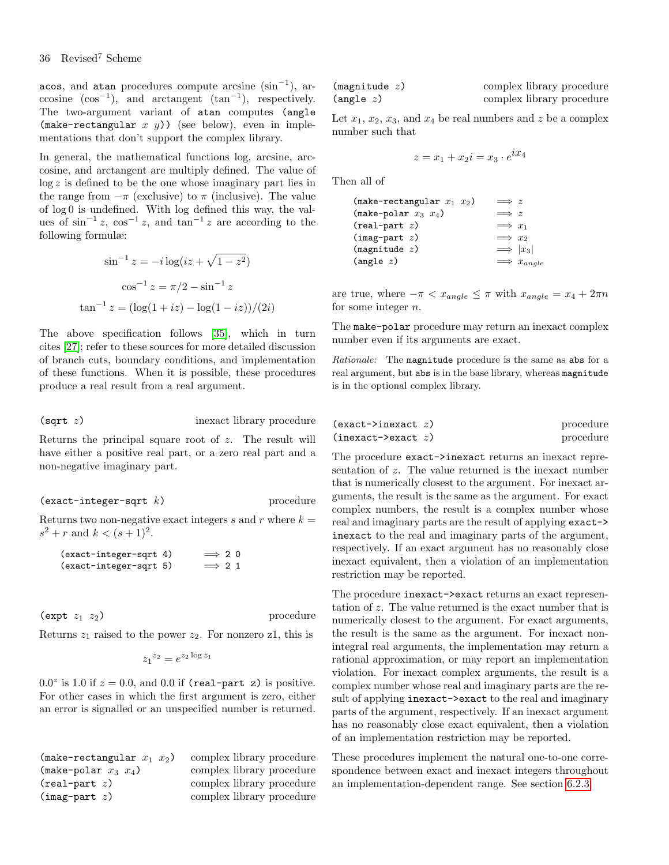acos, and atan procedures compute arcsine  $(\sin^{-1})$ , arccosine  $(cos^{-1})$ , and arctangent  $(tan^{-1})$ , respectively. The two-argument variant of atan computes (angle (make-rectangular  $x$   $y$ )) (see below), even in implementations that don't support the complex library.

In general, the mathematical functions log, arcsine, arccosine, and arctangent are multiply defined. The value of  $\log z$  is defined to be the one whose imaginary part lies in the range from  $-\pi$  (exclusive) to  $\pi$  (inclusive). The value of log 0 is undefined. With log defined this way, the values of  $\sin^{-1} z$ ,  $\cos^{-1} z$ , and  $\tan^{-1} z$  are according to the following formulæ:

$$
\sin^{-1} z = -i \log(iz + \sqrt{1 - z^2})
$$

$$
\cos^{-1} z = \pi/2 - \sin^{-1} z
$$

$$
\tan^{-1} z = (\log(1 + iz) - \log(1 - iz))/(2i)
$$

The above specification follows [\[35\]](#page-75-11), which in turn cites [\[27\]](#page-75-18); refer to these sources for more detailed discussion of branch cuts, boundary conditions, and implementation of these functions. When it is possible, these procedures produce a real result from a real argument.

(sqrt z) inexact library procedure

Returns the principal square root of z. The result will have either a positive real part, or a zero real part and a non-negative imaginary part.

 $(exact-integer-sqrt k)$  procedure

Returns two non-negative exact integers  $s$  and  $r$  where  $k =$  $s^2 + r$  and  $k < (s + 1)^2$ .

| (exact-integer-sqrt 4) | $\implies$ 2.0 |  |
|------------------------|----------------|--|
| (exact-integer-sqrt 5) | $\implies$ 2 1 |  |

 $(\text{expt } z_1 \ z_2)$  procedure

Returns  $z_1$  raised to the power  $z_2$ . For nonzero z1, this is

$$
z_1^{z_2} = e^{z_2 \log z_1}
$$

 $0.0^z$  is 1.0 if  $z = 0.0$ , and 0.0 if (real-part z) is positive. For other cases in which the first argument is zero, either an error is signalled or an unspecified number is returned.

| (make-rectangular $x_1$ $x_2$ ) | complex library procedure |
|---------------------------------|---------------------------|
| $(make-polar x_3 x_4)$          | complex library procedure |
| $(\text{real-part } z)$         | complex library procedure |
| $(\text{imag-part } z)$         | complex library procedure |

| (magnitude z)      | complex library procedure |
|--------------------|---------------------------|
| $(\text{angle} z)$ | complex library procedure |

Let  $x_1, x_2, x_3$ , and  $x_4$  be real numbers and z be a complex number such that

$$
z = x_1 + x_2i = x_3 \cdot e^{ix_4}
$$

Then all of

| (make-rectangular $x_1$ $x_2$ ) | $\implies z$         |
|---------------------------------|----------------------|
| $(make-polar x_3 x_4)$          | $\implies z$         |
| $(\text{real-part } z)$         | $\implies x_1$       |
| $(\text{imag-part } z)$         | $\implies x_2$       |
| (magnitude z)                   | $\implies  x_3 $     |
| $(\text{angle} z)$              | $\implies x_{angle}$ |

are true, where  $-\pi < x_{angle} \leq \pi$  with  $x_{angle} = x_4 + 2\pi n$ for some integer n.

The make-polar procedure may return an inexact complex number even if its arguments are exact.

Rationale: The magnitude procedure is the same as abs for a real argument, but abs is in the base library, whereas magnitude is in the optional complex library.

| $(exact \rightarrow inexact z)$ | procedure |
|---------------------------------|-----------|
| $(inexact$ > exact z)           | procedure |

The procedure exact->inexact returns an inexact representation of z. The value returned is the inexact number that is numerically closest to the argument. For inexact arguments, the result is the same as the argument. For exact complex numbers, the result is a complex number whose real and imaginary parts are the result of applying exact-> inexact to the real and imaginary parts of the argument, respectively. If an exact argument has no reasonably close inexact equivalent, then a violation of an implementation restriction may be reported.

The procedure inexact->exact returns an exact representation of z. The value returned is the exact number that is numerically closest to the argument. For exact arguments, the result is the same as the argument. For inexact nonintegral real arguments, the implementation may return a rational approximation, or may report an implementation violation. For inexact complex arguments, the result is a complex number whose real and imaginary parts are the result of applying inexact->exact to the real and imaginary parts of the argument, respectively. If an inexact argument has no reasonably close exact equivalent, then a violation of an implementation restriction may be reported.

These procedures implement the natural one-to-one correspondence between exact and inexact integers throughout an implementation-dependent range. See section [6.2.3.](#page-30-0)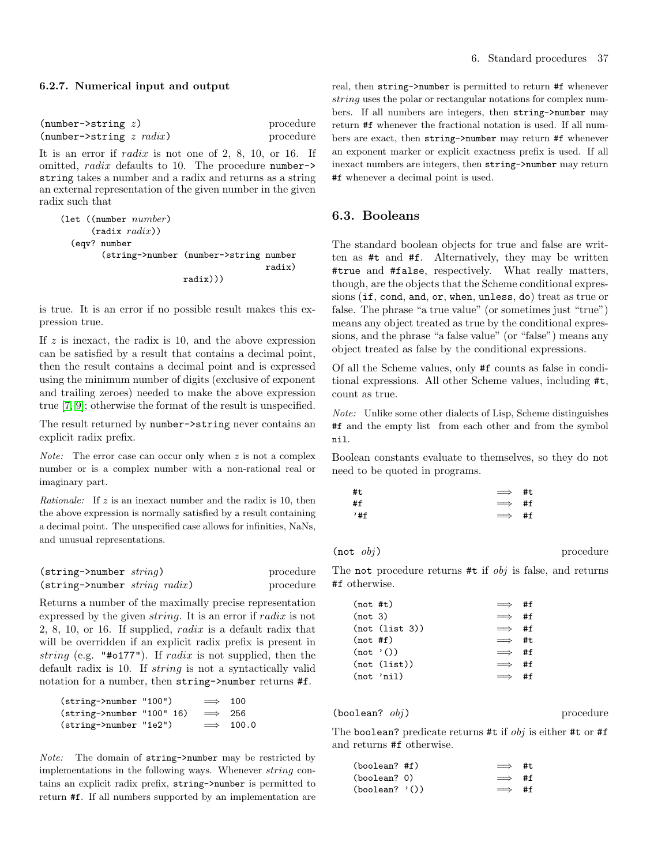#### 6.2.7. Numerical input and output

| $(number \rightarrow string z)$           | procedure |
|-------------------------------------------|-----------|
| $(number \rightarrow string \ z \ radix)$ | procedure |

It is an error if radix is not one of 2, 8, 10, or 16. If omitted, radix defaults to 10. The procedure number-> string takes a number and a radix and returns as a string an external representation of the given number in the given radix such that

```
(let ((number number)
      (radix \; radius)(eqv? number
        (string->number (number->string number
                                          radix)
                         radix)))
```
is true. It is an error if no possible result makes this expression true.

If  $z$  is inexact, the radix is 10, and the above expression can be satisfied by a result that contains a decimal point, then the result contains a decimal point and is expressed using the minimum number of digits (exclusive of exponent and trailing zeroes) needed to make the above expression true [\[7,](#page-74-0) [9\]](#page-74-1); otherwise the format of the result is unspecified.

The result returned by number- $\gt$ string never contains an explicit radix prefix.

*Note:* The error case can occur only when  $z$  is not a complex number or is a complex number with a non-rational real or imaginary part.

Rationale: If z is an inexact number and the radix is 10, then the above expression is normally satisfied by a result containing a decimal point. The unspecified case allows for infinities, NaNs, and unusual representations.

| $(string \rightarrow number \ string)$  | procedure |
|-----------------------------------------|-----------|
| $(\text{string}$ ->number string radix) | procedure |

Returns a number of the maximally precise representation expressed by the given string. It is an error if radix is not 2, 8, 10, or 16. If supplied, radix is a default radix that will be overridden if an explicit radix prefix is present in string (e.g. "#0177"). If radix is not supplied, then the default radix is 10. If string is not a syntactically valid notation for a number, then string->number returns #f.

| (string->number "100")                 | $\implies$ 100 |                  |
|----------------------------------------|----------------|------------------|
| $(string \rightarrow number$ "100" 16) | $\implies$ 256 |                  |
| (string->number "1e2")                 |                | $\implies$ 100.0 |

Note: The domain of string->number may be restricted by implementations in the following ways. Whenever string contains an explicit radix prefix, string->number is permitted to return #f. If all numbers supported by an implementation are real, then string->number is permitted to return #f whenever string uses the polar or rectangular notations for complex numbers. If all numbers are integers, then string->number may return #f whenever the fractional notation is used. If all numbers are exact, then string->number may return #f whenever an exponent marker or explicit exactness prefix is used. If all inexact numbers are integers, then string->number may return #f whenever a decimal point is used.

## 6.3. Booleans

The standard boolean objects for true and false are written as #t and #f. Alternatively, they may be written #true and #false, respectively. What really matters, though, are the objects that the Scheme conditional expressions (if, cond, and, or, when, unless, do) treat as true or false. The phrase "a true value" (or sometimes just "true") means any object treated as true by the conditional expressions, and the phrase "a false value" (or "false") means any object treated as false by the conditional expressions.

Of all the Scheme values, only #f counts as false in conditional expressions. All other Scheme values, including #t, count as true.

Note: Unlike some other dialects of Lisp, Scheme distinguishes #f and the empty list from each other and from the symbol nil.

Boolean constants evaluate to themselves, so they do not need to be quoted in programs.

| #t  | $\implies$ #t |  |
|-----|---------------|--|
| #f  | $\implies$ #f |  |
| '#f | $\implies$ #f |  |

 $(\text{not } obi)$  procedure

The not procedure returns #t if *obj* is false, and returns #f otherwise.

| $(not$ #t) |                | $\implies$ #f |    |
|------------|----------------|---------------|----|
| (not 3)    |                | $\implies$    | #f |
|            | (not (list 3)) | $\implies$    | #f |
| (not #f)   |                | $\implies$ #t |    |
| (not '())  |                | $\implies$ #f |    |
|            | (not (list))   | $\implies$    | #f |
|            | (not 'nil)     | $\implies$    | #f |

 $(boolean?$   $obj)$  procedure

The boolean? predicate returns #t if  $obj$  is either #t or #f and returns #f otherwise.

| (boolean? #f)    | $\implies$ #t. |  |
|------------------|----------------|--|
| (boolean? 0)     | $\implies$ #f  |  |
| $(boolean?$ '()) | $\implies$ #f  |  |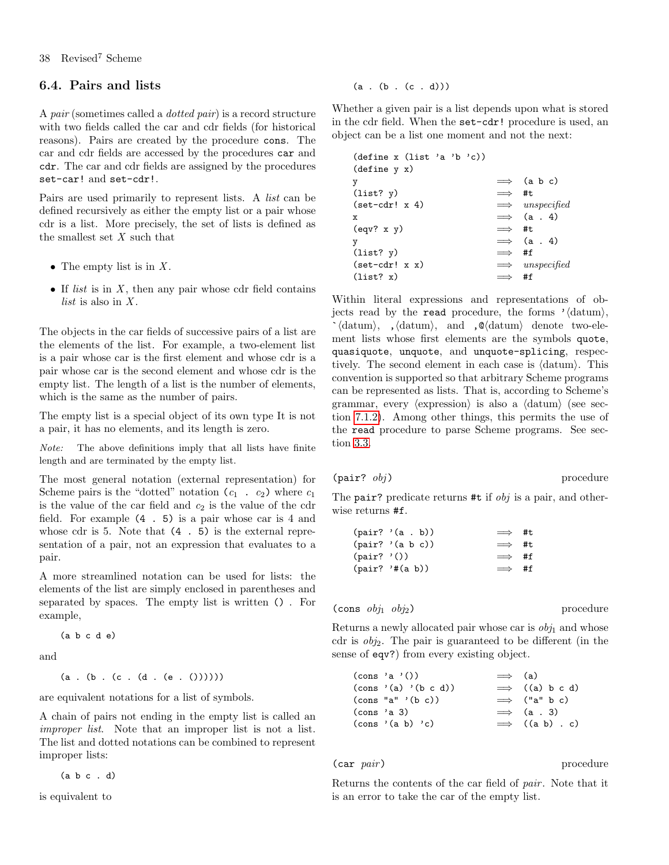# <span id="page-37-0"></span>6.4. Pairs and lists

A pair (sometimes called a dotted pair) is a record structure with two fields called the car and cdr fields (for historical reasons). Pairs are created by the procedure cons. The car and cdr fields are accessed by the procedures car and cdr. The car and cdr fields are assigned by the procedures set-car! and set-cdr!.

Pairs are used primarily to represent lists. A list can be defined recursively as either the empty list or a pair whose cdr is a list. More precisely, the set of lists is defined as the smallest set  $X$  such that

- The empty list is in  $X$ .
- If *list* is in  $X$ , then any pair whose cdr field contains *list* is also in  $X$ .

The objects in the car fields of successive pairs of a list are the elements of the list. For example, a two-element list is a pair whose car is the first element and whose cdr is a pair whose car is the second element and whose cdr is the empty list. The length of a list is the number of elements, which is the same as the number of pairs.

The empty list is a special object of its own type It is not a pair, it has no elements, and its length is zero.

Note: The above definitions imply that all lists have finite length and are terminated by the empty list.

The most general notation (external representation) for Scheme pairs is the "dotted" notation  $(c_1 \cdot c_2)$  where  $c_1$ is the value of the car field and  $c_2$  is the value of the cdr field. For example (4 . 5) is a pair whose car is 4 and whose cdr is 5. Note that (4 . 5) is the external representation of a pair, not an expression that evaluates to a pair.

A more streamlined notation can be used for lists: the elements of the list are simply enclosed in parentheses and separated by spaces. The empty list is written () . For example,

$$
(a \ b \ c \ d \ e)
$$

and

 $(a . (b . (c . (d . (e . ())))))$ 

are equivalent notations for a list of symbols.

A chain of pairs not ending in the empty list is called an improper list. Note that an improper list is not a list. The list and dotted notations can be combined to represent improper lists:

(a b c . d)

is equivalent to

$$
(a \cdot (b \cdot (c \cdot d)))
$$

Whether a given pair is a list depends upon what is stored in the cdr field. When the set-cdr! procedure is used, an object can be a list one moment and not the next:

|               | $\implies$ (a b c)     |
|---------------|------------------------|
| $\implies$ #t |                        |
|               | $\implies$ unspecified |
|               | $\implies$ (a. 4)      |
| $\implies$ #t |                        |
|               | $\implies$ (a. 4)      |
| $\implies$ #f |                        |
|               | $\implies$ unspecified |
|               | #f                     |
|               |                        |

Within literal expressions and representations of objects read by the read procedure, the forms  $\prime\langle \text{datum} \rangle$ ,  $\check{h}$  (datum), , (datum), and ,  $\&$  (datum) denote two-element lists whose first elements are the symbols quote, quasiquote, unquote, and unquote-splicing, respectively. The second element in each case is  $\langle \text{datum} \rangle$ . This convention is supported so that arbitrary Scheme programs can be represented as lists. That is, according to Scheme's grammar, every  $\langle$  expression $\rangle$  is also a  $\langle$  datum $\rangle$  (see section [7.1.2\)](#page-57-0). Among other things, this permits the use of the read procedure to parse Scheme programs. See section [3.3.](#page-9-0)

$$
\text{(pair? } obj) \qquad \qquad \text{procedure}
$$

The pair? predicate returns  $#t$  if  $obj$  is a pair, and otherwise returns #f.

| $(\text{pair? } '(a \cdot b))$   | $\implies$ #t |  |
|----------------------------------|---------------|--|
| $(\text{pair? } (\text{a b c}))$ | $\implies$ #t |  |
| $(\text{pair? } '())$            | $\implies$ #f |  |
| $(\text{pair? } '#(a b))$        | $\implies$ #f |  |

$$
(\hbox{\tt cons }~ obj_1 ~obj_2)
$$

procedure

Returns a newly allocated pair whose car is  $obj_1$  and whose cdr is  $obj_2$ . The pair is guaranteed to be different (in the sense of eqv?) from every existing object.

|             | $\text{(cons 'a '())}$                             | $\implies$ (a) |                        |
|-------------|----------------------------------------------------|----------------|------------------------|
|             | $\text{(cons } \text{'(a)} \text{'(b c d)})$       |                | $\implies$ ((a) b c d) |
|             | $\frac{\text{cons}}{\text{max}}$ (b c))            |                | $\implies$ ("a" b c)   |
| (cons 'a 3) |                                                    |                | $\implies$ (a. 3)      |
|             | $\frac{\cos \theta}{\cos \theta}$ (cons '(a b) 'c) |                | $\implies$ ((a b) . c) |

$$
(\mathtt{car}\ \it{pair})
$$

 $(iv)$  procedure

Returns the contents of the car field of pair . Note that it is an error to take the car of the empty list.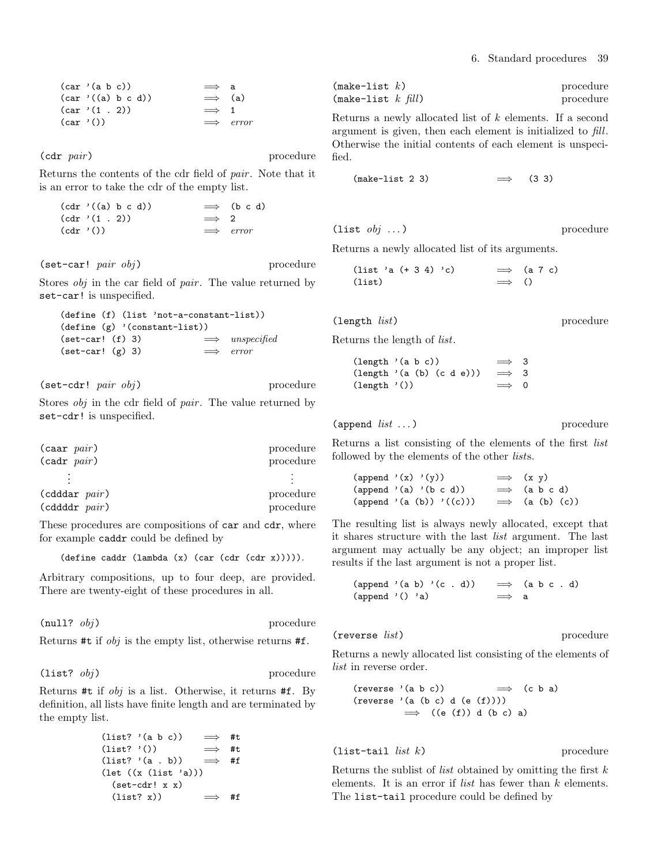|           | (car '(a b c)) |                   | $\implies$ a   |                  |
|-----------|----------------|-------------------|----------------|------------------|
|           |                | (car'((a) b c d)) | $\implies$ (a) |                  |
|           | (car '(1 . 2)) |                   | $\implies$ 1   |                  |
| (car'()') |                |                   |                | $\implies$ error |

(cdr pair) procedure

Returns the contents of the cdr field of pair . Note that it is an error to take the cdr of the empty list.

```
(cdr'((a) b c d)) \implies (b c d)(\text{cdr } '(1 \ . 2)) \implies 2
(\text{cdr } '()) \implies error
```
 $(\text{set-car! } pair \ obj)$  procedure

Stores *obj* in the car field of *pair*. The value returned by set-car! is unspecified.

```
(define (f) (list 'not-a-constant-list))
(define (g) '(constant-list))
(set-car! (f) 3) \implies unspecified
(set-car! (g) 3) \implies error
```
(set-cdr! pair obj) procedure

Stores *obj* in the cdr field of *pair*. The value returned by set-cdr! is unspecified.

| $(caar\ pair)$    | procedure |
|-------------------|-----------|
| $(cadr\ pair)$    | procedure |
|                   |           |
| $(cddar\ pair)$   | procedure |
| $(cddd$ r $pair)$ | procedure |

These procedures are compositions of car and cdr, where for example caddr could be defined by

(define caddr (lambda (x) (car (cdr (cdr x))))).

Arbitrary compositions, up to four deep, are provided. There are twenty-eight of these procedures in all.

 $\text{(null? } obj)$  procedure

Returns #t if obj is the empty list, otherwise returns #f.

 $(list?$   $obj)$  procedure

Returns #t if obj is a list. Otherwise, it returns #f. By definition, all lists have finite length and are terminated by the empty list.

$$
\begin{array}{rcl} \text{(list? 'a b c))} & \implies \text{#t} \\ \text{(list? '())} & \implies \text{#t} \\ \text{(list? 'a . b))} & \implies \text{#f} \\ \text{(let ((x (list 'a)))} \\ \text{(set-cdr! x x)} \\ \text{(list? x))} & \implies \text{#f} \end{array}
$$

| $(make-list k)$      | procedure |
|----------------------|-----------|
| (make-list $k$ fill) | procedure |

Returns a newly allocated list of k elements. If a second argument is given, then each element is initialized to fill. Otherwise the initial contents of each element is unspecified.

 $(make-list 2 3)$   $\implies$  (3 3)

(list  $obj$  ...) procedure

Returns a newly allocated list of its arguments.

| $(list 'a (+ 3 4) 'c)$ |               | $\implies$ (a 7 c) |
|------------------------|---------------|--------------------|
| (list)                 | $\implies$ () |                    |

(length *list*) procedure

Returns the length of list.

(length '(a b c))  $\implies$  3 (length '(a (b) (c d e)))  $\implies$  3  $(\text{length } '())$   $\implies 0$ 

 $\text{(append } list \dots)$  procedure

Returns a list consisting of the elements of the first list followed by the elements of the other lists.

(append '(x) '(y))  $\implies$  (x y) (append '(a) '(b c d))  $\implies$  (a b c d)  $(\text{append } (a (b)) )'((c))) \implies (a (b) (c))$ 

The resulting list is always newly allocated, except that it shares structure with the last list argument. The last argument may actually be any object; an improper list results if the last argument is not a proper list.

$$
\begin{array}{rcl}\n\text{(append } ' (a b) ' (c d)) & \implies & (a b c d) \\
\text{(append } '() 'a) & \implies a\n\end{array}
$$

(reverse *list*) procedure

Returns a newly allocated list consisting of the elements of list in reverse order.

(reverse '(a b c)) 
$$
\implies
$$
 (c b a)  
(reverse '(a (b c) d (e (f))))  
 $\implies$  ((e (f)) d (b c) a)

$$
(list-tail list k) \t\t procedure
$$

Returns the sublist of *list* obtained by omitting the first  $k$ elements. It is an error if *list* has fewer than  $k$  elements. The list-tail procedure could be defined by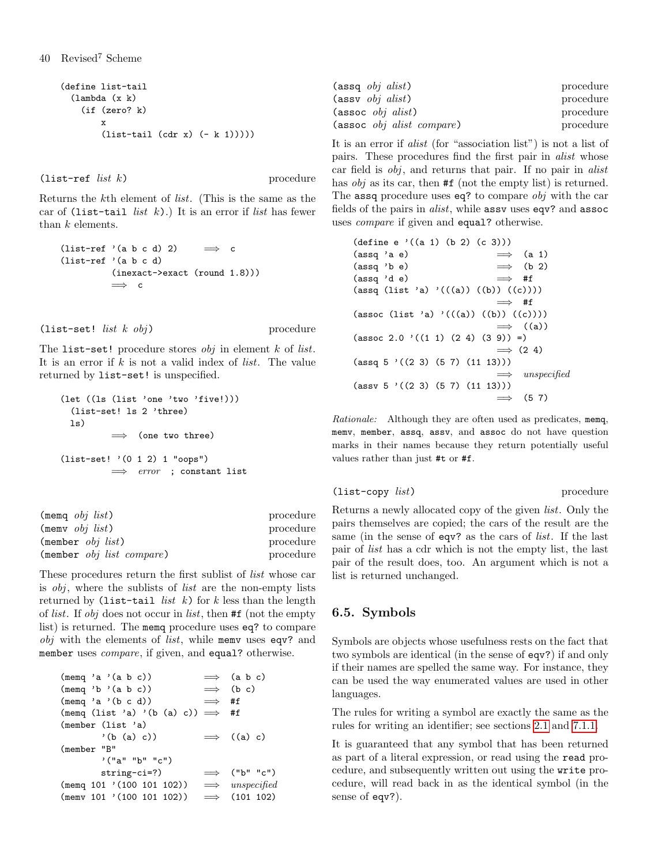```
(define list-tail
  (lambda (x k)
    (if (zero? k)
        x
        (list-tail (cdr x) (- k 1)))))
```
 $(\text{list-ref } list k)$  procedure

Returns the kth element of list. (This is the same as the car of (list-tail *list*  $k$ ).) It is an error if *list* has fewer than k elements.

```
(list-ref '(a b c d) 2) \implies c
(list-ref '(a b c d)
          (inexact->exact (round 1.8)))
          \implies c
```

```
(list-set! list k \ obj) procedure
```
The list-set! procedure stores  $obj$  in element  $k$  of *list*. It is an error if  $k$  is not a valid index of *list*. The value returned by list-set! is unspecified.

```
(let ((ls (list 'one 'two 'five!)))
  (list-set! ls 2 'three)
 \lceils)
           \implies (one two three)
(list-set! '(0 1 2) 1 "oops")
          \implies error ; constant list
```

| $(memq \; obj \; list)$              | procedure |
|--------------------------------------|-----------|
| $(menv \; obj \; list)$              | procedure |
| $(member \; obj \; list)$            | procedure |
| $(member \; obj \; list \; compare)$ | procedure |

These procedures return the first sublist of list whose car is obj, where the sublists of list are the non-empty lists returned by (list-tail *list*  $k$ ) for  $k$  less than the length of list. If obj does not occur in list, then #f (not the empty list) is returned. The memq procedure uses eq? to compare obj with the elements of *list*, while memv uses eqv? and member uses *compare*, if given, and equal? otherwise.

(memq 'a '(a b c)) =⇒ (a b c) (memq 'b '(a b c)) =⇒ (b c) (memq 'a '(b c d)) =⇒ #f (memq (list 'a) '(b (a) c)) =⇒ #f (member (list 'a) '(b (a) c)) =⇒ ((a) c) (member "B" '("a" "b" "c") string-ci=?) =⇒ ("b" "c") (memq 101 '(100 101 102)) =⇒ unspecified (memv 101 '(100 101 102)) =⇒ (101 102)

| $(\text{assq } \text{obj } \text{alist})$              | procedure |
|--------------------------------------------------------|-----------|
| $(\text{assv } \text{obj } \text{alist})$              | procedure |
| $(\text{assoc } obi \text{ alist})$                    | procedure |
| $(\text{assoc } obj \text{ } a list \text{ } compare)$ | procedure |

It is an error if alist (for "association list") is not a list of pairs. These procedures find the first pair in alist whose car field is obj, and returns that pair. If no pair in alist has *obj* as its car, then **#f** (not the empty list) is returned. The assq procedure uses eq? to compare *obj* with the car fields of the pairs in alist, while assv uses eqv? and assoc uses compare if given and equal? otherwise.

| $(\text{define } e \cdot ((a 1) (b 2) (c 3)))$     |                        |
|----------------------------------------------------|------------------------|
| (assq 'a e)                                        | $\implies$ (a 1)       |
| $(\text{assq } 'b e)$                              | $\implies$ (b 2)       |
| (assq 'd e)                                        | $\implies$ #f          |
| $(\text{assq (list 'a) '(((a)) ((b)) ((c))))$      |                        |
|                                                    | $\implies$ #f          |
| (assoc (list 'a) '(((a)) ((b)) ((c))))             |                        |
|                                                    | $\implies$ ((a))       |
| $(\text{assoc } 2.0 \cdot ((1 1) (2 4) (3 9)) = )$ |                        |
|                                                    | $\implies$ (2.4)       |
| $(\text{assq } 5$ ' $((2 3) (5 7) (11 13)))$       |                        |
|                                                    | $\implies$ unspecified |
| $(\text{assv } 5$ '((2 3) (5 7) (11 13)))          |                        |
|                                                    | $\implies$ (5.7)       |

Rationale: Although they are often used as predicates, memq, memv, member, assq, assv, and assoc do not have question marks in their names because they return potentially useful values rather than just #t or #f.

```
(list-copy list) procedure
```
Returns a newly allocated copy of the given list. Only the pairs themselves are copied; the cars of the result are the same (in the sense of eqv? as the cars of *list*. If the last pair of list has a cdr which is not the empty list, the last pair of the result does, too. An argument which is not a list is returned unchanged.

# 6.5. Symbols

Symbols are objects whose usefulness rests on the fact that two symbols are identical (in the sense of eqv?) if and only if their names are spelled the same way. For instance, they can be used the way enumerated values are used in other languages.

The rules for writing a symbol are exactly the same as the rules for writing an identifier; see sections [2.1](#page-6-0) and [7.1.1.](#page-56-0)

It is guaranteed that any symbol that has been returned as part of a literal expression, or read using the read procedure, and subsequently written out using the write procedure, will read back in as the identical symbol (in the sense of eqv?).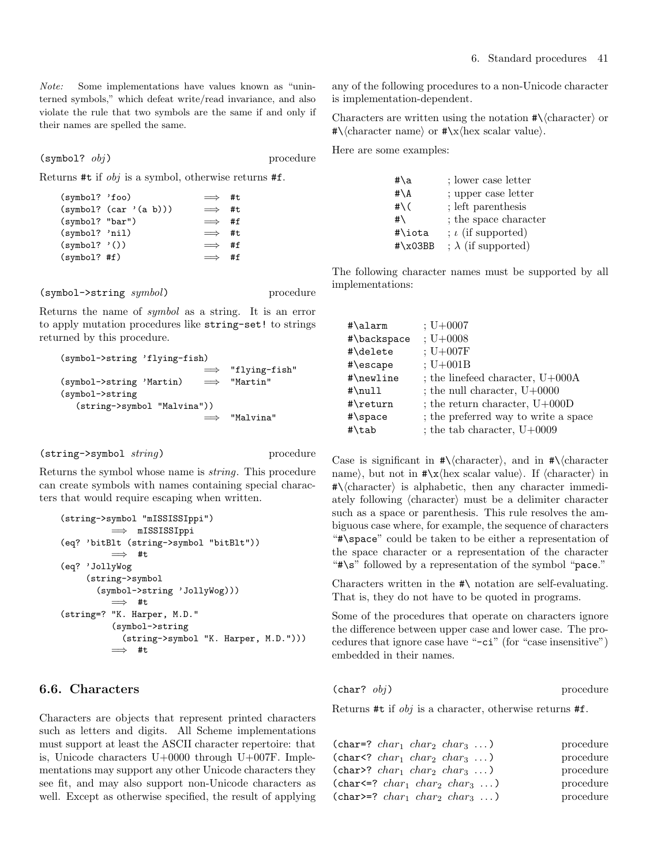Note: Some implementations have values known as "uninterned symbols," which defeat write/read invariance, and also violate the rule that two symbols are the same if and only if their names are spelled the same.

 $(symbol?$   $obj)$  procedure

Returns #t if obj is a symbol, otherwise returns #f.

| (symbol? 'foo)   |                        | $\implies$ #t |  |
|------------------|------------------------|---------------|--|
|                  | (symbol? (car '(a b))) | $\implies$ #t |  |
| (symb01? "bar")  |                        | $\implies$ #f |  |
| $(symbol?$ 'nil) |                        | $\implies$ #t |  |
| $(symb01?$ '())  |                        | $\implies$ #f |  |
| $(symbol?$ #f)   |                        | $\implies$ #f |  |
|                  |                        |               |  |

(symbol->string symbol) procedure

Returns the name of symbol as a string. It is an error to apply mutation procedures like string-set! to strings returned by this procedure.

```
(symbol->string 'flying-fish)
                                "flying-fish"
(symbol->string 'Martin) = "Martin"
(symbol->string
  (string->symbol "Malvina"))
                          =⇒ "Malvina"
```

```
(string->symbol string) procedure
```
Returns the symbol whose name is string. This procedure can create symbols with names containing special characters that would require escaping when written.

```
(string->symbol "mISSISSIppi")
          =⇒ mISSISSIppi
(eq? 'bitBlt (string->symbol "bitBlt"))
          \implies #t
(eq? 'JollyWog
     (string->symbol
       (symbol->string 'JollyWog)))
          \implies #t
(string=? "K. Harper, M.D."
          (symbol->string
            (string->symbol "K. Harper, M.D.")))
          =⇒ #t
```
# 6.6. Characters

Characters are objects that represent printed characters such as letters and digits. All Scheme implementations must support at least the ASCII character repertoire: that is, Unicode characters U+0000 through U+007F. Implementations may support any other Unicode characters they see fit, and may also support non-Unicode characters as well. Except as otherwise specified, the result of applying any of the following procedures to a non-Unicode character is implementation-dependent.

Characters are written using the notation  $\#\langle \text{character} \rangle$  or  $\#\langle \text{character name} \rangle \text{ or } \#\langle x \rangle$  scalar value).

Here are some examples:

| #\a                   | ; lower case letter        |
|-----------------------|----------------------------|
| $\sharp \backslash A$ | ; upper case letter        |
| # $\setminus$ (       | ; left parenthesis         |
| #\                    | ; the space character      |
| #\iota                | $; \iota$ (if supported)   |
| $\#$ \x03BB           | ; $\lambda$ (if supported) |

The following character names must be supported by all implementations:

| #\alarm     | $; U + 0007$                         |
|-------------|--------------------------------------|
| #\backspace | $; U + 0008$                         |
| #\delete    | $; U+007F$                           |
| #\escape    | $; U+001B$                           |
| #\newline   | ; the line feed character, $U+000A$  |
| #\null      | ; the null character, $U+0000$       |
| #\return    | ; the return character, $U+000D$     |
| #\space     | ; the preferred way to write a space |
| #\tab       | ; the tab character, $U+0009$        |

Case is significant in  $\#\langle \text{character} \rangle$ , and in  $\#\langle \text{character} \rangle$ name), but not in  $\#\x$  hex scalar value). If  $\langle$  character $\rangle$  in  $\#\langle \text{character} \rangle$  is alphabetic, then any character immediately following  $\langle$ character $\rangle$  must be a delimiter character such as a space or parenthesis. This rule resolves the ambiguous case where, for example, the sequence of characters "#\space" could be taken to be either a representation of the space character or a representation of the character "#\s" followed by a representation of the symbol "pace."

Characters written in the #\ notation are self-evaluating. That is, they do not have to be quoted in programs.

Some of the procedures that operate on characters ignore the difference between upper case and lower case. The procedures that ignore case have "-ci" (for "case insensitive") embedded in their names.

#### $(char? \; obj)$  procedure

Returns #t if  $obj$  is a character, otherwise returns #f.

| (char=? $char_1$ char <sub>2</sub> char <sub>3</sub> ) | procedure |
|--------------------------------------------------------|-----------|
| (char <math char_1 $char_2$ $char_3$ )                 | procedure |
| (char>? $char_1$ char <sub>2</sub> char <sub>3</sub> ) | procedure |
| (char<=? $char_1$ $char_2$ $char_3$ )                  | procedure |
| (char>=? $char_1$ $char_2$ $char_3$ )                  | procedure |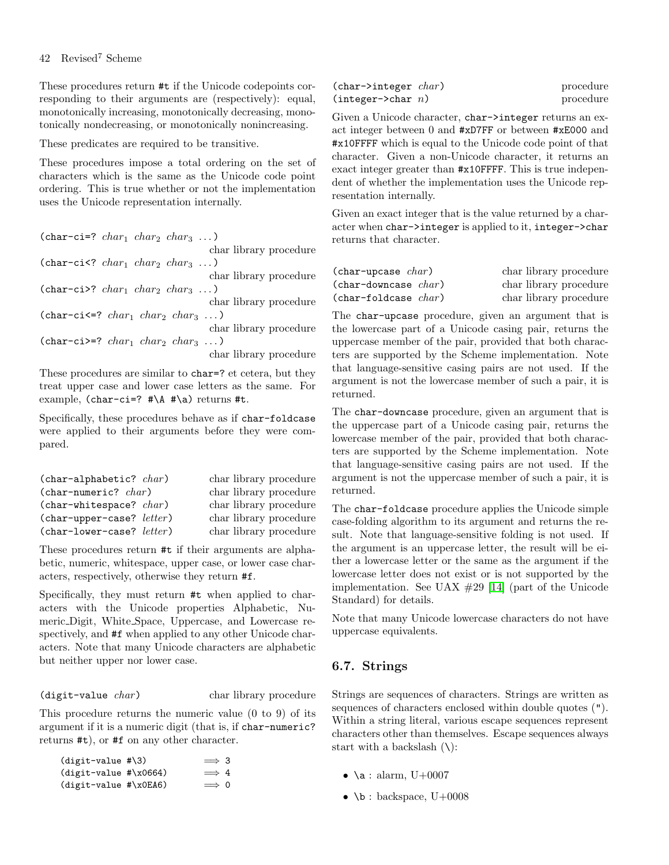These procedures return #t if the Unicode codepoints corresponding to their arguments are (respectively): equal, monotonically increasing, monotonically decreasing, monotonically nondecreasing, or monotonically nonincreasing.

These predicates are required to be transitive.

These procedures impose a total ordering on the set of characters which is the same as the Unicode code point ordering. This is true whether or not the implementation uses the Unicode representation internally.

| $(char-ci=? char_1 char_2 char_3 )$   |
|---------------------------------------|
| char library procedure                |
| (char-ci <math char_1 char_2 char_3 ) |
| char library procedure                |
| (char-ci>? $char_1 char_2 char_3 $ )  |
| char library procedure                |
| (char-ci<=? $char_1 char_2 char_3 $ ) |
| char library procedure                |
| (char-ci>=? $char_1 char_2 char_3 $ ) |
| char library procedure                |

These procedures are similar to char=? et cetera, but they treat upper case and lower case letters as the same. For example, (char-ci=?  $\# \A \# \a)$  returns #t.

Specifically, these procedures behave as if char-foldcase were applied to their arguments before they were compared.

| $(char-alphabetic? char)$               | char library procedure |
|-----------------------------------------|------------------------|
| $(char-numberic? \ char)$               | char library procedure |
| $(char-whitespace? char)$               | char library procedure |
| $(char \neg upper \neg case?$ $letter)$ | char library procedure |
| (char-lower-case? letter)               | char library procedure |

These procedures return #t if their arguments are alphabetic, numeric, whitespace, upper case, or lower case characters, respectively, otherwise they return #f.

Specifically, they must return #t when applied to characters with the Unicode properties Alphabetic, Numeric Digit, White Space, Uppercase, and Lowercase respectively, and #f when applied to any other Unicode characters. Note that many Unicode characters are alphabetic but neither upper nor lower case.

#### (digit-value *char*) char library procedure

This procedure returns the numeric value (0 to 9) of its argument if it is a numeric digit (that is, if char-numeric? returns #t), or #f on any other character.

| $(digit-value$ #\3)       | $\implies$ 3 |  |
|---------------------------|--------------|--|
| $(digit-value$ # $x0664)$ | $\implies$ 4 |  |
| $(digit-value$ # $x0EA6)$ | $\implies$ 0 |  |

| $(char \rightarrow integer \ char)$ | procedure |
|-------------------------------------|-----------|
| (integer > char n)                  | procedure |

Given a Unicode character, char->integer returns an exact integer between 0 and #xD7FF or between #xE000 and #x10FFFF which is equal to the Unicode code point of that character. Given a non-Unicode character, it returns an exact integer greater than #x10FFFF. This is true independent of whether the implementation uses the Unicode representation internally.

Given an exact integer that is the value returned by a character when char->integer is applied to it, integer->char returns that character.

| $(char$ -upcase $char)$  | char library procedure |
|--------------------------|------------------------|
| $(char-downcase \ char)$ | char library procedure |
| $(char-foldcase \ char)$ | char library procedure |

The char-upcase procedure, given an argument that is the lowercase part of a Unicode casing pair, returns the uppercase member of the pair, provided that both characters are supported by the Scheme implementation. Note that language-sensitive casing pairs are not used. If the argument is not the lowercase member of such a pair, it is returned.

The char-downcase procedure, given an argument that is the uppercase part of a Unicode casing pair, returns the lowercase member of the pair, provided that both characters are supported by the Scheme implementation. Note that language-sensitive casing pairs are not used. If the argument is not the uppercase member of such a pair, it is returned.

The char-foldcase procedure applies the Unicode simple case-folding algorithm to its argument and returns the result. Note that language-sensitive folding is not used. If the argument is an uppercase letter, the result will be either a lowercase letter or the same as the argument if the lowercase letter does not exist or is not supported by the implementation. See UAX #29 [\[14\]](#page-75-0) (part of the Unicode Standard) for details.

Note that many Unicode lowercase characters do not have uppercase equivalents.

# 6.7. Strings

Strings are sequences of characters. Strings are written as sequences of characters enclosed within double quotes ("). Within a string literal, various escape sequences represent characters other than themselves. Escape sequences always start with a backslash  $(\lambda)$ :

- \a : alarm,  $U+0007$
- \b : backspace,  $U+0008$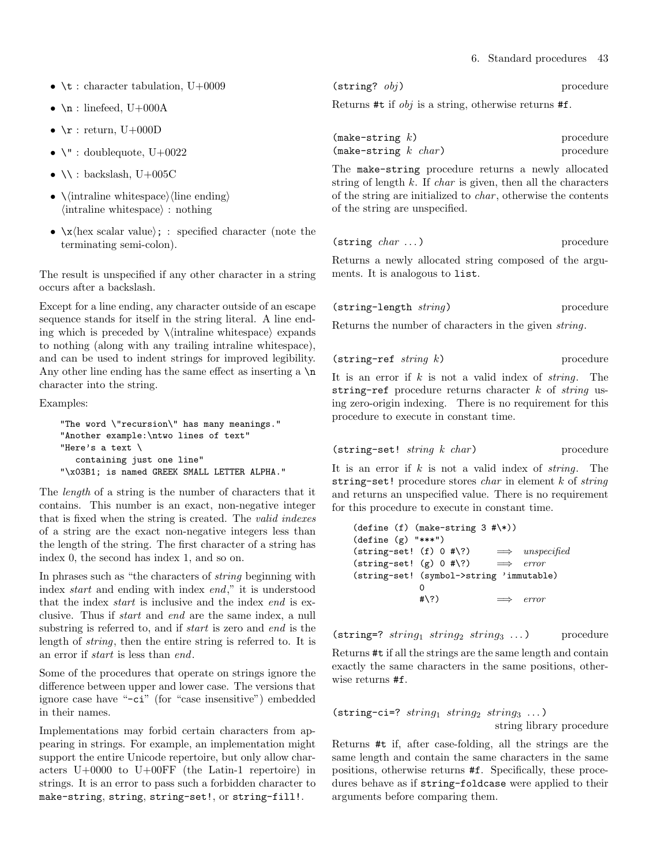- \t : character tabulation,  $U+0009$
- $\in$  : linefeed, U+000A
- $\mathbf{r}$  : return, U+000D
- $\vee$  : doublequote, U+0022
- $\bullet \ \backslash \backslash :$  backslash, U+005C
- $\langle$  intraline whitespace $\rangle$  (line ending)  $\langle$  intraline whitespace $\rangle$ : nothing
- $\langle x \rangle$  \x \lex scalar value}; : specified character (note the terminating semi-colon).

The result is unspecified if any other character in a string occurs after a backslash.

Except for a line ending, any character outside of an escape sequence stands for itself in the string literal. A line ending which is preceded by  $\langle$  intraline whitespace $\rangle$  expands to nothing (along with any trailing intraline whitespace), and can be used to indent strings for improved legibility. Any other line ending has the same effect as inserting a  $\n\lambda$ character into the string.

Examples:

```
"The word \"recursion\" has many meanings."
"Another example:\ntwo lines of text"
"Here's a text \
  containing just one line"
"\x03B1; is named GREEK SMALL LETTER ALPHA."
```
The length of a string is the number of characters that it contains. This number is an exact, non-negative integer that is fixed when the string is created. The valid indexes of a string are the exact non-negative integers less than the length of the string. The first character of a string has index 0, the second has index 1, and so on.

In phrases such as "the characters of string beginning with index start and ending with index end," it is understood that the index start is inclusive and the index end is exclusive. Thus if start and end are the same index, a null substring is referred to, and if *start* is zero and *end* is the length of string, then the entire string is referred to. It is an error if start is less than end.

Some of the procedures that operate on strings ignore the difference between upper and lower case. The versions that ignore case have "-ci" (for "case insensitive") embedded in their names.

Implementations may forbid certain characters from appearing in strings. For example, an implementation might support the entire Unicode repertoire, but only allow characters U+0000 to U+00FF (the Latin-1 repertoire) in strings. It is an error to pass such a forbidden character to make-string, string, string-set!, or string-fill!.

| $(\text{string}$ ? $obj)$ | procedure |  |
|---------------------------|-----------|--|
|                           |           |  |

Returns #t if obj is a string, otherwise returns #f.

| $(make-string k)$      | procedure |
|------------------------|-----------|
| (make-string $k$ char) | procedure |

The make-string procedure returns a newly allocated string of length  $k$ . If *char* is given, then all the characters of the string are initialized to char , otherwise the contents of the string are unspecified.

| $(\text{string }char\ldots)$ |  |  | procedure |
|------------------------------|--|--|-----------|
|------------------------------|--|--|-----------|

Returns a newly allocated string composed of the arguments. It is analogous to list.

| $(\text{string-length string})$ | procedure |
|---------------------------------|-----------|
|                                 |           |

Returns the number of characters in the given string.

$$
(\texttt{string-ref} \ \textit{string} \ k) \qquad \qquad \text{procedure}
$$

It is an error if  $k$  is not a valid index of *string*. The string-ref procedure returns character  $k$  of string using zero-origin indexing. There is no requirement for this procedure to execute in constant time.

```
(\text{string-set! } string \ k \ char) procedure
```
It is an error if  $k$  is not a valid index of *string*. The string-set! procedure stores *char* in element  $k$  of *string* and returns an unspecified value. There is no requirement for this procedure to execute in constant time.

```
(detine (f) (make-string 3 <math>\# \N)</math>)(define (g) "***")
(\text{string-set!} \quad \text{(f)} \quad 0 \text{ #}\text{-}\text{?}) \quad \implies \text{ unspecified}(string-set! (g) 0 #\?) \implies error
(string-set! (symbol->string 'immutable)
                 \Omega\Rightarrow error
```
(string=?  $string_1$   $string_2$   $string_3$  ...) procedure

Returns #t if all the strings are the same length and contain exactly the same characters in the same positions, otherwise returns #f.

```
(string-ci=? string_1 string<sub>2</sub> string<sub>3</sub> ...)
                                           string library procedure
```
Returns #t if, after case-folding, all the strings are the same length and contain the same characters in the same positions, otherwise returns #f. Specifically, these procedures behave as if string-foldcase were applied to their arguments before comparing them.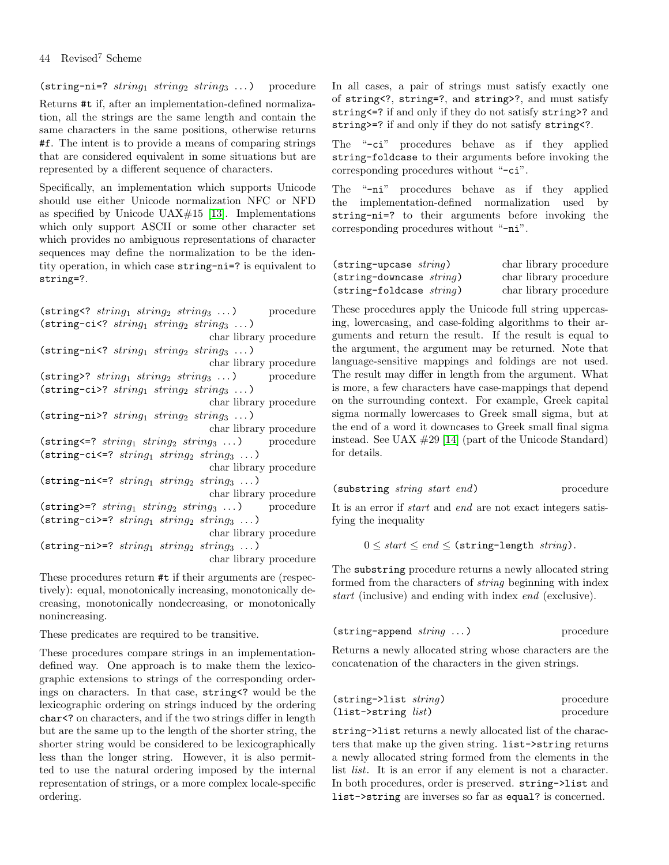44 Revised<sup>7</sup> Scheme

(string-ni=?  $string_1$   $string_2$   $string_3$  ...) procedure

Returns #t if, after an implementation-defined normalization, all the strings are the same length and contain the same characters in the same positions, otherwise returns #f. The intent is to provide a means of comparing strings that are considered equivalent in some situations but are represented by a different sequence of characters.

Specifically, an implementation which supports Unicode should use either Unicode normalization NFC or NFD as specified by Unicode UAX $\#15$  [\[13\]](#page-75-1). Implementations which only support ASCII or some other character set which provides no ambiguous representations of character sequences may define the normalization to be the identity operation, in which case string-ni=? is equivalent to string=?.

 $(\text{string} 2 \text{ string}, \text{string} \text{ string})$  nrocedure

| $\sum_{i=1}^{n}$ and $\sum_{i=1}^{n}$ and $\sum_{i=1}^{n}$ and $\sum_{i=1}^{n}$ and $\sum_{i=1}^{n}$ and $\sum_{i=1}^{n}$ | procedure |
|---------------------------------------------------------------------------------------------------------------------------|-----------|
| (string-ci <math string_1 $string_2$ $string_3$ )                                                                         |           |
| char library procedure                                                                                                    |           |
| (string-ni <math string_1 $string_2$ $string_3$ )                                                                         |           |
| char library procedure                                                                                                    |           |
| (string>? $string_1$ $string_2$ $string_3$ )                                                                              | procedure |
| (string-ci>? $string_1$ $string_2$ $string_3$ )                                                                           |           |
| char library procedure                                                                                                    |           |
| (string-ni>? $string_1$ $string_2$ $string_3$ )                                                                           |           |
| char library procedure                                                                                                    |           |
| $(\text{string} \leq ? \text{ string}_1 \text{ string}_2 \text{ string}_3 \dots)$ procedure                               |           |
| $(\text{string-ci} \leq ? \text{ string}_1 \text{ string}_2 \text{ string}_3 \dots)$                                      |           |
| char library procedure                                                                                                    |           |
| $(\text{string-ni}\leq ? \text{ string}_1 \text{ string}_2 \text{ string}_3 \dots)$                                       |           |
| char library procedure                                                                                                    |           |
| $(\text{string}>=? \text{ string}_1 \text{ string}_2 \text{ string}_3 \dots)$ procedure                                   |           |
| $(\text{string-ci}>=? \text{string}_1 \text{string}_2 \text{string}_3 \dots)$                                             |           |
| char library procedure                                                                                                    |           |
| $(\text{string-ni} \geq ? \, string_1 \, string_2 \, string_3 \, \dots)$                                                  |           |
| char library procedure                                                                                                    |           |
| These procedures return #t if their arguments are (respec-                                                                |           |

tively): equal, monotonically increasing, monotonically decreasing, monotonically nondecreasing, or monotonically nonincreasing.

These predicates are required to be transitive.

These procedures compare strings in an implementationdefined way. One approach is to make them the lexicographic extensions to strings of the corresponding orderings on characters. In that case, string<? would be the lexicographic ordering on strings induced by the ordering char<? on characters, and if the two strings differ in length but are the same up to the length of the shorter string, the shorter string would be considered to be lexicographically less than the longer string. However, it is also permitted to use the natural ordering imposed by the internal representation of strings, or a more complex locale-specific ordering.

In all cases, a pair of strings must satisfy exactly one of string<?, string=?, and string>?, and must satisfy string<=? if and only if they do not satisfy string>? and string>=? if and only if they do not satisfy string<?.

The "-ci" procedures behave as if they applied string-foldcase to their arguments before invoking the corresponding procedures without "-ci".

The "-ni" procedures behave as if they applied the implementation-defined normalization used by string-ni=? to their arguments before invoking the corresponding procedures without "-ni".

| $(\text{string}$ -upcase $string)$   | char library procedure |
|--------------------------------------|------------------------|
| $(\text{string-downcase} \, string)$ | char library procedure |
| $(\text{string-foldcase} \, string)$ | char library procedure |

These procedures apply the Unicode full string uppercasing, lowercasing, and case-folding algorithms to their arguments and return the result. If the result is equal to the argument, the argument may be returned. Note that language-sensitive mappings and foldings are not used. The result may differ in length from the argument. What is more, a few characters have case-mappings that depend on the surrounding context. For example, Greek capital sigma normally lowercases to Greek small sigma, but at the end of a word it downcases to Greek small final sigma instead. See UAX  $\#29$  [\[14\]](#page-75-0) (part of the Unicode Standard) for details.

| (substring <i>string start end</i> ) |  |  |  | procedure |
|--------------------------------------|--|--|--|-----------|
|--------------------------------------|--|--|--|-----------|

It is an error if start and end are not exact integers satisfying the inequality

 $0 \leq start \leq end \leq$  (string-length string).

The substring procedure returns a newly allocated string formed from the characters of string beginning with index start (inclusive) and ending with index end (exclusive).

| $(\text{string-append string} \dots)$ |  |  | procedure |
|---------------------------------------|--|--|-----------|
|---------------------------------------|--|--|-----------|

Returns a newly allocated string whose characters are the concatenation of the characters in the given strings.

| $(string \rightarrow list \ string)$ | procedure |
|--------------------------------------|-----------|
| $(list\rightarrow string list)$      | procedure |

string->list returns a newly allocated list of the characters that make up the given string. list->string returns a newly allocated string formed from the elements in the list *list*. It is an error if any element is not a character. In both procedures, order is preserved. string->list and list->string are inverses so far as equal? is concerned.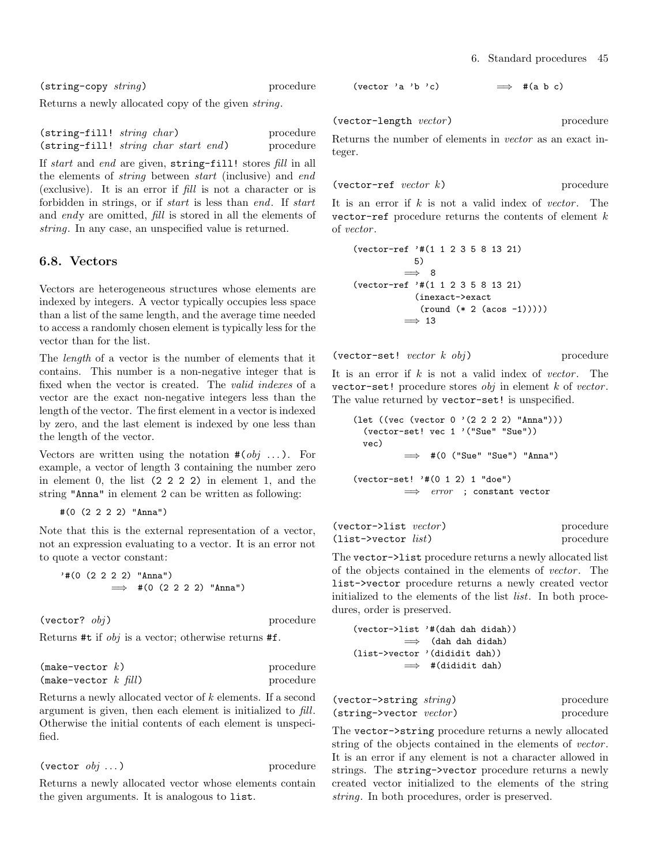(string-copy string) procedure

Returns a newly allocated copy of the given string.

| $(\text{string-fill!} \ string \ char)$ |                                              | procedure |
|-----------------------------------------|----------------------------------------------|-----------|
|                                         | (string-fill! <i>string char start end</i> ) | procedure |

If start and end are given, string-fill! stores fill in all the elements of string between start (inclusive) and end (exclusive). It is an error if fill is not a character or is forbidden in strings, or if start is less than end. If start and endy are omitted, fill is stored in all the elements of string. In any case, an unspecified value is returned.

# 6.8. Vectors

Vectors are heterogeneous structures whose elements are indexed by integers. A vector typically occupies less space than a list of the same length, and the average time needed to access a randomly chosen element is typically less for the vector than for the list.

The length of a vector is the number of elements that it contains. This number is a non-negative integer that is fixed when the vector is created. The valid indexes of a vector are the exact non-negative integers less than the length of the vector. The first element in a vector is indexed by zero, and the last element is indexed by one less than the length of the vector.

Vectors are written using the notation  $\#(obj \dots)$ . For example, a vector of length 3 containing the number zero in element 0, the list (2 2 2 2) in element 1, and the string "Anna" in element 2 can be written as following:

```
#(0 (2 2 2 2) "Anna")
```
Note that this is the external representation of a vector, not an expression evaluating to a vector. It is an error not to quote a vector constant:

```
'#(0 (2 2 2 2) "Anna")
          \implies #(0 (2 2 2 2) "Anna")
```
 $(\text{vector} \text{? } \text{obj})$  procedure

Returns #t if obj is a vector; otherwise returns #f.

| $(make-vector k)$       | procedure |
|-------------------------|-----------|
| (make-vector k $fill$ ) | procedure |

Returns a newly allocated vector of k elements. If a second argument is given, then each element is initialized to fill. Otherwise the initial contents of each element is unspecified.

$$
(vector\; obj\; \dots) \qquad \qquad \text{procedure}
$$

Returns a newly allocated vector whose elements contain the given arguments. It is analogous to list.

```
(vector 'a 'b 'c) \implies #(a b c)
```
(vector-length vector) procedure

Returns the number of elements in vector as an exact integer.

$$
(\text{vector-ref } \text{vector } k) \qquad \qquad \text{procedure}
$$

It is an error if  $k$  is not a valid index of vector. The vector-ref procedure returns the contents of element  $k$ of vector .

$$
(\text{vector-ref} \; \; \text{*(1 1 2 3 5 8 13 21)}
$$
  
\n5)  
\n⇒ 8  
\n
$$
(\text{vector-ref} \; \text{*(1 1 2 3 5 8 13 21)}
$$
  
\n
$$
(\text{inexact->exact}
$$
  
\n
$$
(\text{round} \; (\text{*} \; 2 \; (\text{acos} \; -1))))
$$
  
\n⇒ 13

```
(\text{vector-set! } vector \; k \; obj) procedure
```
It is an error if  $k$  is not a valid index of vector. The vector-set! procedure stores  $obj$  in element  $k$  of vector. The value returned by vector-set! is unspecified.

```
(let ((vec (vector 0 '(2 2 2 2) "Anna")))
 (vector-set! vec 1 '("Sue" "Sue"))
 vec)
               #(0 ("Sue" "Sue") "Anna")
(vector-set! '#(0 1 2) 1 "doe")
         \implies error ; constant vector
```

| $(vector\rightarrow\text{list }vector)$ | procedure |
|-----------------------------------------|-----------|
| $(iist \rightarrow vector list)$        | procedure |

The vector->list procedure returns a newly allocated list of the objects contained in the elements of vector. The list->vector procedure returns a newly created vector initialized to the elements of the list list. In both procedures, order is preserved.

```
(vector->list '#(dah dah didah))
         =⇒ (dah dah didah)
(list->vector '(dididit dah))
         \implies #(dididit dah)
```

| (vector->string $string$ )      | procedure |
|---------------------------------|-----------|
| $(string\text{-}vector vector)$ | procedure |

The vector->string procedure returns a newly allocated string of the objects contained in the elements of *vector*. It is an error if any element is not a character allowed in strings. The string->vector procedure returns a newly created vector initialized to the elements of the string string. In both procedures, order is preserved.

$$
f_{\rm{max}}(x)=\frac{1}{2}x
$$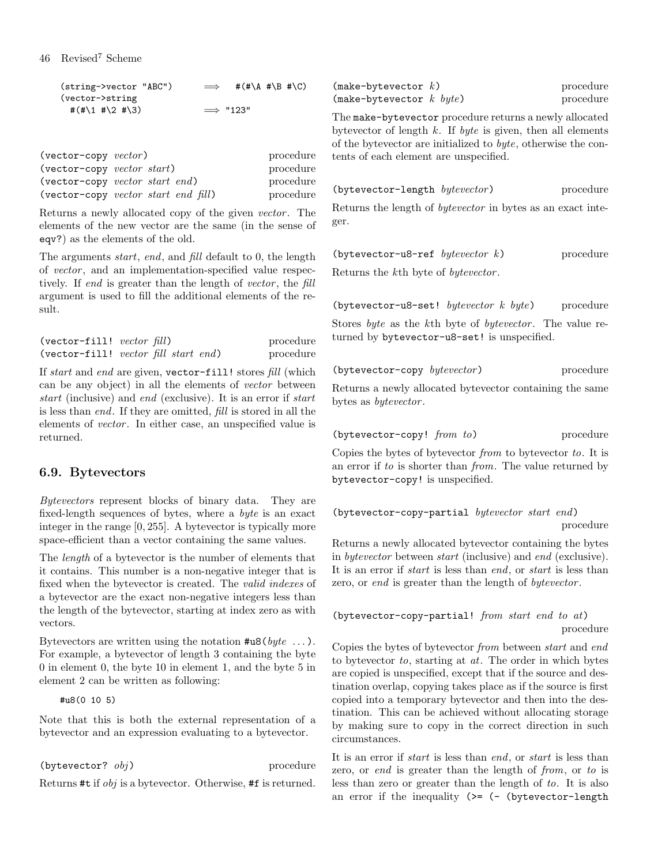46 Revised<sup>7</sup> Scheme

| (string->vector "ABC")  | $\implies$       | # $(*\A \# \B \# \C)$ |  |
|-------------------------|------------------|-----------------------|--|
| (vector->string)        |                  |                       |  |
| # $(\# \1 \# \2 \# \3)$ | $\implies$ "123" |                       |  |

| $(\text{vector-copy } vector)$               |                                                                | procedure |
|----------------------------------------------|----------------------------------------------------------------|-----------|
| $(\text{vector-copy } vector \text{ start})$ |                                                                | procedure |
|                                              | (vector-copy vector start end)                                 | procedure |
|                                              | $(\text{vector-copy } vector \text{ start } end \text{ fill})$ | procedure |

Returns a newly allocated copy of the given vector. The elements of the new vector are the same (in the sense of eqv?) as the elements of the old.

The arguments start, end, and fill default to 0, the length of vector, and an implementation-specified value respectively. If end is greater than the length of vector, the fill argument is used to fill the additional elements of the result.

| $(\text{vector-fill!}\ \ vector\ fill)$ |                                                        | procedure |
|-----------------------------------------|--------------------------------------------------------|-----------|
|                                         | $(\text{vector-fill!}\, \text{vector fill start end})$ | procedure |

If start and end are given, vector-fill! stores fill (which can be any object) in all the elements of vector between start (inclusive) and end (exclusive). It is an error if start is less than end. If they are omitted, fill is stored in all the elements of *vector*. In either case, an unspecified value is returned.

# 6.9. Bytevectors

Bytevectors represent blocks of binary data. They are fixed-length sequences of bytes, where a byte is an exact integer in the range [0, 255]. A bytevector is typically more space-efficient than a vector containing the same values.

The length of a bytevector is the number of elements that it contains. This number is a non-negative integer that is fixed when the bytevector is created. The valid indexes of a bytevector are the exact non-negative integers less than the length of the bytevector, starting at index zero as with vectors.

Bytevectors are written using the notation  $\texttt{#u8}(byte \dots)$ . For example, a bytevector of length 3 containing the byte 0 in element 0, the byte 10 in element 1, and the byte 5 in element 2 can be written as following:

#u8(0 10 5)

Note that this is both the external representation of a bytevector and an expression evaluating to a bytevector.

```
(\text{bytevector? } obj) procedure
```
Returns #t if obj is a bytevector. Otherwise, #f is returned.

| $(make-bytevector k)$            | procedure |
|----------------------------------|-----------|
| $(make-bytevector \; k \; byte)$ | procedure |

procedure The make-bytevector procedure returns a newly allocated bytevector of length  $k$ . If byte is given, then all elements of the bytevector are initialized to byte, otherwise the contents of each element are unspecified.

(bytevector-length bytevector) procedure

Returns the length of bytevector in bytes as an exact integer.

| (bytevector-u8-ref bytevector $k$ ) |  | procedure |
|-------------------------------------|--|-----------|
|                                     |  |           |

Returns the kth byte of bytevector .

(bytevector-u8-set! bytevector  $k$  byte) procedure Stores byte as the kth byte of bytevector. The value returned by bytevector-u8-set! is unspecified.

| (bytevector-copy bytevector) | procedure |
|------------------------------|-----------|
|                              |           |

Returns a newly allocated bytevector containing the same bytes as *bytevector*.

(bytevector-copy! from to) procedure

Copies the bytes of bytevector from to bytevector to. It is an error if to is shorter than from. The value returned by bytevector-copy! is unspecified.

(bytevector-copy-partial bytevector start end) procedure

Returns a newly allocated bytevector containing the bytes in bytevector between start (inclusive) and end (exclusive). It is an error if start is less than end, or start is less than zero, or end is greater than the length of bytevector.

```
(bytevector-copy-partial! from start end to at)
                                           procedure
```
Copies the bytes of bytevector from between start and end to bytevector  $to$ , starting at  $at$ . The order in which bytes are copied is unspecified, except that if the source and destination overlap, copying takes place as if the source is first copied into a temporary bytevector and then into the destination. This can be achieved without allocating storage by making sure to copy in the correct direction in such circumstances.

It is an error if start is less than end, or start is less than zero, or end is greater than the length of from, or to is less than zero or greater than the length of to. It is also an error if the inequality  $(>=$   $(-$  (bytevector-length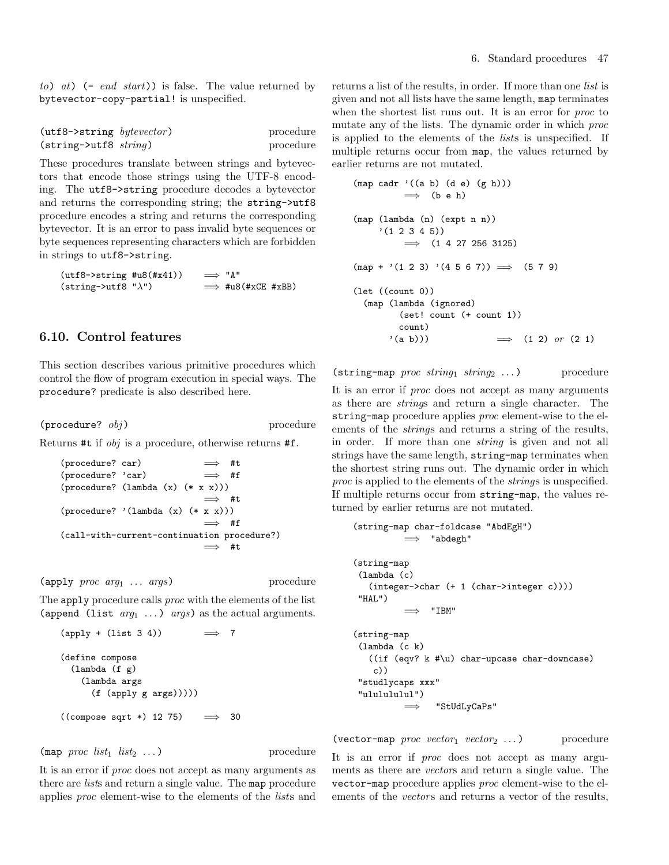to) at)  $(-end start)$  is false. The value returned by bytevector-copy-partial! is unspecified.

| $(\text{utf8->string } by tevector)$ | procedure |
|--------------------------------------|-----------|
| $(string\text{-}butf8 \ string)$     | procedure |

These procedures translate between strings and bytevectors that encode those strings using the UTF-8 encoding. The utf8->string procedure decodes a bytevector and returns the corresponding string; the string->utf8 procedure encodes a string and returns the corresponding bytevector. It is an error to pass invalid byte sequences or byte sequences representing characters which are forbidden in strings to utf8->string.

 $(\text{utf8->string #u8(#x41)}) \implies "A"$  $(string-\text{butf8 }\text{''}\lambda\text{''})$   $\implies$  #u8(#xCE #xBB)

## 6.10. Control features

This section describes various primitive procedures which control the flow of program execution in special ways. The procedure? predicate is also described here.

 $(\text{procedure? } obj)$  procedure?

Returns #t if obj is a procedure, otherwise returns #f.

```
(procedure? car) \implies #t
(procedure? 'car) \implies #f
(procedure? (lambda (x) (* x x)))
                           \implies #t.
(procedure? '(lambda (x) (* x x)))
                           =⇒ #f
(call-with-current-continuation procedure?)
                           \implies #t
```
 $(\text{apply } proc \; arg_1 \; \ldots \; args)$  procedure

The apply procedure calls *proc* with the elements of the list (append (list  $arg_1 \ldots$ ) args) as the actual arguments.

```
(\text{apply} + (\text{list } 3 4)) \Rightarrow 7(define compose
  (lambda (f g)
    (lambda args
      (f (apply g args)))))
((compose sqrt *) 12 75) \implies 30
```
 $(\text{map } proc \; list_1 \; list_2 \; \dots)$  procedure

It is an error if proc does not accept as many arguments as there are *lists* and return a single value. The map procedure applies proc element-wise to the elements of the lists and returns a list of the results, in order. If more than one list is given and not all lists have the same length, map terminates when the shortest list runs out. It is an error for *proc* to mutate any of the lists. The dynamic order in which proc is applied to the elements of the lists is unspecified. If multiple returns occur from map, the values returned by earlier returns are not mutated.

 $\mathcal{L}$  (a b) (d e) (d e) (d e) (d e) (d e) (d e) (d e) (d e) (d e) (d e) (d e) (d e) (d e) (d e) (d e) (d e) (d e) (d e) (d e) (d e) (d e) (d e) (d e) (d e) (d e) (d e) (d e) (d e) (d e) (d e) (d e) (d e) (d e) (d e) (d

```
\n(map cadr '(a b) (d e) (g h)))\n
$$
\implies
$$
 (b e h)\n(map (lambda (n) (expt n n))\n' (1 2 3 4 5))\n
$$
\implies
$$
 (1 4 27 256 3125)\n(map + '(1 2 3) '(4 5 6 7))\n
$$
\implies
$$
 (5 7 9)\n\n(let ((count 0))\n(map (lambda (ignored)\n   (set! count (+ count 1))\n   count)\n' (a b)))\n
$$
\implies
$$
 (1 2) or (2 1)\n
```

(string-map proc string<sub>1</sub> string<sub>2</sub> ...) procedure

It is an error if proc does not accept as many arguments as there are strings and return a single character. The string-map procedure applies *proc* element-wise to the elements of the strings and returns a string of the results, in order. If more than one string is given and not all strings have the same length, string-map terminates when the shortest string runs out. The dynamic order in which proc is applied to the elements of the strings is unspecified. If multiple returns occur from string-map, the values returned by earlier returns are not mutated.

```
(string-map char-foldcase "AbdEgH")
         =⇒ "abdegh"
(string-map
(lambda (c)
  (integer->char (+ 1 (char->integer c))))
"HAL")
               =⇒ "IBM"
(string-map
(lambda (c k)
  ((if (eqv? k #\u) char-upcase char-downcase)
   c))
"studlycaps xxx"
"ululululul")
         =⇒ "StUdLyCaPs"
```
(vector-map  $proc\ vector_1\ vector_2 \dots$ ) procedure It is an error if proc does not accept as many arguments as there are vectors and return a single value. The vector-map procedure applies proc element-wise to the elements of the *vectors* and returns a vector of the results,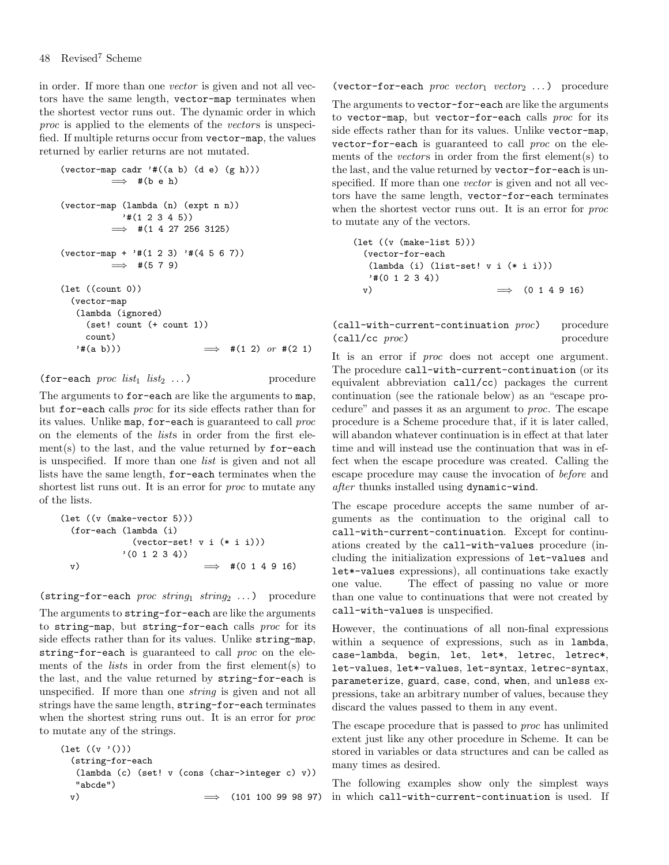in order. If more than one vector is given and not all vectors have the same length, vector-map terminates when the shortest vector runs out. The dynamic order in which  $proc$  is applied to the elements of the *vectors* is unspecified. If multiple returns occur from vector-map, the values returned by earlier returns are not mutated.

```
(vector-map cadr '#((a b) (d e) (g h)))\implies #(b e h)
(vector-map (lambda (n) (expt n n))
            '#(1 2 3 4 5))
          \implies #(1 4 27 256 3125)
(vector-map + '#(1 2 3) '#(4 5 6 7))
         \implies #(5 7 9)
(let ((count 0))
  (vector-map
   (lambda (ignored)
     (set! count (+ count 1))
    count)
   '#(a b))) \implies #(1 2) or #(2 1)
```

```
(for-each proc list_1 list_2 ...) procedure
```
The arguments to for-each are like the arguments to map, but for-each calls proc for its side effects rather than for its values. Unlike map, for-each is guaranteed to call proc on the elements of the lists in order from the first element(s) to the last, and the value returned by for-each is unspecified. If more than one list is given and not all lists have the same length, for-each terminates when the shortest list runs out. It is an error for *proc* to mutate any of the lists.

```
(let ((v (make-vector 5)))
 (for-each (lambda (i)
            (\text{vector-set!} \times i (*)'(0 1 2 3 4))
 v) \implies #(0 1 4 9 16)
```
(string-for-each *proc string*  $string_2$  ...) procedure

The arguments to string-for-each are like the arguments to string-map, but string-for-each calls proc for its side effects rather than for its values. Unlike string-map, string-for-each is guaranteed to call proc on the elements of the lists in order from the first element(s) to the last, and the value returned by string-for-each is unspecified. If more than one string is given and not all strings have the same length, string-for-each terminates when the shortest string runs out. It is an error for *proc* to mutate any of the strings.

```
(let ((v '()))
  (string-for-each
   (lambda (c) (set! v (cons (char->integer c) v))
   "abcde")
```
(vector-for-each proc vector<sub>1</sub> vector<sub>2</sub> ...) procedure

The arguments to vector-for-each are like the arguments to vector-map, but vector-for-each calls proc for its side effects rather than for its values. Unlike vector-map, vector-for-each is guaranteed to call proc on the elements of the *vectors* in order from the first element(s) to the last, and the value returned by vector-for-each is unspecified. If more than one *vector* is given and not all vectors have the same length, vector-for-each terminates when the shortest vector runs out. It is an error for *proc* to mutate any of the vectors.

(let ((v (make-list 5))) (vector-for-each (lambda (i) (list-set! v i (\* i i))) '#(0 1 2 3 4)) v) =⇒ (0 1 4 9 16)

 $(call-with-current-continuation proc)$  procedure (call/cc proc) procedure

It is an error if *proc* does not accept one argument. The procedure call-with-current-continuation (or its equivalent abbreviation call/cc) packages the current continuation (see the rationale below) as an "escape procedure" and passes it as an argument to proc. The escape procedure is a Scheme procedure that, if it is later called, will abandon whatever continuation is in effect at that later time and will instead use the continuation that was in effect when the escape procedure was created. Calling the escape procedure may cause the invocation of before and after thunks installed using dynamic-wind.

The escape procedure accepts the same number of arguments as the continuation to the original call to call-with-current-continuation. Except for continuations created by the call-with-values procedure (including the initialization expressions of let-values and let\*-values expressions), all continuations take exactly one value. The effect of passing no value or more than one value to continuations that were not created by call-with-values is unspecified.

However, the continuations of all non-final expressions within a sequence of expressions, such as in lambda, case-lambda, begin, let, let\*, letrec, letrec\*, let-values, let\*-values, let-syntax, letrec-syntax, parameterize, guard, case, cond, when, and unless expressions, take an arbitrary number of values, because they discard the values passed to them in any event.

The escape procedure that is passed to proc has unlimited extent just like any other procedure in Scheme. It can be stored in variables or data structures and can be called as many times as desired.

v) =⇒ (101 100 99 98 97) in which call-with-current-continuation is used. IfThe following examples show only the simplest ways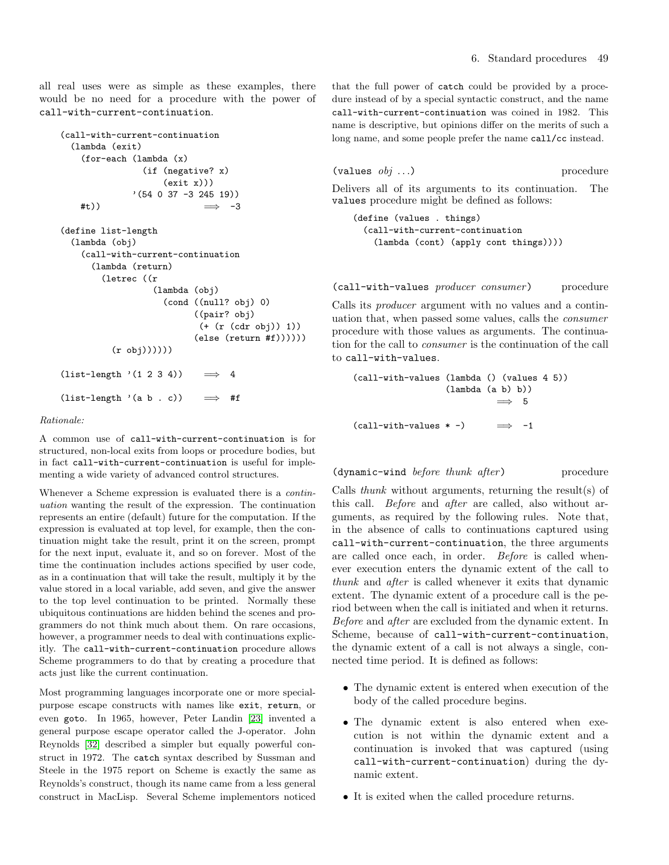all real uses were as simple as these examples, there would be no need for a procedure with the power of call-with-current-continuation.

```
(call-with-current-continuation
  (lambda (exit)
    (for-each (lambda (x)
                (if (negative? x)
                    (exit x)))(54 \t0 \t37 \t -3 \t245 \t19))#t)) \implies -3(define list-length
  (lambda (obj)
    (call-with-current-continuation
      (lambda (return)
        (letrec ((r
                  (lambda (obj)
                    (cond ((null? obj) 0)
                          ((pair? obj)
                           (+ (r (cdr obj)) 1))
                          (else (return #f))))))
          (r \text{ obj}))))(list-length '(1 2 3 4)) \implies 4(list-length '(a b . c)) \implies #f
```
#### Rationale:

A common use of call-with-current-continuation is for structured, non-local exits from loops or procedure bodies, but in fact call-with-current-continuation is useful for implementing a wide variety of advanced control structures.

Whenever a Scheme expression is evaluated there is a *contin*uation wanting the result of the expression. The continuation represents an entire (default) future for the computation. If the expression is evaluated at top level, for example, then the continuation might take the result, print it on the screen, prompt for the next input, evaluate it, and so on forever. Most of the time the continuation includes actions specified by user code, as in a continuation that will take the result, multiply it by the value stored in a local variable, add seven, and give the answer to the top level continuation to be printed. Normally these ubiquitous continuations are hidden behind the scenes and programmers do not think much about them. On rare occasions, however, a programmer needs to deal with continuations explicitly. The call-with-current-continuation procedure allows Scheme programmers to do that by creating a procedure that acts just like the current continuation.

Most programming languages incorporate one or more specialpurpose escape constructs with names like exit, return, or even goto. In 1965, however, Peter Landin [\[23\]](#page-75-2) invented a general purpose escape operator called the J-operator. John Reynolds [\[32\]](#page-75-3) described a simpler but equally powerful construct in 1972. The catch syntax described by Sussman and Steele in the 1975 report on Scheme is exactly the same as Reynolds's construct, though its name came from a less general construct in MacLisp. Several Scheme implementors noticed that the full power of catch could be provided by a procedure instead of by a special syntactic construct, and the name call-with-current-continuation was coined in 1982. This name is descriptive, but opinions differ on the merits of such a long name, and some people prefer the name call/cc instead.

$$
(\texttt{values } \textit{obj} \dots) \qquad \qquad \text{procedure}
$$

Delivers all of its arguments to its continuation. The values procedure might be defined as follows:

(define (values . things) (call-with-current-continuation (lambda (cont) (apply cont things))))

(call-with-values producer consumer) procedure

Calls its producer argument with no values and a continuation that, when passed some values, calls the consumer procedure with those values as arguments. The continuation for the call to consumer is the continuation of the call to call-with-values.

(call-with-values (lambda () (values 4 5)) (lambda (a b) b))  $\implies$  5  $(call-with-values * -)$   $\implies -1$ 

 $(dynamic-wind before thunk after)$  procedure

Calls thunk without arguments, returning the result(s) of this call. Before and after are called, also without arguments, as required by the following rules. Note that, in the absence of calls to continuations captured using call-with-current-continuation, the three arguments are called once each, in order. Before is called whenever execution enters the dynamic extent of the call to thunk and after is called whenever it exits that dynamic extent. The dynamic extent of a procedure call is the period between when the call is initiated and when it returns. Before and after are excluded from the dynamic extent. In Scheme, because of call-with-current-continuation, the dynamic extent of a call is not always a single, connected time period. It is defined as follows:

- The dynamic extent is entered when execution of the body of the called procedure begins.
- The dynamic extent is also entered when execution is not within the dynamic extent and a continuation is invoked that was captured (using call-with-current-continuation) during the dynamic extent.
- It is exited when the called procedure returns.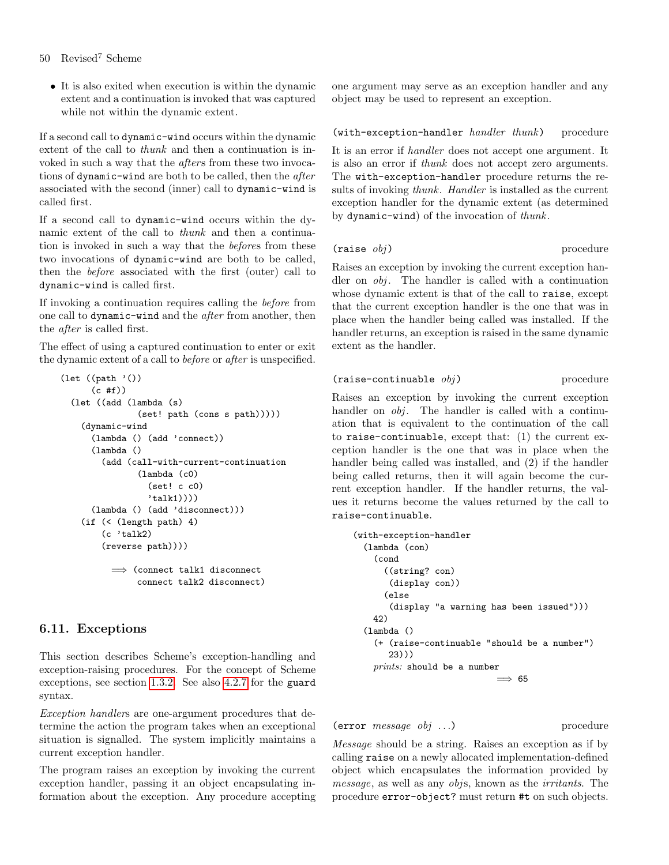• It is also exited when execution is within the dynamic extent and a continuation is invoked that was captured while not within the dynamic extent.

If a second call to dynamic-wind occurs within the dynamic extent of the call to thunk and then a continuation is invoked in such a way that the *afters* from these two invocations of dynamic-wind are both to be called, then the *after* associated with the second (inner) call to dynamic-wind is called first.

If a second call to dynamic-wind occurs within the dynamic extent of the call to thunk and then a continuation is invoked in such a way that the befores from these two invocations of dynamic-wind are both to be called, then the before associated with the first (outer) call to dynamic-wind is called first.

If invoking a continuation requires calling the before from one call to dynamic-wind and the after from another, then the after is called first.

The effect of using a captured continuation to enter or exit the dynamic extent of a call to before or after is unspecified.

```
(let ((path '())(c \#f))(let ((add (lambda (s)
               (set! path (cons s path)))))
   (dynamic-wind
      (lambda () (add 'connect))
      (lambda ()
        (add (call-with-current-continuation
               (lambda (c0)
                 (set! c c0)
                 'talk1))))
      (lambda () (add 'disconnect)))
   (if (< (length path) 4)
        (c 'talk2)
        (reverse path))))
          =⇒ (connect talk1 disconnect
               connect talk2 disconnect)
```
# 6.11. Exceptions

This section describes Scheme's exception-handling and exception-raising procedures. For the concept of Scheme exceptions, see section [1.3.2.](#page-4-0) See also [4.2.7](#page-18-0) for the guard syntax.

Exception handlers are one-argument procedures that determine the action the program takes when an exceptional situation is signalled. The system implicitly maintains a current exception handler.

The program raises an exception by invoking the current exception handler, passing it an object encapsulating information about the exception. Any procedure accepting one argument may serve as an exception handler and any object may be used to represent an exception.

(with-exception-handler handler thunk) procedure

It is an error if handler does not accept one argument. It is also an error if thunk does not accept zero arguments. The with-exception-handler procedure returns the results of invoking thunk. Handler is installed as the current exception handler for the dynamic extent (as determined by dynamic-wind) of the invocation of thunk.

# $(raise \; obj)$  procedure

Raises an exception by invoking the current exception handler on obj. The handler is called with a continuation whose dynamic extent is that of the call to raise, except that the current exception handler is the one that was in place when the handler being called was installed. If the handler returns, an exception is raised in the same dynamic extent as the handler.

# $(raise-continuable \t obj)$  procedure

Raises an exception by invoking the current exception handler on *obj*. The handler is called with a continuation that is equivalent to the continuation of the call to raise-continuable, except that: (1) the current exception handler is the one that was in place when the handler being called was installed, and (2) if the handler being called returns, then it will again become the current exception handler. If the handler returns, the values it returns become the values returned by the call to raise-continuable.

```
(with-exception-handler
  (lambda (con)
    (cond
      ((string? con)
       (display con))
      (else
       (display "a warning has been issued")))
   42)
  (lambda ()
    (+ (raise-continuable "should be a number")
       23)))
    prints: should be a number
                              \implies 65
```
(error *message obj* ...) procedure

Message should be a string. Raises an exception as if by calling raise on a newly allocated implementation-defined object which encapsulates the information provided by message, as well as any objs, known as the irritants. The procedure error-object? must return #t on such objects.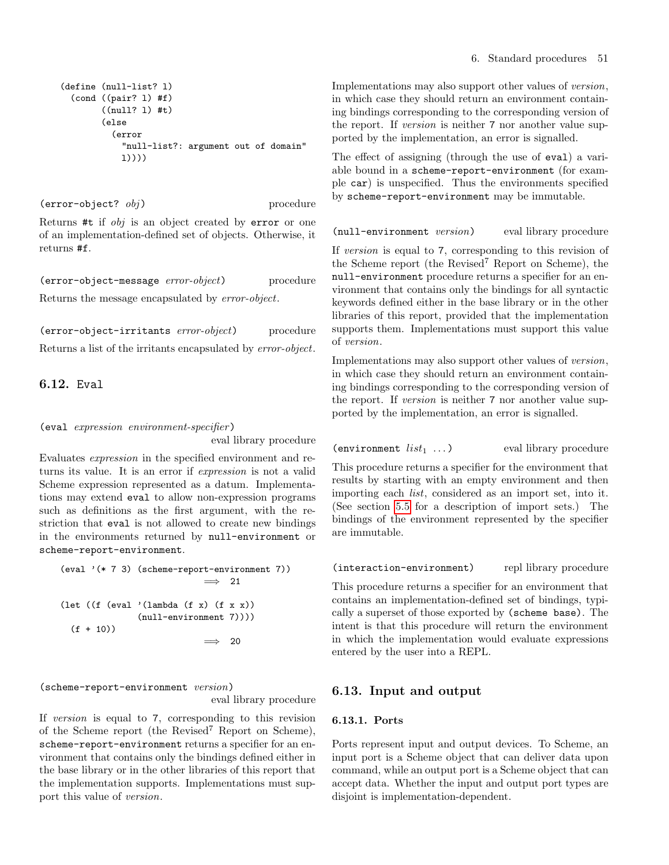```
(define (null-list? l)
  (cond ((pair? l) #f)
        ((null? l) #t)
        (else
          (error
            "null-list?: argument out of domain"
            l))))
```
 $(error-object? \t obj)$  procedure

Returns #t if obj is an object created by error or one of an implementation-defined set of objects. Otherwise, it returns #f.

(error-object-message error-object) procedure Returns the message encapsulated by error-object.

(error-object-irritants error-object) procedure Returns a list of the irritants encapsulated by error-object.

# <span id="page-50-0"></span>6.12. Eval

#### (eval expression environment-specifier)

eval library procedure

Evaluates expression in the specified environment and returns its value. It is an error if expression is not a valid Scheme expression represented as a datum. Implementations may extend eval to allow non-expression programs such as definitions as the first argument, with the restriction that eval is not allowed to create new bindings in the environments returned by null-environment or scheme-report-environment.

$$
\begin{aligned}\n(\text{eval } '(* 7 3) \text{ (scheme-report-environment 7))} &\implies 21 \\
(\text{let } ((f (eval '(lambda (f x) (f x x))) \\ (null-environment 7)))) \\
(f + 10)) &\implies 20\n\end{aligned}
$$

(scheme-report-environment version)

eval library procedure

If version is equal to 7, corresponding to this revision of the Scheme report (the Revised<sup>7</sup> Report on Scheme), scheme-report-environment returns a specifier for an environment that contains only the bindings defined either in the base library or in the other libraries of this report that the implementation supports. Implementations must support this value of version.

Implementations may also support other values of version, in which case they should return an environment containing bindings corresponding to the corresponding version of the report. If version is neither 7 nor another value supported by the implementation, an error is signalled.

The effect of assigning (through the use of eval) a variable bound in a scheme-report-environment (for example car) is unspecified. Thus the environments specified by scheme-report-environment may be immutable.

(null-environment version) eval library procedure

If version is equal to 7, corresponding to this revision of the Scheme report (the Revised<sup>7</sup> Report on Scheme), the null-environment procedure returns a specifier for an environment that contains only the bindings for all syntactic keywords defined either in the base library or in the other libraries of this report, provided that the implementation supports them. Implementations must support this value of version.

Implementations may also support other values of version, in which case they should return an environment containing bindings corresponding to the corresponding version of the report. If version is neither 7 nor another value supported by the implementation, an error is signalled.

```
(environment list_1 \ldots) eval library procedure
```
This procedure returns a specifier for the environment that results by starting with an empty environment and then importing each list, considered as an import set, into it. (See section [5.5](#page-25-0) for a description of import sets.) The bindings of the environment represented by the specifier are immutable.

(interaction-environment) repl library procedure

This procedure returns a specifier for an environment that contains an implementation-defined set of bindings, typically a superset of those exported by (scheme base). The intent is that this procedure will return the environment in which the implementation would evaluate expressions entered by the user into a REPL.

# 6.13. Input and output

# 6.13.1. Ports

Ports represent input and output devices. To Scheme, an input port is a Scheme object that can deliver data upon command, while an output port is a Scheme object that can accept data. Whether the input and output port types are disjoint is implementation-dependent.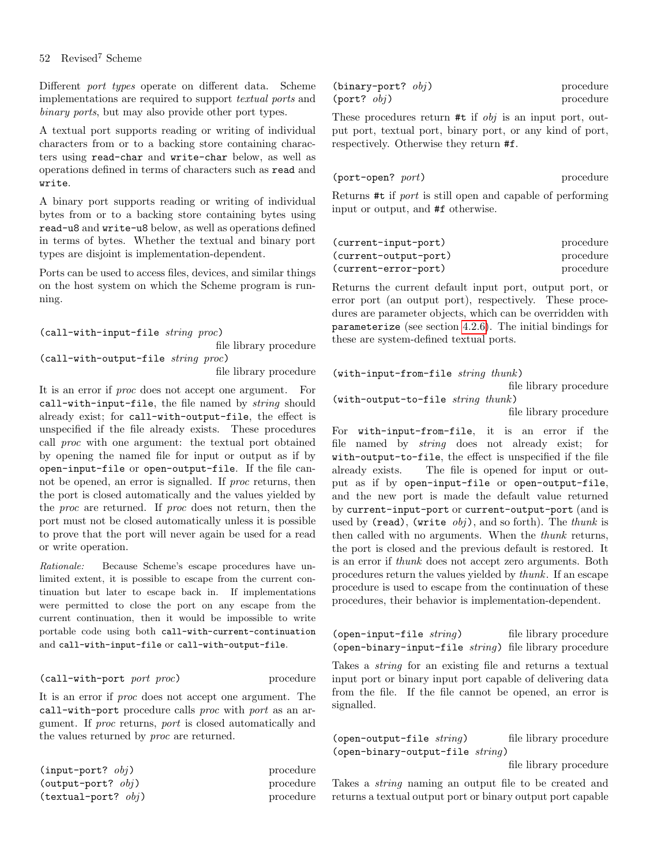Different port types operate on different data. Scheme implementations are required to support textual ports and binary ports, but may also provide other port types.

A textual port supports reading or writing of individual characters from or to a backing store containing characters using read-char and write-char below, as well as operations defined in terms of characters such as read and write.

A binary port supports reading or writing of individual bytes from or to a backing store containing bytes using read-u8 and write-u8 below, as well as operations defined in terms of bytes. Whether the textual and binary port types are disjoint is implementation-dependent.

Ports can be used to access files, devices, and similar things on the host system on which the Scheme program is running.

(call-with-input-file string proc)

file library procedure (call-with-output-file string proc)

file library procedure

It is an error if proc does not accept one argument. For call-with-input-file, the file named by string should already exist; for call-with-output-file, the effect is unspecified if the file already exists. These procedures call proc with one argument: the textual port obtained by opening the named file for input or output as if by open-input-file or open-output-file. If the file cannot be opened, an error is signalled. If *proc* returns, then the port is closed automatically and the values yielded by the proc are returned. If proc does not return, then the port must not be closed automatically unless it is possible to prove that the port will never again be used for a read or write operation.

Rationale: Because Scheme's escape procedures have unlimited extent, it is possible to escape from the current continuation but later to escape back in. If implementations were permitted to close the port on any escape from the current continuation, then it would be impossible to write portable code using both call-with-current-continuation and call-with-input-file or call-with-output-file.

#### (call-with-port port proc) procedure

It is an error if proc does not accept one argument. The call-with-port procedure calls proc with port as an argument. If proc returns, port is closed automatically and the values returned by proc are returned.

| $(\text{input-port? } obj)$ | procedure |
|-----------------------------|-----------|
| (output-port? $obj$ )       | procedure |
| (textual-port? $obj$ )      | procedure |

| (binary-port? $obj$ ) | procedure |
|-----------------------|-----------|
| $(port?$ $obj)$       | procedure |

These procedures return  $#t$  if  $obj$  is an input port, output port, textual port, binary port, or any kind of port, respectively. Otherwise they return #f.

| (port-open? port) | procedure |
|-------------------|-----------|
|                   |           |

Returns #t if port is still open and capable of performing input or output, and #f otherwise.

| (current-input-port)  | procedure |
|-----------------------|-----------|
| (current-output-port) | procedure |
| (current-error-port)  | procedure |

Returns the current default input port, output port, or error port (an output port), respectively. These procedures are parameter objects, which can be overridden with parameterize (see section [4.2.6\)](#page-17-0). The initial bindings for these are system-defined textual ports.

(with-input-from-file string thunk) file library procedure (with-output-to-file string thunk)

file library procedure

For with-input-from-file, it is an error if the file named by string does not already exist; for with-output-to-file, the effect is unspecified if the file already exists. The file is opened for input or output as if by open-input-file or open-output-file, and the new port is made the default value returned by current-input-port or current-output-port (and is used by (read), (write  $obj$ ), and so forth). The thunk is then called with no arguments. When the thunk returns, the port is closed and the previous default is restored. It is an error if thunk does not accept zero arguments. Both procedures return the values yielded by thunk. If an escape procedure is used to escape from the continuation of these procedures, their behavior is implementation-dependent.

 $(\text{open-input-file string})$  file library procedure (open-binary-input-file string) file library procedure

Takes a *string* for an existing file and returns a textual input port or binary input port capable of delivering data from the file. If the file cannot be opened, an error is signalled.

 $(open-output-file \ string)$  file library procedure (open-binary-output-file string)

file library procedure

Takes a string naming an output file to be created and returns a textual output port or binary output port capable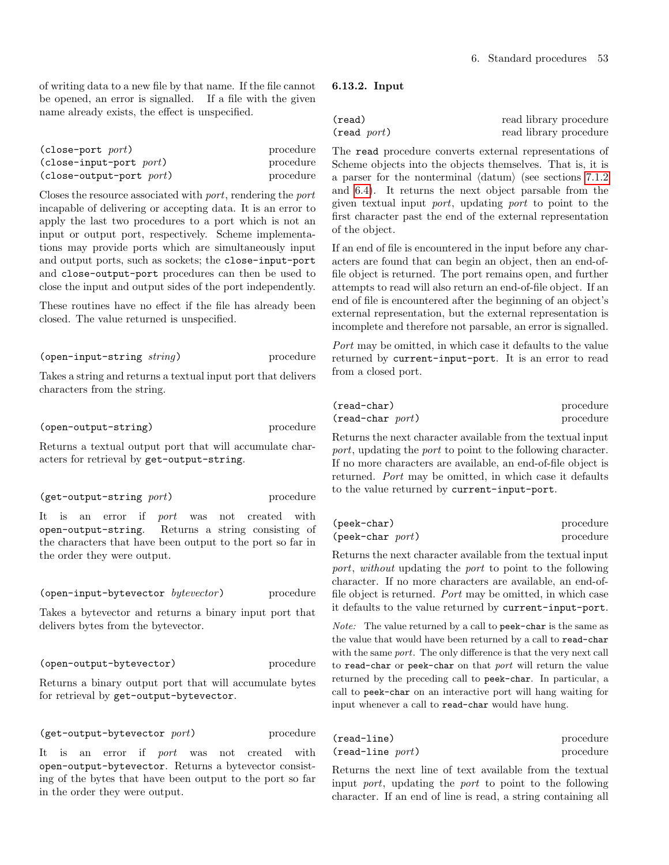of writing data to a new file by that name. If the file cannot be opened, an error is signalled. If a file with the given name already exists, the effect is unspecified.

| $(close-port$ port)       | procedure |
|---------------------------|-----------|
| $(close-input-port$ port) | procedure |
| (close-output-port port)  | procedure |

Closes the resource associated with port, rendering the port incapable of delivering or accepting data. It is an error to apply the last two procedures to a port which is not an input or output port, respectively. Scheme implementations may provide ports which are simultaneously input and output ports, such as sockets; the close-input-port and close-output-port procedures can then be used to close the input and output sides of the port independently.

These routines have no effect if the file has already been closed. The value returned is unspecified.

(open-input-string string) procedure

Takes a string and returns a textual input port that delivers characters from the string.

(open-output-string) procedure

Returns a textual output port that will accumulate characters for retrieval by get-output-string.

(get-output-string port) procedure

It is an error if port was not created with open-output-string. Returns a string consisting of the characters that have been output to the port so far in the order they were output.

(open-input-bytevector bytevector) procedure

Takes a bytevector and returns a binary input port that delivers bytes from the bytevector.

(open-output-bytevector) procedure

Returns a binary output port that will accumulate bytes for retrieval by get-output-bytevector.

 $(get-output-bytevector\ port)$  procedure

It is an error if *port* was not created with open-output-bytevector. Returns a bytevector consisting of the bytes that have been output to the port so far in the order they were output.

#### <span id="page-52-0"></span>6.13.2. Input

| (read)                | read library procedure |
|-----------------------|------------------------|
| $(\text{read } port)$ | read library procedure |

The read procedure converts external representations of Scheme objects into the objects themselves. That is, it is a parser for the nonterminal  $\langle \text{datum} \rangle$  (see sections [7.1.2](#page-57-0)) and [6.4\)](#page-37-0). It returns the next object parsable from the given textual input port, updating port to point to the first character past the end of the external representation of the object.

If an end of file is encountered in the input before any characters are found that can begin an object, then an end-offile object is returned. The port remains open, and further attempts to read will also return an end-of-file object. If an end of file is encountered after the beginning of an object's external representation, but the external representation is incomplete and therefore not parsable, an error is signalled.

Port may be omitted, in which case it defaults to the value returned by current-input-port. It is an error to read from a closed port.

| (read-char)         | procedure |
|---------------------|-----------|
| $(read-char\ port)$ | procedure |

Returns the next character available from the textual input port, updating the port to point to the following character. If no more characters are available, an end-of-file object is returned. Port may be omitted, in which case it defaults to the value returned by current-input-port.

| (peek-char)                  | procedure |
|------------------------------|-----------|
| $(\text{peek–char} \; port)$ | procedure |

Returns the next character available from the textual input port, without updating the port to point to the following character. If no more characters are available, an end-offile object is returned. Port may be omitted, in which case it defaults to the value returned by current-input-port.

Note: The value returned by a call to peek-char is the same as the value that would have been returned by a call to read-char with the same port. The only difference is that the very next call to read-char or peek-char on that port will return the value returned by the preceding call to peek-char. In particular, a call to peek-char on an interactive port will hang waiting for input whenever a call to read-char would have hung.

| $(read-line)$         | procedure |
|-----------------------|-----------|
| $(read$ -line $port)$ | procedure |

Returns the next line of text available from the textual input port, updating the port to point to the following character. If an end of line is read, a string containing all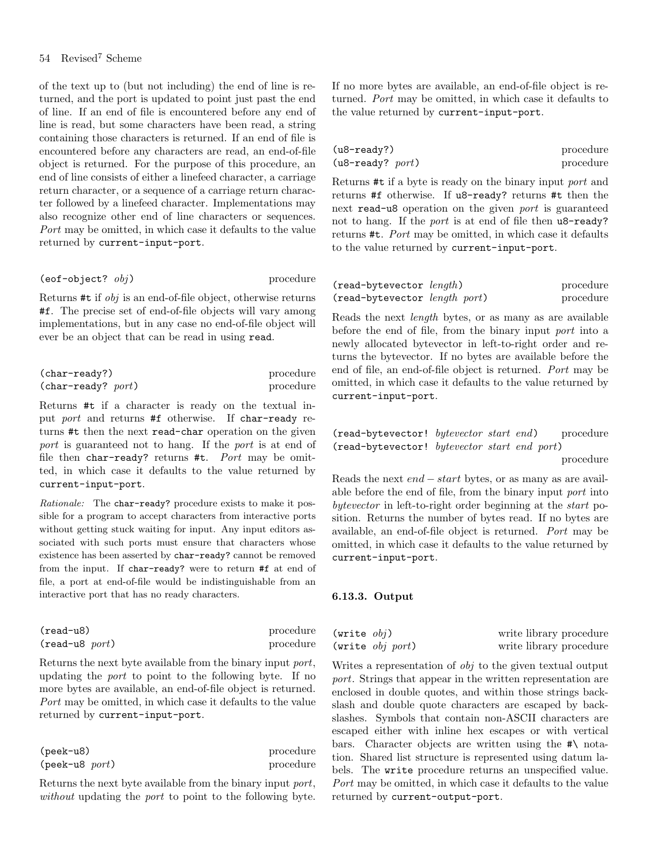## 54 Revised<sup>7</sup> Scheme

of the text up to (but not including) the end of line is returned, and the port is updated to point just past the end of line. If an end of file is encountered before any end of line is read, but some characters have been read, a string containing those characters is returned. If an end of file is encountered before any characters are read, an end-of-file object is returned. For the purpose of this procedure, an end of line consists of either a linefeed character, a carriage return character, or a sequence of a carriage return character followed by a linefeed character. Implementations may also recognize other end of line characters or sequences. Port may be omitted, in which case it defaults to the value returned by current-input-port.

#### $(eof-object? \tobj)$  procedure

Returns #t if obj is an end-of-file object, otherwise returns #f. The precise set of end-of-file objects will vary among implementations, but in any case no end-of-file object will ever be an object that can be read in using read.

| (char-ready?)        | procedure |
|----------------------|-----------|
| $(char-ready?$ port) | procedure |

Returns #t if a character is ready on the textual input port and returns #f otherwise. If char-ready returns #t then the next read-char operation on the given port is guaranteed not to hang. If the port is at end of file then char-ready? returns #t.  $Port$  may be omitted, in which case it defaults to the value returned by current-input-port.

Rationale: The char-ready? procedure exists to make it possible for a program to accept characters from interactive ports without getting stuck waiting for input. Any input editors associated with such ports must ensure that characters whose existence has been asserted by char-ready? cannot be removed from the input. If char-ready? were to return #f at end of file, a port at end-of-file would be indistinguishable from an interactive port that has no ready characters.

| $(read-u8)$              | procedure |
|--------------------------|-----------|
| $(\text{read}$ -u8 port) | procedure |

Returns the next byte available from the binary input port, updating the port to point to the following byte. If no more bytes are available, an end-of-file object is returned. Port may be omitted, in which case it defaults to the value returned by current-input-port.

| $(\text{peak}$ -u8)        | procedure |
|----------------------------|-----------|
| $(\text{peak-u8} \; port)$ | procedure |

Returns the next byte available from the binary input port, without updating the *port* to point to the following byte. If no more bytes are available, an end-of-file object is returned. Port may be omitted, in which case it defaults to the value returned by current-input-port.

| $(u8-ready?)$         | procedure |
|-----------------------|-----------|
| $(u8$ -ready? $port)$ | procedure |

Returns #t if a byte is ready on the binary input port and returns #f otherwise. If u8-ready? returns #t then the next read-u8 operation on the given port is guaranteed not to hang. If the port is at end of file then u8-ready? returns #t. Port may be omitted, in which case it defaults to the value returned by current-input-port.

| $(read-bytevector \ length)$  | procedure |
|-------------------------------|-----------|
| (read-bytevector length port) | procedure |

Reads the next length bytes, or as many as are available before the end of file, from the binary input port into a newly allocated bytevector in left-to-right order and returns the bytevector. If no bytes are available before the end of file, an end-of-file object is returned. Port may be omitted, in which case it defaults to the value returned by current-input-port.

(read-bytevector! bytevector start end) procedure (read-bytevector! bytevector start end port)

procedure

Reads the next end − start bytes, or as many as are available before the end of file, from the binary input port into bytevector in left-to-right order beginning at the start position. Returns the number of bytes read. If no bytes are available, an end-of-file object is returned. Port may be omitted, in which case it defaults to the value returned by current-input-port.

#### 6.13.3. Output

| (write $obj$ ) |                        | write library procedure |
|----------------|------------------------|-------------------------|
|                | (write $obj$ $port)$ ) | write library procedure |

Writes a representation of obj to the given textual output port. Strings that appear in the written representation are enclosed in double quotes, and within those strings backslash and double quote characters are escaped by backslashes. Symbols that contain non-ASCII characters are escaped either with inline hex escapes or with vertical bars. Character objects are written using the  $\#\$  notation. Shared list structure is represented using datum labels. The write procedure returns an unspecified value. Port may be omitted, in which case it defaults to the value returned by current-output-port.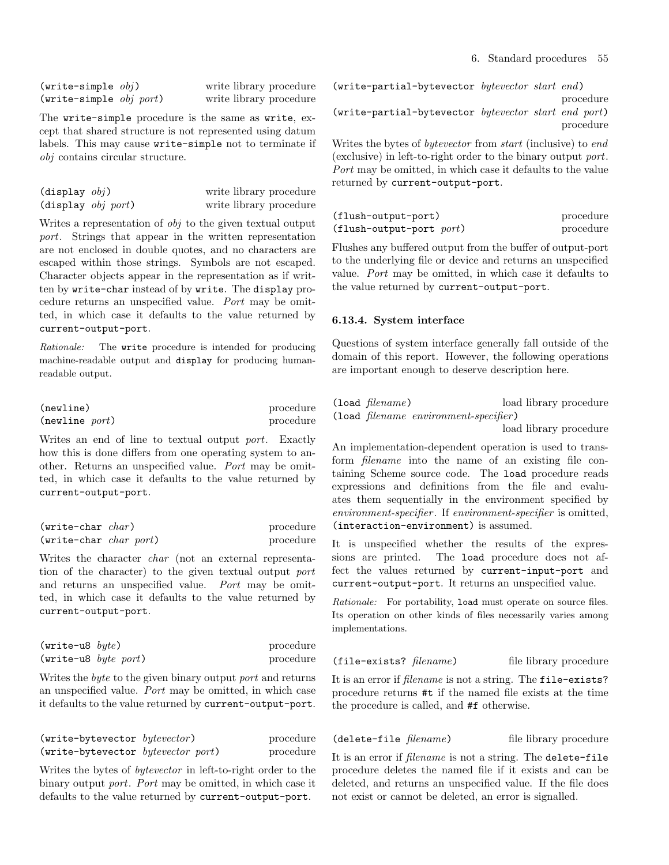$(write-simple \tobi)$  write library procedure (write-simple obj port) write library procedure

The write-simple procedure is the same as write, except that shared structure is not represented using datum labels. This may cause write-simple not to terminate if obj contains circular structure.

| $(display \; obj)$                   | write library procedure |
|--------------------------------------|-------------------------|
| $(\text{display } \text{obj } port)$ | write library procedure |

Writes a representation of obj to the given textual output port. Strings that appear in the written representation are not enclosed in double quotes, and no characters are escaped within those strings. Symbols are not escaped. Character objects appear in the representation as if written by write-char instead of by write. The display procedure returns an unspecified value. Port may be omitted, in which case it defaults to the value returned by current-output-port.

Rationale: The write procedure is intended for producing machine-readable output and display for producing humanreadable output.

| (newline)      | procedure |
|----------------|-----------|
| (newline port) | procedure |

Writes an end of line to textual output port. Exactly how this is done differs from one operating system to another. Returns an unspecified value. Port may be omitted, in which case it defaults to the value returned by current-output-port.

| $(write-char \ char)$    | procedure |
|--------------------------|-----------|
| $(write-char char port)$ | procedure |

Writes the character char (not an external representation of the character) to the given textual output port and returns an unspecified value. Port may be omitted, in which case it defaults to the value returned by current-output-port.

| $(write-u8 \; byte)$                    | procedure |
|-----------------------------------------|-----------|
| $(\text{write} - u8 \text{ byte port})$ | procedure |

Writes the byte to the given binary output port and returns an unspecified value. Port may be omitted, in which case it defaults to the value returned by current-output-port.

| (write-bytevector bytevector)      | procedure |
|------------------------------------|-----------|
| (write-bytevector bytevector port) | procedure |

Writes the bytes of bytevector in left-to-right order to the binary output port. Port may be omitted, in which case it defaults to the value returned by current-output-port.

(write-partial-bytevector bytevector start end) procedure (write-partial-bytevector bytevector start end port) procedure

Writes the bytes of bytevector from start (inclusive) to end (exclusive) in left-to-right order to the binary output port. Port may be omitted, in which case it defaults to the value returned by current-output-port.

| (flush-output-port)           | procedure |
|-------------------------------|-----------|
| $(f$ lush-output-port $port)$ | procedure |

Flushes any buffered output from the buffer of output-port to the underlying file or device and returns an unspecified value. Port may be omitted, in which case it defaults to the value returned by current-output-port.

## 6.13.4. System interface

Questions of system interface generally fall outside of the domain of this report. However, the following operations are important enough to deserve description here.

| $(load \ filename)$ | load library procedure                |  |
|---------------------|---------------------------------------|--|
|                     | (load filename environment-specifier) |  |

load library procedure

An implementation-dependent operation is used to transform filename into the name of an existing file containing Scheme source code. The load procedure reads expressions and definitions from the file and evaluates them sequentially in the environment specified by environment-specifier . If environment-specifier is omitted, (interaction-environment) is assumed.

It is unspecified whether the results of the expressions are printed. The load procedure does not affect the values returned by current-input-port and current-output-port. It returns an unspecified value.

Rationale: For portability, load must operate on source files. Its operation on other kinds of files necessarily varies among implementations.

(file-exists? *filename*) file library procedure

It is an error if filename is not a string. The file-exists? procedure returns #t if the named file exists at the time the procedure is called, and #f otherwise.

(delete-file *filename*) file library procedure

It is an error if filename is not a string. The delete-file procedure deletes the named file if it exists and can be deleted, and returns an unspecified value. If the file does not exist or cannot be deleted, an error is signalled.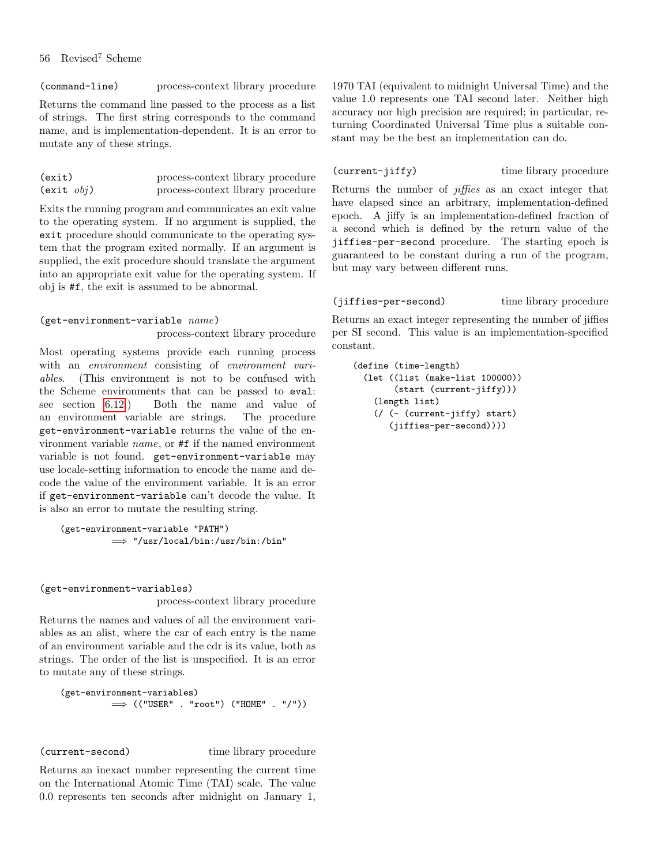(command-line) process-context library procedure

Returns the command line passed to the process as a list of strings. The first string corresponds to the command name, and is implementation-dependent. It is an error to mutate any of these strings.

| (exit)               | process-context library procedure |
|----------------------|-----------------------------------|
| $(exit$ <i>obj</i> ) | process-context library procedure |

Exits the running program and communicates an exit value to the operating system. If no argument is supplied, the exit procedure should communicate to the operating system that the program exited normally. If an argument is supplied, the exit procedure should translate the argument into an appropriate exit value for the operating system. If obj is #f, the exit is assumed to be abnormal.

## $(get-environment-variable \ name)$

process-context library procedure

Most operating systems provide each running process with an *environment* consisting of *environment vari*ables. (This environment is not to be confused with the Scheme environments that can be passed to eval: see section [6.12.](#page-50-0)) Both the name and value of an environment variable are strings. The procedure get-environment-variable returns the value of the environment variable name, or #f if the named environment variable is not found. get-environment-variable may use locale-setting information to encode the name and decode the value of the environment variable. It is an error if get-environment-variable can't decode the value. It is also an error to mutate the resulting string.

```
(get-environment-variable "PATH")
         =⇒ "/usr/local/bin:/usr/bin:/bin"
```
#### (get-environment-variables)

process-context library procedure

Returns the names and values of all the environment variables as an alist, where the car of each entry is the name of an environment variable and the cdr is its value, both as strings. The order of the list is unspecified. It is an error to mutate any of these strings.

```
(get-environment-variables)
          \implies (("USER" . "root") ("HOME" . "/"))
```
(current-second) time library procedure

Returns an inexact number representing the current time on the International Atomic Time (TAI) scale. The value 0.0 represents ten seconds after midnight on January 1, 1970 TAI (equivalent to midnight Universal Time) and the value 1.0 represents one TAI second later. Neither high accuracy nor high precision are required; in particular, returning Coordinated Universal Time plus a suitable constant may be the best an implementation can do.

(current-jiffy) time library procedure

Returns the number of *jiffies* as an exact integer that have elapsed since an arbitrary, implementation-defined epoch. A jiffy is an implementation-defined fraction of a second which is defined by the return value of the jiffies-per-second procedure. The starting epoch is guaranteed to be constant during a run of the program, but may vary between different runs.

## (jiffies-per-second) time library procedure

Returns an exact integer representing the number of jiffies per SI second. This value is an implementation-specified constant.

```
(define (time-length)
 (let ((list (make-list 100000))
       (start (current-jiffy)))
   (length list)
   (/ (- (current-jiffy) start)
       (jiffies-per-second))))
```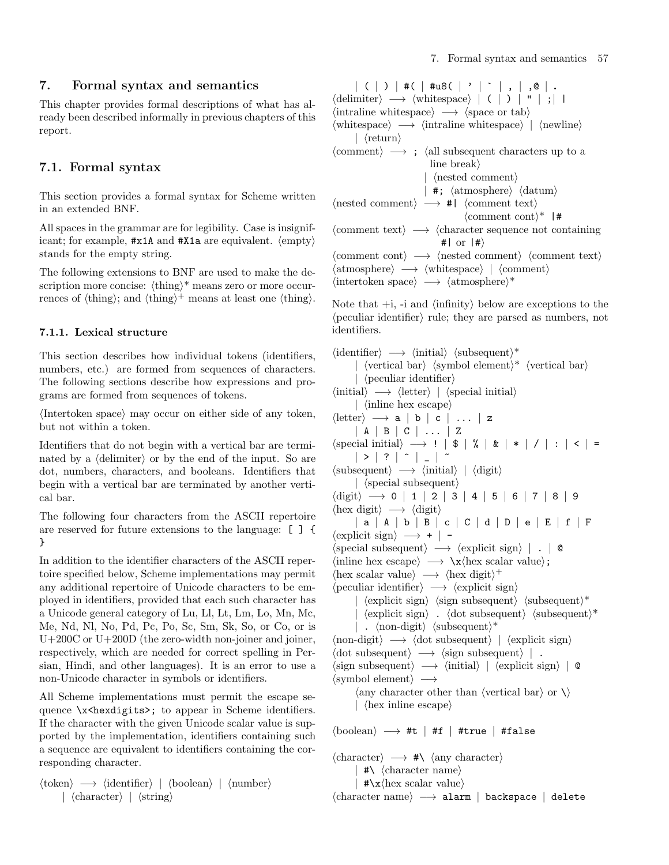This chapter provides formal descriptions of what has already been described informally in previous chapters of this report.

# 7.1. Formal syntax

This section provides a formal syntax for Scheme written in an extended BNF.

All spaces in the grammar are for legibility. Case is insignificant; for example,  $\#x1A$  and  $\#X1a$  are equivalent.  $\langle \text{empty} \rangle$ stands for the empty string.

The following extensions to BNF are used to make the description more concise:  $\langle \text{thing} \rangle^*$  means zero or more occurrences of  $\{\text{thing}\}\$ ; and  $\{\text{thing}\}\$  means at least one  $\{\text{thing}\}\$ .

# <span id="page-56-0"></span>7.1.1. Lexical structure

This section describes how individual tokens (identifiers, numbers, etc.) are formed from sequences of characters. The following sections describe how expressions and programs are formed from sequences of tokens.

 $\langle$ Intertoken space $\rangle$  may occur on either side of any token, but not within a token.

Identifiers that do not begin with a vertical bar are terminated by a  $\langle$  delimiter $\rangle$  or by the end of the input. So are dot, numbers, characters, and booleans. Identifiers that begin with a vertical bar are terminated by another vertical bar.

The following four characters from the ASCII repertoire are reserved for future extensions to the language: [ ] { }

In addition to the identifier characters of the ASCII repertoire specified below, Scheme implementations may permit any additional repertoire of Unicode characters to be employed in identifiers, provided that each such character has a Unicode general category of Lu, Ll, Lt, Lm, Lo, Mn, Mc, Me, Nd, Nl, No, Pd, Pc, Po, Sc, Sm, Sk, So, or Co, or is U+200C or U+200D (the zero-width non-joiner and joiner, respectively, which are needed for correct spelling in Persian, Hindi, and other languages). It is an error to use a non-Unicode character in symbols or identifiers.

All Scheme implementations must permit the escape sequence \x<hexdigits>; to appear in Scheme identifiers. If the character with the given Unicode scalar value is supported by the implementation, identifiers containing such a sequence are equivalent to identifiers containing the corresponding character.

```
\langle \text{token} \rangle \longrightarrow \langle \text{identifier} \rangle | \langle \text{boolean} \rangle | \langle \text{number} \rangle| \langlecharacter\rangle | \langlestring\rangle
```
 $| ( | ) |$  #(  $|$  #u8(  $|$  '  $|$   $|$  ,  $|$  ,  $\circ |$  .  $\langle$  delimiter $\rangle \longrightarrow \langle$  whitespace $\rangle$  | ( | ) | " | ;| |  $\langle$  intraline whitespace $\rangle \rightarrow \langle$  space or tab $\rangle$  $\langle \text{whitespace} \rangle \longrightarrow \langle \text{intraline whitespace} \rangle$  |  $\langle \text{newline} \rangle$  $\vert$  (return)  $\langle$  comment $\rangle \longrightarrow$ ;  $\langle$  all subsequent characters up to a line break $\rangle$ |  $\langle$  nested comment $\rangle$ | **#**;  $\langle$  atmosphere $\rangle$   $\langle$  datum $\rangle$  $\langle \text{nested comment} \rangle \longrightarrow #| \langle \text{comment text} \rangle$  $\langle$  comment cont $\rangle^*$  |#  $\langle$ comment text $\rangle \longrightarrow \langle$ character sequence not containing  $#$ | or  $|#$ }  $\langle$  comment cont $\rangle \longrightarrow \langle$  nested comment $\rangle \langle$  comment text $\rangle$  $\langle \text{atmosphere} \rangle \longrightarrow \langle \text{whitespace} \rangle$  |  $\langle \text{comment} \rangle$  $\langle$ intertoken space $\rangle \longrightarrow \langle$ atmosphere $\rangle^*$ 

Note that  $+i$ ,  $-i$  and  $\langle$  infinity below are exceptions to the  $\langle$  peculiar identifier $\rangle$  rule; they are parsed as numbers, not identifiers.

```
\langleidentifier\rangle \longrightarrow \langleinitial\rangle \langlesubsequent\rangle^*\langle vertical bar\rangle \langle symbol element\rangle^* \langle vertical bar\rangle\langle peculiar identifier\rangle\langleinitial\rangle \longrightarrow \langleletter\rangle | \langlespecial initial\rangle\int (inline hex escape)
\langleletter\rangle \longrightarrow a | b | c | ... | z
         | A | B | C | ... | Z
\langle {\rm special \; initial} \rangle \; \longrightarrow \; ! \; \mid \; \$ \; \mid \; \% \; \mid \; \& \; \mid \; * \; \mid \; / \; \mid \; : \; \mid \; < \; \mid \; =| > | ? | ^ - | _ - | ^ -\langlesubsequent\rangle \longrightarrow \langleinitial\rangle | \langledigit\rangle| \langlespecial subsequent\rangle\langle \text{digit} \rangle \longrightarrow 0 \mid 1 \mid 2 \mid 3 \mid 4 \mid 5 \mid 6 \mid 7 \mid 8 \mid 9\langlehex digit\rangle \rightarrow \langledigit\rangle| a | A | b | B | c | C | d | D | e | E | f | F
\langle explicit sign\rangle \rightarrow + | -
\langlespecial subsequent\rangle \longrightarrow \langleexplicit sign\rangle | . | @
\langleinline hex escape\rangle \rightarrow \langle x \ranglehex scalar value\rangle;
\langlehex scalar value\rangle \longrightarrow \langlehex digit\rangle^+\langle peculiar identifier\rangle \longrightarrow \langle explicit sign\rangle\langle \text{explicit sign} \rangle \langle \text{sign subsequent} \rangle \langle \text{subsequent} \rangle^*\langle explicit sign\rangle. \langle dot subsequent\rangle \langle subsequent\rangle*
         | . \langlenon-digit\rangle \langle subsequent\rangle^*\langle \text{non-digit} \rangle \longrightarrow \langle \text{dot subsequent} \rangle | \langle \text{explicit sign} \rangle\langle \text{dot subsequent} \rangle \longrightarrow \langle \text{sign subsequent} \rangle | .
\langle \text{sign subsequent} \rangle \longrightarrow \langle \text{initial} \rangle | \langle \text{explicit sign} \rangle | \; \circ\langlesymbol element\rangle \longrightarrow\langle any character other than \langle vertical bar\rangle or \langle\vert (hex in line escape)
\langle\text{boolean}\rangle \longrightarrow \#t \mid \#f \mid \#true \mid \#false\langlecharacter\rangle \rightarrow \# \langle \langle \text{any character} \rangle| \sharp \setminus \langle character \ name \rangle
```

```
\star \x \text{hex scalar value}
```
 $\langle$ character name $\rangle \longrightarrow$  alarm | backspace | delete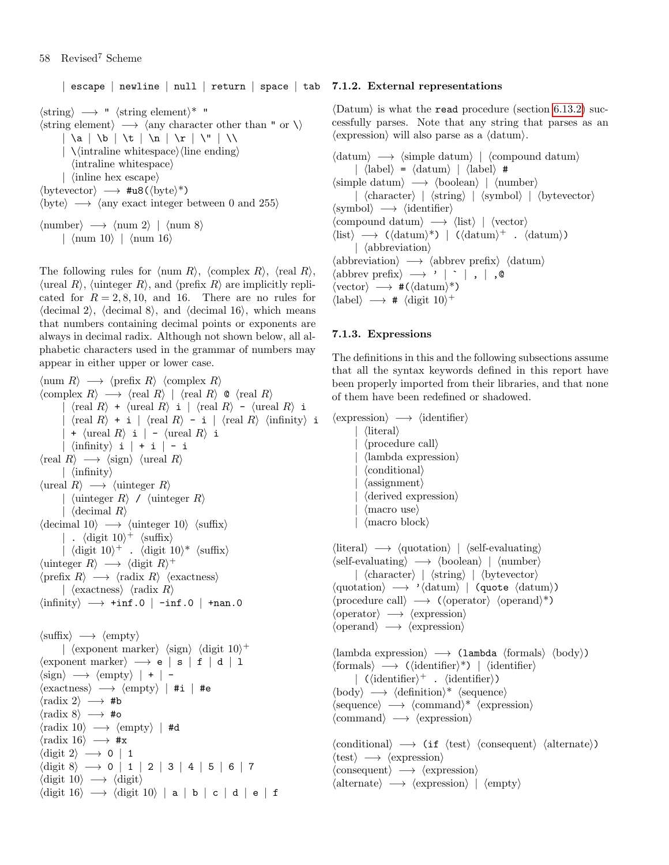$|$  escape  $|$  newline  $|$  null  $|$  return  $|$  space  $|$  tab  $|$  7.1.2. External representations  $\langle \text{string} \rangle \longrightarrow$  "  $\langle \text{string element} \rangle^*$  "  $\langle$ string element $\rangle \longrightarrow \langle$ any character other than " or  $\setminus$ )  $\vert \ \vert a \vert \ \vert b \vert \ \vert t \vert \ \vert n \vert \ \vert r \vert \ \vert \ \vert \$  $\langle \rangle$  \\intraline whitespace\\ine ending\ine ending\ine =  $\langle$ intraline whitespace $\rangle$ |  $\langle$ inline hex escape $\rangle$  $\langle$ bytevector $\rangle \rightarrow \text{#u8}(\langle$ byte $\rangle^*)$  $\langle$  byte $\rangle \longrightarrow \langle$  any exact integer between 0 and 255 $\rangle$  $\langle$ number $\rangle \longrightarrow \langle$ num 2 $\rangle$  |  $\langle$ num 8 $\rangle$ |  $\langle$ num 10 $\rangle$  |  $\langle$ num 16 $\rangle$ 

The following rules for  $\langle \text{num } R \rangle$ ,  $\langle \text{complex } R \rangle$ ,  $\langle \text{real } R \rangle$ ,  $\langle$ ureal R $\rangle$ ,  $\langle$ uinteger R $\rangle$ , and  $\langle$ prefix R $\rangle$  are implicitly replicated for  $R = 2, 8, 10,$  and 16. There are no rules for  $\langle$  decimal 2 $\rangle$ ,  $\langle$  decimal 8 $\rangle$ , and  $\langle$  decimal 16 $\rangle$ , which means that numbers containing decimal points or exponents are always in decimal radix. Although not shown below, all alphabetic characters used in the grammar of numbers may appear in either upper or lower case.

 $\langle \text{num } R \rangle \longrightarrow \langle \text{prefix } R \rangle \langle \text{complex } R \rangle$  $\langle \text{complex } R \rangle \longrightarrow \langle \text{real } R \rangle | \langle \text{real } R \rangle$  ©  $\langle \text{real } R \rangle$  $\langle \text{real } R \rangle$  +  $\langle \text{real } R \rangle$  i  $| \langle \text{real } R \rangle$  -  $\langle \text{real } R \rangle$  i  $\langle \text{real } R \rangle$  + i |  $\langle \text{real } R \rangle$  - i |  $\langle \text{real } R \rangle$   $\langle \text{infinity} \rangle$  i +  $\langle$ ureal R $\rangle$  i | -  $\langle$ ureal R $\rangle$  i  $|\sin\text{finity}\rangle$  i  $| + i | - i$  $\langle \text{real } R \rangle \longrightarrow \langle \text{sign} \rangle \langle \text{area } R \rangle$  $|\langle \text{infinity} \rangle$  $\langle \text{ured } R \rangle \longrightarrow \langle \text{uinteger } R \rangle$ |  $\langle$ uinteger R $\rangle$  /  $\langle$ uinteger R $\rangle$ |  $\langle$  decimal R $\rangle$  $\langle$  decimal 10 $\rangle \longrightarrow \langle$  uinteger 10 $\rangle \langle$  suffix $\rangle$ | .  $\langle$ digit 10 $\rangle$ <sup>+</sup>  $\langle$ suffix $\rangle$ |  $\langle$ digit 10 $\rangle^+$  .  $\langle$ digit 10 $\rangle^*$   $\langle$ suffix $\rangle$  $\langle$ uinteger R $\rangle \longrightarrow \langle$ digit R $\rangle^+$  $\langle \text{prefix } R \rangle \longrightarrow \langle \text{radius } R \rangle \langle \text{exactness} \rangle$ |  $\langle$ exactness $\rangle$   $\langle$ radix R $\rangle$  $\langle$ infinity $\rangle \longrightarrow$  +inf.0 | -inf.0 | +nan.0  $\langle \text{suffix} \rangle \longrightarrow \langle \text{empty} \rangle$  $\vert$  (exponent marker) (sign) (digit 10)<sup>+</sup>  $\langle$ exponent marker $\rangle \longrightarrow e | s | f | d | l$  $\langle sign \rangle \longrightarrow \langle empty \rangle$  | + | - $\langle$ exactness $\rangle \longrightarrow \langle$ empty $\rangle$  | #i | #e  $\langle \text{radix 2} \rangle \longrightarrow \text{#b}$  $\langle \text{radix 8}\rangle \longrightarrow \text{\#o}$  $\langle \text{radix } 10 \rangle \longrightarrow \langle \text{empty} \rangle$  | #d  $\langle \text{radix } 16 \rangle \longrightarrow \# \mathbf{x}$  $\langle \text{digit 2} \rangle \rightarrow 0 \mid 1$  $\langle \text{digit 8} \rangle \longrightarrow 0$  | 1 | 2 | 3 | 4 | 5 | 6 | 7  $\langle$ digit 10 $\rangle \rightarrow \langle$ digit $\rangle$  $\langle \text{digit } 16 \rangle \longrightarrow \langle \text{digit } 10 \rangle | \text{ a } | \text{ b } | \text{ c } | \text{ d } | \text{ e } | \text{ f }$ 

<span id="page-57-0"></span> $\Delta$ b $\lambda$  is what the read procedure (section [6.13.2\)](#page-52-0) successfully parses. Note that any string that parses as an  $\langle$  expression $\rangle$  will also parse as a  $\langle$  datum $\rangle$ .

 $\langle \text{datum} \rangle \rightarrow \langle \text{simple datum} \rangle$  |  $\langle \text{compound datum} \rangle$  $|\langle \text{label}\rangle = \langle \text{datum}\rangle$  |  $\langle \text{label}\rangle$  #  $\langle$ simple datum $\rangle \longrightarrow \langle$ boolean $\rangle$  |  $\langle$ number $\rangle$  $\langle$  (character)  $\langle$  (string)  $\langle$  (symbol)  $\langle$  (bytevector)  $\langle$ symbol $\rangle \longrightarrow \langle$ identifier $\rangle$  $\langle \text{compound datum} \rangle \longrightarrow \langle \text{list} \rangle \mid \langle \text{vector} \rangle$  $\langle$ list $\rangle \rightarrow (\langle \text{datum} \rangle^*)$  |  $(\langle \text{datum} \rangle^+$  .  $\langle \text{datum} \rangle)$  $\vert$  (abbreviation)  $\langle$ abbreviation $\rangle \longrightarrow \langle$ abbrev prefix $\rangle \langle$ datum $\rangle$  $\langle \text{abbrev prefix} \rangle \longrightarrow' |\cdot|$ , |, 0  $\langle{\rm vector}\rangle\:\longrightarrow\:\#(\langle{\rm datum}\rangle^*)$  $\langle$ label $\rangle \longrightarrow$  #  $\langle$ digit 10 $\rangle$ <sup>+</sup>

## 7.1.3. Expressions

The definitions in this and the following subsections assume that all the syntax keywords defined in this report have been properly imported from their libraries, and that none of them have been redefined or shadowed.

```
\langleexpression\rangle \longrightarrow \langleidentifier\rangle\langleliteral\rangle\langle procedure call\rangle\langlelambda expression\rangle\langle conditional\rangle\langle assignment\rangle\langle derived expression\rangle\langle macro use\rangle| \langle macro block\rangle\langleliteral\rangle \longrightarrow \langlequotation\rangle | \langleself-evaluating\rangle\langleself-evaluating\rangle \longrightarrow \langleboolean\rangle | \langlenumber\rangle\vert \langle \text{character} \rangle \vert \langle \text{string} \rangle \vert \langle \text{bytevector} \rangle\langle \text{quotation} \rangle \longrightarrow '\langle \text{datum} \rangle | (quote \langle \text{datum} \rangle)
\langleprocedure call\rangle \longrightarrow (\langleoperator\rangle \langleoperand\rangle^*)
\langleoperator\rangle \longrightarrow \langleexpression\rangle\langleoperand\rangle \longrightarrow \langleexpression\rangle\langlelambda expression\rangle \longrightarrow (lambda \langleformals\rangle \langlebody\rangle)
```

```
\langle formals\rangle \longrightarrow (\langleidentifier\rangle^*) | \langleidentifier\rangle\langle \langle \text{identifier} \rangle^+ . \langle \text{identifier} \rangle\langle \text{body} \rangle \longrightarrow \langle \text{definition} \rangle^* \langle \text{sequence} \rangle\langle sequence \rangle \longrightarrow \langle command \rangle^* \langle expression \rangle\langlecommand\rangle \longrightarrow \langleexpression\rangle\langleconditional\rangle \longrightarrow (if \langletest\rangle \langleconsequent\rangle \langle alternate\rangle)
```
 $\langle \text{test} \rangle \rightarrow \langle \text{expression} \rangle$  $\langle\text{consequent}\rangle \longrightarrow \langle\text{expression}\rangle$  $\langle$  alternate $\rangle \rightarrow \langle$  expression $\rangle$  |  $\langle$  empty $\rangle$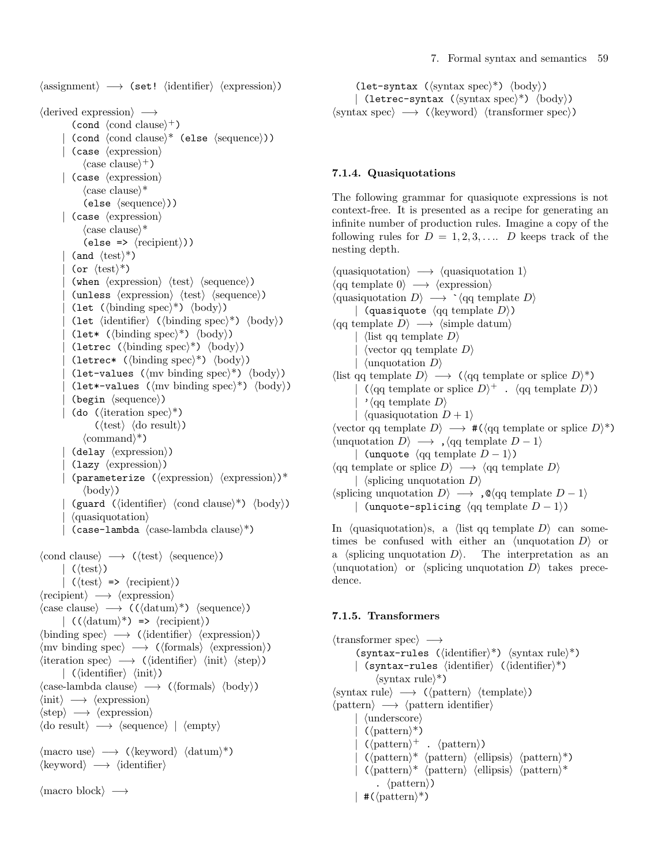$\langle \text{assignment} \rangle \longrightarrow \langle \text{set!} \rangle \langle \text{identification} \rangle$ 

```
\langle derived expression\rangle \longrightarrow(\text{cond } \langle \text{cond } \text{clause} \rangle^+)\text{(cond (cond clause)}* \text{(else (sequence)}).\langle \text{case } \langle \text{expression} \rangle\langle \text{case clause} \rangle^+)
         | (case \langle expression\rangle\langle \text{case clause} \rangle^*\langleelse \langlesequence\rangle))
         | (case \langle expression\rangle\langle \text{case clause} \rangle^*(else => \langle \text{recipient} \rangle))
             (and \langle \text{test} \rangle^*)
             (or \langle \text{test} \rangle^*)
             (when \langle expression\rangle \langle test\rangle \langle sequence\rangle)
             (unless \langle expression \rangle \langle test \rangle \langle sequence \rangle)(let (\binom{\text{binding spec}}{\text{body}})(let \langleidentifier\rangle (\langlebinding spec\rangle^*) \langlebody\rangle)
             (let* (\langle \text{binding spec} \rangle^*) \langle \text{body} \rangle)
             (letrec (\langle \text{binding spec} \rangle^*) \langle \text{body} \rangle)
             (letrec* (\langlebinding spec\rangle^*) \langlebody\rangle)
             (let-values (\langle \text{mv binding spec} \rangle^*) \langle \text{body} \rangle)
             (let*-values (\langle m v \, \text{binding spec} \rangle^*) \langle \text{body} \rangle)
             \langlebegin \langlesequence\rangle)
             (do (\langle iteration spec\rangle^*)
                       (\langle test \rangle \langle do result \rangle)\langle \text{command} \rangle^*(delay \langle expression \rangle)\langlelazy \langleexpression\rangle)
             \langle (parameterize (\langle expression\rangle)*
                  \langle body \rangle(guard (\langleidentifier\rangle \langlecond clause\rangle^*) \langlebody\rangle)
             \langle \text{quasiquotation} \rangle(case-lambda \ (case-lambda \ clause)^*)\langle \text{cond clause} \rangle \longrightarrow (\langle \text{test} \rangle \langle \text{sequence} \rangle)| (\langle test \rangle)(\langle test \rangle \Rightarrow \langle recipient \rangle)\langle \text{recipient} \rangle \longrightarrow \langle \text{expression} \rangle\langle \text{case clause} \rangle \rightarrow (\langle \text{datum} \rangle^*) \langle \text{sequence} \rangle\langle (\langle \text{datum} \rangle^*) => \langle \text{recipient} \rangle\langlebinding spec\rangle \rightarrow (\langleidentifier\rangle \langleexpression\rangle)
\langlemv binding spec\rangle \rightarrow (\langleformals\rangle \langleexpression\rangle)
\langleiteration spec\rangle \longrightarrow (\langleidentifier\rangle \langleinit\rangle \langlestep\rangle)
         |\langle (identifier) \langle init))
\langle \text{case-lambda clause} \rangle \longrightarrow (\langle \text{formals} \rangle \langle \text{body} \rangle)\langle \text{init} \rangle \longrightarrow \langle \text{expression} \rangle\langle \text{step} \rangle \longrightarrow \langle \text{expression} \rangle\langle do result\rangle \longrightarrow \langle sequence\rangle | \langle empty\rangle\langle \text{macro use} \rangle \rightarrow (\langle \text{keyword} \rangle \langle \text{datum} \rangle^*)\langlekeyword\rangle \longrightarrow \langleidentifier\rangle\langlemacro block\rangle \longrightarrow
```
(let-syntax  $(\langle \text{syntax spec} \rangle^*) \langle \text{body} \rangle$ ) | (letrec-syntax  $(\langle \text{syntax spec} \rangle^*) \langle \text{body} \rangle$ )  $\langle$ syntax spec $\rangle \longrightarrow (\langle$ keyword $\rangle \langle$ transformer spec $\rangle$ )

## 7.1.4. Quasiquotations

The following grammar for quasiquote expressions is not context-free. It is presented as a recipe for generating an infinite number of production rules. Imagine a copy of the following rules for  $D = 1, 2, 3, \ldots$  D keeps track of the nesting depth.

```
\langle \text{quasiquotation} \rangle \rightarrow \langle \text{quasiquotation 1} \rangle\langle \text{qq template 0} \rangle \longrightarrow \langle \text{expression} \rangle\langle \text{quasiquotation } D \rangle \longrightarrow \langle \text{qq template } D \rangle| (quasiquote \langle qq \text{ template } D \rangle)
\langle \text{qq template } D \rangle \longrightarrow \langle \text{simple datum} \rangle\langlelist qq template D\rangle\langle vector qq template D\rangle\langleunquotation D\rangle\langlelist qq template D \rangle \longrightarrow (\langle q \rangle \langle q \rangle) template or splice D \rangle^*)
         \langle \langle \text{qq template or splice } D \rangle^+ \cdot \langle \text{qq template } D \rangle \rangle\prime (qq template D)
         | \langle \text{quasiquotation } D + 1 \rangle\langle \text{vector qq template } D \rangle \longrightarrow \#(\langle \text{qq template or splice } D \rangle^*)\langle \text{unquotation } D \rangle \longrightarrow , \langle \text{qq template } D - 1 \rangle| (unquote \langle qq \text{ template } D - 1 \rangle)
\langle q\mathbf{q} \text{ template or splice } D \rangle \longrightarrow \langle q\mathbf{q} \text{ template } D \rangle| \langlesplicing unquotation D\rangle\langlesplicing unquotation D\rangle \longrightarrow, \mathcal{Q}\langleqq template D − 1\rangle| (unquote-splicing \langle qq \text{ template } D - 1 \rangle)
```
In (quasiquotation)s, a (list qq template  $D$ ) can sometimes be confused with either an  $\langle$ unquotation D $\rangle$  or a  $\langle$ splicing unquotation D $\rangle$ . The interpretation as an  $\langle$ unquotation $\rangle$  or  $\langle$ splicing unquotation D $\rangle$  takes precedence.

## 7.1.5. Transformers

```
\langletransformer spec\rangle \longrightarrow(syntax-rules (\langleidentifier)*) \langlesyntax rule\rangle^*)
        | (syntax-rules \langleidentifier\rangle (\langleidentifier\rangle^*)
                \langlesyntax rule\rangle^*)
\langlesyntax rule\rangle \rightarrow (\langlepattern\rangle \langletemplate\rangle)
\langlepattern\rangle \longrightarrow \langlepattern identifier\rangle\vert (underscore)
            (\langle pattern\rangle^*)\langle \varphi \rangle^+ . \langle \varphi \varphi \rangle(\mathrm{pattern})^* (pattern) (ellipsis) (pattern)*)
            \langle \text{pattern} \rangle^* \langle \text{pattern} \rangle \langle \text{ellipsis} \rangle \langle \text{pattern} \rangle^*. \langle pattern\rangle)
        | \#({\rm pattern})^*)
```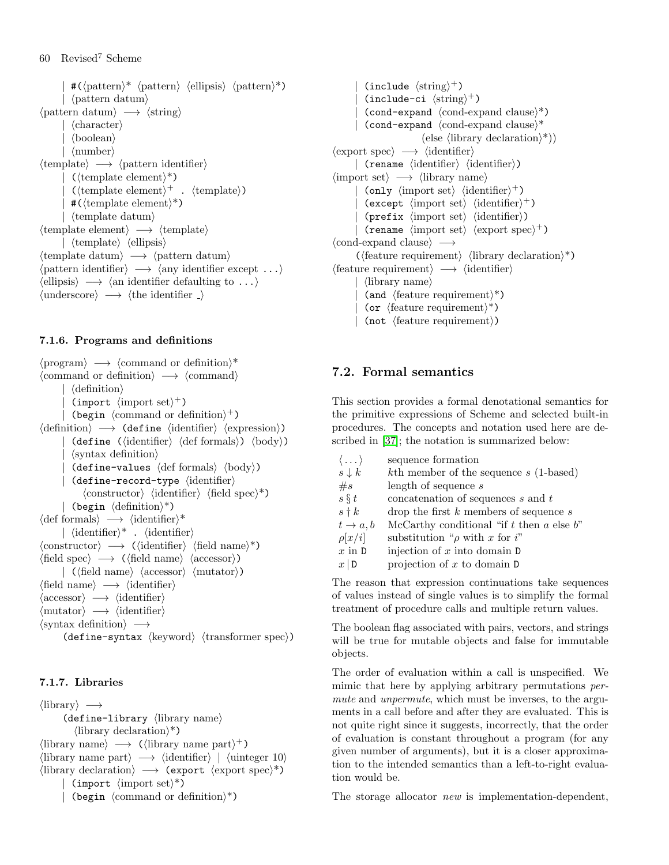$\#(\langle$ pattern $\rangle^*$   $\langle$ pattern $\rangle$   $\langle$ ellipsis $\rangle$   $\langle$ pattern $\rangle^*$ ) |  $\langle$  pattern datum $\rangle$  $\langle$  pattern datum $\rangle \rightarrow \langle$ string $\rangle$  $\langle$ character $\rangle$  $\langle$ boolean $\rangle$  $\langle$  number $\rangle$  $\langle$ template $\rangle \longrightarrow \langle$ pattern identifier $\rangle$  $(\langle$ template element $\rangle^*$ ) |  $(\langle template\ element \rangle^+ \cdot \langle template \rangle)$  $\#$ ( $\{\text{template element}\}^*$ )  $\langle$ template datum $\rangle$  $\langle$ template element $\rangle \longrightarrow \langle$ template $\rangle$  $\vert$  (template) (ellipsis)  $\langle$ template datum $\rangle \rightarrow \langle$ pattern datum $\rangle$  $\langle$  pattern identifier $\rangle \longrightarrow \langle$ any identifier except ...}  $\langle$ ellipsis $\rangle \longrightarrow \langle$ an identifier defaulting to ...}  $\langle$ underscore $\rangle \longrightarrow \langle$ the identifier  $\Box$ 

# 7.1.6. Programs and definitions

 $\langle$ program $\rangle \longrightarrow \langle$ command or definition $\rangle^*$  $\langle$ command or definition $\rangle \longrightarrow \langle$ command $\rangle$  $\langle$  definition $\rangle$ | (import  $\langle \text{import set} \rangle^+$ ) | (begin  $\langle$  command or definition $\rangle^+$ )  $\langle definition \rangle \longrightarrow$  (define  $\langle identification \rangle$ )  $(\text{define } (\text{identity } \langle \text{def in} \rangle) \langle \text{body} \rangle)$  $\langle$  syntax definition $\rangle$ (define-values  $\langle$  def formals $\rangle$   $\langle$  body $\rangle$ )  $\langle$  define-record-type  $\langle$  identifier)  $\langle$ constructor $\rangle$   $\langle$ identifier $\rangle$   $\langle$ field spec $\rangle^*$ ) | (begin  $\langle$  definition $\rangle^*$ )  $\langle \text{def formulas} \rangle \longrightarrow \langle \text{identifier} \rangle^*$ |  $\langle$ identifier $\rangle^*$  .  $\langle$ identifier $\rangle$  $\langle \text{constructor} \rangle \longrightarrow (\langle \text{identifier} \rangle \langle \text{field name} \rangle^*)$  $\langle \text{field spec} \rangle \longrightarrow (\langle \text{field name} \rangle \langle \text{accessor} \rangle)$  $\langle \langle \text{field name} \rangle \langle \text{accessor} \rangle \langle \text{mutator} \rangle$  $\langle \text{field name} \rangle \longrightarrow \langle \text{identifier} \rangle$  $\langle \text{accessor} \rangle \longrightarrow \langle \text{identifier} \rangle$  $\langle \text{mutator} \rangle \longrightarrow \langle \text{identifier} \rangle$  $\langle$ syntax definition $\rangle \longrightarrow$ (define-syntax  $\langle \text{keyword} \rangle$   $\langle \text{transformer spec} \rangle$ )

# 7.1.7. Libraries

 $\langle$ library $\rangle \longrightarrow$  $\langle$  define-library  $\langle$  library name)  $\langle$ library declaration $\rangle^*$ )  $\langle$ library name $\rangle \longrightarrow$  ( $\langle$ library name part $\rangle^+$ )  $\langle$ library name part $\rangle \longrightarrow \langle$ identifier $\rangle$  |  $\langle$ uinteger 10 $\rangle$  $\langle$ library declaration $\rangle \longrightarrow$  (export  $\langle$ export spec $\rangle^*$ ) | (import  $\langle \text{import set} \rangle^*$ ) | (begin  $\langle$  command or definition $\rangle^*$ )

| (include  $\langle \text{string} \rangle^+$ ) | (include-ci  $\langle \text{string} \rangle^+$ )  $\text{(cond-expand }\langle \text{cond-expand } \text{clause} \rangle^*$ )  $\text{(cond-expand }\text{(cond-expand clause)}*$ (else  $\langle$ library declaration $\rangle^*$ ))  $\langle$ export spec $\rangle \longrightarrow \langle$ identifier $\rangle$  $\vert$  (rename  $\langle$ identifier $\rangle$   $\langle$  identifier $\rangle$ )  $\langle$ import set $\rangle \longrightarrow \langle$ library name $\rangle$ | (only  $\langle \text{import set} \rangle$   $\langle \text{identifier} \rangle^+$ ) | (except  $\langle \text{import set} \rangle$   $\langle \text{identifier} \rangle^+$ )  $(\text{prefix } \langle \text{import set} \rangle \langle \text{identifier} \rangle)$ | (rename  $\langle \text{import set} \rangle$   $\langle \text{export spec} \rangle^+$ )  $\langle$ cond-expand clause $\rangle \longrightarrow$  $(\text{feature requirement}) \langle \text{library declaration} \rangle^*$  $\langle$ feature requirement $\rangle \longrightarrow \langle$ identifier $\rangle$  $\vert$  (library name) (and  $\langle$  feature requirement $\rangle^*$ ) (or  $\langle$  feature requirement $\rangle^*$ )  $(not \text{ (feature requirement)}$ 

# 7.2. Formal semantics

This section provides a formal denotational semantics for the primitive expressions of Scheme and selected built-in procedures. The concepts and notation used here are described in [\[37\]](#page-75-4); the notation is summarized below:

| $\langle \dots \rangle$ | sequence formation                               |
|-------------------------|--------------------------------------------------|
| $s \downarrow k$        | $k$ th member of the sequence $s$ (1-based)      |
| #s                      | length of sequence s                             |
| $s \S t$                | concatenation of sequences s and t               |
| $s \dagger k$           | drop the first $k$ members of sequence $s$       |
| $t\rightarrow a,b$      | McCarthy conditional "if $t$ then $a$ else $b$ " |
| $\rho[x/i]$             | substitution " $\rho$ with x for i"              |
| $x$ in $D$              | injection of $x$ into domain $D$                 |
| $x \mid D$              | projection of $x$ to domain $D$                  |

The reason that expression continuations take sequences of values instead of single values is to simplify the formal treatment of procedure calls and multiple return values.

The boolean flag associated with pairs, vectors, and strings will be true for mutable objects and false for immutable objects.

The order of evaluation within a call is unspecified. We mimic that here by applying arbitrary permutations permute and *unpermute*, which must be inverses, to the arguments in a call before and after they are evaluated. This is not quite right since it suggests, incorrectly, that the order of evaluation is constant throughout a program (for any given number of arguments), but it is a closer approximation to the intended semantics than a left-to-right evaluation would be.

The storage allocator new is implementation-dependent,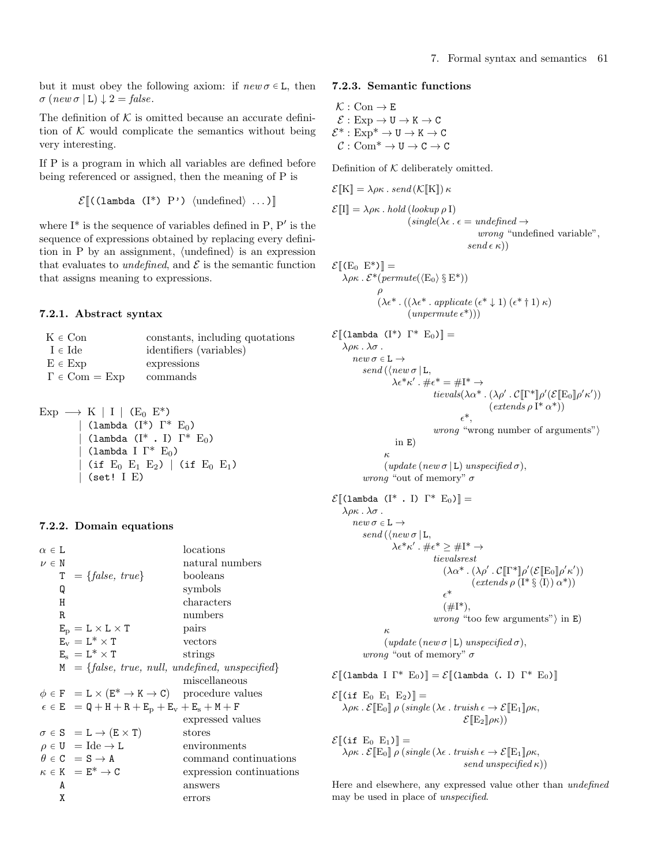but it must obey the following axiom: if  $new \sigma \in L$ , then  $\sigma$  (new  $\sigma$  | L)  $\downarrow$  2 = false.

The definition of  $K$  is omitted because an accurate definition of  $K$  would complicate the semantics without being very interesting.

If P is a program in which all variables are defined before being referenced or assigned, then the meaning of P is

```
\mathcal{E} ((lambda (I*) P') (undefined) ...)
```
where  $I^*$  is the sequence of variables defined in P,  $P'$  is the sequence of expressions obtained by replacing every definition in P by an assignment,  $\langle$ undefined $\rangle$  is an expression that evaluates to *undefined*, and  $\mathcal E$  is the semantic function that assigns meaning to expressions.

#### 7.2.1. Abstract syntax

| $K \in \mathop{{\rm Con}}$           | constants, including quotations |
|--------------------------------------|---------------------------------|
| $I \in \text{Ide}$                   | identifiers (variables)         |
| $E \in Exp$                          | expressions                     |
| $\Gamma \in \text{Com} = \text{Exp}$ | commands                        |
|                                      |                                 |

$$
\begin{array}{ccl} \text{Exp} & \longrightarrow & \text{K} \mid I \mid (\text{E}_{0} \text{ E}^{*}) \\ & & | \text{ (lambda (I^{*}) } \Gamma^{*} \text{ E}_{0}) \\ & & | \text{ (lambda (I^{*} \cdot I) } \Gamma^{*} \text{ E}_{0}) \\ & & | \text{ (lambda I } \Gamma^{*} \text{ E}_{0}) \\ & & | \text{ (if E}_{0} \text{ E}_{1} \text{ E}_{2}) \mid (\text{if E}_{0} \text{ E}_{1}) \\ & & | \text{ (set! I E)} \end{array}
$$

#### 7.2.2. Domain equations

#### 7.2.3. Semantic functions

 $\mathcal{K} : \mathrm{Con} \to \mathrm{E}$  $\mathcal{E}: \mathrm{Exp} \to \mathtt{U} \to \mathtt{K} \to \mathtt{C}$  $\mathcal{E}^*:\mathrm{Exp}^*\to \mathtt{U}\to \mathtt{K}\to \mathtt{C}$  $C: \mathrm{Com}^* \to U \to C \to C$ 

 $\mathcal{E}[\mathbb{K}] = \lambda \rho \kappa$ , send  $(\mathcal{K}[\mathbb{K}]) \kappa$ 

Definition of  $K$  deliberately omitted.

$$
\mathcal{E}[\![\mathrm{I}]\!] = \lambda \rho \kappa \cdot hold \left( lookup \rho \mathrm{I} \right)
$$
  
\n
$$
(single(\lambda \epsilon \cdot \epsilon = undefined \rightarrow wrong \text{ "undefined variable", } \\ \text{ } \\ send \epsilon \kappa))
$$

$$
\mathcal{E}[(E_0 \ E^*)] =
$$
  
\n
$$
\lambda \rho \kappa \cdot \mathcal{E}^*(permute(\langle E_0 \rangle \ S E^*))
$$
  
\n
$$
\rho
$$
  
\n
$$
(\lambda \epsilon^* \cdot ((\lambda \epsilon^* \cdot applicate (\epsilon^* \downarrow 1) (\epsilon^* \dagger 1) \kappa))
$$
  
\n
$$
(unpermute (\epsilon^*))
$$

$$
\mathcal{E}[\text{(\text{lambda (T*) }\Gamma^* \ E_0)] =\n\lambda \rho \kappa \cdot \lambda \sigma \cdot \text{new } \sigma \in \mathbb{L} \rightarrow\n \text{send}(\langle new \sigma | \mathbf{L}, \lambda \epsilon^* \kappa' \cdot \# \epsilon^* = \# \mathbf{I}^* \rightarrow\n \text{tevals}(\lambda \alpha^* \cdot (\lambda \rho' \cdot \mathcal{C}[\Gamma^*] \rho'(\mathcal{E}[\mathbf{E}_0] \rho' \kappa'))\n \epsilon^*,\n \text{wrong number of arguments"}\n \text{in } \mathbb{E}\n \text{for } \mathbb{E}\n \text{for } \mathbb{E}\n \text{for } \mathbb{E}\n \text{for } \mathbb{E}\n \text{for } \mathbb{E}\n \text{for } \mathbb{E}\n \text{for } \mathbb{E}\n \text{for } \mathbb{E}\n \text{for } \mathbb{E}\n \text{for } \mathbb{E}\n \text{for } \mathbb{E}\n \text{for } \mathbb{E}\n \text{for } \mathbb{E}\n \text{for } \mathbb{E}\n \text{for } \mathbb{E}\n \text{for } \mathbb{E}\n \text{for } \mathbb{E}\n \text{for } \mathbb{E}\n \text{for } \mathbb{E}\n \text{for } \mathbb{E}\n \text{for } \mathbb{E}\n \text{for } \mathbb{E}\n \text{for } \mathbb{E}\n \text{for } \mathbb{E}\n \text{for } \mathbb{E}\n \text{for } \mathbb{E}\n \text{for } \mathbb{E}\n \text{for } \mathbb{E}\n \text{for } \mathbb{E}\n \text{for } \mathbb{E}\n \text{for } \mathbb{E}\n \text{for } \mathbb{E}\n \text{for } \mathbb{E}\n \text{for } \mathbb{E}\n \text{for } \mathbb{E}\n \text{for } \mathbb{E}\n \text{for } \mathbb{E}\n \text{for } \mathbb{E}\n \text{for } \mathbb{E}\n \text{for } \mathbb{E}\n \text{for } \mathbb{E}\n \text{for } \mathbb{E}\n \text{for } \mathbb{E}\n \text{for } \mathbb{E}\n \text{for } \mathbb{E}\n \text{for } \mathbb{E}\n \text{for } \mathbb{E}
$$

 $\lambda \rho \kappa \cdot \mathcal{E}[\mathbb{E}_0] \rho \left(\text{single } (\lambda \epsilon \cdot \text{truish } \epsilon \to \mathcal{E}[\mathbb{E}_1] \rho \kappa, \right)$  $\mathcal{E}[\mathbb{E}_2|\rho\kappa))$ 

 $\mathcal{E}$ [(if E<sub>0</sub> E<sub>1</sub>)] =  $\lambda \rho \kappa$ .  $\mathcal{E}[\mathbb{E}_0] \rho$  (single ( $\lambda \epsilon$ . truish  $\epsilon \to \mathcal{E}[\mathbb{E}_1] \rho \kappa$ , send unspecified  $\kappa$ ))

Here and elsewhere, any expressed value other than undefined may be used in place of unspecified.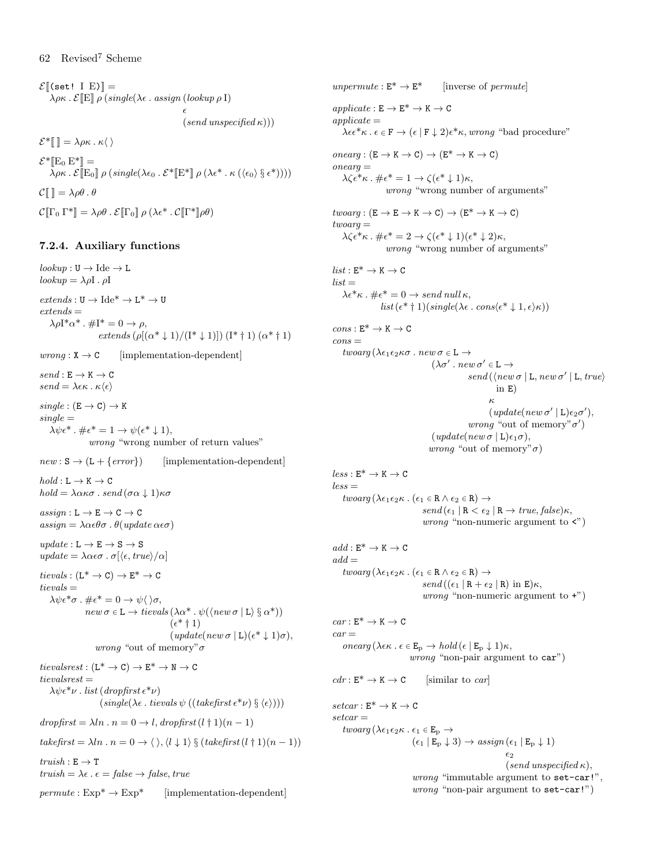$\mathcal{E}$ [(set! I E)] =  $\lambda \rho \kappa$ .  $\mathcal{E}[\mathbb{E}] \rho$  (single( $\lambda \epsilon$ . assign (lookup  $\rho$  I)  $\epsilon$  $(send$  unspecified  $\kappa$ ))  $\mathcal{E}^*$ [[  $\equiv \lambda \rho \kappa \cdot \kappa \langle \rangle$  $\mathcal{E}^*$ [E<sub>0</sub> E<sup>\*</sup>]] =  $\lambda \rho \kappa$ .  $\mathcal{E}[\mathbb{E}_0] \rho (\text{single}(\lambda \epsilon_0 \cdot \mathcal{E}^* [\mathbb{E}^*] \rho (\lambda \epsilon^* \cdot \kappa (\langle \epsilon_0 \rangle \S \epsilon^*))))$ 

 $\mathcal{C}[\mathbb{I}]=\lambda \rho \theta \cdot \theta$ 

 $\mathcal{C}[\![\Gamma_0\Gamma^*]\!] = \lambda \rho \theta \cdot \mathcal{E}[\![\Gamma_0]\!] \rho (\lambda \epsilon^* \cdot \mathcal{C}[\![\Gamma^*]\!] \rho \theta)$ 

# 7.2.4. Auxiliary functions

 $lookup: U \rightarrow \text{Ide} \rightarrow L$  $lookup = \lambda \rho I \cdot \rho I$  $extends: \mathtt{U} \rightarrow \mathrm{Ide}^* \rightarrow \mathtt{L}^* \rightarrow \mathtt{U}$  $extends =$  $\lambda \rho I^* \alpha^*$ .  $\# I^* = 0 \rightarrow \rho$ , extends  $(\rho[(\alpha^* \downarrow 1)/((I^* \downarrow 1)])$   $(I^* \uparrow 1)$   $(\alpha^* \uparrow 1)$  $wrong: X \rightarrow C$  [implementation-dependent]  $send: \texttt{E} \rightarrow \texttt{K} \rightarrow \texttt{C}$  $send = \lambda \epsilon \kappa \cdot \kappa \langle \epsilon \rangle$  $single : (E \rightarrow C) \rightarrow K$  $single =$  $\lambda \psi \epsilon^*$ .  $\#\epsilon^* = 1 \rightarrow \psi(\epsilon^* \downarrow 1),$ wrong "wrong number of return values"  $new : S \rightarrow (L + \{error\})$  [implementation-dependent]  $hold: L \rightarrow K \rightarrow C$ hold =  $\lambda \alpha \kappa \sigma$ . send  $(\sigma \alpha \downarrow 1) \kappa \sigma$  $assign: L \rightarrow E \rightarrow C \rightarrow C$  $\alpha \sin n = \lambda \alpha \epsilon \theta \sigma$ .  $\theta(\nu)$  where  $\alpha \epsilon \sigma$  $update: L \rightarrow E \rightarrow S \rightarrow S$ update =  $\lambda \alpha \epsilon \sigma$ .  $\sigma$ [ $\langle \epsilon, true \rangle / \alpha$ ]  $tievals : (L^* \rightarrow C) \rightarrow E^* \rightarrow C$  $t$ *ievals*  $=$  $\lambda \psi \epsilon^* \sigma$ .  $\#\epsilon^* = 0 \rightarrow \psi \langle \rangle \sigma$ ,  $\mathit{new} \ \sigma \in \mathtt{L} \to \mathit{tievals} \left( \lambda \alpha^* \mathrel{.} \psi(\langle \mathit{new} \ \sigma \mid \mathtt{L} \rangle \ \S \ \alpha^* \right) )$  $(\epsilon^*$  † 1)  $(\text{update}(new \sigma | \mathbf{L})(\epsilon^* \downarrow 1)\sigma),$ 

*wrong* "out of memory" $\sigma$ tievalsrest :  $(L^* \rightarrow C) \rightarrow E^* \rightarrow N \rightarrow C$  $t$ ievalsrest  $=$  $\lambda \psi \epsilon^* \nu$ . list (dropfirst  $\epsilon^* \nu$ )  $(single(\lambda \epsilon \cdot tievals \psi ((takefirst \epsilon^* \nu) \S \langle \epsilon \rangle)))$ 

 $dropfirst = \lambda ln \cdot n = 0 \rightarrow l, dropfirst (l + 1)(n - 1)$ 

takefirst =  $\lambda ln \cdot n = 0 \rightarrow \langle \rangle, \langle l \downarrow 1 \rangle \S (take first (l \dagger 1)(n - 1))$ 

 $truish : E \rightarrow T$ truish =  $\lambda \epsilon \cdot \epsilon = false \rightarrow false, true$ 

 $permute: Exp^* \rightarrow Exp^*$  [implementation-dependent]

 $\mathit{applicate}: \mathsf{E} \to \mathsf{E}^* \to \mathsf{K} \to \mathsf{C}$  $appliedte =$  $\lambda \epsilon \epsilon^* \kappa \cdot \epsilon \in \mathbf{F} \to (\epsilon \mid \mathbf{F} \downarrow 2) \epsilon^* \kappa$ , wrong "bad procedure"  $onearg : (E \to K \to C) \to (E^* \to K \to C)$  $onearq =$  $\lambda \zeta \epsilon^* \kappa$ .  $\#\epsilon^* = 1 \rightarrow \zeta (\epsilon^* \downarrow 1) \kappa$ , wrong "wrong number of arguments"  $twoarg : (E \rightarrow E \rightarrow K \rightarrow C) \rightarrow (E^* \rightarrow K \rightarrow C)$  $two ara =$  $\lambda \zeta \epsilon^* \kappa$ .  $\#\epsilon^* = 2 \rightarrow \zeta (\epsilon^* \downarrow 1)(\epsilon^* \downarrow 2)\kappa$ , wrong "wrong number of arguments"  $list: \mathsf{E}^* \to \mathsf{K} \to \mathsf{C}$  $list =$  $\lambda \epsilon^* \kappa$ .  $\#\epsilon^* = 0 \rightarrow send \ null \kappa$ ,  $list(\epsilon^* \dagger 1)(single(\lambda \epsilon \cdot cons(\epsilon^* \downarrow 1, \epsilon) \kappa))$  $cons: E^* \to K \to C$  $cons =$ twoarg ( $\lambda \epsilon_1 \epsilon_2 \kappa \sigma$  . new  $\sigma \in \mathbb{L} \rightarrow$  $(\lambda \sigma' \cdot \textit{new }\sigma' \in \mathsf{L} \rightarrow$  $send(\langle new \sigma | L, new \sigma' | L, true \rangle)$ in E) κ  $(\textit{update}( \textit{new} \ \sigma' \mid L) \epsilon_2 \sigma'),$ *wrong* "out of memory" $\sigma'$ )  $(\text{update}(new \sigma | \mathbf{L})\epsilon_1\sigma),$ *wrong* "out of memory" $\sigma$ )  $less: \texttt{E}^* \rightarrow \texttt{K} \rightarrow \texttt{C}$  $less =$ twoarg ( $\lambda \epsilon_1 \epsilon_2 \kappa$  . ( $\epsilon_1 \in \mathbb{R} \wedge \epsilon_2 \in \mathbb{R}$ )  $\rightarrow$  $send(\epsilon_1 | R < \epsilon_2 | R \rightarrow true, false) \kappa,$ *wrong* "non-numeric argument to  $\langle$ ")  $add: \mathsf{E}^* \to \mathsf{K} \to \mathsf{C}$  $add =$  $twoarg (\lambda \epsilon_1 \epsilon_2 \kappa \cdot (\epsilon_1 \in \mathbb{R} \wedge \epsilon_2 \in \mathbb{R}) \rightarrow$  $send((\epsilon_1 | R + \epsilon_2 | R)$  in E) $\kappa$ , *wrong* "non-numeric argument to  $+$ ")  $car : E^* \to K \to C$  $car =$ onearg ( $\lambda \in \mathbb{E}_{p} \to \text{hold}(\epsilon | \mathbb{E}_{p} \downarrow 1)\kappa$ , *wrong* "non-pair argument to  $car$ ")  $cdr: E^* \to K \to C$  [similar to car]  $setcar : E^* \to K \to C$  $setcar =$ twoarg ( $\lambda \epsilon_1 \epsilon_2 \kappa$  .  $\epsilon_1 \in \mathbf{E}_p \rightarrow$  $(\epsilon_1 | E_p \downarrow 3) \rightarrow \text{assign}(\epsilon_1 | E_p \downarrow 1)$  $\epsilon_2$  $(send$  unspecified  $\kappa$ ), wrong "immutable argument to set-car!",

unpermute :  $E^* \to E^*$  [inverse of permute]

*wrong* "non-pair argument to set-car!")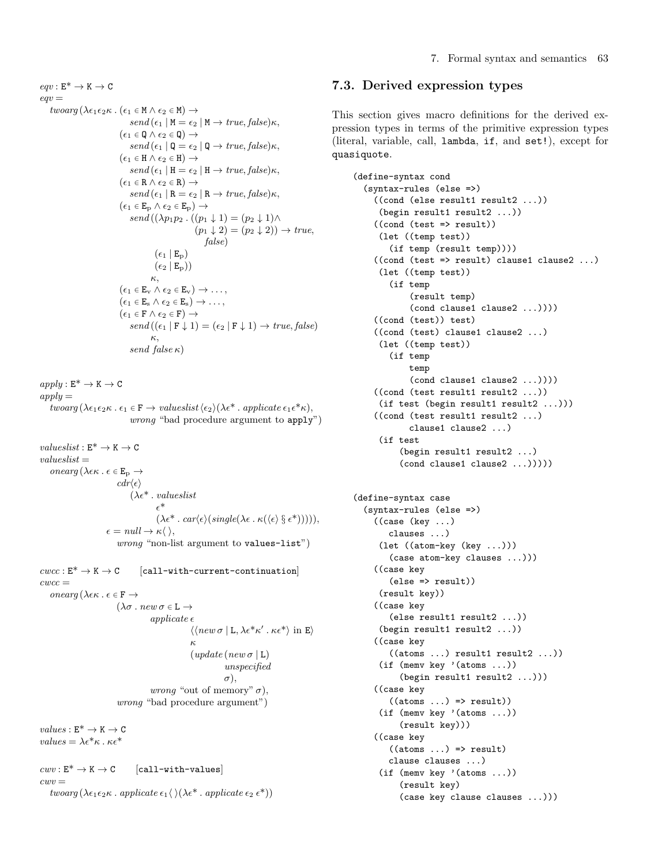$eqv : E^* \to K \to C$  $eav =$ twoarg ( $\lambda \epsilon_1 \epsilon_2 \kappa$ . ( $\epsilon_1 \in M \wedge \epsilon_2 \in M$ )  $\rightarrow$  $send(\epsilon_1 | M = \epsilon_2 | M \rightarrow true, false) \kappa,$  $(\epsilon_1 \in \mathbb{Q} \wedge \epsilon_2 \in \mathbb{Q}) \rightarrow$  $send(\epsilon_1 | \mathbb{Q} = \epsilon_2 | \mathbb{Q} \rightarrow true, false) \kappa,$  $(\epsilon_1 \in H \wedge \epsilon_2 \in H) \rightarrow$  $send(\epsilon_1 | H = \epsilon_2 | H \rightarrow true, false) \kappa,$  $(\epsilon_1 \in \mathbb{R} \land \epsilon_2 \in \mathbb{R}) \rightarrow$  $send(\epsilon_1 | R = \epsilon_2 | R \rightarrow true, false) \kappa,$  $(\epsilon_1 \in \mathbb{E}_{\mathrm{p}} \wedge \epsilon_2 \in \mathbb{E}_{\mathrm{p}}) \rightarrow$  $send((\lambda p_1p_2, ((p_1\downarrow 1) = (p_2\downarrow 1)\wedge$  $(p_1 \downarrow 2) = (p_2 \downarrow 2) \rightarrow true,$ false)  $(\epsilon_1 | E_{\rm p})$  $(\epsilon_2 | E_p))$ κ,  $(\epsilon_1 \in \mathbb{E}_{\rm v} \wedge \epsilon_2 \in \mathbb{E}_{\rm v}) \rightarrow \ldots,$  $(\epsilon_1 \in \mathbb{E}_s \land \epsilon_2 \in \mathbb{E}_s) \rightarrow \dots,$  $(\epsilon_1 \in \mathbf{F} \land \epsilon_2 \in \mathbf{F}) \rightarrow$  $send((\epsilon_1 | F \downarrow 1) = (\epsilon_2 | F \downarrow 1) \rightarrow true, false)$ κ, send false  $\kappa$ )

 $apply: E^* \to K \to C$  $apply =$ twoarg ( $\lambda \epsilon_1 \epsilon_2 \kappa$ .  $\epsilon_1 \in \mathbf{F} \to \text{valueslist} \langle \epsilon_2 \rangle (\lambda \epsilon^* \cdot \text{applicate } \epsilon_1 \epsilon^* \kappa),$ wrong "bad procedure argument to apply")

 $valueslist: \mathbf{E}^* \rightarrow \mathbf{K} \rightarrow \mathbf{C}$  $valueslist =$  $onearg(\lambda \epsilon \kappa \cdot \epsilon \in \mathbf{E}_{\mathrm{p}} \rightarrow$  $cdr(\epsilon)$  $(\lambda \epsilon^* \cdot valueslist$  $\epsilon^*$  $(\lambda \epsilon^* \cdot \textit{car} \langle \epsilon \rangle (\textit{single}(\lambda \epsilon \cdot \kappa(\langle \epsilon \rangle \S \epsilon^*))))),$  $\epsilon = null \rightarrow \kappa \langle \ \rangle,$ wrong "non-list argument to values-list")

```
cucc : E^* \to K \to C [call-with-current-continuation]
cwcc =onearg (\lambda \epsilon \kappa. \epsilon \in \mathbf{F} \rightarrow(\lambda \sigma \cdot new \sigma \in \mathbb{L} \rightarrowappliedte \epsilon\langle \langle new\,\sigma\,|\, {\tt L}, \lambda \epsilon^* \kappa' \cdot \kappa \epsilon^* \rangle in E\rangleκ
                                                              (\textit{update}(new \sigma | L))unspecified
                                                                            \sigma).
                                             wrong "out of memory" \sigma),
                               wrong "bad procedure argument")
```
 $values: E^* \to K \to C$ values  $= \lambda \epsilon^* \kappa$ ,  $\kappa \epsilon^*$ 

 $c w v : E^* \to K \to C$  [call-with-values]  $cww =$ twoarg  $(\lambda \epsilon_1 \epsilon_2 \kappa \cdot \text{applicate } \epsilon_1 \langle \rangle (\lambda \epsilon^* \cdot \text{applicate } \epsilon_2 \epsilon^*))$ 

# 7.3. Derived expression types

This section gives macro definitions for the derived expression types in terms of the primitive expression types (literal, variable, call, lambda, if, and set!), except for quasiquote.

```
(define-syntax cond
  (syntax-rules (else =>)
    ((cond (else result1 result2 ...))
     (begin result1 result2 ...))
    ((cond (test => result))
     (let ((temp test))
       (if temp (result temp))))
    ((\text{cond }(\text{test} \Rightarrow \text{result}) \text{ clause1 clause2} ...))(let ((temp test))
       (if temp
            (result temp)
            (cond clause1 clause2 ...))))
    ((cond (test)) test)
    ((cond (test) clause1 clause2 ...)
     (let ((temp test))
       (if temp
           temp
            (cond clause1 clause2 ...))))
    ((cond (test result1 result2 ...))
     (if test (begin result1 result2 ...)))
    ((cond (test result1 result2 ...)
           clause1 clause2 ...)
     (if test
         (begin result1 result2 ...)
         (cond clause1 clause2 ...)))))
(define-syntax case
  (syntax-rules (else =>)
    ((case (key ...)
       clauses ...)
     (let ((atom-key (key ...)))
       (case atom-key clauses ...)))
    ((case key
       (else => result))
     (result key))
    ((case key
       (else result1 result2 ...))
     (begin result1 result2 ...))
    ((case key
       ((atoms ...) result1 result2 ...))(if (memv key '(atoms ...))
         (begin result1 result2 ...)))
    ((case key
       ((atoms ...) \Rightarrow result))(if (memv key '(atoms ...))
         (result key)))
    ((case key
       ((atoms ...) \Rightarrow result)clause clauses ...)
     (if (memv key '(atoms ...))
         (result key)
         (case key clause clauses ...)))
```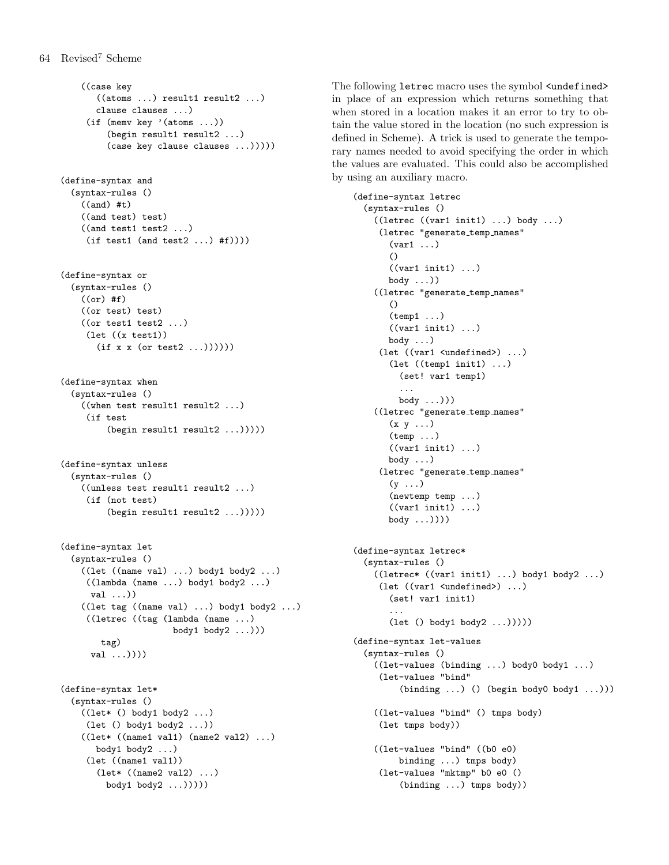```
((case key
       ((atoms ...) result1 result2 ...)clause clauses ...)
     (if (memv key '(atoms ...))
         (begin result1 result2 ...)
         (case key clause clauses ...)))))
(define-syntax and
  (syntax-rules ()
    ((and) #t)
    ((and test) test)
    ((and test1 test2 ...)
     (if test1 (and test2 ...) #f))))(define-syntax or
  (syntax-rules ()
    ((or)#f)
    ((or test) test)
    ((or test1 test2 ...)
     (let ((x test1))
       (if x x (or test2 ...))))))(define-syntax when
  (syntax-rules ()
    ((when test result1 result2 ...)
     (if test
         (begin result1 result2 ...)))))
(define-syntax unless
  (syntax-rules ()
    ((unless test result1 result2 ...)
     (if (not test)
         (begin result1 result2 ...)))))
(define-syntax let
  (syntax-rules ()
    ((let ((name val) ...) body1 body2 ...)
     ((lambda (name ...) body1 body2 ...)
      val ...))
    ((let tag ((name val) ...) body1 body2 ...)
     ((letrec ((tag (lambda (name ...)
                      body1 body2 ...)))
        tag)
     val ...))))
(define-syntax let*
  (syntax-rules ()
    ((let* () body1 body2 ...)
     (let () body1 body2 ...))
    ((let * ((name1 val1) (name2 val2) ...))body1 body2 ...)
     (let ((name1 val1))
       (let* ((name2 val2) ...)
         body1 body2 ...)))))
```
The following letrec macro uses the symbol  $\langle$ undefined> in place of an expression which returns something that when stored in a location makes it an error to try to obtain the value stored in the location (no such expression is defined in Scheme). A trick is used to generate the temporary names needed to avoid specifying the order in which the values are evaluated. This could also be accomplished by using an auxiliary macro.

```
(define-syntax letrec
  (syntax-rules ()
    ((letrec ((var1 init1) ...) body ...)
     (letrec "generate_temp_names"
       (var1 ...)
       ()
       ((var1 init1) ...)body ...))
    ((letrec "generate_temp_names"
       ()
       (temp1 ...)
       ((var1 init1) ...)
       body ...)
     (let ((var1 <undefined>) ...)
       (let ((temp1 init1) ...)
         (set! var1 temp1)
         ...
         body ...)))
    ((letrec "generate_temp_names"
       (x \ y \dots)(temp ...)
       ((var1 init1) ...)body ...)
     (letrec "generate_temp_names"
       (y \ldots)(newtemp temp ...)
       ((\mathtt{var1}\ \mathtt{init1})\ \ldots)body ...))))
(define-syntax letrec*
  (syntax-rules ()
    ((letrec* ((var1 init1) ...) body1 body2 ...)
     (let ((var1 <undefined>) ...)
       (set! var1 init1)
       ...
       (let () body1 body2 ...)))))
(define-syntax let-values
  (syntax-rules ()
    ((let-values (binding ...) body0 body1 ...)
     (let-values "bind"
         (binding ...) () (begin body0 body1 ...)))
    ((let-values "bind" () tmps body)
     (let tmps body))
    ((let-values "bind" ((b0 e0)
         binding ...) tmps body)
     (let-values "mktmp" b0 e0 ()
         (binding ...) tmps body))
```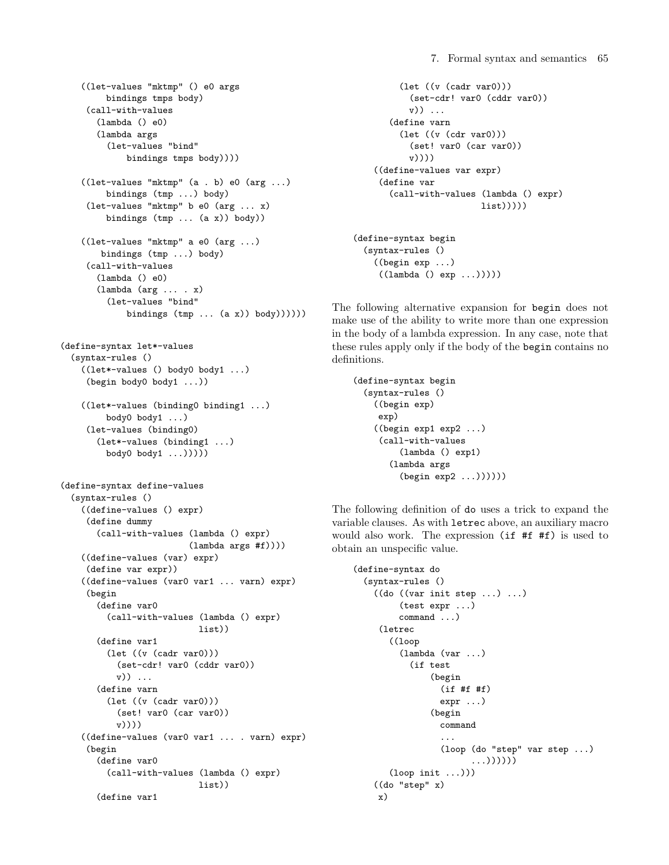```
((let-values "mktmp" () e0 args
         bindings tmps body)
     (call-with-values
       (lambda () e0)
       (lambda args
         (let-values "bind"
             bindings tmps body))))
    ((let-values "mktmp" (a . b) e0 (arg ...)
         bindings (tmp ...) body)
     (let-values "mktmp" b e0 (arg ... x)
         bindings (tmp ... (a x)) body))
    ((let-values "mktmp" a e0 (arg ...)
        bindings (tmp ...) body)
     (call-with-values
       (lambda () e0)
       (lambda (arg ... . x)
         (let-values "bind"
             bindings (tmp ... (a x)) body))))(define-syntax let*-values
  (syntax-rules ()
    ((let*-values () body0 body1 ...)
     (begin body0 body1 ...))
    ((let*-values (binding0 binding1 ...)
         body0 body1 ...)
     (let-values (binding0)
       (let*-values (binding1 ...)
         body0 body1 ...)))))
(define-syntax define-values
  (syntax-rules ()
    ((define-values () expr)
     (define dummy
       (call-with-values (lambda () expr)
                         (lambda args #f))))
    ((define-values (var) expr)
     (define var expr))
    ((define-values (var0 var1 ... varn) expr)
     (begin
       (define var0
         (call-with-values (lambda () expr)
                           list))
       (define var1
         (let ((v (cadr var0)))
           (set-cdr! var0 (cddr var0))
           v)) ...
       (define varn
         (let ((v (cadr var0)))
           (set! var0 (car var0))
           v)))
    ((define-values (var0 var1 ... . varn) expr)
     (begin
       (define var0
         (call-with-values (lambda () expr)
                           list))
       (define var1
```

```
(let ((v (cadr var0)))
           (set-cdr! var0 (cddr var0))
           v)) ...
       (define varn
         (let ((v (cdr var0)))
           (set! var0 (car var0))
           v))))
    ((define-values var expr)
     (define var
       (call-with-values (lambda () expr)
                         list))))(define-syntax begin
  (syntax-rules ()
```

```
((begin exp ...)
 ((lambda () exp ...)))))
```
The following alternative expansion for begin does not make use of the ability to write more than one expression in the body of a lambda expression. In any case, note that these rules apply only if the body of the begin contains no definitions.

```
(define-syntax begin
  (syntax-rules ()
    ((begin exp)
    exp)
    ((begin exp1 exp2 ...)
    (call-with-values
         (lambda () exp1)
       (lambda args
         (begin exp2 ...))))))
```
The following definition of do uses a trick to expand the variable clauses. As with letrec above, an auxiliary macro would also work. The expression (if #f #f) is used to obtain an unspecific value.

```
(define-syntax do
 (syntax-rules ()
   ((do ((var init step ... ) ... )(test expr ...)
         command ...)
     (letrec
       ((loop
         (lambda (var ...)
           (if test
               (begin
                 (if #f #f)
                 expr ...)
               (begin
                 command
                 ...
                 (loop (do "step" var step ...)
                        ...))))))
       (logopoint ...))((do "step" x)
    x)
```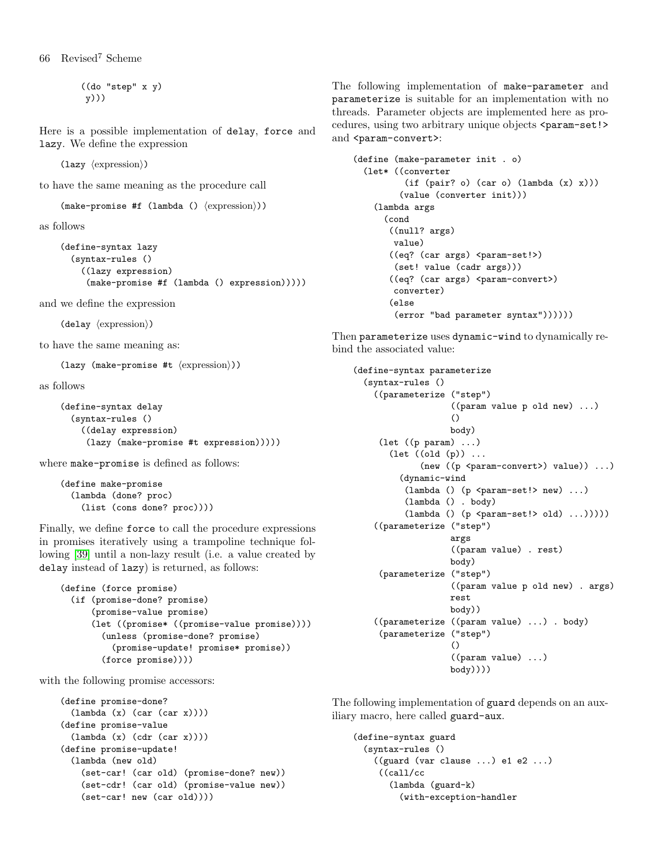66 Revised<sup>7</sup> Scheme

((do "step" x y) y)))

Here is a possible implementation of delay, force and lazy. We define the expression

(lazy  $\langle$  expression $\rangle$ )

to have the same meaning as the procedure call

 $(make-promise #f (lambda () \langle expression \rangle))$ 

as follows

```
(define-syntax lazy
  (syntax-rules ()
    ((lazy expression)
     (make-promise #f (lambda () expression)))))
```
and we define the expression

 $(delay \langle expression \rangle)$ 

to have the same meaning as:

(lazy (make-promise #t  $\langle$  expression $\rangle$ ))

as follows

```
(define-syntax delay
  (syntax-rules ()
    ((delay expression)
     (lazy (make-promise #t expression)))))
```
where make-promise is defined as follows:

```
(define make-promise
  (lambda (done? proc)
    (list (cons done? proc))))
```
Finally, we define force to call the procedure expressions in promises iteratively using a trampoline technique following [\[39\]](#page-75-5) until a non-lazy result (i.e. a value created by delay instead of lazy) is returned, as follows:

```
(define (force promise)
  (if (promise-done? promise)
      (promise-value promise)
      (let ((promise* ((promise-value promise))))
        (unless (promise-done? promise)
          (promise-update! promise* promise))
        (force promise))))
```
with the following promise accessors:

```
(define promise-done?
  (lambda (x) (car (car x))))(define promise-value
  (lambda (x) (cdr (car x))))
(define promise-update!
  (lambda (new old)
    (set-car! (car old) (promise-done? new))
    (set-cdr! (car old) (promise-value new))
    (set-car! new (car old))))
```
The following implementation of make-parameter and parameterize is suitable for an implementation with no threads. Parameter objects are implemented here as procedures, using two arbitrary unique objects <param-set!> and <param-convert>:

```
(define (make-parameter init . o)
  (let* ((converter
          (if (pair? o) (car o) (lambda <math>(x)</math> x)))(value (converter init)))
    (lambda args
      (cond
       ((null? args)
        value)
       ((eq? (car args) <param-set!>)
        (set! value (cadr args)))
       ((eq? (car args) <param-convert>)
        converter)
       (else
        (error "bad parameter syntax"))))))
```
Then parameterize uses dynamic-wind to dynamically rebind the associated value:

```
(define-syntax parameterize
  (syntax-rules ()
    ((parameterize ("step")
                   ((param value p old new) ...)
                    ()
                   body)
     (let ((p param) ...)
       (let ((old (p)) ...
             (new ((p <param-convert>) value)) ...)
         (dynamic-wind
          (lambda () (p <param-set!> new) ...)
          (lambda () . body)
          (lambda () (p <i>param-set</i> ! > old) ...))))((parameterize ("step")
                   args
                   ((param value) . rest)
                   body)
     (parameterize ("step")
                   ((param value p old new) . args)
                   rest
                   body))
    ((parameterize ((param value) ...) . body)
     (parameterize ("step")
                    ()
                   ((param value) ...)
                   body))))
```
The following implementation of guard depends on an auxiliary macro, here called guard-aux.

```
(define-syntax guard
 (syntax-rules ()
   ((guard (var clause ...) e1 e2 ...)
    ((call/cc
       (lambda (guard-k)
         (with-exception-handler
```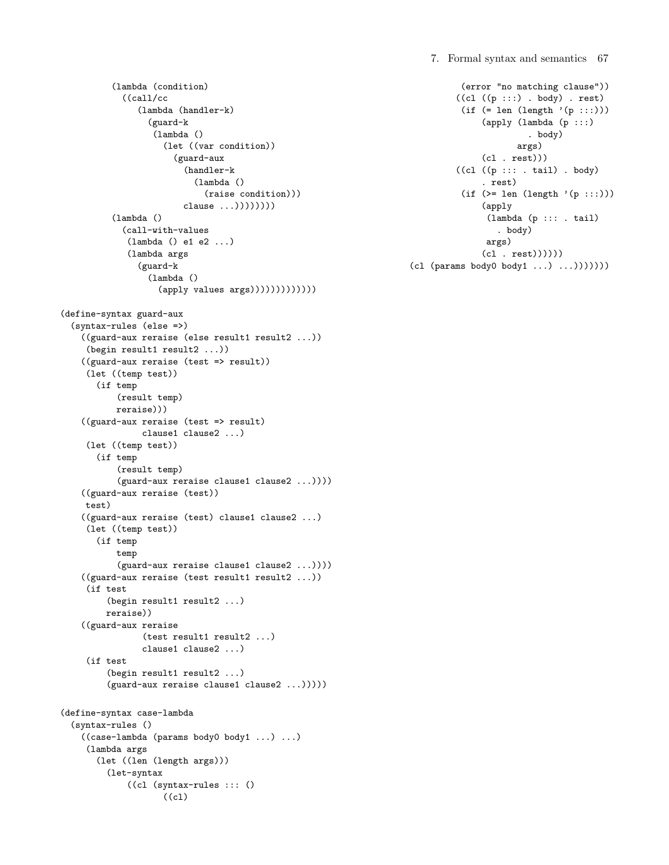7. Formal syntax and semantics 67

```
(lambda (condition)
            ((call/cc
               (lambda (handler-k)
                 (guard-k
                  (lambda ()
                    (let ((var condition))
                      (guard-aux
                        (handler-k
                          (lambda ()
                            (raise condition)))
                        clause \ldots))))))))(lambda ()
            (call-with-values
             (lambda () e1 e2 ...)
             (lambda args
               (guard-k
                 (lambda ()
                   (apply values args)))))))))))))
(define-syntax guard-aux
  (syntax-rules (else =>)
    ((guard-aux reraise (else result1 result2 ...))
     (begin result1 result2 ...))
    ((guard-aux reraise (test => result))
     (let ((temp test))
       (if temp
           (result temp)
           reraise)))
    ((guard-aux reraise (test => result)
                clause1 clause2 ...)
     (let ((temp test))
       (if temp
           (result temp)
           (guard-aux reraise clause1 clause2 ...))))
    ((guard-aux reraise (test))
    test)
    ((guard-aux reraise (test) clause1 clause2 ...)
     (let ((temp test))
       (if temp
           temp
           (guard-aux reraise clause1 clause2 ...))))
    ((guard-aux reraise (test result1 result2 ...))
     (if test
         (begin result1 result2 ...)
         reraise))
    ((guard-aux reraise
                (test result1 result2 ...)
                clause1 clause2 ...)
     (if test
         (begin result1 result2 ...)
         (guard-aux reraise clause1 clause2 ...)))))
(define-syntax case-lambda
  (syntax-rules ()
    ((case-lambda (params body0 body1 ...) ...)
     (lambda args
       (let ((len (length args)))
         (let-syntax
             ((cl (syntax-rules ::: ()
                    ((cl)
```

```
(error "no matching clause"))
         ((c1 ((p :::)) . body) . rest)(if (= len (length '(p :::)))(apply (lambda (p :::)
                       . body)
                     args)
              (cl . rest)))
         ((c1 ((p ::: . tail) . body)). rest)
          (if (>= len (length ' (p :::)))(apply
               (lambda (p ::: . tail)
                 . body)
               args)
              (cl . rest))))))
(cl (params body0 body1 ...) ...)))))))
```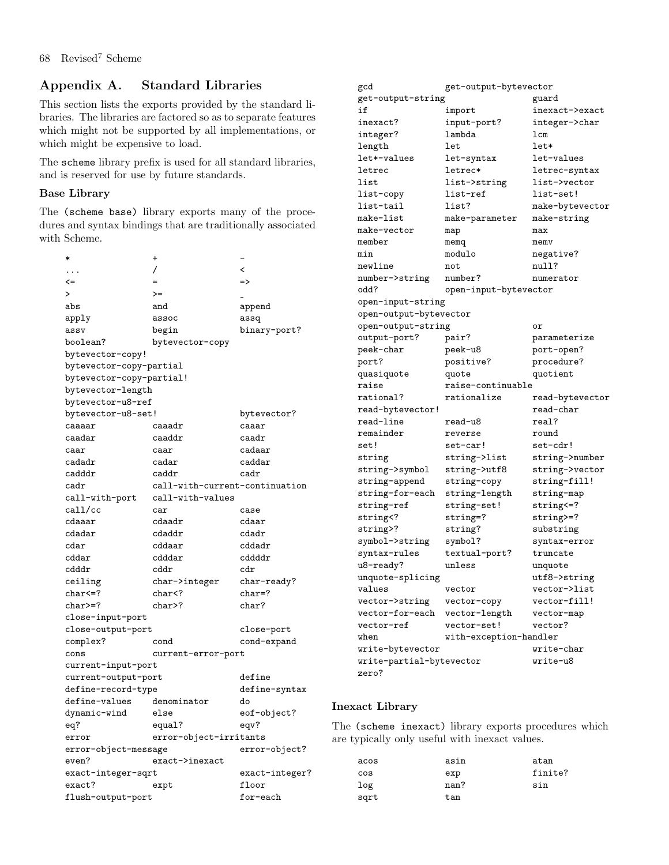# Appendix A. Standard Libraries

This section lists the exports provided by the standard libraries. The libraries are factored so as to separate features which might not be supported by all implementations, or which might be expensive to load.

The scheme library prefix is used for all standard libraries, and is reserved for use by future standards.

# Base Library

The (scheme base) library exports many of the procedures and syntax bindings that are traditionally associated with Scheme.

| $\ast$                   | +                              |                |
|--------------------------|--------------------------------|----------------|
| .                        | 7                              | <              |
| <=                       |                                | $\Rightarrow$  |
| $\geq$                   | >=                             |                |
| abs                      | and                            | append         |
| apply                    | assoc                          | assq           |
| assv                     | begin                          | binary-port?   |
| boolean?                 | bytevector-copy                |                |
| bytevector-copy!         |                                |                |
| bytevector-copy-partial  |                                |                |
| bytevector-copy-partial! |                                |                |
| bytevector-length        |                                |                |
| bytevector-u8-ref        |                                |                |
| bytevector-u8-set!       |                                | bytevector?    |
| caaaar                   | caaadr                         | caaar          |
| caadar                   | caaddr                         | caadr          |
| caar                     | caar                           | cadaar         |
| cadadr                   | cadar                          | caddar         |
| cadddr                   | caddr                          | cadr           |
| cadr                     | call-with-current-continuation |                |
| call-with-port           | call-with-values               |                |
| call/cc                  | car                            | case           |
| cdaaar                   | cdaadr                         | cdaar          |
| cdadar                   | cdaddr                         | cdadr          |
| $_{\rm{cdar}}$           | cddaar                         | cddadr         |
| cddar                    | cdddar                         | cddddr         |
| cdddr                    | cddr                           | cdr            |
| ceiling                  | char->integer                  | char-ready?    |
| char<=?                  | char </td <td>char=?</td>      | char=?         |
| $char = ?$               | char>?                         | char?          |
| close-input-port         |                                |                |
| close-output-port        |                                | close-port     |
| complex?                 | cond                           | cond-expand    |
| cons                     | current-error-port             |                |
| current-input-port       |                                |                |
| current-output-port      |                                | define         |
| define-record-type       |                                | define-syntax  |
| define-values            | denominator                    | do             |
| dynamic-wind             | else                           | eof-object?    |
| eq?                      | equal?                         | eqv?           |
| error                    | error-object-irritants         |                |
| error-object-message     |                                | error-object?  |
| even?                    | exact->inexact                 |                |
| exact-integer-sqrt       |                                | exact-integer? |
| exact?                   | expt                           | floor          |
| flush-output-port        |                                | for-each       |

| get-output-bytevector<br>gcd                        |                        |                 |
|-----------------------------------------------------|------------------------|-----------------|
| get-output-string                                   |                        | guard           |
| if                                                  | import                 | inexact->exact  |
| inexact?                                            | input-port?            | integer->char   |
| integer?                                            | lambda                 | lcm             |
| length                                              | 1et.                   | $let*$          |
| let*-values                                         | let-syntax             | let-values      |
| letrec                                              | letrec*                | letrec-syntax   |
| list                                                | list->string           | list->vector    |
| list-copy                                           | list-ref               | list-set!       |
| list-tail                                           | list?                  | make-bytevector |
| make-list                                           | make-parameter         | make-string     |
| make-vector                                         | map                    | max             |
| member                                              | memq                   | memv            |
| min                                                 | modulo                 | negative?       |
| newline                                             | not                    | null?           |
| number->string                                      | number?                | numerator       |
| odd?                                                | open-input-bytevector  |                 |
| open-input-string                                   |                        |                 |
| open-output-bytevector                              |                        |                 |
| open-output-string                                  |                        | or              |
| output-port?                                        | pair?                  | parameterize    |
| peek-char                                           | peek-u8                | port-open?      |
| port?                                               | positive?              | procedure?      |
| quasiquote                                          | quote                  | quotient        |
| raise<br>raise-continuable                          |                        |                 |
| rational?                                           | rationalize            | read-bytevector |
| read-bytevector!                                    |                        | read-char       |
| read-line                                           | read-u8                | real?           |
| remainder                                           | reverse                | round           |
| set!                                                | set-car!               | set-cdr!        |
| string                                              | string->list           | string->number  |
| string->symbol                                      | string->utf8           | string->vector  |
| string-append                                       | string-copy            | string-fill!    |
| string-for-each                                     | string-length          | string-map      |
| string-ref                                          | string-set!            | string<=?       |
| string </td <td>string=?</td> <td>string&gt;=?</td> | string=?               | string>=?       |
| string>?                                            | string?                | substring       |
| symbol->string                                      | symbol?                | syntax-error    |
| syntax-rules                                        | textual-port?          | truncate        |
| u8-ready?                                           | unless                 | unquote         |
| unquote-splicing                                    |                        | utf8->string    |
| values                                              | vector                 | vector->list    |
| vector->string                                      | vector-copy            | vector-fill!    |
| vector-for-each                                     | vector-length          | vector-map      |
| vector-ref                                          | vector-set!            | vector?         |
| when                                                | with-exception-handler |                 |
| write-bytevector                                    |                        | write-char      |
| write-partial-bytevector                            |                        | write-u8        |
| zero?                                               |                        |                 |
|                                                     |                        |                 |

# Inexact Library

The (scheme inexact) library exports procedures which are typically only useful with inexact values.

| acos | asin | atan    |
|------|------|---------|
| cos  | exp  | finite? |
| log  | nan? | sin     |
| sqrt | tan  |         |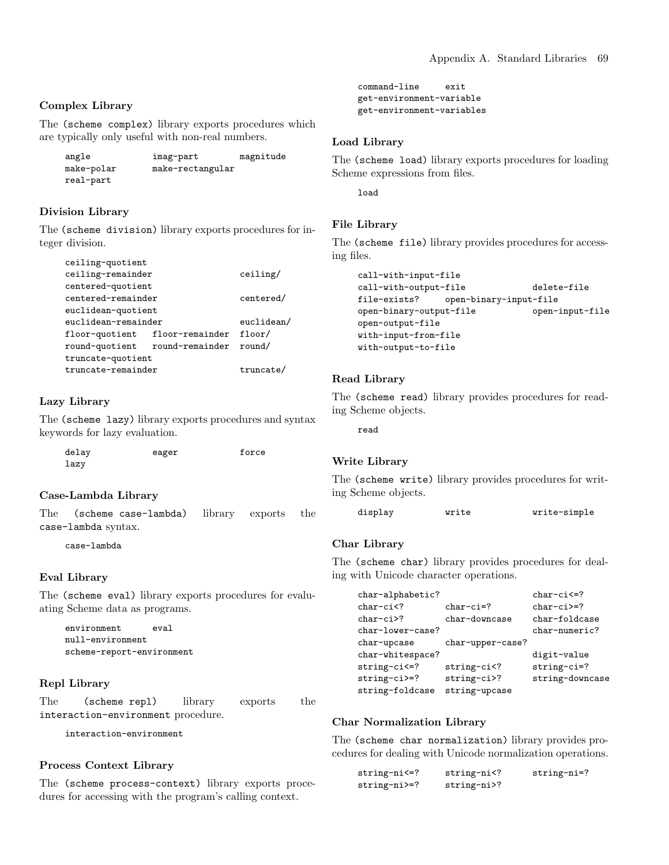## Complex Library

The (scheme complex) library exports procedures which are typically only useful with non-real numbers.

| angle      | imag-part        | magnitude |
|------------|------------------|-----------|
| make-polar | make-rectangular |           |
| real-part  |                  |           |

#### Division Library

The (scheme division) library exports procedures for integer division.

| ceiling-quotient               |  |            |
|--------------------------------|--|------------|
| ceiling-remainder              |  | ceiling/   |
| centered-quotient              |  |            |
| centered-remainder             |  | centered/  |
| euclidean-quotient             |  |            |
| euclidean-remainder            |  | euclidean/ |
| floor-quotient floor-remainder |  | floor/     |
| round-quotient round-remainder |  | round/     |
| truncate-quotient              |  |            |
| truncate-remainder             |  | truncate/  |

# Lazy Library

The (scheme lazy) library exports procedures and syntax keywords for lazy evaluation.

| delay | eager | force |
|-------|-------|-------|
| lazy  |       |       |

#### Case-Lambda Library

The (scheme case-lambda) library exports the case-lambda syntax.

case-lambda

#### Eval Library

The (scheme eval) library exports procedures for evaluating Scheme data as programs.

```
environment eval
null-environment
scheme-report-environment
```
#### Repl Library

The (scheme repl) library exports the interaction-environment procedure.

interaction-environment

# Process Context Library

The (scheme process-context) library exports procedures for accessing with the program's calling context.

```
command-line exit
get-environment-variable
get-environment-variables
```
#### Load Library

The (scheme load) library exports procedures for loading Scheme expressions from files.

load

#### File Library

The (scheme file) library provides procedures for accessing files.

```
call-with-input-file
call-with-output-file delete-file
file-exists? open-binary-input-file
open-binary-output-file open-input-file
open-output-file
with-input-from-file
with-output-to-file
```
#### Read Library

The (scheme read) library provides procedures for reading Scheme objects.

read

# Write Library

The (scheme write) library provides procedures for writing Scheme objects.

display **write** write-simple

#### Char Library

The (scheme char) library provides procedures for dealing with Unicode character operations.

| char-alphabetic? |                                     | $char-ci<=?$    |
|------------------|-------------------------------------|-----------------|
| $char-ci$        | $char-ci=?$                         | $char-ci>=?$    |
| $char-ci$ ?      | char-downcase                       | char-foldcase   |
| char-lower-case? |                                     | char-numeric?   |
| char-upcase      | char-upper-case?                    |                 |
| char-whitespace? |                                     | digit-value     |
| string-ci<=?     | string-ci </th <th>string-ci=?</th> | string-ci=?     |
| string-ci>=?     | string-ci>?                         | string-downcase |
| string-foldcase  | string-upcase                       |                 |

#### Char Normalization Library

The (scheme char normalization) library provides procedures for dealing with Unicode normalization operations.

| $string-ni<=?$ | string-ni </th <th>string-ni=?</th> | string-ni=? |
|----------------|-------------------------------------|-------------|
| $string-ni>=?$ | string-ni>?                         |             |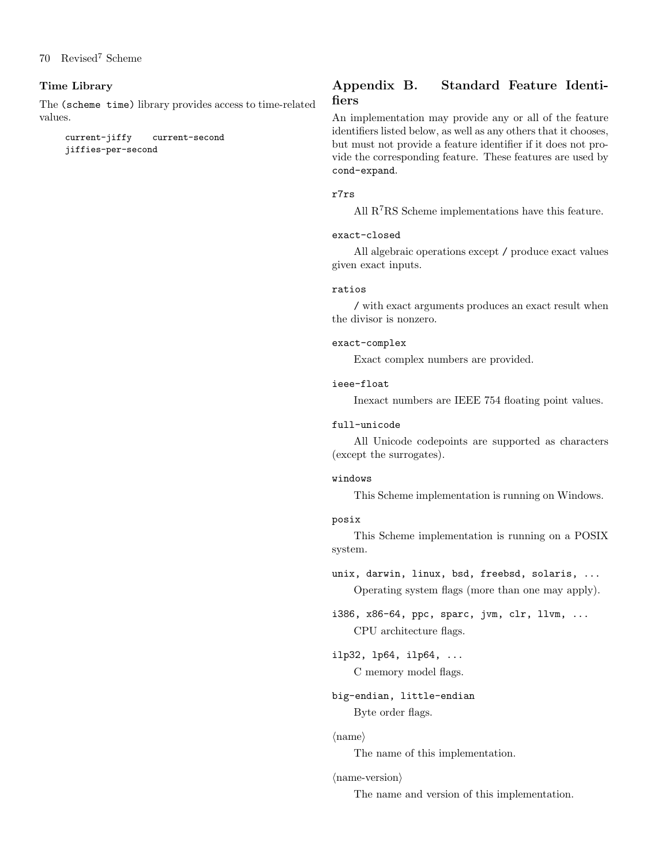# Time Library

The (scheme time) library provides access to time-related values.

current-jiffy current-second jiffies-per-second

# Appendix B. Standard Feature Identifiers

An implementation may provide any or all of the feature identifiers listed below, as well as any others that it chooses, but must not provide a feature identifier if it does not provide the corresponding feature. These features are used by cond-expand.

# r7rs

All R7RS Scheme implementations have this feature.

## exact-closed

All algebraic operations except / produce exact values given exact inputs.

#### ratios

/ with exact arguments produces an exact result when the divisor is nonzero.

#### exact-complex

Exact complex numbers are provided.

## ieee-float

Inexact numbers are IEEE 754 floating point values.

#### full-unicode

All Unicode codepoints are supported as characters (except the surrogates).

#### windows

This Scheme implementation is running on Windows.

#### posix

This Scheme implementation is running on a POSIX system.

unix, darwin, linux, bsd, freebsd, solaris, ...

Operating system flags (more than one may apply).

i386, x86-64, ppc, sparc, jvm, clr, llvm, ... CPU architecture flags.

ilp32, lp64, ilp64, ... C memory model flags.

big-endian, little-endian Byte order flags.

#### $\langle$ name $\rangle$

The name of this implementation.

#### $\langle$ name-version $\rangle$

The name and version of this implementation.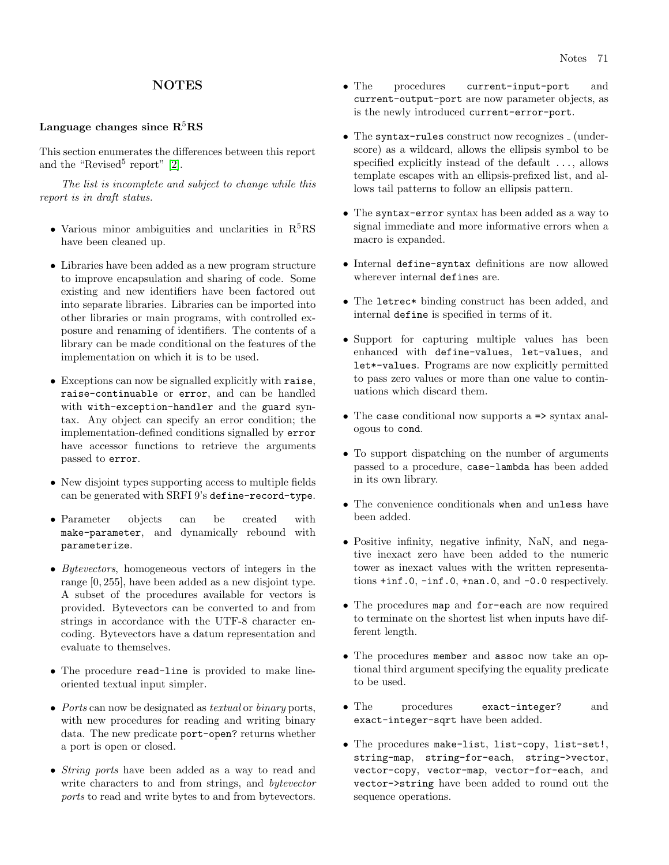# **NOTES**

#### Language changes since  $R<sup>5</sup>RS$

This section enumerates the differences between this report and the "Revised<sup>5</sup> report"  $[2]$ .

The list is incomplete and subject to change while this report is in draft status.

- Various minor ambiguities and unclarities in  $R<sup>5</sup>RS$ have been cleaned up.
- Libraries have been added as a new program structure to improve encapsulation and sharing of code. Some existing and new identifiers have been factored out into separate libraries. Libraries can be imported into other libraries or main programs, with controlled exposure and renaming of identifiers. The contents of a library can be made conditional on the features of the implementation on which it is to be used.
- Exceptions can now be signalled explicitly with raise, raise-continuable or error, and can be handled with with-exception-handler and the guard syntax. Any object can specify an error condition; the implementation-defined conditions signalled by error have accessor functions to retrieve the arguments passed to error.
- New disjoint types supporting access to multiple fields can be generated with SRFI 9's define-record-type.
- Parameter objects can be created with make-parameter, and dynamically rebound with parameterize.
- Bytevectors, homogeneous vectors of integers in the range [0, 255], have been added as a new disjoint type. A subset of the procedures available for vectors is provided. Bytevectors can be converted to and from strings in accordance with the UTF-8 character encoding. Bytevectors have a datum representation and evaluate to themselves.
- The procedure read-line is provided to make lineoriented textual input simpler.
- Ports can now be designated as textual or binary ports, with new procedures for reading and writing binary data. The new predicate port-open? returns whether a port is open or closed.
- String ports have been added as a way to read and write characters to and from strings, and bytevector ports to read and write bytes to and from bytevectors.
- The procedures current-input-port and current-output-port are now parameter objects, as is the newly introduced current-error-port.
- The syntax-rules construct now recognizes  $\lrcorner$  (underscore) as a wildcard, allows the ellipsis symbol to be specified explicitly instead of the default ..., allows template escapes with an ellipsis-prefixed list, and allows tail patterns to follow an ellipsis pattern.
- The syntax-error syntax has been added as a way to signal immediate and more informative errors when a macro is expanded.
- Internal define-syntax definitions are now allowed wherever internal defines are.
- The letrec\* binding construct has been added, and internal define is specified in terms of it.
- Support for capturing multiple values has been enhanced with define-values, let-values, and let\*-values. Programs are now explicitly permitted to pass zero values or more than one value to continuations which discard them.
- The case conditional now supports a => syntax analogous to cond.
- To support dispatching on the number of arguments passed to a procedure, case-lambda has been added in its own library.
- The convenience conditionals when and unless have been added.
- Positive infinity, negative infinity, NaN, and negative inexact zero have been added to the numeric tower as inexact values with the written representations  $+i$ nf.0,  $-i$ nf.0,  $+i$ nan.0, and  $-0.0$  respectively.
- The procedures map and for-each are now required to terminate on the shortest list when inputs have different length.
- The procedures member and assoc now take an optional third argument specifying the equality predicate to be used.
- The procedures exact-integer? and exact-integer-sqrt have been added.
- The procedures make-list, list-copy, list-set!, string-map, string-for-each, string->vector, vector-copy, vector-map, vector-for-each, and vector->string have been added to round out the sequence operations.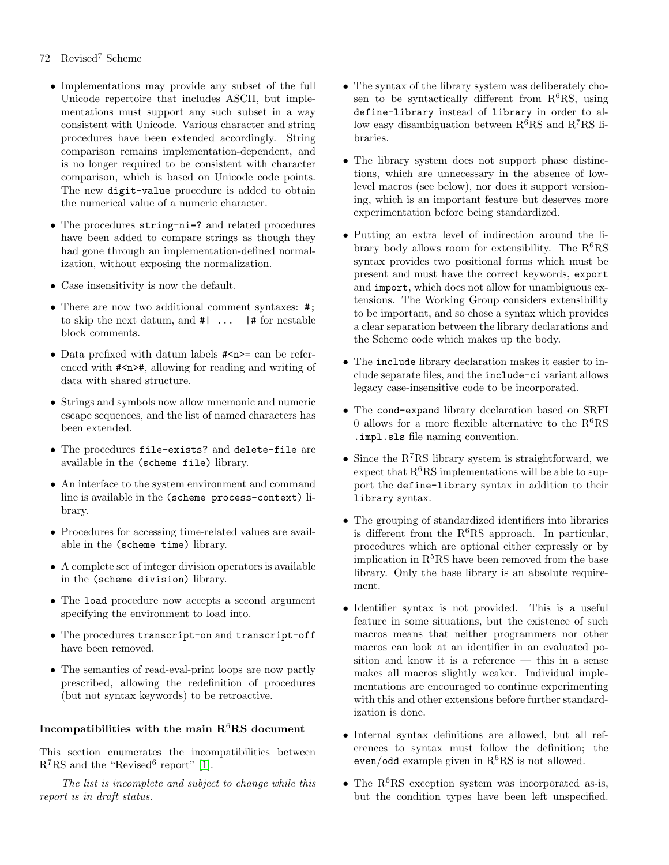# 72 Revised<sup>7</sup> Scheme

- Implementations may provide any subset of the full Unicode repertoire that includes ASCII, but implementations must support any such subset in a way consistent with Unicode. Various character and string procedures have been extended accordingly. String comparison remains implementation-dependent, and is no longer required to be consistent with character comparison, which is based on Unicode code points. The new digit-value procedure is added to obtain the numerical value of a numeric character.
- The procedures string-ni=? and related procedures have been added to compare strings as though they had gone through an implementation-defined normalization, without exposing the normalization.
- Case insensitivity is now the default.
- There are now two additional comment syntaxes: #; to skip the next datum, and #| ... |# for nestable block comments.
- Data prefixed with datum labels  $\#<sub>n</sub>>=$  can be referenced with #<n>#, allowing for reading and writing of data with shared structure.
- Strings and symbols now allow mnemonic and numeric escape sequences, and the list of named characters has been extended.
- The procedures file-exists? and delete-file are available in the (scheme file) library.
- An interface to the system environment and command line is available in the (scheme process-context) library.
- Procedures for accessing time-related values are available in the (scheme time) library.
- A complete set of integer division operators is available in the (scheme division) library.
- The load procedure now accepts a second argument specifying the environment to load into.
- The procedures transcript-on and transcript-off have been removed.
- The semantics of read-eval-print loops are now partly prescribed, allowing the redefinition of procedures (but not syntax keywords) to be retroactive.

# Incompatibilities with the main  $R^6RS$  document

This section enumerates the incompatibilities between  $R^7RS$  and the "Revised<sup>6</sup> report" [\[1\]](#page-74-3).

The list is incomplete and subject to change while this report is in draft status.

- The syntax of the library system was deliberately chosen to be syntactically different from  $R^6RS$ , using define-library instead of library in order to allow easy disambiguation between  $R^6RS$  and  $R^7RS$  libraries.
- The library system does not support phase distinctions, which are unnecessary in the absence of lowlevel macros (see below), nor does it support versioning, which is an important feature but deserves more experimentation before being standardized.
- Putting an extra level of indirection around the library body allows room for extensibility. The  $R^6RS$ syntax provides two positional forms which must be present and must have the correct keywords, export and import, which does not allow for unambiguous extensions. The Working Group considers extensibility to be important, and so chose a syntax which provides a clear separation between the library declarations and the Scheme code which makes up the body.
- The include library declaration makes it easier to include separate files, and the include-ci variant allows legacy case-insensitive code to be incorporated.
- The cond-expand library declaration based on SRFI 0 allows for a more flexible alternative to the  $R^6RS$ .impl.sls file naming convention.
- Since the  $R^{7}RS$  library system is straightforward, we expect that  $R^6RS$  implementations will be able to support the define-library syntax in addition to their library syntax.
- The grouping of standardized identifiers into libraries is different from the  $R^6RS$  approach. In particular, procedures which are optional either expressly or by implication in  $R<sup>5</sup>RS$  have been removed from the base library. Only the base library is an absolute requirement.
- Identifier syntax is not provided. This is a useful feature in some situations, but the existence of such macros means that neither programmers nor other macros can look at an identifier in an evaluated position and know it is a reference — this in a sense makes all macros slightly weaker. Individual implementations are encouraged to continue experimenting with this and other extensions before further standardization is done.
- Internal syntax definitions are allowed, but all references to syntax must follow the definition; the even/odd example given in  $R^6RS$  is not allowed.
- The  $R^6RS$  exception system was incorporated as-is, but the condition types have been left unspecified.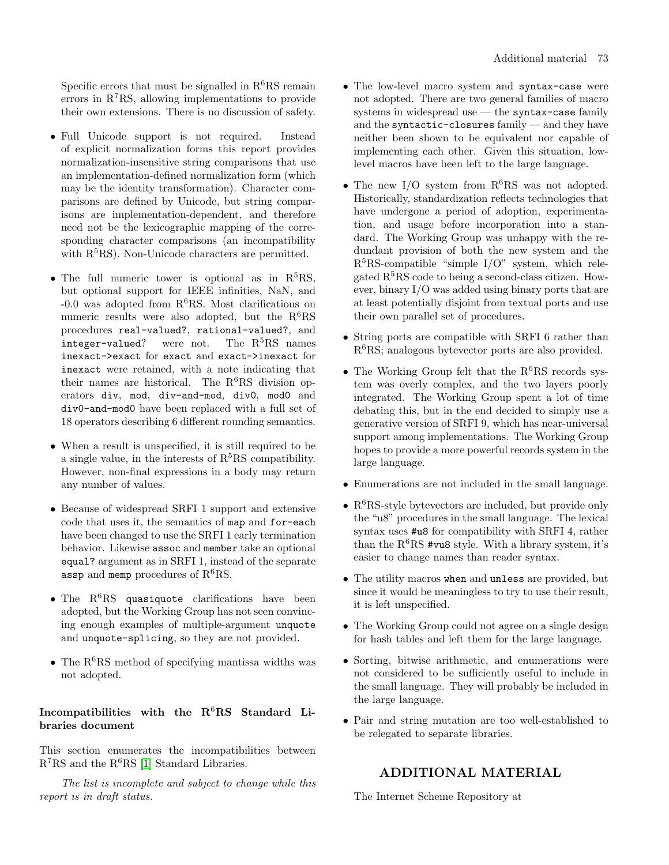Specific errors that must be signalled in  $R^6RS$  remain errors in  $R^{7}RS$ , allowing implementations to provide their own extensions. There is no discussion of safety.

- Full Unicode support is not required. Instead of explicit normalization forms this report provides normalization-insensitive string comparisons that use an implementation-defined normalization form (which may be the identity transformation). Character comparisons are defined by Unicode, but string comparisons are implementation-dependent, and therefore need not be the lexicographic mapping of the corresponding character comparisons (an incompatibility with  $R<sup>5</sup>RS$ ). Non-Unicode characters are permitted.
- The full numeric tower is optional as in  $R^5RS$ , but optional support for IEEE infinities, NaN, and  $-0.0$  was adopted from  $R^6RS$ . Most clarifications on numeric results were also adopted, but the  $R^6RS$ procedures real-valued?, rational-valued?, and integer-valued? were not. The  $R<sup>5</sup>RS$  names inexact->exact for exact and exact->inexact for inexact were retained, with a note indicating that their names are historical. The  $R^6RS$  division operators div, mod, div-and-mod, div0, mod0 and div0-and-mod0 have been replaced with a full set of 18 operators describing 6 different rounding semantics.
- When a result is unspecified, it is still required to be a single value, in the interests of  $R<sup>5</sup>RS$  compatibility. However, non-final expressions in a body may return any number of values.
- Because of widespread SRFI 1 support and extensive code that uses it, the semantics of map and for-each have been changed to use the SRFI 1 early termination behavior. Likewise assoc and member take an optional equal? argument as in SRFI 1, instead of the separate assp and memp procedures of  $R^6RS$ .
- The  $R^6RS$  quasiquote clarifications have been adopted, but the Working Group has not seen convincing enough examples of multiple-argument unquote and unquote-splicing, so they are not provided.
- The  $R^6RS$  method of specifying mantissa widths was not adopted.

## Incompatibilities with the  $R^6RS$  Standard Libraries document

This section enumerates the incompatibilities between  $R^{7}RS$  and the  $R^{6}RS$  [\[1\]](#page-74-0) Standard Libraries.

The list is incomplete and subject to change while this report is in draft status.

- The low-level macro system and syntax-case were not adopted. There are two general families of macro systems in widespread use  $-$  the syntax-case family and the syntactic-closures family — and they have neither been shown to be equivalent nor capable of implementing each other. Given this situation, lowlevel macros have been left to the large language.
- The new I/O system from  $R^6RS$  was not adopted. Historically, standardization reflects technologies that have undergone a period of adoption, experimentation, and usage before incorporation into a standard. The Working Group was unhappy with the redundant provision of both the new system and the  $R<sup>5</sup>RS-compatible$  "simple I/O" system, which relegated  $R<sup>5</sup>RS$  code to being a second-class citizen. However, binary I/O was added using binary ports that are at least potentially disjoint from textual ports and use their own parallel set of procedures.
- String ports are compatible with SRFI 6 rather than  $R<sup>6</sup>RS$ ; analogous bytevector ports are also provided.
- The Working Group felt that the  $R^6RS$  records system was overly complex, and the two layers poorly integrated. The Working Group spent a lot of time debating this, but in the end decided to simply use a generative version of SRFI 9, which has near-universal support among implementations. The Working Group hopes to provide a more powerful records system in the large language.
- Enumerations are not included in the small language.
- $R^6RS$ -style bytevectors are included, but provide only the "u8" procedures in the small language. The lexical syntax uses #u8 for compatibility with SRFI 4, rather than the  $R^6RS$  #vu8 style. With a library system, it's easier to change names than reader syntax.
- The utility macros when and unless are provided, but since it would be meaningless to try to use their result, it is left unspecified.
- The Working Group could not agree on a single design for hash tables and left them for the large language.
- Sorting, bitwise arithmetic, and enumerations were not considered to be sufficiently useful to include in the small language. They will probably be included in the large language.
- Pair and string mutation are too well-established to be relegated to separate libraries.

# ADDITIONAL MATERIAL

The Internet Scheme Repository at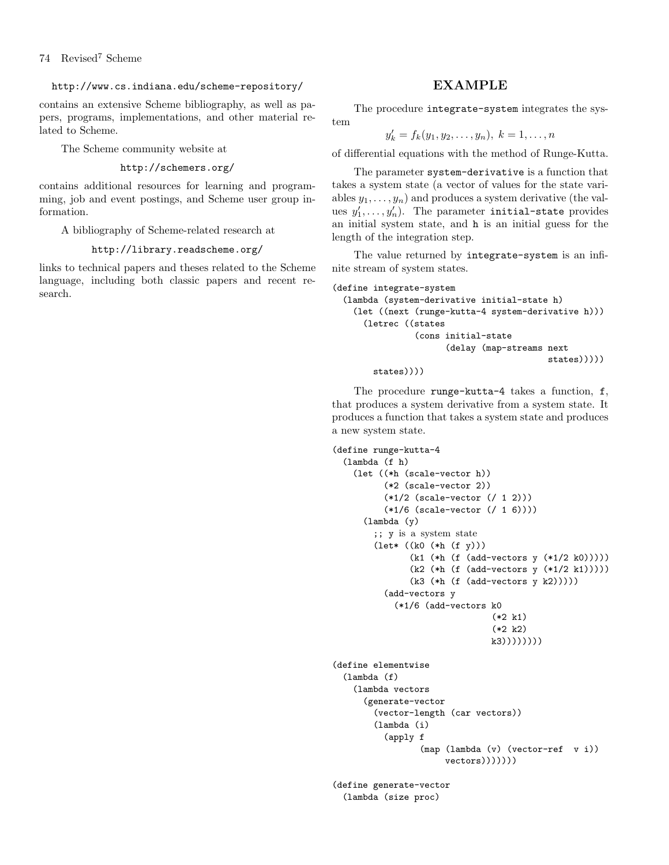#### http://www.cs.indiana.edu/scheme-repository/

contains an extensive Scheme bibliography, as well as papers, programs, implementations, and other material related to Scheme.

The Scheme community website at

#### http://schemers.org/

contains additional resources for learning and programming, job and event postings, and Scheme user group information.

A bibliography of Scheme-related research at

#### http://library.readscheme.org/

links to technical papers and theses related to the Scheme language, including both classic papers and recent research.

### EXAMPLE

The procedure integrate-system integrates the system

$$
y'_k = f_k(y_1, y_2, \dots, y_n), k = 1, \dots, n
$$

of differential equations with the method of Runge-Kutta.

The parameter system-derivative is a function that takes a system state (a vector of values for the state variables  $y_1, \ldots, y_n$ ) and produces a system derivative (the values  $y'_1, \ldots, y'_n$ ). The parameter initial-state provides an initial system state, and h is an initial guess for the length of the integration step.

The value returned by integrate-system is an infinite stream of system states.

```
(define integrate-system
  (lambda (system-derivative initial-state h)
    (let ((next (runge-kutta-4 system-derivative h)))
      (letrec ((states
                (cons initial-state
                      (delay (map-streams next
                                           states)))))
```

```
states))))
```
The procedure runge-kutta-4 takes a function, f, that produces a system derivative from a system state. It produces a function that takes a system state and produces a new system state.

```
(define runge-kutta-4
  (lambda (f h)
    (let ((*h (scale-vector h))
          (*2 (scale-vector 2))
          (*1/2 (scale-vector (/ 1 2)))
          (*1/6 (scale-vector (/ 1 6))))
      (lambda (y)
        ;; y is a system state
        (let* ((k0 (*h (f y)))
               (k1 (*h (f (add-vectors y (*1/2 k0)))))
               (k2 (*h (f (add-vectors y (*1/2 k1)))))
               (k3 (*h (f (add-vectors y k2)))))
          (add-vectors y
            (*1/6 (add-vectors k0
                                (*2 k1)
                                (*2 k2)
                                k3))))))))
(define elementwise
  (lambda (f)
    (lambda vectors
      (generate-vector
        (vector-length (car vectors))
        (lambda (i)
          (apply f
                 (map (lambda (v) (vector-ref v i))
                      vectors)))))))(define generate-vector
  (lambda (size proc)
```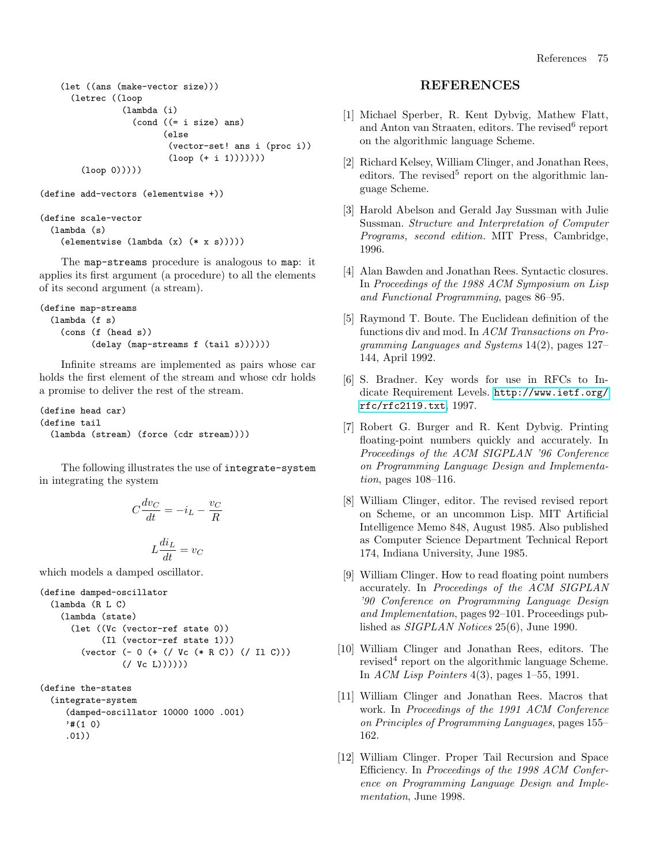(let ((ans (make-vector size))) (letrec ((loop (lambda (i) (cond ((= i size) ans) (else (vector-set! ans i (proc i))  $(logo p (+ i 1))))))$ (loop 0)))))

(define add-vectors (elementwise +))

```
(define scale-vector
 (lambda (s)
   (elementwise (lambda (x) (* x s)))))
```
The map-streams procedure is analogous to map: it applies its first argument (a procedure) to all the elements of its second argument (a stream).

```
(define map-streams
  (lambda (f s)
    (cons (f (head s))
          (delay (map-streams f (tail s))))))
```
Infinite streams are implemented as pairs whose car holds the first element of the stream and whose cdr holds a promise to deliver the rest of the stream.

```
(define head car)
(define tail
 (lambda (stream) (force (cdr stream))))
```
The following illustrates the use of integrate-system in integrating the system

$$
C\frac{dv_C}{dt} = -i_L - \frac{v_C}{R}
$$

$$
L\frac{di_L}{dt} = v_C
$$

which models a damped oscillator.

```
(define damped-oscillator
 (lambda (R L C)
   (lambda (state)
      (let ((Vc (vector-ref state 0))
            (Il (vector-ref state 1)))
        (vector (- 0 (+ (/ Vc (* R C)) (/ Il C)))
                (/ Vc L))))))
```

```
(define the-states
 (integrate-system
    (damped-oscillator 10000 1000 .001)
     '#(1 0).01))
```
### REFERENCES

- <span id="page-74-0"></span>[1] Michael Sperber, R. Kent Dybvig, Mathew Flatt, and Anton van Straaten, editors. The revised<sup>6</sup> report on the algorithmic language Scheme.
- [2] Richard Kelsey, William Clinger, and Jonathan Rees, editors. The revised<sup>5</sup> report on the algorithmic language Scheme.
- [3] Harold Abelson and Gerald Jay Sussman with Julie Sussman. Structure and Interpretation of Computer Programs, second edition. MIT Press, Cambridge, 1996.
- [4] Alan Bawden and Jonathan Rees. Syntactic closures. In Proceedings of the 1988 ACM Symposium on Lisp and Functional Programming, pages 86–95.
- [5] Raymond T. Boute. The Euclidean definition of the functions div and mod. In ACM Transactions on Programming Languages and Systems 14(2), pages 127– 144, April 1992.
- [6] S. Bradner. Key words for use in RFCs to Indicate Requirement Levels. [http://www.ietf.org/](http://www.ietf.org/rfc/rfc2119.txt) [rfc/rfc2119.txt](http://www.ietf.org/rfc/rfc2119.txt), 1997.
- [7] Robert G. Burger and R. Kent Dybvig. Printing floating-point numbers quickly and accurately. In Proceedings of the ACM SIGPLAN '96 Conference on Programming Language Design and Implementation, pages 108–116.
- [8] William Clinger, editor. The revised revised report on Scheme, or an uncommon Lisp. MIT Artificial Intelligence Memo 848, August 1985. Also published as Computer Science Department Technical Report 174, Indiana University, June 1985.
- [9] William Clinger. How to read floating point numbers accurately. In Proceedings of the ACM SIGPLAN '90 Conference on Programming Language Design and Implementation, pages 92–101. Proceedings published as SIGPLAN Notices 25(6), June 1990.
- [10] William Clinger and Jonathan Rees, editors. The revised<sup>4</sup> report on the algorithmic language Scheme. In ACM Lisp Pointers 4(3), pages 1–55, 1991.
- [11] William Clinger and Jonathan Rees. Macros that work. In Proceedings of the 1991 ACM Conference on Principles of Programming Languages, pages 155– 162.
- [12] William Clinger. Proper Tail Recursion and Space Efficiency. In Proceedings of the 1998 ACM Conference on Programming Language Design and Implementation, June 1998.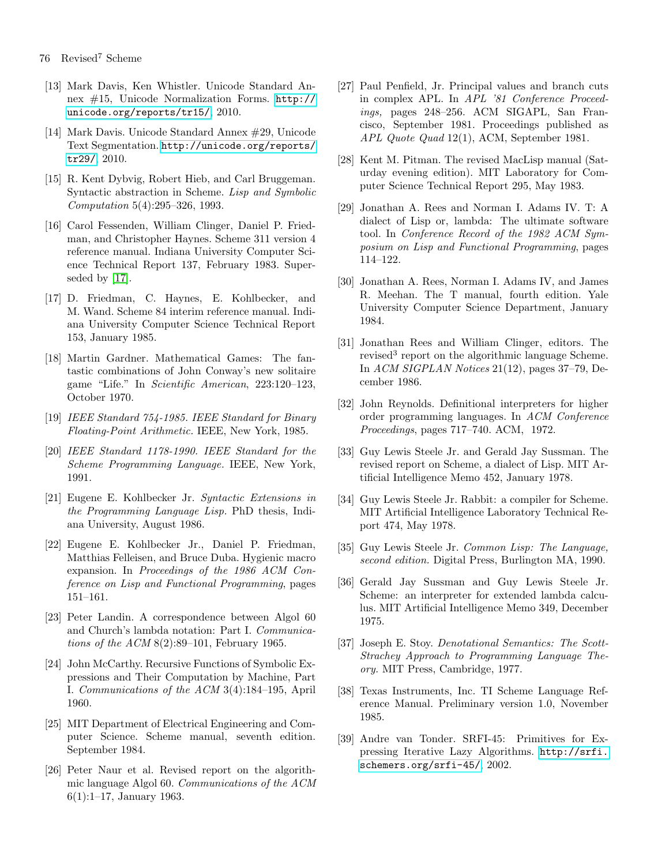- [13] Mark Davis, Ken Whistler. Unicode Standard Annex #15, Unicode Normalization Forms. [http://](http://unicode.org/reports/tr15/) [unicode.org/reports/tr15/](http://unicode.org/reports/tr15/), 2010.
- [14] Mark Davis. Unicode Standard Annex #29, Unicode Text Segmentation. [http://unicode.org/reports/](http://unicode.org/reports/tr29/) [tr29/](http://unicode.org/reports/tr29/), 2010.
- [15] R. Kent Dybvig, Robert Hieb, and Carl Bruggeman. Syntactic abstraction in Scheme. Lisp and Symbolic Computation 5(4):295–326, 1993.
- [16] Carol Fessenden, William Clinger, Daniel P. Friedman, and Christopher Haynes. Scheme 311 version 4 reference manual. Indiana University Computer Science Technical Report 137, February 1983. Superseded by [\[17\]](#page-75-0).
- <span id="page-75-0"></span>[17] D. Friedman, C. Haynes, E. Kohlbecker, and M. Wand. Scheme 84 interim reference manual. Indiana University Computer Science Technical Report 153, January 1985.
- [18] Martin Gardner. Mathematical Games: The fantastic combinations of John Conway's new solitaire game "Life." In Scientific American, 223:120–123, October 1970.
- [19] IEEE Standard 754-1985. IEEE Standard for Binary Floating-Point Arithmetic. IEEE, New York, 1985.
- [20] IEEE Standard 1178-1990. IEEE Standard for the Scheme Programming Language. IEEE, New York, 1991.
- [21] Eugene E. Kohlbecker Jr. Syntactic Extensions in the Programming Language Lisp. PhD thesis, Indiana University, August 1986.
- [22] Eugene E. Kohlbecker Jr., Daniel P. Friedman, Matthias Felleisen, and Bruce Duba. Hygienic macro expansion. In Proceedings of the 1986 ACM Conference on Lisp and Functional Programming, pages 151–161.
- [23] Peter Landin. A correspondence between Algol 60 and Church's lambda notation: Part I. Communications of the ACM 8(2):89–101, February 1965.
- [24] John McCarthy. Recursive Functions of Symbolic Expressions and Their Computation by Machine, Part I. Communications of the ACM 3(4):184–195, April 1960.
- [25] MIT Department of Electrical Engineering and Computer Science. Scheme manual, seventh edition. September 1984.
- [26] Peter Naur et al. Revised report on the algorithmic language Algol 60. Communications of the ACM 6(1):1–17, January 1963.
- [27] Paul Penfield, Jr. Principal values and branch cuts in complex APL. In APL '81 Conference Proceedings, pages 248–256. ACM SIGAPL, San Francisco, September 1981. Proceedings published as APL Quote Quad 12(1), ACM, September 1981.
- [28] Kent M. Pitman. The revised MacLisp manual (Saturday evening edition). MIT Laboratory for Computer Science Technical Report 295, May 1983.
- [29] Jonathan A. Rees and Norman I. Adams IV. T: A dialect of Lisp or, lambda: The ultimate software tool. In Conference Record of the 1982 ACM Symposium on Lisp and Functional Programming, pages 114–122.
- [30] Jonathan A. Rees, Norman I. Adams IV, and James R. Meehan. The T manual, fourth edition. Yale University Computer Science Department, January 1984.
- [31] Jonathan Rees and William Clinger, editors. The revised<sup>3</sup> report on the algorithmic language Scheme. In ACM SIGPLAN Notices 21(12), pages 37–79, December 1986.
- [32] John Reynolds. Definitional interpreters for higher order programming languages. In ACM Conference Proceedings, pages 717–740. ACM, 1972.
- [33] Guy Lewis Steele Jr. and Gerald Jay Sussman. The revised report on Scheme, a dialect of Lisp. MIT Artificial Intelligence Memo 452, January 1978.
- [34] Guy Lewis Steele Jr. Rabbit: a compiler for Scheme. MIT Artificial Intelligence Laboratory Technical Report 474, May 1978.
- [35] Guy Lewis Steele Jr. Common Lisp: The Language, second edition. Digital Press, Burlington MA, 1990.
- [36] Gerald Jay Sussman and Guy Lewis Steele Jr. Scheme: an interpreter for extended lambda calculus. MIT Artificial Intelligence Memo 349, December 1975.
- [37] Joseph E. Stoy. Denotational Semantics: The Scott-Strachey Approach to Programming Language Theory. MIT Press, Cambridge, 1977.
- [38] Texas Instruments, Inc. TI Scheme Language Reference Manual. Preliminary version 1.0, November 1985.
- [39] Andre van Tonder. SRFI-45: Primitives for Expressing Iterative Lazy Algorithms. [http://srfi.](http://srfi.schemers.org/srfi-45/) [schemers.org/srfi-45/](http://srfi.schemers.org/srfi-45/), 2002.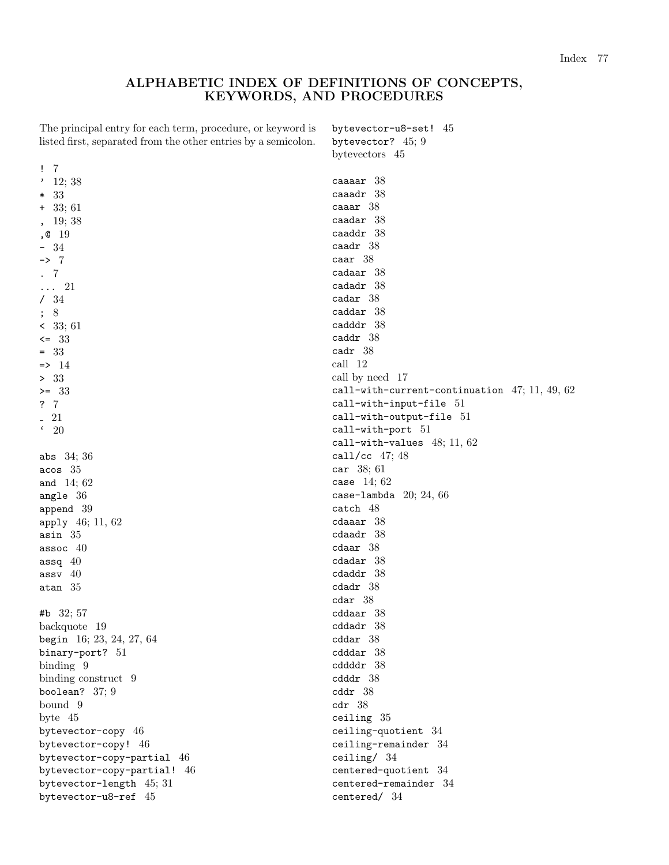### ALPHABETIC INDEX OF DEFINITIONS OF CONCEPTS, KEYWORDS, AND PROCEDURES

bytevector-u8-set! 45 bytevector? 45; 9

The principal entry for each term, procedure, or keyword is listed first, separated from the other entries by a semicolon.

|                             | bytevectors 45                                        |
|-----------------------------|-------------------------------------------------------|
| $\overline{7}$<br>Ţ.        |                                                       |
| $'$ 12; 38                  | caaaar <sub>38</sub>                                  |
| $* 33$                      | $ca$ aadr $38$                                        |
| $+33;61$                    | $caaar$ $38$                                          |
| 19;38                       | $caadar$ 38                                           |
| ,0 19                       | $caaddr$ 38                                           |
| - 34<br>-                   | $caadr$ $38$                                          |
| $\rightarrow$ 7             | $\text{caar } 38$                                     |
| $\overline{7}$              | $\alpha$ daar 38                                      |
| $\cdots$ 21                 | $cadadr$ $38$                                         |
| /34                         | $\text{cadar}$ 38                                     |
| ; 8                         | $caddar$ $38$                                         |
| < 33; 61                    | cadddr 38                                             |
| $\leq$ 33                   | caddr $38$                                            |
| $= 33$                      | $\text{cadr}$ 38                                      |
| $\Rightarrow$ 14            | call 12                                               |
| > 33                        | call by need 17                                       |
| $>= 33$                     | call-with-current-continuation $47; 11, 49, 62$       |
|                             |                                                       |
| ?7                          | call-with-input-file 51<br>$call-with-output-file 51$ |
| 21<br>$\epsilon$            |                                                       |
| <b>20</b>                   | call-with-port 51                                     |
|                             | call-with-values $48; 11, 62$                         |
| abs $34;36$                 | call/cc $47; 48$                                      |
| acos 35                     | car 38; 61                                            |
| and $14;62$                 | case $14;62$                                          |
| angle $36$                  | case-lambda $20; 24, 66$                              |
| append 39                   | catch 48                                              |
| apply 46; 11, 62            | $cda aar 38$                                          |
| $\texttt{asin} \quad 35$    | $\texttt{cdaadr}$ 38                                  |
| assoc $40$                  | $cdaar$ 38                                            |
| assq $40$                   | $cdadar$ $38$                                         |
| $assv$ 40                   | $cdaddr$ $38$                                         |
| atan $35$                   | cdadr 38                                              |
|                             | cdar 38                                               |
| #b $32; 57$                 | cddaar 38                                             |
| backquote 19                | $\texttt{cddadr}$ $38$                                |
| begin 16; 23, 24, 27, 64    | $cddar$ 38                                            |
| binary-port? 51             | $\text{c}$ dddar $38$                                 |
| binding 9                   | $cddddr$ 38                                           |
| binding construct 9         | $cdddr$ 38                                            |
| boolean? $37;9$             | $\text{cddr}$ 38                                      |
| bound 9                     | cdr 38                                                |
| byte $45$                   | ceiling $35$                                          |
| bytevector-copy 46          | $ceiling-quotient$ 34                                 |
| bytevector-copy! 46         | ceiling-remainder 34                                  |
| bytevector-copy-partial 46  | ceiling/ $34$                                         |
| bytevector-copy-partial! 46 | centered-quotient 34                                  |
| bytevector-length 45; 31    | $centered$ -remainder 34                              |
| bytevector-u8-ref 45        | centered/ 34                                          |
|                             |                                                       |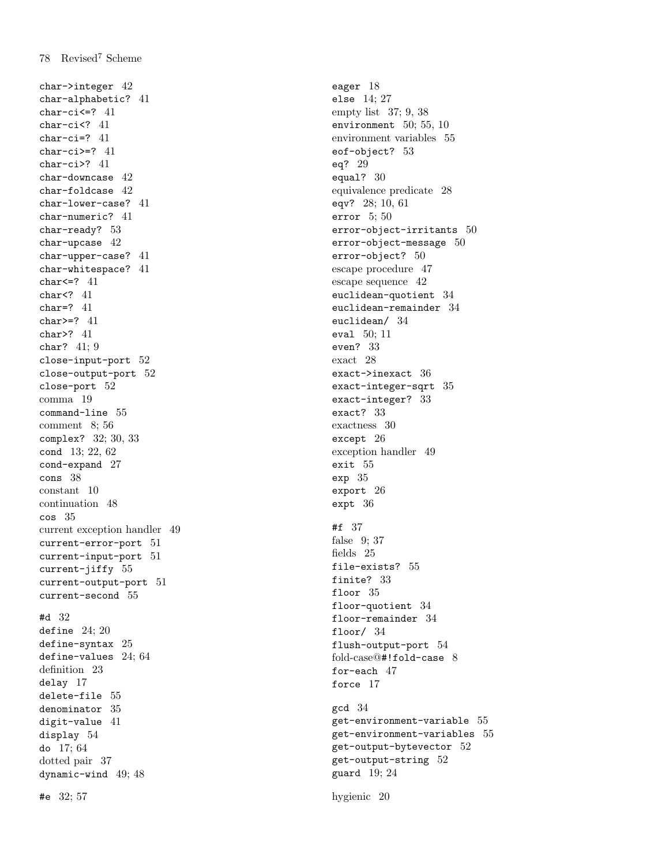char->integer 42 char-alphabetic? 41 char-ci<=? 41 char-ci<? 41 char-ci=? 41 char-ci>=? 41 char-ci>? 41 char-downcase 42 char-foldcase 42 char-lower-case? 41 char-numeric? 41 char-ready? 53 char-upcase 42 char-upper-case? 41 char-whitespace? 41 char<=? 41 char<? 41 char=? 41 char>=? 41 char>? 41 char? 41; 9 close-input-port 52 close-output-port 52 close-port 52 comma 19 command-line 55 comment 8; 56 complex? 32; 30, 33 cond 13; 22, 62 cond-expand 27 cons 38 constant 10 continuation 48 cos 35 current exception handler 49 current-error-port 51 current-input-port 51 current-jiffy 55 current-output-port 51 current-second 55 #d 32 define 24; 20 define-syntax 25 define-values 24; 64 definition 23 delay 17 delete-file 55 denominator 35 digit-value 41 display 54 do 17; 64 dotted pair 37 dynamic-wind 49; 48

#e 32; 57

eager 18 else 14; 27 empty list 37; 9, 38 environment 50; 55, 10 environment variables 55 eof-object? 53 eq? 29 equal? 30 equivalence predicate 28 eqv? 28; 10, 61 error 5; 50 error-object-irritants 50 error-object-message 50 error-object? 50 escape procedure 47 escape sequence 42 euclidean-quotient 34 euclidean-remainder 34 euclidean/ 34 eval 50; 11 even? 33 exact 28 exact->inexact 36 exact-integer-sqrt 35 exact-integer? 33 exact? 33 exactness 30 except 26 exception handler 49 exit 55 exp 35 export 26 expt 36 #f 37 false 9; 37 fields 25 file-exists? 55 finite? 33 floor 35 floor-quotient 34 floor-remainder 34 floor/ 34 flush-output-port 54 fold-case@#!fold-case 8 for-each 47 force 17 gcd 34 get-environment-variable 55 get-environment-variables 55 get-output-bytevector 52 get-output-string 52 guard 19; 24

hygienic 20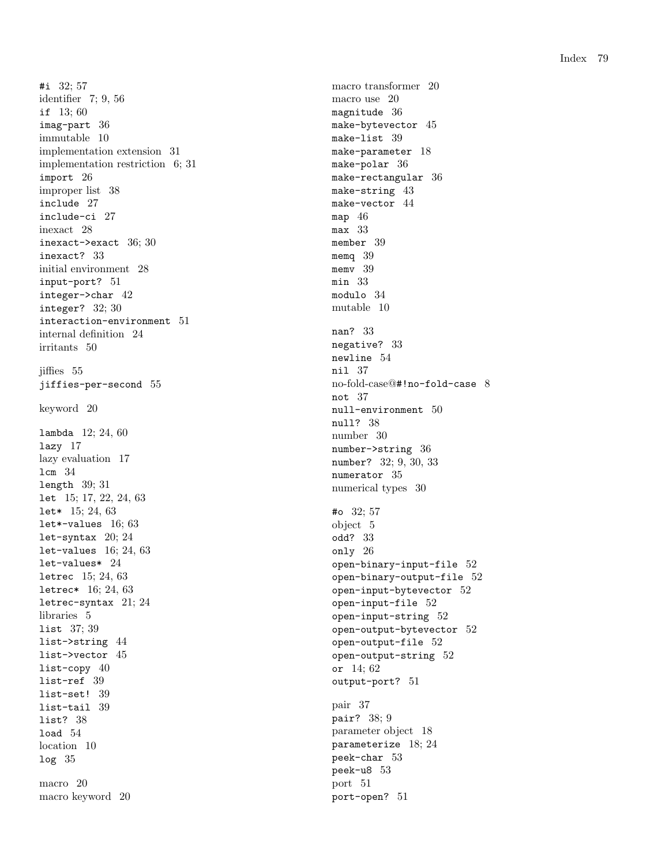#i 32; 57 identifier 7; 9, 56 if 13; 60 imag-part 36 immutable 10 implementation extension 31 implementation restriction 6; 31 import 26 improper list 38 include 27 include-ci 27 inexact 28 inexact->exact 36; 30 inexact? 33 initial environment 28 input-port? 51 integer->char 42 integer? 32; 30 interaction-environment 51 internal definition 24 irritants 50 jiffies 55 jiffies-per-second 55 keyword 20 lambda 12; 24, 60 lazy 17 lazy evaluation 17 lcm 34 length 39; 31 let 15; 17, 22, 24, 63 let\* 15; 24, 63 let\*-values 16; 63 let-syntax 20; 24 let-values 16; 24, 63 let-values\* 24 letrec 15; 24, 63 letrec\* 16; 24, 63 letrec-syntax 21; 24 libraries 5 list 37; 39 list->string 44 list->vector 45 list-copy 40 list-ref 39 list-set! 39 list-tail 39 list? 38 load 54 location 10 log 35 macro 20 macro keyword 20

macro transformer 20 macro use 20 magnitude 36 make-bytevector 45 make-list 39 make-parameter 18 make-polar 36 make-rectangular 36 make-string 43 make-vector 44 map 46 max 33 member 39 memq 39 memv 39 min 33 modulo 34 mutable 10 nan? 33 negative? 33 newline 54 nil 37 no-fold-case@#!no-fold-case 8 not 37 null-environment 50 null? 38 number 30 number->string 36 number? 32; 9, 30, 33 numerator 35 numerical types 30 #o 32; 57 object 5 odd? 33 only 26 open-binary-input-file 52 open-binary-output-file 52 open-input-bytevector 52 open-input-file 52 open-input-string 52 open-output-bytevector 52 open-output-file 52 open-output-string 52 or 14; 62 output-port? 51 pair 37 pair? 38; 9 parameter object 18 parameterize 18; 24 peek-char 53 peek-u8 53 port 51 port-open? 51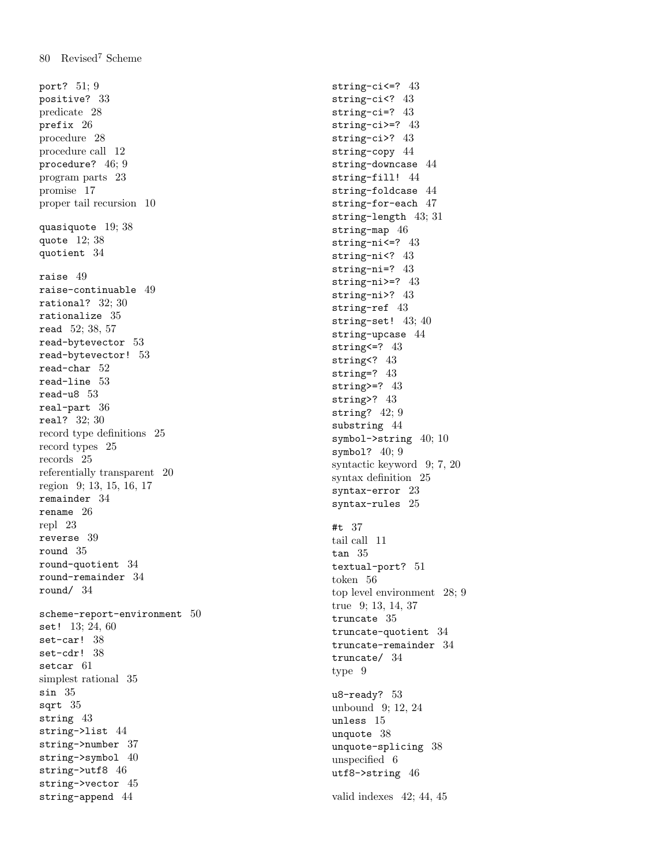port? 51; 9 positive? 33 predicate 28 prefix 26 procedure 28 procedure call 12 procedure? 46; 9 program parts 23 promise 17 proper tail recursion 10 quasiquote 19; 38 quote 12; 38 quotient 34 raise 49 raise-continuable 49 rational? 32; 30 rationalize 35 read 52; 38, 57 read-bytevector 53 read-bytevector! 53 read-char 52 read-line 53 read-u8 53 real-part 36 real? 32; 30 record type definitions 25 record types 25 records 25 referentially transparent 20 region 9; 13, 15, 16, 17 remainder 34 rename 26 repl 23 reverse 39 round 35 round-quotient 34 round-remainder 34 round/ 34 scheme-report-environment 50 set! 13; 24, 60 set-car! 38 set-cdr! 38 setcar 61 simplest rational 35 sin 35 sqrt 35 string 43 string->list 44 string->number 37 string->symbol 40 string->utf8 46 string->vector 45 string-append 44

string-ci<=? 43 string-ci<? 43 string-ci=? 43 string-ci>=? 43 string-ci>? 43 string-copy 44 string-downcase 44 string-fill! 44 string-foldcase 44 string-for-each 47 string-length 43; 31 string-map 46 string-ni<=? 43 string-ni<? 43 string-ni=? 43 string-ni>=? 43 string-ni>? 43 string-ref 43 string-set! 43; 40 string-upcase 44 string<=? 43 string<? 43 string=? 43 string>=? 43 string>? 43 string? 42; 9 substring 44 symbol->string 40; 10 symbol? 40; 9 syntactic keyword 9; 7, 20 syntax definition 25 syntax-error 23 syntax-rules 25 #t 37 tail call 11 tan 35 textual-port? 51 token 56 top level environment 28; 9 true 9; 13, 14, 37 truncate 35 truncate-quotient 34 truncate-remainder 34 truncate/ 34 type 9 u8-ready? 53 unbound 9; 12, 24 unless 15 unquote 38 unquote-splicing 38 unspecified 6 utf8->string 46 valid indexes 42; 44, 45